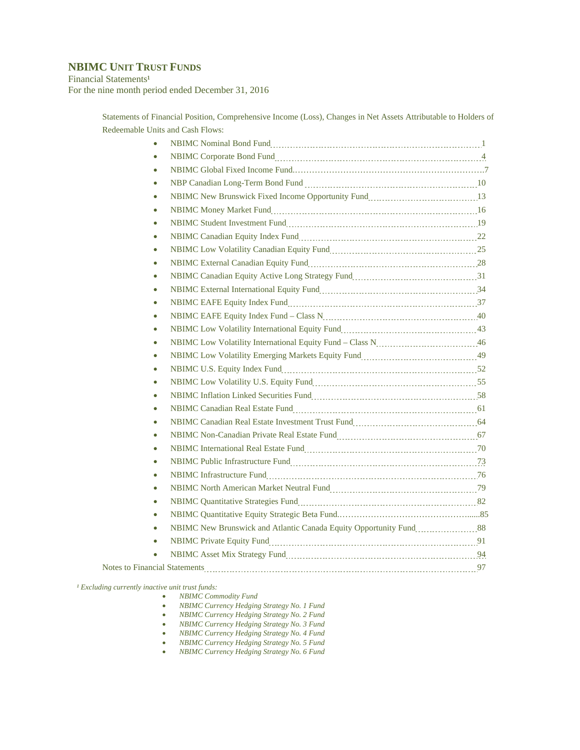## **NBIMC UNIT TRUST FUNDS**

Financial Statements<sup>1</sup> For the nine month period ended December 31, 2016

> Statements of Financial Position, Comprehensive Income (Loss), Changes in Net Assets Attributable to Holders of Redeemable Units and Cash Flows:

| $\bullet$ |                                                                                                                |  |
|-----------|----------------------------------------------------------------------------------------------------------------|--|
| $\bullet$ |                                                                                                                |  |
| $\bullet$ |                                                                                                                |  |
| $\bullet$ |                                                                                                                |  |
| $\bullet$ |                                                                                                                |  |
| $\bullet$ |                                                                                                                |  |
| $\bullet$ |                                                                                                                |  |
| $\bullet$ |                                                                                                                |  |
| $\bullet$ |                                                                                                                |  |
| $\bullet$ |                                                                                                                |  |
| $\bullet$ |                                                                                                                |  |
| $\bullet$ | NBIMC External International Equity Fund<br>134                                                                |  |
| $\bullet$ |                                                                                                                |  |
| $\bullet$ |                                                                                                                |  |
| $\bullet$ | NBIMC Low Volatility International Equity Fund<br>1343                                                         |  |
| $\bullet$ |                                                                                                                |  |
| $\bullet$ |                                                                                                                |  |
| $\bullet$ |                                                                                                                |  |
| $\bullet$ | NBIMC Low Volatility U.S. Equity Fund Martin Martin Martin Martin 1955                                         |  |
| $\bullet$ | NBIMC Inflation Linked Securities Fund<br>158                                                                  |  |
| $\bullet$ |                                                                                                                |  |
| $\bullet$ | NBIMC Canadian Real Estate Investment Trust Fund [1001] [1001] [1001] [1001] [1001] [1001] [1001] [1001] [1001 |  |
| $\bullet$ |                                                                                                                |  |
| $\bullet$ |                                                                                                                |  |
| $\bullet$ |                                                                                                                |  |
| $\bullet$ |                                                                                                                |  |
| $\bullet$ |                                                                                                                |  |
| $\bullet$ |                                                                                                                |  |
| $\bullet$ |                                                                                                                |  |
| $\bullet$ | NBIMC New Brunswick and Atlantic Canada Equity Opportunity Fund                                                |  |
| $\bullet$ |                                                                                                                |  |
|           |                                                                                                                |  |
|           |                                                                                                                |  |

*¹ Excluding currently inactive unit trust funds:* 

- *NBIMC Commodity Fund*
- *NBIMC Currency Hedging Strategy No. 1 Fund*
- *NBIMC Currency Hedging Strategy No. 2 Fund*
- *NBIMC Currency Hedging Strategy No. 3 Fund*
- *NBIMC Currency Hedging Strategy No. 4 Fund*
- *NBIMC Currency Hedging Strategy No. 5 Fund*
- *NBIMC Currency Hedging Strategy No. 6 Fund*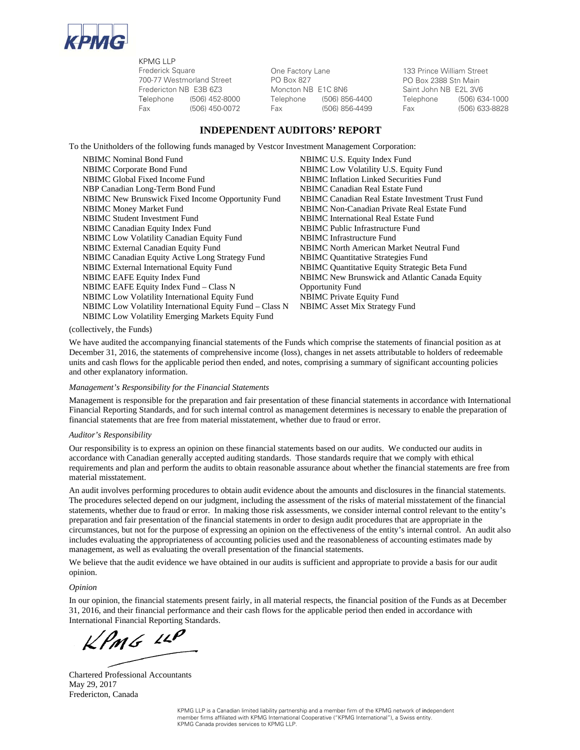

KPMG LLP Frederick Square 700-77 Westmorland Street Fredericton NB E3B 6Z3

One Factory Lane PO Box 827 Moncton NB E1C 8N6

133 Prince William Street PO Box 2388 Stn Main Saint John NB E2L 3V6 Telephone (506) 452-8000 Telephone (506) 856-4400 Telephone (506) 634-1000 Fax (506) 450-0072 Fax (506) 856-4499 Fax (506) 633-8828

#### **INDEPENDENT AUDITORS' REPORT**

To the Unitholders of the following funds managed by Vestcor Investment Management Corporation:

NBIMC Nominal Bond Fund<br>
NBIMC U.S. Equity Index Fund<br>
NBIMC Low Volatility U.S. Equ NBIMC Global Fixed Income Fund NBIMC Inflation Linked Securities Fund NBP Canadian Long-Term Bond Fund NBIMC Canadian Real Estate Fund NBIMC New Brunswick Fixed Income Opportunity Fund NBIMC Canadian Real Estate Investment Trust Fund NBIMC Money Market Fund NBIMC Non-Canadian Private Real Estate Fund NBIMC Student Investment Fund NBIMC International Real Estate Fund NBIMC Canadian Equity Index Fund NBIMC Public Infrastructure Fund NBIMC Low Volatility Canadian Equity Fund NBIMC Infrastructure Fund NBIMC External Canadian Equity Fund NBIMC North American Market Neutral Fund NBIMC Canadian Equity Active Long Strategy Fund NBIMC Quantitative Strategies Fund NBIMC External International Equity Fund NBIMC Quantitative Equity Strategic Beta Fund NBIMC EAFE Equity Index Fund NBIMC New Brunswick and Atlantic Canada Equity NBIMC EAFE Equity Index Fund – Class N Opportunity Fund NBIMC Low Volatility International Equity Fund NBIMC Private Equity Fund NBIMC Low Volatility International Equity Fund – Class N NBIMC Asset Mix Strategy Fund NBIMC Low Volatility Emerging Markets Equity Fund

NBIMC Low Volatility U.S. Equity Fund

(collectively, the Funds)

We have audited the accompanying financial statements of the Funds which comprise the statements of financial position as at December 31, 2016, the statements of comprehensive income (loss), changes in net assets attributable to holders of redeemable units and cash flows for the applicable period then ended, and notes, comprising a summary of significant accounting policies and other explanatory information.

#### *Management's Responsibility for the Financial Statements*

Management is responsible for the preparation and fair presentation of these financial statements in accordance with International Financial Reporting Standards, and for such internal control as management determines is necessary to enable the preparation of financial statements that are free from material misstatement, whether due to fraud or error.

#### *Auditor's Responsibility*

Our responsibility is to express an opinion on these financial statements based on our audits. We conducted our audits in accordance with Canadian generally accepted auditing standards. Those standards require that we comply with ethical requirements and plan and perform the audits to obtain reasonable assurance about whether the financial statements are free from material misstatement.

An audit involves performing procedures to obtain audit evidence about the amounts and disclosures in the financial statements. The procedures selected depend on our judgment, including the assessment of the risks of material misstatement of the financial statements, whether due to fraud or error. In making those risk assessments, we consider internal control relevant to the entity's preparation and fair presentation of the financial statements in order to design audit procedures that are appropriate in the circumstances, but not for the purpose of expressing an opinion on the effectiveness of the entity's internal control. An audit also includes evaluating the appropriateness of accounting policies used and the reasonableness of accounting estimates made by management, as well as evaluating the overall presentation of the financial statements.

We believe that the audit evidence we have obtained in our audits is sufficient and appropriate to provide a basis for our audit opinion.

#### *Opinion*

In our opinion, the financial statements present fairly, in all material respects, the financial position of the Funds as at December 31, 2016, and their financial performance and their cash flows for the applicable period then ended in accordance with International Financial Reporting Standards.

 $KPMG$  14P

Chartered Professional Accountants May 29, 2017 Fredericton, Canada

KPMG LLP is a Canadian limited liability partnership and a member firm of the KPMG network of independent member firms affiliated with KPMG International Cooperative ("KPMG International"), a Swiss entity. KPMG Canada provides services to KPMG LLP.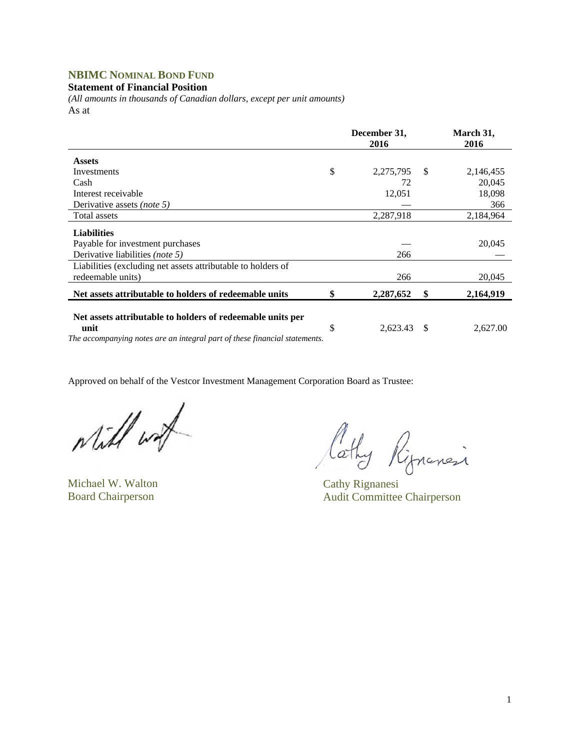## **NBIMC NOMINAL BOND FUND**

#### **Statement of Financial Position**

*(All amounts in thousands of Canadian dollars, except per unit amounts)*  As at

|                                                                                                                                                  | December 31,<br>2016 |           | March 31,<br>2016 |           |
|--------------------------------------------------------------------------------------------------------------------------------------------------|----------------------|-----------|-------------------|-----------|
| <b>Assets</b>                                                                                                                                    |                      |           |                   |           |
| Investments                                                                                                                                      | \$                   | 2,275,795 | S.                | 2,146,455 |
| Cash                                                                                                                                             |                      | 72        |                   | 20,045    |
| Interest receivable                                                                                                                              |                      | 12,051    |                   | 18,098    |
| Derivative assets <i>(note 5)</i>                                                                                                                |                      |           |                   | 366       |
| Total assets                                                                                                                                     |                      | 2,287,918 |                   | 2,184,964 |
| <b>Liabilities</b><br>Payable for investment purchases                                                                                           |                      |           |                   | 20,045    |
| Derivative liabilities (note 5)                                                                                                                  |                      | 266       |                   |           |
| Liabilities (excluding net assets attributable to holders of<br>redeemable units)                                                                |                      | 266       |                   | 20,045    |
| Net assets attributable to holders of redeemable units                                                                                           | \$                   | 2,287,652 | \$                | 2,164,919 |
| Net assets attributable to holders of redeemable units per<br>unit<br>The accompanying notes are an integral part of these financial statements. | \$                   | 2,623.43  | - \$              | 2,627.00  |

while with

Michael W. Walton Cathy Rignanesi

Cathy Rippensi

Board Chairperson Audit Committee Chairperson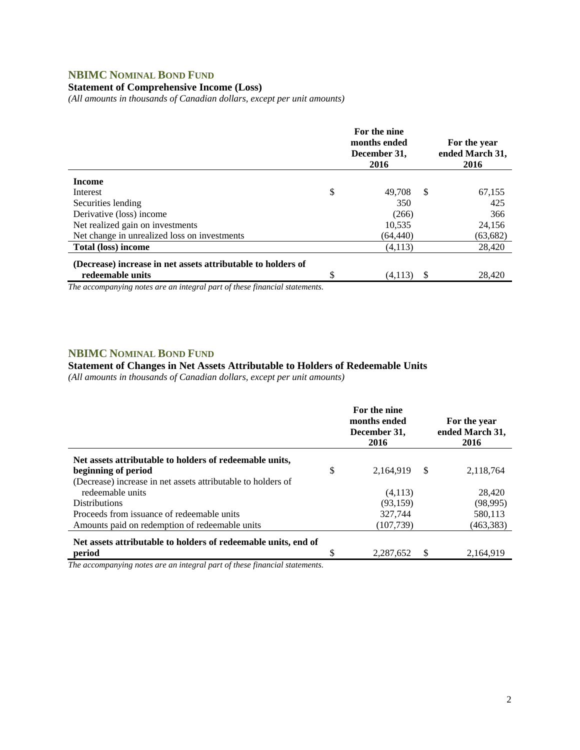## **NBIMC NOMINAL BOND FUND**

#### **Statement of Comprehensive Income (Loss)**

*(All amounts in thousands of Canadian dollars, except per unit amounts)* 

|                                                              | For the nine<br>months ended<br>December 31,<br>2016 |      | For the year<br>ended March 31,<br>2016 |
|--------------------------------------------------------------|------------------------------------------------------|------|-----------------------------------------|
| <b>Income</b>                                                |                                                      |      |                                         |
| Interest                                                     | \$<br>49.708                                         | - \$ | 67,155                                  |
| Securities lending                                           | 350                                                  |      | 425                                     |
| Derivative (loss) income                                     | (266)                                                |      | 366                                     |
| Net realized gain on investments                             | 10,535                                               |      | 24,156                                  |
| Net change in unrealized loss on investments                 | (64, 440)                                            |      | (63, 682)                               |
| <b>Total (loss) income</b>                                   | (4,113)                                              |      | 28,420                                  |
| (Decrease) increase in net assets attributable to holders of |                                                      |      |                                         |
| redeemable units                                             | \$<br>(4,113)                                        | S    | 28,420                                  |

*The accompanying notes are an integral part of these financial statements.* 

#### **NBIMC NOMINAL BOND FUND**

#### **Statement of Changes in Net Assets Attributable to Holders of Redeemable Units**

*(All amounts in thousands of Canadian dollars, except per unit amounts)* 

|                                                                |    | For the nine<br>months ended<br>December 31,<br>2016 |    |           |  |  |  |  |  | For the year<br>ended March 31,<br>2016 |
|----------------------------------------------------------------|----|------------------------------------------------------|----|-----------|--|--|--|--|--|-----------------------------------------|
| Net assets attributable to holders of redeemable units,        |    |                                                      |    |           |  |  |  |  |  |                                         |
| beginning of period                                            | \$ | 2,164,919                                            | -S | 2,118,764 |  |  |  |  |  |                                         |
| (Decrease) increase in net assets attributable to holders of   |    |                                                      |    |           |  |  |  |  |  |                                         |
| redeemable units                                               |    | (4,113)                                              |    | 28,420    |  |  |  |  |  |                                         |
| <b>Distributions</b>                                           |    | (93, 159)                                            |    | (98,995)  |  |  |  |  |  |                                         |
| Proceeds from issuance of redeemable units                     |    | 327.744                                              |    | 580,113   |  |  |  |  |  |                                         |
| Amounts paid on redemption of redeemable units                 |    | (107, 739)                                           |    | (463,383) |  |  |  |  |  |                                         |
| Net assets attributable to holders of redeemable units, end of |    |                                                      |    |           |  |  |  |  |  |                                         |
| period                                                         | \$ | 2,287,652                                            | S  | 2,164,919 |  |  |  |  |  |                                         |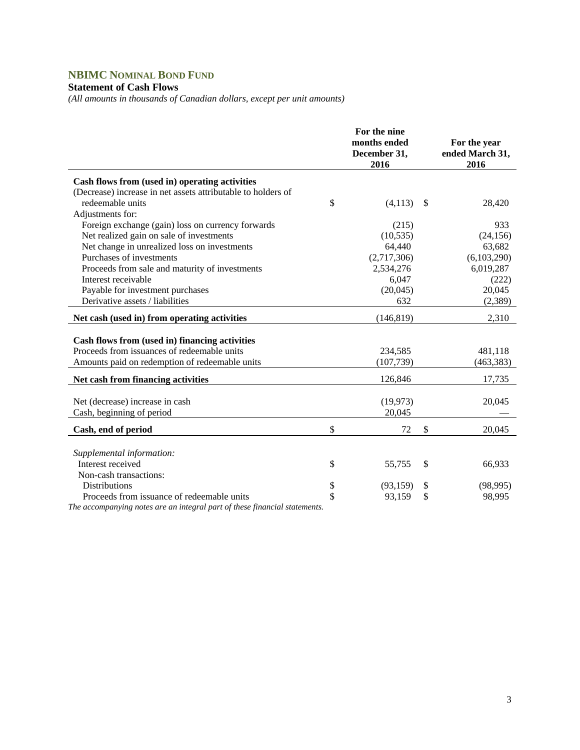# **NBIMC NOMINAL BOND FUND**

### **Statement of Cash Flows**

*(All amounts in thousands of Canadian dollars, except per unit amounts)* 

|                                                                                                                                                                                                                                                                                        | For the nine<br>months ended<br>December 31,<br>2016 | For the year<br>ended March 31,<br>2016 |
|----------------------------------------------------------------------------------------------------------------------------------------------------------------------------------------------------------------------------------------------------------------------------------------|------------------------------------------------------|-----------------------------------------|
| Cash flows from (used in) operating activities                                                                                                                                                                                                                                         |                                                      |                                         |
| (Decrease) increase in net assets attributable to holders of                                                                                                                                                                                                                           |                                                      |                                         |
| redeemable units                                                                                                                                                                                                                                                                       | \$<br>(4,113)                                        | \$<br>28,420                            |
| Adjustments for:                                                                                                                                                                                                                                                                       |                                                      |                                         |
| Foreign exchange (gain) loss on currency forwards                                                                                                                                                                                                                                      | (215)                                                | 933                                     |
| Net realized gain on sale of investments                                                                                                                                                                                                                                               | (10, 535)                                            | (24, 156)                               |
| Net change in unrealized loss on investments                                                                                                                                                                                                                                           | 64,440                                               | 63,682                                  |
| Purchases of investments                                                                                                                                                                                                                                                               | (2,717,306)                                          | (6,103,290)                             |
| Proceeds from sale and maturity of investments                                                                                                                                                                                                                                         | 2,534,276                                            | 6,019,287                               |
| Interest receivable                                                                                                                                                                                                                                                                    | 6,047                                                | (222)                                   |
| Payable for investment purchases                                                                                                                                                                                                                                                       | (20,045)                                             | 20,045                                  |
| Derivative assets / liabilities                                                                                                                                                                                                                                                        | 632                                                  | (2,389)                                 |
| Net cash (used in) from operating activities                                                                                                                                                                                                                                           | (146, 819)                                           | 2,310                                   |
| Cash flows from (used in) financing activities                                                                                                                                                                                                                                         |                                                      |                                         |
| Proceeds from issuances of redeemable units                                                                                                                                                                                                                                            | 234,585                                              | 481,118                                 |
| Amounts paid on redemption of redeemable units                                                                                                                                                                                                                                         | (107, 739)                                           | (463, 383)                              |
|                                                                                                                                                                                                                                                                                        |                                                      |                                         |
| Net cash from financing activities                                                                                                                                                                                                                                                     | 126,846                                              | 17,735                                  |
| Net (decrease) increase in cash                                                                                                                                                                                                                                                        | (19, 973)                                            | 20,045                                  |
| Cash, beginning of period                                                                                                                                                                                                                                                              | 20,045                                               |                                         |
|                                                                                                                                                                                                                                                                                        |                                                      |                                         |
| Cash, end of period                                                                                                                                                                                                                                                                    | \$<br>72                                             | \$<br>20,045                            |
|                                                                                                                                                                                                                                                                                        |                                                      |                                         |
| Supplemental information:                                                                                                                                                                                                                                                              |                                                      |                                         |
| Interest received                                                                                                                                                                                                                                                                      | \$<br>55,755                                         | \$<br>66,933                            |
| Non-cash transactions:                                                                                                                                                                                                                                                                 |                                                      |                                         |
| <b>Distributions</b>                                                                                                                                                                                                                                                                   | \$<br>(93, 159)                                      | \$<br>(98, 995)                         |
| Proceeds from issuance of redeemable units<br>T1<br>$\mathcal{L}$ , and the contract of the contract of the contract of the contract of the contract of the contract of the contract of the contract of the contract of the contract of the contract of the contract of the contract o | \$<br>93,159                                         | \$<br>98,995                            |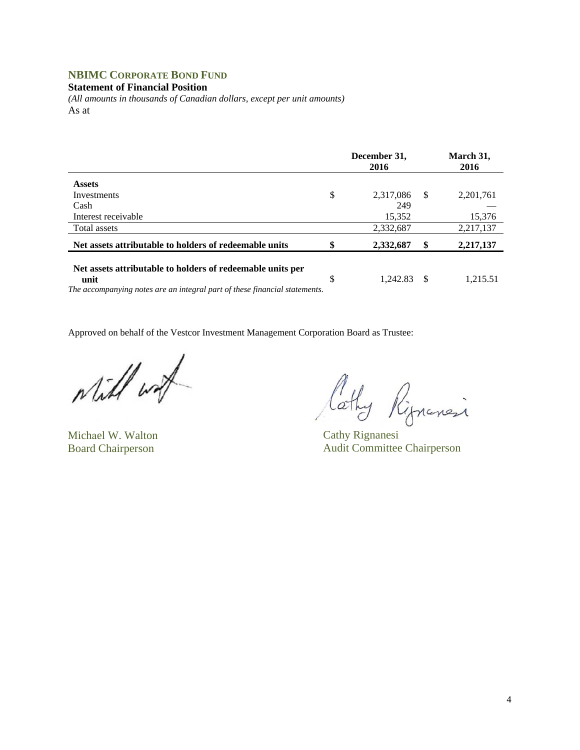## **NBIMC CORPORATE BOND FUND**

#### **Statement of Financial Position**

*(All amounts in thousands of Canadian dollars, except per unit amounts)*  As at

|                                                                            |    | December 31,<br>2016 |    | March 31,<br>2016 |
|----------------------------------------------------------------------------|----|----------------------|----|-------------------|
| <b>Assets</b>                                                              |    |                      |    |                   |
| Investments                                                                | \$ | 2,317,086            | -S | 2,201,761         |
| Cash                                                                       |    | 249                  |    |                   |
| Interest receivable                                                        |    | 15,352               |    | 15,376            |
| Total assets                                                               |    | 2,332,687            |    | 2,217,137         |
| Net assets attributable to holders of redeemable units                     | \$ | 2,332,687            | \$ | 2,217,137         |
| Net assets attributable to holders of redeemable units per<br>unit         | \$ | 1.242.83             | -S | 1,215.51          |
| The accompanying notes are an integral part of these financial statements. |    |                      |    |                   |

while wat

Michael W. Walton Cathy Rignanesi

lathy Rignansi

Board Chairperson Audit Committee Chairperson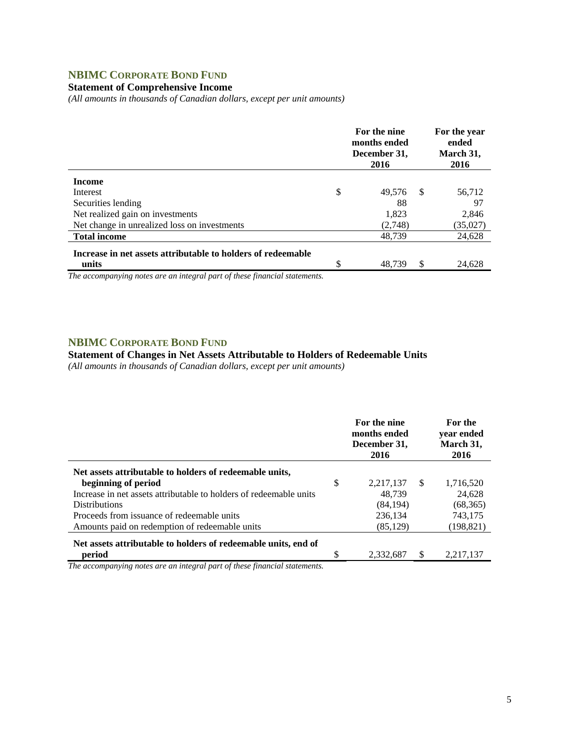## **NBIMC CORPORATE BOND FUND**

#### **Statement of Comprehensive Income**

*(All amounts in thousands of Canadian dollars, except per unit amounts)* 

|                                                                       | For the nine<br>months ended<br>December 31,<br>2016 |    | For the year<br>ended<br>March 31,<br>2016 |
|-----------------------------------------------------------------------|------------------------------------------------------|----|--------------------------------------------|
| <b>Income</b>                                                         |                                                      |    |                                            |
| Interest                                                              | \$<br>49,576                                         | -S | 56,712                                     |
| Securities lending                                                    | 88                                                   |    | 97                                         |
| Net realized gain on investments                                      | 1,823                                                |    | 2,846                                      |
| Net change in unrealized loss on investments                          | (2,748)                                              |    | (35,027)                                   |
| <b>Total income</b>                                                   | 48.739                                               |    | 24,628                                     |
| Increase in net assets attributable to holders of redeemable<br>units | \$<br>48.739                                         | S  | 24,628                                     |

*The accompanying notes are an integral part of these financial statements.*

#### **NBIMC CORPORATE BOND FUND**

#### **Statement of Changes in Net Assets Attributable to Holders of Redeemable Units**

*(All amounts in thousands of Canadian dollars, except per unit amounts)* 

|                                                                                | For the nine<br>months ended<br>December 31,<br>2016 | For the<br>vear ended<br>March 31,<br>2016 |
|--------------------------------------------------------------------------------|------------------------------------------------------|--------------------------------------------|
| Net assets attributable to holders of redeemable units,<br>beginning of period | \$<br>2,217,137<br>-S                                | 1,716,520                                  |
| Increase in net assets attributable to holders of redeemable units             | 48.739                                               | 24.628                                     |
| <b>Distributions</b>                                                           | (84, 194)                                            | (68, 365)                                  |
| Proceeds from issuance of redeemable units                                     | 236.134                                              | 743,175                                    |
| Amounts paid on redemption of redeemable units                                 | (85, 129)                                            | (198, 821)                                 |
| Net assets attributable to holders of redeemable units, end of                 |                                                      |                                            |
| period                                                                         | \$<br>S<br>2,332,687                                 | 2,217,137                                  |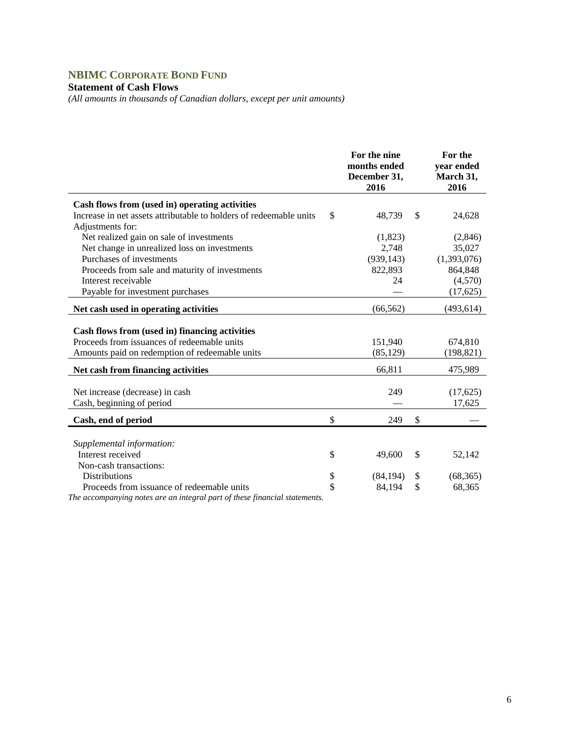# **NBIMC CORPORATE BOND FUND**

#### **Statement of Cash Flows**

*(All amounts in thousands of Canadian dollars, except per unit amounts)* 

|                                                                                                                                                 | For the nine<br>months ended<br>December 31,<br>2016 |    | For the<br>year ended<br>March 31,<br>2016 |
|-------------------------------------------------------------------------------------------------------------------------------------------------|------------------------------------------------------|----|--------------------------------------------|
| Cash flows from (used in) operating activities                                                                                                  |                                                      |    |                                            |
| Increase in net assets attributable to holders of redeemable units                                                                              | \$<br>48,739                                         | \$ | 24,628                                     |
| Adjustments for:                                                                                                                                |                                                      |    |                                            |
| Net realized gain on sale of investments                                                                                                        | (1,823)                                              |    | (2,846)                                    |
| Net change in unrealized loss on investments                                                                                                    | 2,748                                                |    | 35,027                                     |
| Purchases of investments                                                                                                                        | (939, 143)                                           |    | (1,393,076)                                |
| Proceeds from sale and maturity of investments                                                                                                  | 822,893                                              |    | 864,848                                    |
| Interest receivable                                                                                                                             | 24                                                   |    | (4,570)                                    |
| Payable for investment purchases                                                                                                                |                                                      |    |                                            |
| Net cash used in operating activities                                                                                                           | (66, 562)                                            |    | (493, 614)                                 |
| Cash flows from (used in) financing activities<br>Proceeds from issuances of redeemable units<br>Amounts paid on redemption of redeemable units | 151,940<br>(85, 129)                                 |    | 674,810<br>(198, 821)                      |
| Net cash from financing activities                                                                                                              | 66,811                                               |    | 475,989                                    |
|                                                                                                                                                 |                                                      |    |                                            |
| Net increase (decrease) in cash                                                                                                                 | 249                                                  |    | (17,625)                                   |
| Cash, beginning of period                                                                                                                       |                                                      |    | 17,625                                     |
| Cash, end of period                                                                                                                             | \$<br>249                                            | \$ |                                            |
|                                                                                                                                                 |                                                      |    |                                            |
| Supplemental information:                                                                                                                       |                                                      |    |                                            |
| Interest received                                                                                                                               | \$<br>49,600                                         | \$ | 52,142                                     |
| Non-cash transactions:                                                                                                                          |                                                      |    |                                            |
| <b>Distributions</b>                                                                                                                            | \$<br>(84, 194)                                      | \$ | (68, 365)                                  |
| Proceeds from issuance of redeemable units                                                                                                      | \$<br>84,194                                         | \$ | 68,365                                     |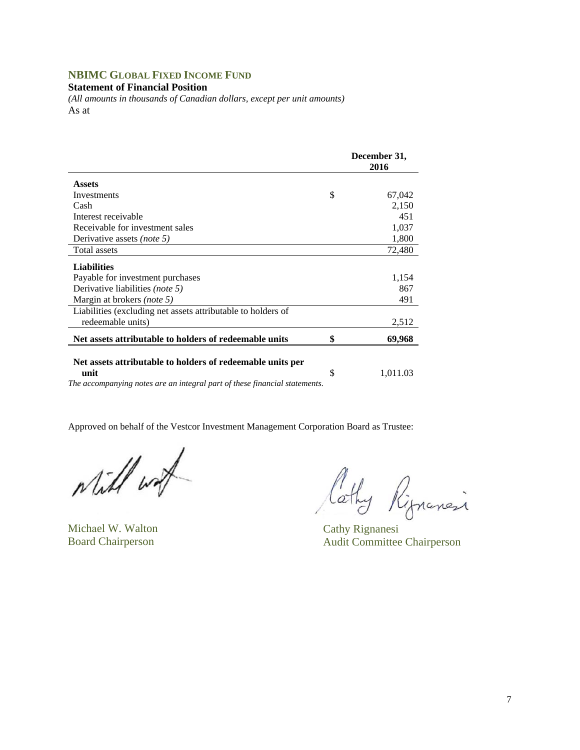## **NBIMC GLOBAL FIXED INCOME FUND**

#### **Statement of Financial Position**

*(All amounts in thousands of Canadian dollars, except per unit amounts)*  As at

|                                                                            | December 31,<br>2016 |  |  |
|----------------------------------------------------------------------------|----------------------|--|--|
| <b>Assets</b>                                                              |                      |  |  |
| Investments                                                                | \$<br>67,042         |  |  |
| Cash                                                                       | 2,150                |  |  |
| Interest receivable                                                        | 451                  |  |  |
| Receivable for investment sales                                            | 1,037                |  |  |
| Derivative assets (note 5)                                                 | 1,800                |  |  |
| Total assets                                                               | 72,480               |  |  |
| <b>Liabilities</b>                                                         |                      |  |  |
| Payable for investment purchases                                           | 1,154                |  |  |
| Derivative liabilities (note 5)                                            | 867                  |  |  |
| Margin at brokers (note 5)                                                 | 491                  |  |  |
| Liabilities (excluding net assets attributable to holders of               |                      |  |  |
| redeemable units)                                                          | 2,512                |  |  |
| Net assets attributable to holders of redeemable units                     | \$<br>69,968         |  |  |
| Net assets attributable to holders of redeemable units per<br>unit         | \$<br>1,011.03       |  |  |
| The accompanying notes are an integral part of these financial statements. |                      |  |  |

while with

Michael W. Walton Cathy Rignanesi

Cathy Rignancia

Board Chairperson Audit Committee Chairperson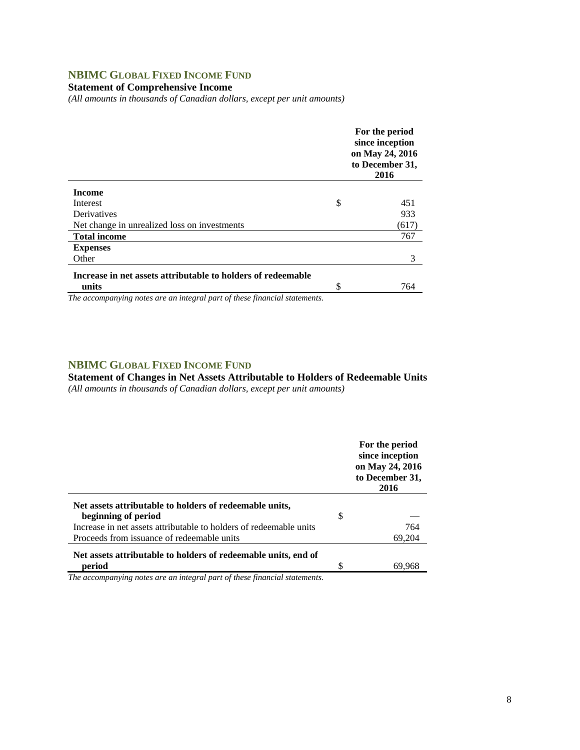## **NBIMC GLOBAL FIXED INCOME FUND**

**Statement of Comprehensive Income** 

*(All amounts in thousands of Canadian dollars, except per unit amounts)* 

|                                                              |    | For the period<br>since inception<br>on May 24, 2016<br>to December 31,<br>2016 |
|--------------------------------------------------------------|----|---------------------------------------------------------------------------------|
| <b>Income</b>                                                |    |                                                                                 |
| Interest                                                     | \$ | 451                                                                             |
| Derivatives                                                  |    | 933                                                                             |
| Net change in unrealized loss on investments                 |    | (617)                                                                           |
| <b>Total income</b>                                          |    | 767                                                                             |
| <b>Expenses</b>                                              |    |                                                                                 |
| Other                                                        |    | 3                                                                               |
| Increase in net assets attributable to holders of redeemable |    |                                                                                 |
| units                                                        | ¢  | 764                                                                             |
|                                                              |    |                                                                                 |

*The accompanying notes are an integral part of these financial statements.*

### **NBIMC GLOBAL FIXED INCOME FUND**

**Statement of Changes in Net Assets Attributable to Holders of Redeemable Units**  *(All amounts in thousands of Canadian dollars, except per unit amounts)* 

|                                                                    |   | For the period<br>since inception<br>on May 24, 2016<br>to December 31,<br>2016 |
|--------------------------------------------------------------------|---|---------------------------------------------------------------------------------|
| Net assets attributable to holders of redeemable units,            |   |                                                                                 |
| beginning of period                                                | S |                                                                                 |
| Increase in net assets attributable to holders of redeemable units |   | 764                                                                             |
| Proceeds from issuance of redeemable units                         |   | 69,204                                                                          |
| Net assets attributable to holders of redeemable units, end of     |   |                                                                                 |
| period                                                             | S | 69.968                                                                          |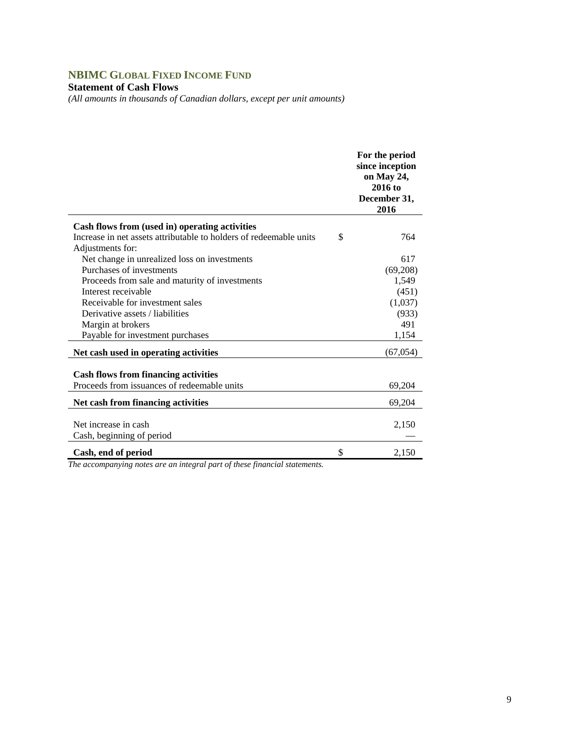## **NBIMC GLOBAL FIXED INCOME FUND**

#### **Statement of Cash Flows**

*(All amounts in thousands of Canadian dollars, except per unit amounts)* 

|                                                                    | For the period<br>since inception<br>on May 24,<br>$2016$ to<br>December 31,<br>2016 |
|--------------------------------------------------------------------|--------------------------------------------------------------------------------------|
| Cash flows from (used in) operating activities                     |                                                                                      |
| Increase in net assets attributable to holders of redeemable units | \$<br>764                                                                            |
| Adjustments for:                                                   |                                                                                      |
| Net change in unrealized loss on investments                       | 617                                                                                  |
| Purchases of investments                                           | (69,208)                                                                             |
| Proceeds from sale and maturity of investments                     | 1,549                                                                                |
| Interest receivable                                                | (451)                                                                                |
| Receivable for investment sales                                    | (1,037)                                                                              |
| Derivative assets / liabilities                                    | (933)                                                                                |
| Margin at brokers                                                  | 491                                                                                  |
| Payable for investment purchases                                   | 1,154                                                                                |
| Net cash used in operating activities                              | (67, 054)                                                                            |
| <b>Cash flows from financing activities</b>                        |                                                                                      |
| Proceeds from issuances of redeemable units                        | 69,204                                                                               |
|                                                                    |                                                                                      |
| Net cash from financing activities                                 | 69,204                                                                               |
| Net increase in cash<br>Cash, beginning of period                  | 2,150                                                                                |
| Cash, end of period                                                | \$<br>2,150                                                                          |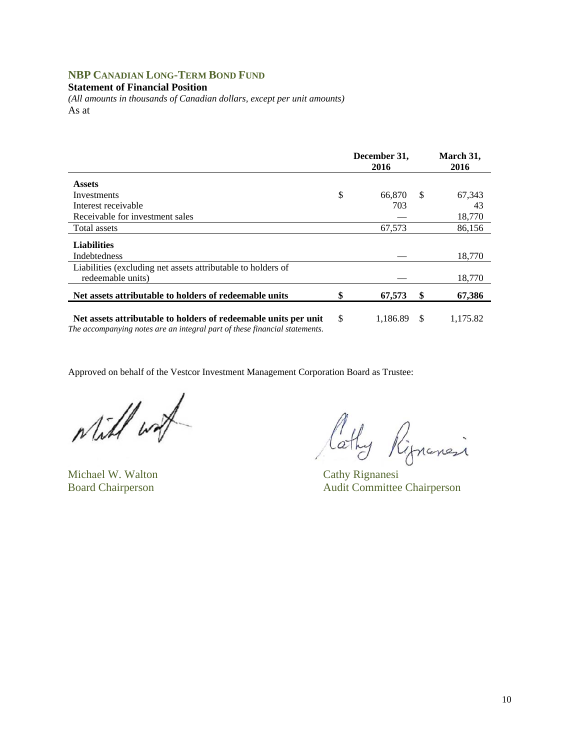## **NBP CANADIAN LONG-TERM BOND FUND**

#### **Statement of Financial Position**

*(All amounts in thousands of Canadian dollars, except per unit amounts)*  As at

|                                                                                   |               | December 31,<br>2016 | March 31,<br>2016 |
|-----------------------------------------------------------------------------------|---------------|----------------------|-------------------|
| <b>Assets</b>                                                                     |               |                      |                   |
| Investments                                                                       | \$            | 66.870               | \$<br>67,343      |
| Interest receivable                                                               |               | 703                  | 43                |
| Receivable for investment sales                                                   |               |                      | 18,770            |
| Total assets                                                                      |               | 67,573               | 86,156            |
| <b>Liabilities</b><br>Indebtedness                                                |               |                      | 18,770            |
| Liabilities (excluding net assets attributable to holders of<br>redeemable units) |               |                      | 18,770            |
| Net assets attributable to holders of redeemable units                            | \$            | 67,573               | \$<br>67,386      |
| Net assets attributable to holders of redeemable units per unit                   | <sup>\$</sup> | 1,186.89             | \$<br>1,175.82    |

*The accompanying notes are an integral part of these financial statements.* 

while with

Michael W. Walton Cathy Rignanesi

Cathy Rippensi

Board Chairperson Audit Committee Chairperson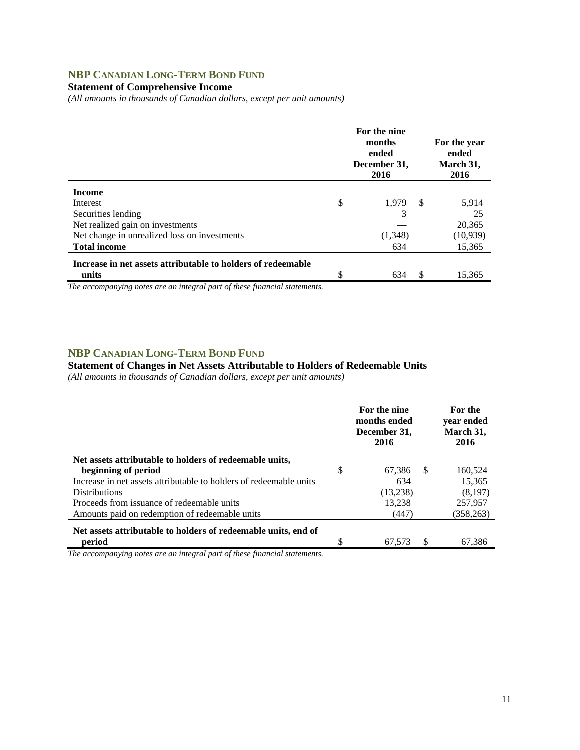## **NBP CANADIAN LONG-TERM BOND FUND**

### **Statement of Comprehensive Income**

*(All amounts in thousands of Canadian dollars, except per unit amounts)* 

|                                                              |    | For the nine<br>months<br>ended<br>December 31,<br>2016 |    | For the year<br>ended<br>March 31,<br>2016 |
|--------------------------------------------------------------|----|---------------------------------------------------------|----|--------------------------------------------|
| <b>Income</b>                                                |    |                                                         |    |                                            |
| Interest                                                     | \$ | 1.979                                                   | -S | 5,914                                      |
| Securities lending                                           |    | 3                                                       |    | 25                                         |
| Net realized gain on investments                             |    |                                                         |    | 20,365                                     |
| Net change in unrealized loss on investments                 |    | (1,348)                                                 |    | (10, 939)                                  |
| <b>Total income</b>                                          |    | 634                                                     |    | 15,365                                     |
| Increase in net assets attributable to holders of redeemable |    |                                                         |    |                                            |
| units                                                        | ¢  | 634                                                     | \$ | 15,365                                     |

*The accompanying notes are an integral part of these financial statements.*

#### **NBP CANADIAN LONG-TERM BOND FUND**

## **Statement of Changes in Net Assets Attributable to Holders of Redeemable Units**

*(All amounts in thousands of Canadian dollars, except per unit amounts)* 

|                                                                    | For the nine<br>months ended<br>December 31,<br>2016 |    | <b>For the</b><br>vear ended<br>March 31,<br>2016 |
|--------------------------------------------------------------------|------------------------------------------------------|----|---------------------------------------------------|
| Net assets attributable to holders of redeemable units,            |                                                      |    |                                                   |
| beginning of period                                                | \$<br>67,386                                         | -S | 160,524                                           |
| Increase in net assets attributable to holders of redeemable units | 634                                                  |    | 15,365                                            |
| <b>Distributions</b>                                               | (13,238)                                             |    | (8,197)                                           |
| Proceeds from issuance of redeemable units                         | 13,238                                               |    | 257,957                                           |
| Amounts paid on redemption of redeemable units                     | (447)                                                |    | (358, 263)                                        |
| Net assets attributable to holders of redeemable units, end of     |                                                      |    |                                                   |
| period                                                             | \$<br>67.573                                         |    | 67.386                                            |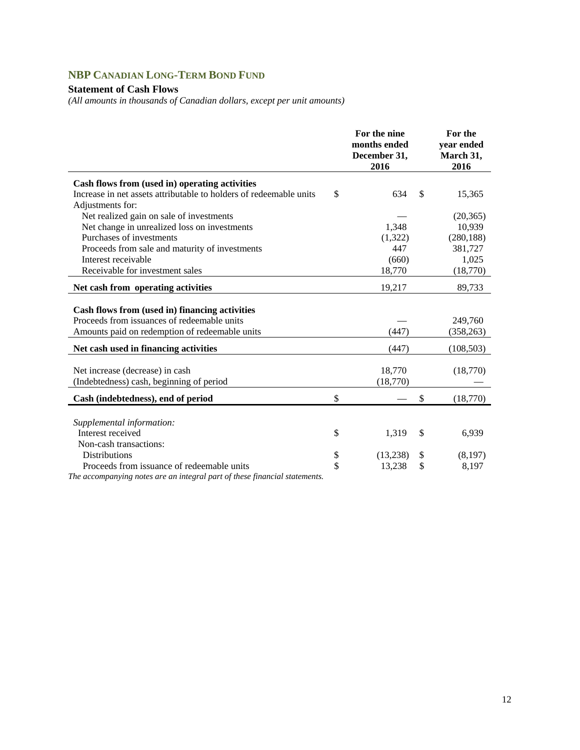## **NBP CANADIAN LONG-TERM BOND FUND**

### **Statement of Cash Flows**

*(All amounts in thousands of Canadian dollars, except per unit amounts)* 

|                                                                                                                                                 | For the nine<br>months ended<br>December 31,<br>2016 | For the<br>year ended<br>March 31,<br>2016 |
|-------------------------------------------------------------------------------------------------------------------------------------------------|------------------------------------------------------|--------------------------------------------|
| Cash flows from (used in) operating activities                                                                                                  |                                                      |                                            |
| Increase in net assets attributable to holders of redeemable units                                                                              | \$<br>634                                            | \$<br>15,365                               |
| Adjustments for:                                                                                                                                |                                                      |                                            |
| Net realized gain on sale of investments                                                                                                        |                                                      | (20, 365)                                  |
| Net change in unrealized loss on investments                                                                                                    | 1,348                                                | 10,939                                     |
| Purchases of investments                                                                                                                        | (1,322)                                              | (280, 188)                                 |
| Proceeds from sale and maturity of investments                                                                                                  | 447                                                  | 381,727                                    |
| Interest receivable                                                                                                                             | (660)                                                | 1,025                                      |
| Receivable for investment sales                                                                                                                 | 18,770                                               | (18,770)                                   |
| Net cash from operating activities                                                                                                              | 19,217                                               | 89,733                                     |
| Cash flows from (used in) financing activities<br>Proceeds from issuances of redeemable units<br>Amounts paid on redemption of redeemable units | (447)                                                | 249,760<br>(358, 263)                      |
| Net cash used in financing activities                                                                                                           | (447)                                                | (108, 503)                                 |
| Net increase (decrease) in cash<br>(Indebtedness) cash, beginning of period                                                                     | 18,770<br>(18,770)                                   | (18,770)                                   |
| Cash (indebtedness), end of period                                                                                                              | \$                                                   | \$<br>(18,770)                             |
| Supplemental information:                                                                                                                       |                                                      |                                            |
| Interest received                                                                                                                               | \$<br>1,319                                          | \$<br>6,939                                |
| Non-cash transactions:                                                                                                                          |                                                      |                                            |
| <b>Distributions</b>                                                                                                                            | \$<br>(13,238)                                       | \$<br>(8,197)                              |
| Proceeds from issuance of redeemable units                                                                                                      | \$<br>13,238                                         | \$<br>8,197                                |
| The accompanying notes are an integral part of these financial statements.                                                                      |                                                      |                                            |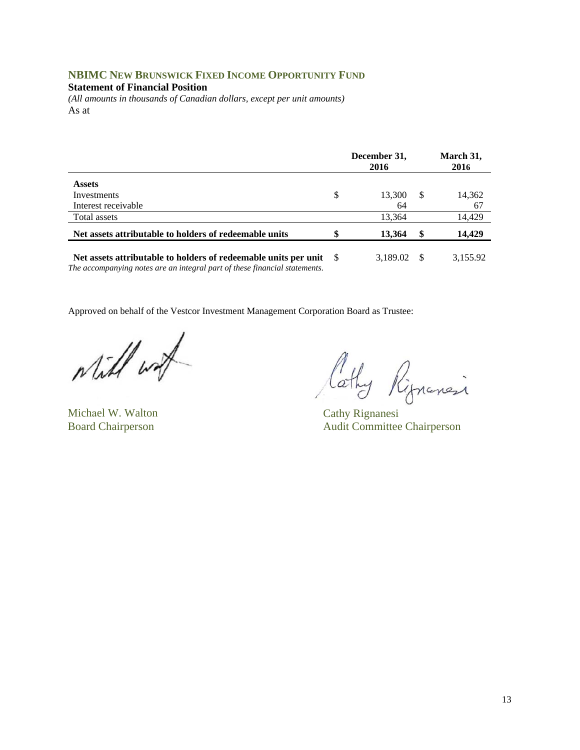### **NBIMC NEW BRUNSWICK FIXED INCOME OPPORTUNITY FUND**

#### **Statement of Financial Position**

*(All amounts in thousands of Canadian dollars, except per unit amounts)*  As at

|                                                                 | December 31,<br>2016 |      | March 31,<br>2016 |
|-----------------------------------------------------------------|----------------------|------|-------------------|
| <b>Assets</b>                                                   |                      |      |                   |
| Investments                                                     | \$<br>13,300         | -S   | 14,362            |
| Interest receivable                                             | 64                   |      | 67                |
| Total assets                                                    | 13.364               |      | 14,429            |
| Net assets attributable to holders of redeemable units          | \$<br>13,364         | - \$ | 14.429            |
| Net assets attributable to holders of redeemable units per unit | 3,189.02             |      | 3,155.92          |

*The accompanying notes are an integral part of these financial statements.* 

while with

Michael W. Walton Cathy Rignanesi

Cathy Rippensi

Board Chairperson Audit Committee Chairperson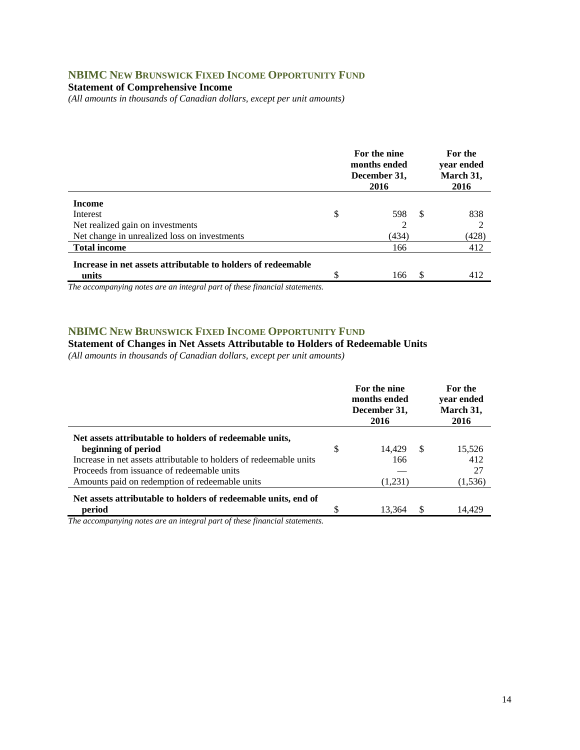## **NBIMC NEW BRUNSWICK FIXED INCOME OPPORTUNITY FUND**

**Statement of Comprehensive Income** 

*(All amounts in thousands of Canadian dollars, except per unit amounts)* 

|                                                                       |    | For the nine<br>months ended<br>December 31,<br>2016 |    | For the<br>year ended<br>March 31,<br>2016 |
|-----------------------------------------------------------------------|----|------------------------------------------------------|----|--------------------------------------------|
| <b>Income</b>                                                         |    |                                                      |    |                                            |
| Interest                                                              | \$ | 598                                                  | -S | 838                                        |
| Net realized gain on investments                                      |    | $\overline{c}$                                       |    |                                            |
| Net change in unrealized loss on investments                          |    | (434)                                                |    | (428)                                      |
| <b>Total income</b>                                                   |    | 166                                                  |    | 412                                        |
| Increase in net assets attributable to holders of redeemable<br>units | ¢  | 166                                                  |    | 412                                        |
|                                                                       |    |                                                      |    |                                            |

*The accompanying notes are an integral part of these financial statements.*

#### **NBIMC NEW BRUNSWICK FIXED INCOME OPPORTUNITY FUND**

#### **Statement of Changes in Net Assets Attributable to Holders of Redeemable Units**

*(All amounts in thousands of Canadian dollars, except per unit amounts)* 

|                                                                                                                                                      | For the nine<br>months ended<br>December 31,<br>2016 |     | For the<br>year ended<br>March 31,<br>2016 |
|------------------------------------------------------------------------------------------------------------------------------------------------------|------------------------------------------------------|-----|--------------------------------------------|
| Net assets attributable to holders of redeemable units,<br>beginning of period<br>Increase in net assets attributable to holders of redeemable units | \$<br>14.429<br>166                                  | -S  | 15,526<br>412                              |
| Proceeds from issuance of redeemable units<br>Amounts paid on redemption of redeemable units                                                         | (1,231)                                              |     | 27<br>(1, 536)                             |
| Net assets attributable to holders of redeemable units, end of<br>period                                                                             | 13.364                                               | \$. | 14.429                                     |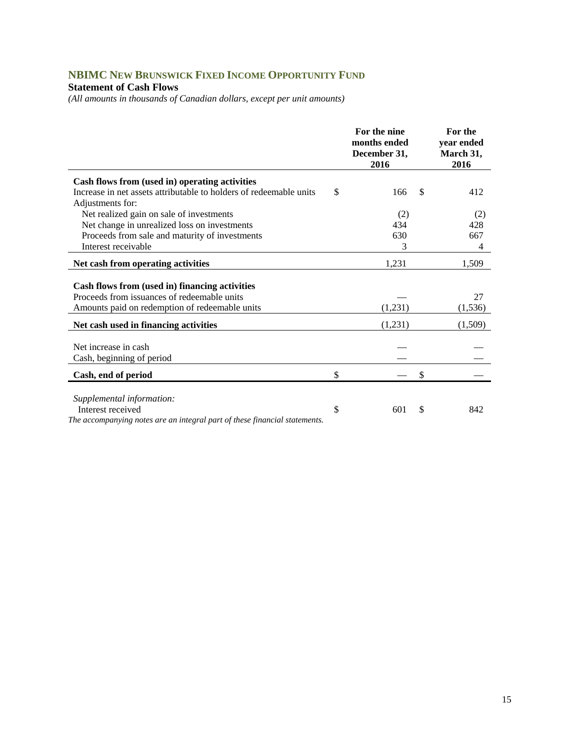# **NBIMC NEW BRUNSWICK FIXED INCOME OPPORTUNITY FUND**

## **Statement of Cash Flows**

*(All amounts in thousands of Canadian dollars, except per unit amounts)* 

|                                                                                                                                                 | For the nine<br>months ended<br>December 31,<br>2016 |               | For the<br>year ended<br>March 31,<br>2016 |
|-------------------------------------------------------------------------------------------------------------------------------------------------|------------------------------------------------------|---------------|--------------------------------------------|
| Cash flows from (used in) operating activities                                                                                                  |                                                      |               |                                            |
| Increase in net assets attributable to holders of redeemable units                                                                              | \$<br>166                                            | <sup>\$</sup> | 412                                        |
| Adjustments for:                                                                                                                                |                                                      |               |                                            |
| Net realized gain on sale of investments                                                                                                        | (2)                                                  |               | (2)                                        |
| Net change in unrealized loss on investments                                                                                                    | 434                                                  |               | 428                                        |
| Proceeds from sale and maturity of investments                                                                                                  | 630                                                  |               | 667                                        |
| Interest receivable                                                                                                                             | 3                                                    |               | 4                                          |
| Net cash from operating activities                                                                                                              | 1,231                                                |               | 1,509                                      |
| Cash flows from (used in) financing activities<br>Proceeds from issuances of redeemable units<br>Amounts paid on redemption of redeemable units | (1,231)                                              |               | 27<br>(1, 536)                             |
| Net cash used in financing activities                                                                                                           | (1,231)                                              |               | (1,509)                                    |
| Net increase in cash<br>Cash, beginning of period                                                                                               |                                                      |               |                                            |
| Cash, end of period                                                                                                                             | \$                                                   | \$            |                                            |
| Supplemental information:<br>Interest received<br>The accompanying notes are an integral part of these financial statements.                    | \$<br>601                                            | S             | 842                                        |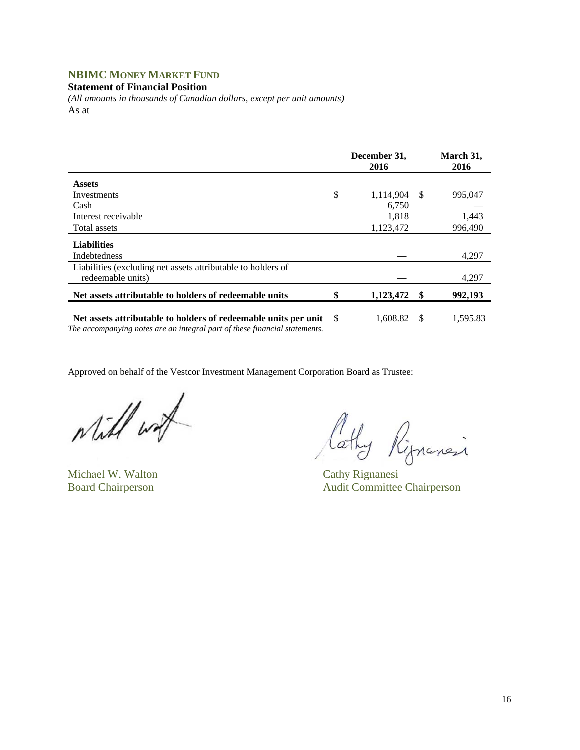## **NBIMC MONEY MARKET FUND**

**Statement of Financial Position** 

*(All amounts in thousands of Canadian dollars, except per unit amounts)*  As at

|                                                                                                                                               |     | December 31,<br>2016 |      | March 31,<br>2016 |
|-----------------------------------------------------------------------------------------------------------------------------------------------|-----|----------------------|------|-------------------|
| <b>Assets</b>                                                                                                                                 |     |                      |      |                   |
| Investments                                                                                                                                   | \$  | 1,114,904            | -S   | 995,047           |
| Cash                                                                                                                                          |     | 6,750                |      |                   |
| Interest receivable                                                                                                                           |     | 1.818                |      | 1,443             |
| Total assets                                                                                                                                  |     | 1,123,472            |      | 996.490           |
| <b>Liabilities</b><br><b>Indebtedness</b>                                                                                                     |     |                      |      | 4,297             |
| Liabilities (excluding net assets attributable to holders of<br>redeemable units)                                                             |     |                      |      | 4,297             |
| Net assets attributable to holders of redeemable units                                                                                        | \$  | 1,123,472            | - \$ | 992,193           |
| Net assets attributable to holders of redeemable units per unit<br>The accompanying notes are an integral part of these financial statements. | - S | 1.608.82             | -\$  | 1,595.83          |

while with

Michael W. Walton Cathy Rignanesi

Cathy Rignancia

Board Chairperson Audit Committee Chairperson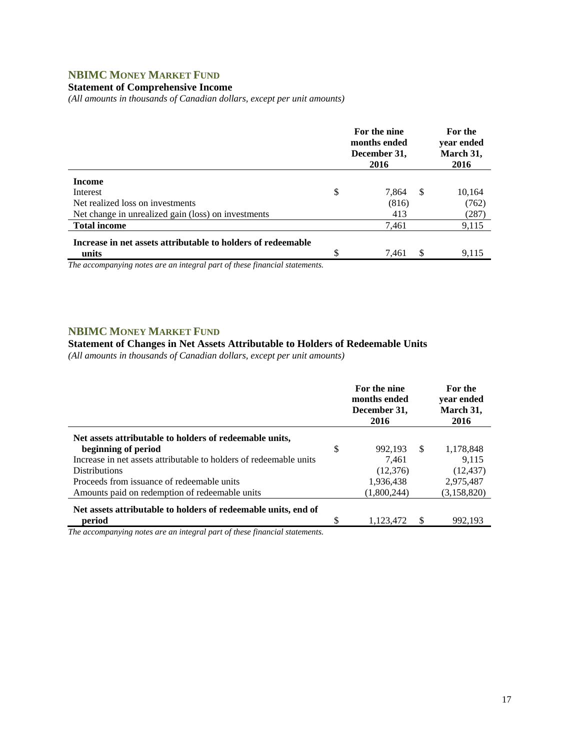## **NBIMC MONEY MARKET FUND**

#### **Statement of Comprehensive Income**

*(All amounts in thousands of Canadian dollars, except per unit amounts)* 

|                                                                       | For the nine<br>months ended<br>December 31,<br>2016 | For the<br>year ended<br>March 31,<br>2016 |
|-----------------------------------------------------------------------|------------------------------------------------------|--------------------------------------------|
| <b>Income</b>                                                         |                                                      |                                            |
| Interest                                                              | \$<br>-S<br>7,864                                    | 10,164                                     |
| Net realized loss on investments                                      | (816)                                                | (762)                                      |
| Net change in unrealized gain (loss) on investments                   | 413                                                  | (287)                                      |
| <b>Total income</b>                                                   | 7,461                                                | 9,115                                      |
| Increase in net assets attributable to holders of redeemable<br>units | \$<br>7,461                                          | 9.115                                      |

*The accompanying notes are an integral part of these financial statements.*

#### **NBIMC MONEY MARKET FUND**

#### **Statement of Changes in Net Assets Attributable to Holders of Redeemable Units**

*(All amounts in thousands of Canadian dollars, except per unit amounts)* 

|                                                                    | For the nine<br>months ended<br>December 31,<br>2016 |    | For the<br>vear ended<br>March 31,<br>2016 |
|--------------------------------------------------------------------|------------------------------------------------------|----|--------------------------------------------|
| Net assets attributable to holders of redeemable units,            |                                                      |    |                                            |
| beginning of period                                                | \$<br>992.193                                        | -S | 1,178,848                                  |
| Increase in net assets attributable to holders of redeemable units | 7.461                                                |    | 9.115                                      |
| <b>Distributions</b>                                               | (12, 376)                                            |    | (12, 437)                                  |
| Proceeds from issuance of redeemable units                         | 1,936,438                                            |    | 2,975,487                                  |
| Amounts paid on redemption of redeemable units                     | (1.800.244)                                          |    | (3,158,820)                                |
| Net assets attributable to holders of redeemable units, end of     |                                                      |    |                                            |
| period                                                             | \$<br>1,123,472                                      | S  | 992.193                                    |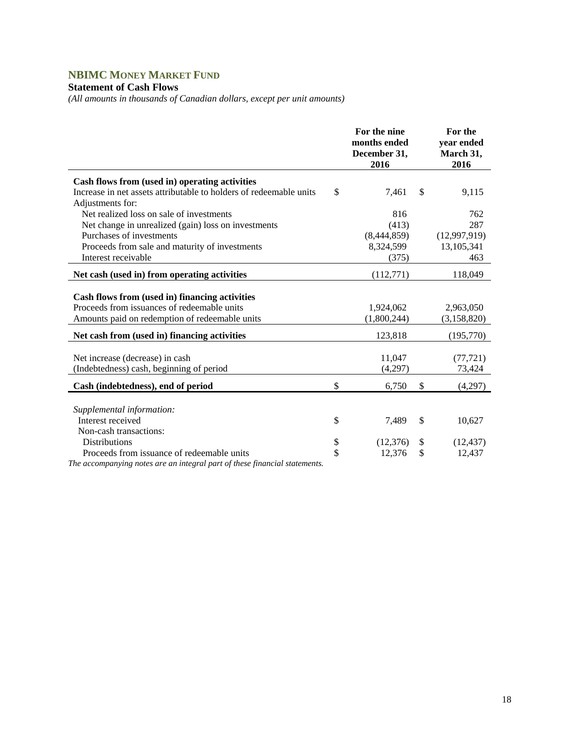# **NBIMC MONEY MARKET FUND**

## **Statement of Cash Flows**

*(All amounts in thousands of Canadian dollars, except per unit amounts)* 

|                                                                                                                                                 | For the nine<br>months ended<br>December 31,<br>2016 | For the<br>year ended<br>March 31,<br>2016 |
|-------------------------------------------------------------------------------------------------------------------------------------------------|------------------------------------------------------|--------------------------------------------|
| Cash flows from (used in) operating activities                                                                                                  |                                                      |                                            |
| Increase in net assets attributable to holders of redeemable units                                                                              | \$<br>7,461                                          | \$<br>9,115                                |
| Adjustments for:                                                                                                                                |                                                      |                                            |
| Net realized loss on sale of investments                                                                                                        | 816                                                  | 762                                        |
| Net change in unrealized (gain) loss on investments                                                                                             | (413)                                                | 287                                        |
| Purchases of investments                                                                                                                        | (8,444,859)                                          | (12,997,919)                               |
| Proceeds from sale and maturity of investments                                                                                                  | 8,324,599                                            | 13,105,341                                 |
| Interest receivable                                                                                                                             | (375)                                                | 463                                        |
| Net cash (used in) from operating activities                                                                                                    | (112,771)                                            | 118,049                                    |
| Cash flows from (used in) financing activities<br>Proceeds from issuances of redeemable units<br>Amounts paid on redemption of redeemable units | 1,924,062<br>(1,800,244)                             | 2,963,050<br>(3,158,820)                   |
| Net cash from (used in) financing activities                                                                                                    | 123,818                                              | (195,770)                                  |
| Net increase (decrease) in cash<br>(Indebtedness) cash, beginning of period                                                                     | 11,047<br>(4,297)                                    | (77, 721)<br>73,424                        |
| Cash (indebtedness), end of period                                                                                                              | \$<br>6,750                                          | \$<br>(4,297)                              |
| Supplemental information:<br>Interest received<br>Non-cash transactions:                                                                        | \$<br>7.489                                          | \$<br>10,627                               |
| <b>Distributions</b>                                                                                                                            | \$<br>(12,376)                                       | \$<br>(12, 437)                            |
| Proceeds from issuance of redeemable units                                                                                                      | \$<br>12,376                                         | \$<br>12,437                               |
| The accompanying notes are an integral part of these financial statements.                                                                      |                                                      |                                            |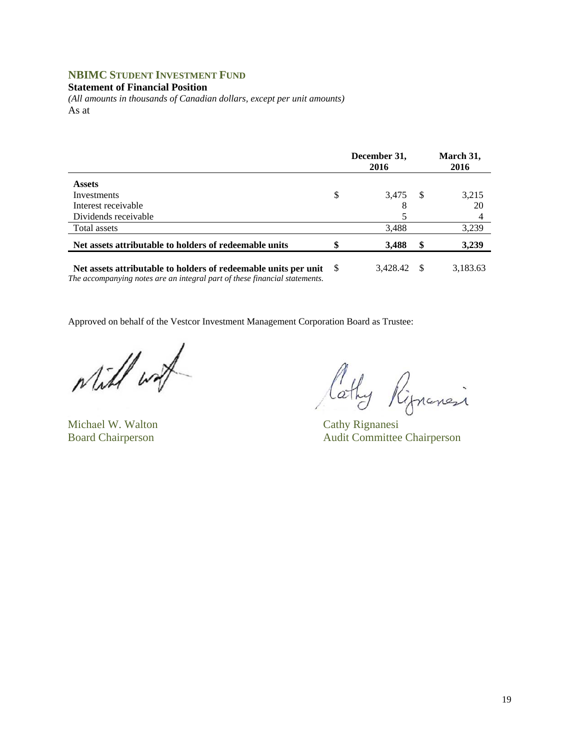## **NBIMC STUDENT INVESTMENT FUND**

#### **Statement of Financial Position**

*(All amounts in thousands of Canadian dollars, except per unit amounts)*  As at

|                                                                 | December 31,<br>2016 |     | March 31,<br>2016 |
|-----------------------------------------------------------------|----------------------|-----|-------------------|
| <b>Assets</b>                                                   |                      |     |                   |
| Investments                                                     | \$<br>3,475          | - S | 3,215             |
| Interest receivable                                             | 8                    |     | 20                |
| Dividends receivable                                            |                      |     |                   |
| Total assets                                                    | 3,488                |     | 3,239             |
| Net assets attributable to holders of redeemable units          | 3,488                | \$  | 3,239             |
| Net assets attributable to holders of redeemable units per unit | 3.428.42             |     | 3,183.63          |

*The accompanying notes are an integral part of these financial statements.* 

while work

Michael W. Walton Cathy Rignanesi

Cathy Ripnanci

Board Chairperson Audit Committee Chairperson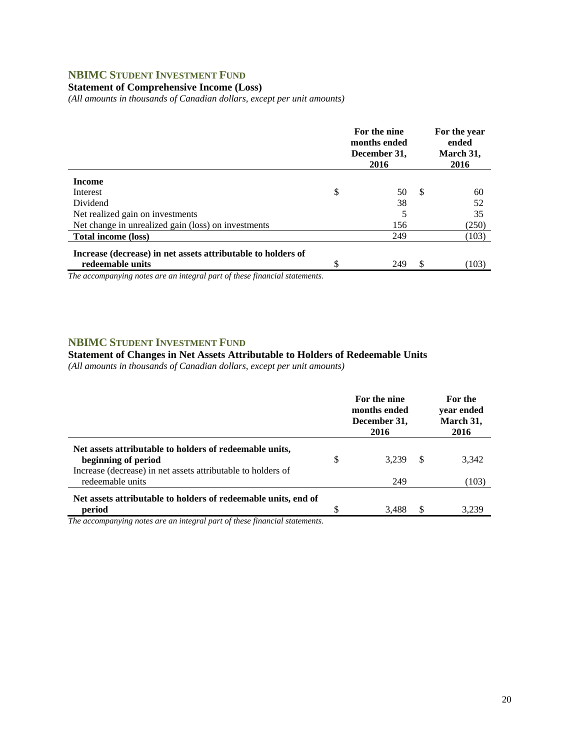## **NBIMC STUDENT INVESTMENT FUND**

### **Statement of Comprehensive Income (Loss)**

*(All amounts in thousands of Canadian dollars, except per unit amounts)* 

|                                                                                  | For the nine<br>months ended<br>December 31,<br>2016 |     | For the year<br>ended<br>March 31,<br>2016 |
|----------------------------------------------------------------------------------|------------------------------------------------------|-----|--------------------------------------------|
| <b>Income</b>                                                                    |                                                      |     |                                            |
| Interest                                                                         | \$<br>50                                             | -\$ | 60                                         |
| Dividend                                                                         | 38                                                   |     | 52                                         |
| Net realized gain on investments                                                 |                                                      |     | 35                                         |
| Net change in unrealized gain (loss) on investments                              | 156                                                  |     | (250)                                      |
| Total income (loss)                                                              | 249                                                  |     | (103)                                      |
| Increase (decrease) in net assets attributable to holders of<br>redeemable units | 249                                                  | S   |                                            |
|                                                                                  |                                                      |     | (103)                                      |

*The accompanying notes are an integral part of these financial statements.*

### **NBIMC STUDENT INVESTMENT FUND**

#### **Statement of Changes in Net Assets Attributable to Holders of Redeemable Units**

*(All amounts in thousands of Canadian dollars, except per unit amounts)* 

|                                                                                  |   | For the nine<br>months ended<br>December 31,<br>2016 |    | For the<br>vear ended<br>March 31,<br>2016 |
|----------------------------------------------------------------------------------|---|------------------------------------------------------|----|--------------------------------------------|
| Net assets attributable to holders of redeemable units,<br>beginning of period   | S | 3.239                                                | S  | 3,342                                      |
| Increase (decrease) in net assets attributable to holders of<br>redeemable units |   | 249                                                  |    | (103)                                      |
| Net assets attributable to holders of redeemable units, end of<br>period         |   | 3.488                                                | \$ | 3.239                                      |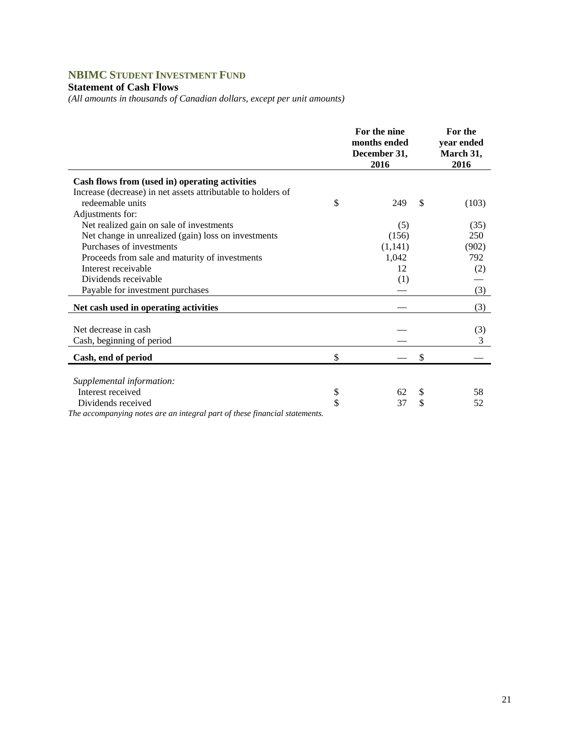## **NBIMC STUDENT INVESTMENT FUND**

## **Statement of Cash Flows**

*(All amounts in thousands of Canadian dollars, except per unit amounts)* 

|                                                                            | For the nine<br>months ended<br>December 31,<br>2016 | For the<br>year ended<br>March 31,<br>2016 |
|----------------------------------------------------------------------------|------------------------------------------------------|--------------------------------------------|
| Cash flows from (used in) operating activities                             |                                                      |                                            |
| Increase (decrease) in net assets attributable to holders of               |                                                      |                                            |
| redeemable units                                                           | \$<br>249                                            | \$<br>(103)                                |
| Adjustments for:                                                           |                                                      |                                            |
| Net realized gain on sale of investments                                   | (5)                                                  | (35)                                       |
| Net change in unrealized (gain) loss on investments                        | (156)                                                | 250                                        |
| Purchases of investments                                                   | (1,141)                                              | (902)                                      |
| Proceeds from sale and maturity of investments                             | 1,042                                                | 792                                        |
| Interest receivable                                                        | 12                                                   | (2)                                        |
| Dividends receivable                                                       | (1)                                                  |                                            |
| Payable for investment purchases                                           |                                                      | (3)                                        |
| Net cash used in operating activities                                      |                                                      | (3)                                        |
| Net decrease in cash                                                       |                                                      | (3)                                        |
| Cash, beginning of period                                                  |                                                      | 3                                          |
| Cash, end of period                                                        | \$                                                   | \$                                         |
|                                                                            |                                                      |                                            |
| Supplemental information:                                                  |                                                      |                                            |
| Interest received                                                          | \$<br>62                                             | \$<br>58                                   |
| Dividends received                                                         | \$<br>37                                             | \$<br>52                                   |
| The accompanying notes are an integral part of these financial statements. |                                                      |                                            |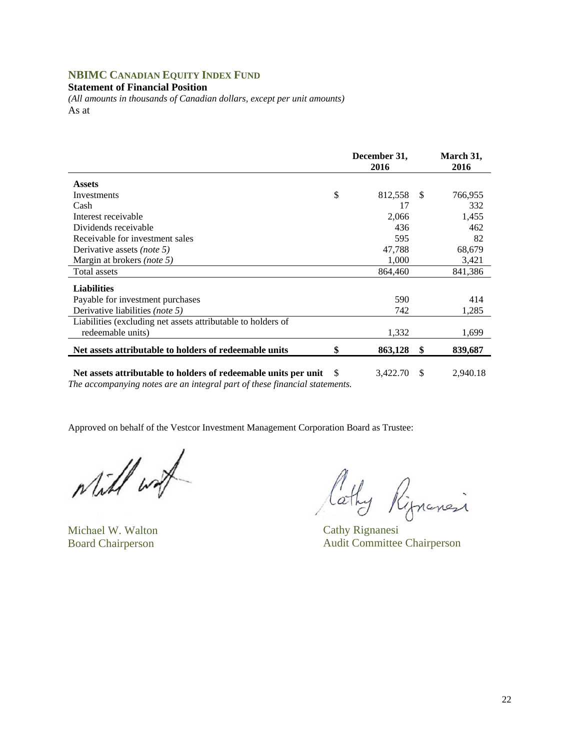## **NBIMC CANADIAN EQUITY INDEX FUND**

#### **Statement of Financial Position**

*(All amounts in thousands of Canadian dollars, except per unit amounts)*  As at

|                                                                                                                                               |    | December 31,<br>2016 |      | March 31,<br>2016 |
|-----------------------------------------------------------------------------------------------------------------------------------------------|----|----------------------|------|-------------------|
| <b>Assets</b>                                                                                                                                 |    |                      |      |                   |
| Investments                                                                                                                                   | \$ | 812,558              | - \$ | 766,955           |
| Cash                                                                                                                                          |    | 17                   |      | 332               |
| Interest receivable                                                                                                                           |    | 2,066                |      | 1,455             |
| Dividends receivable                                                                                                                          |    | 436                  |      | 462               |
| Receivable for investment sales                                                                                                               |    | 595                  |      | 82                |
| Derivative assets <i>(note 5)</i>                                                                                                             |    | 47,788               |      | 68,679            |
| Margin at brokers (note 5)                                                                                                                    |    | 1,000                |      | 3,421             |
| Total assets                                                                                                                                  |    | 864,460              |      | 841,386           |
| <b>Liabilities</b>                                                                                                                            |    |                      |      |                   |
| Payable for investment purchases                                                                                                              |    | 590                  |      | 414               |
| Derivative liabilities <i>(note 5)</i>                                                                                                        |    | 742                  |      | 1,285             |
| Liabilities (excluding net assets attributable to holders of                                                                                  |    |                      |      |                   |
| redeemable units)                                                                                                                             |    | 1,332                |      | 1,699             |
| Net assets attributable to holders of redeemable units                                                                                        | \$ | 863,128              | \$   | 839,687           |
| Net assets attributable to holders of redeemable units per unit<br>The accompanying notes are an integral part of these financial statements. | -S | 3,422.70             | S    | 2,940.18          |

while work

Michael W. Walton Cathy Rignanesi

Cathy Rignancia

Board Chairperson Audit Committee Chairperson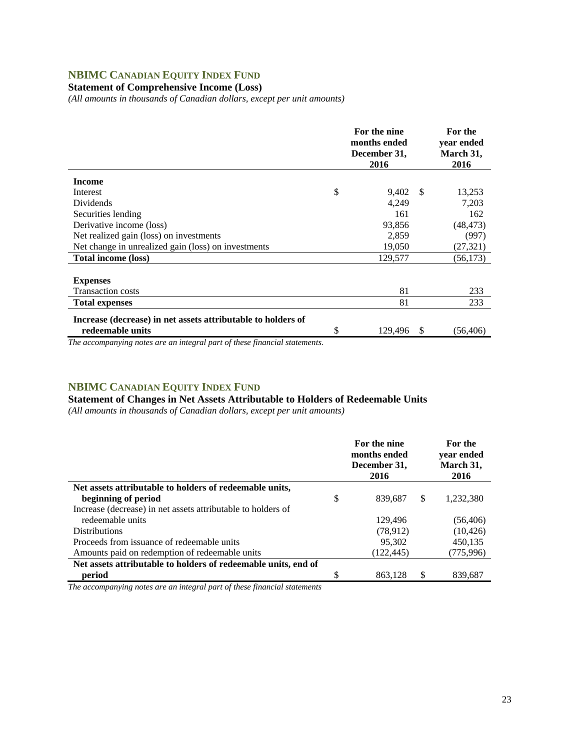## **NBIMC CANADIAN EQUITY INDEX FUND**

## **Statement of Comprehensive Income (Loss)**

*(All amounts in thousands of Canadian dollars, except per unit amounts)* 

|                                                              | For the nine<br>months ended<br>December 31,<br>2016 |   | For the<br>year ended<br>March 31,<br>2016 |
|--------------------------------------------------------------|------------------------------------------------------|---|--------------------------------------------|
| <b>Income</b>                                                |                                                      |   |                                            |
| Interest                                                     | \$<br>9,402 \$                                       |   | 13,253                                     |
| Dividends                                                    | 4,249                                                |   | 7,203                                      |
| Securities lending                                           | 161                                                  |   | 162                                        |
| Derivative income (loss)                                     | 93,856                                               |   | (48, 473)                                  |
| Net realized gain (loss) on investments                      | 2,859                                                |   | (997)                                      |
| Net change in unrealized gain (loss) on investments          | 19,050                                               |   | (27, 321)                                  |
| <b>Total income (loss)</b>                                   | 129,577                                              |   | (56, 173)                                  |
|                                                              |                                                      |   |                                            |
| <b>Expenses</b>                                              |                                                      |   |                                            |
| <b>Transaction costs</b>                                     | 81                                                   |   | 233                                        |
| <b>Total expenses</b>                                        | 81                                                   |   | 233                                        |
| Increase (decrease) in net assets attributable to holders of |                                                      |   |                                            |
| redeemable units                                             | \$<br>129,496                                        | S | (56,406)                                   |

*The accompanying notes are an integral part of these financial statements.*

## **NBIMC CANADIAN EQUITY INDEX FUND**

**Statement of Changes in Net Assets Attributable to Holders of Redeemable Units** 

*(All amounts in thousands of Canadian dollars, except per unit amounts)* 

|                                                                | For the nine<br>months ended<br>December 31,<br>2016 |     | For the<br>vear ended<br>March 31,<br>2016 |
|----------------------------------------------------------------|------------------------------------------------------|-----|--------------------------------------------|
| Net assets attributable to holders of redeemable units,        |                                                      |     |                                            |
| beginning of period                                            | \$<br>839.687                                        | S   | 1,232,380                                  |
| Increase (decrease) in net assets attributable to holders of   |                                                      |     |                                            |
| redeemable units                                               | 129.496                                              |     | (56, 406)                                  |
| <b>Distributions</b>                                           | (78,912)                                             |     | (10, 426)                                  |
| Proceeds from issuance of redeemable units                     | 95,302                                               |     | 450,135                                    |
| Amounts paid on redemption of redeemable units                 | (122, 445)                                           |     | (775,996)                                  |
| Net assets attributable to holders of redeemable units, end of |                                                      |     |                                            |
| period                                                         | \$<br>863.128                                        | \$. | 839,687                                    |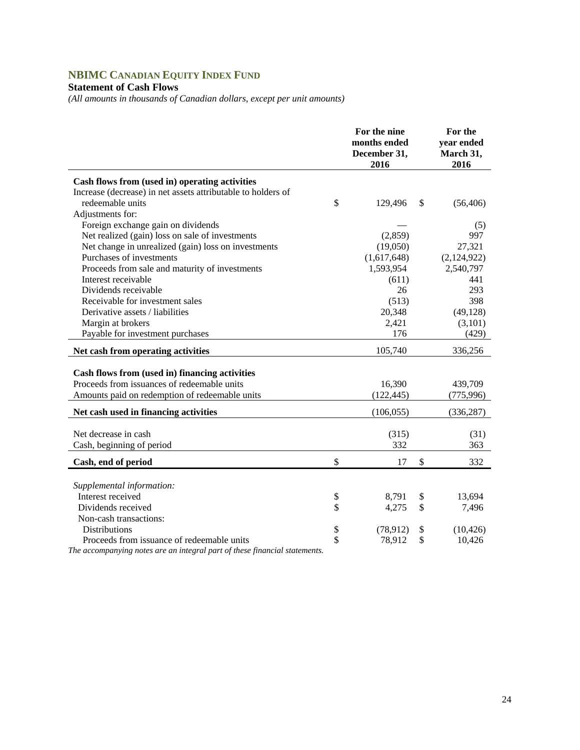# **NBIMC CANADIAN EQUITY INDEX FUND**

## **Statement of Cash Flows**

*(All amounts in thousands of Canadian dollars, except per unit amounts)* 

|                                                              | For the nine<br>months ended<br>December 31,<br>2016 | For the<br>year ended<br>March 31,<br>2016 |
|--------------------------------------------------------------|------------------------------------------------------|--------------------------------------------|
| Cash flows from (used in) operating activities               |                                                      |                                            |
| Increase (decrease) in net assets attributable to holders of |                                                      |                                            |
| redeemable units                                             | \$<br>129,496                                        | \$<br>(56, 406)                            |
| Adjustments for:                                             |                                                      |                                            |
| Foreign exchange gain on dividends                           |                                                      | (5)                                        |
| Net realized (gain) loss on sale of investments              | (2,859)                                              | 997                                        |
| Net change in unrealized (gain) loss on investments          | (19,050)                                             | 27,321                                     |
| Purchases of investments                                     | (1,617,648)                                          | (2,124,922)                                |
| Proceeds from sale and maturity of investments               | 1,593,954                                            | 2,540,797                                  |
| Interest receivable                                          | (611)                                                | 441                                        |
| Dividends receivable                                         | 26                                                   | 293                                        |
| Receivable for investment sales                              | (513)                                                | 398                                        |
| Derivative assets / liabilities                              | 20,348                                               | (49, 128)                                  |
| Margin at brokers                                            | 2,421                                                | (3, 101)                                   |
| Payable for investment purchases                             | 176                                                  | (429)                                      |
| Net cash from operating activities                           | 105,740                                              | 336,256                                    |
|                                                              |                                                      |                                            |
| Cash flows from (used in) financing activities               |                                                      |                                            |
| Proceeds from issuances of redeemable units                  | 16,390                                               | 439,709                                    |
| Amounts paid on redemption of redeemable units               | (122, 445)                                           | (775, 996)                                 |
| Net cash used in financing activities                        | (106, 055)                                           | (336, 287)                                 |
|                                                              |                                                      |                                            |
| Net decrease in cash                                         | (315)                                                | (31)                                       |
| Cash, beginning of period                                    | 332                                                  | 363                                        |
| Cash, end of period                                          | \$<br>17                                             | \$<br>332                                  |
|                                                              |                                                      |                                            |
| Supplemental information:                                    |                                                      |                                            |
| Interest received                                            | \$<br>8,791                                          | \$<br>13,694                               |
| Dividends received                                           | \$<br>4,275                                          | \$<br>7,496                                |
| Non-cash transactions:                                       |                                                      |                                            |
| <b>Distributions</b>                                         | \$<br>(78, 912)                                      | \$<br>(10, 426)                            |
| Proceeds from issuance of redeemable units                   | \$<br>78,912                                         | \$<br>10,426                               |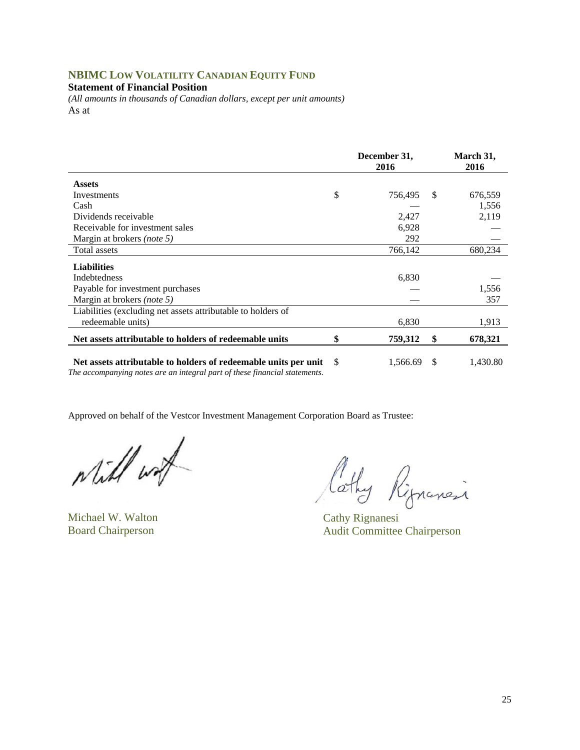## **NBIMC LOW VOLATILITY CANADIAN EQUITY FUND**

**Statement of Financial Position** 

*(All amounts in thousands of Canadian dollars, except per unit amounts)*  As at

|                                                                                                                                               |    | December 31,<br>2016 |               | March 31,<br>2016 |
|-----------------------------------------------------------------------------------------------------------------------------------------------|----|----------------------|---------------|-------------------|
| <b>Assets</b>                                                                                                                                 |    |                      |               |                   |
| Investments                                                                                                                                   | \$ | 756,495              | <sup>\$</sup> | 676,559           |
| Cash                                                                                                                                          |    |                      |               | 1,556             |
| Dividends receivable                                                                                                                          |    | 2,427                |               | 2,119             |
| Receivable for investment sales                                                                                                               |    | 6,928                |               |                   |
| Margin at brokers <i>(note 5)</i>                                                                                                             |    | 292                  |               |                   |
| Total assets                                                                                                                                  |    | 766,142              |               | 680,234           |
| <b>Liabilities</b>                                                                                                                            |    |                      |               |                   |
| <b>Indebtedness</b>                                                                                                                           |    | 6,830                |               |                   |
| Payable for investment purchases                                                                                                              |    |                      |               | 1,556             |
| Margin at brokers <i>(note 5)</i>                                                                                                             |    |                      |               | 357               |
| Liabilities (excluding net assets attributable to holders of                                                                                  |    |                      |               |                   |
| redeemable units)                                                                                                                             |    | 6,830                |               | 1,913             |
| Net assets attributable to holders of redeemable units                                                                                        | \$ | 759,312              | \$            | 678,321           |
| Net assets attributable to holders of redeemable units per unit<br>The accompanying notes are an integral part of these financial statements. | -S | 1,566.69             | -S            | 1,430.80          |

while with

Michael W. Walton Cathy Rignanesi

Cothy Ripnancia

Board Chairperson Audit Committee Chairperson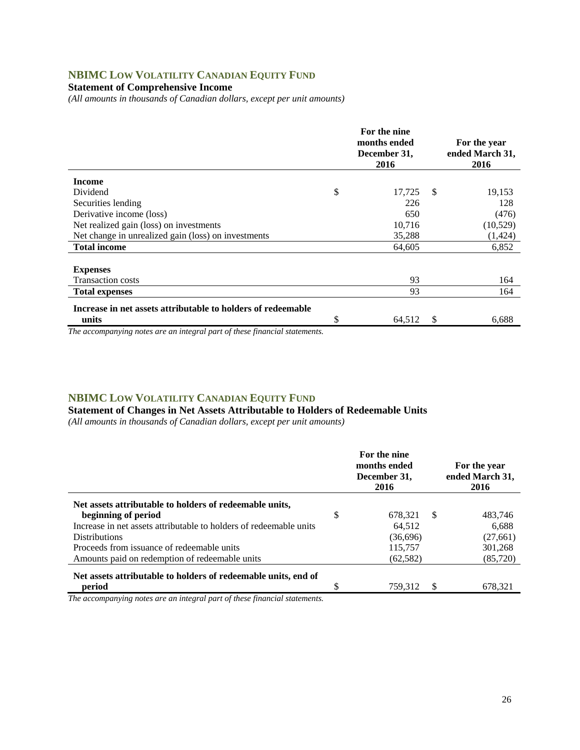## **NBIMC LOW VOLATILITY CANADIAN EQUITY FUND**

### **Statement of Comprehensive Income**

*(All amounts in thousands of Canadian dollars, except per unit amounts)* 

|                                                              | For the nine<br>months ended<br>December 31,<br>2016 |               | For the year<br>ended March 31,<br>2016 |
|--------------------------------------------------------------|------------------------------------------------------|---------------|-----------------------------------------|
| <b>Income</b>                                                |                                                      |               |                                         |
| Dividend                                                     | \$<br>17,725                                         | <sup>\$</sup> | 19,153                                  |
| Securities lending                                           | 226                                                  |               | 128                                     |
| Derivative income (loss)                                     | 650                                                  |               | (476)                                   |
| Net realized gain (loss) on investments                      | 10,716                                               |               | (10, 529)                               |
| Net change in unrealized gain (loss) on investments          | 35,288                                               |               | (1, 424)                                |
| <b>Total income</b>                                          | 64,605                                               |               | 6,852                                   |
| <b>Expenses</b>                                              |                                                      |               |                                         |
| <b>Transaction costs</b>                                     | 93                                                   |               | 164                                     |
| <b>Total expenses</b>                                        | 93                                                   |               | 164                                     |
| Increase in net assets attributable to holders of redeemable |                                                      |               |                                         |
| units                                                        | \$<br>64,512                                         | -S            | 6,688                                   |

*The accompanying notes are an integral part of these financial statements.*

#### **NBIMC LOW VOLATILITY CANADIAN EQUITY FUND**

**Statement of Changes in Net Assets Attributable to Holders of Redeemable Units** 

*(All amounts in thousands of Canadian dollars, except per unit amounts)* 

|                                                                    | For the nine<br>months ended<br>December 31,<br>2016 | For the year<br>ended March 31,<br>2016 |           |  |
|--------------------------------------------------------------------|------------------------------------------------------|-----------------------------------------|-----------|--|
| Net assets attributable to holders of redeemable units,            |                                                      |                                         |           |  |
| beginning of period                                                | \$<br>678.321                                        | \$.                                     | 483.746   |  |
| Increase in net assets attributable to holders of redeemable units | 64.512                                               |                                         | 6.688     |  |
| <b>Distributions</b>                                               | (36,696)                                             |                                         | (27, 661) |  |
| Proceeds from issuance of redeemable units                         | 115,757                                              |                                         | 301,268   |  |
| Amounts paid on redemption of redeemable units                     | (62, 582)                                            |                                         | (85, 720) |  |
| Net assets attributable to holders of redeemable units, end of     |                                                      |                                         |           |  |
| period                                                             | 759.312                                              | S                                       | 678,321   |  |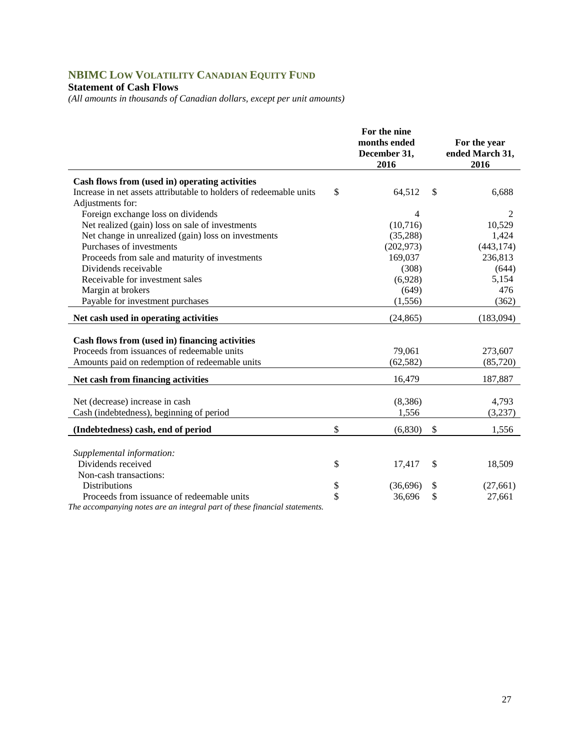# **NBIMC LOW VOLATILITY CANADIAN EQUITY FUND**

### **Statement of Cash Flows**

*(All amounts in thousands of Canadian dollars, except per unit amounts)* 

|                                                                    |          | For the nine<br>months ended | For the year    |
|--------------------------------------------------------------------|----------|------------------------------|-----------------|
|                                                                    |          | December 31,                 | ended March 31, |
|                                                                    |          | 2016                         | 2016            |
| Cash flows from (used in) operating activities                     |          |                              |                 |
| Increase in net assets attributable to holders of redeemable units | \$       | 64,512                       | \$<br>6,688     |
| Adjustments for:                                                   |          |                              |                 |
| Foreign exchange loss on dividends                                 |          | 4                            | 2               |
| Net realized (gain) loss on sale of investments                    |          | (10,716)                     | 10,529          |
| Net change in unrealized (gain) loss on investments                |          | (35, 288)                    | 1,424           |
| Purchases of investments                                           |          | (202, 973)                   | (443, 174)      |
| Proceeds from sale and maturity of investments                     |          | 169,037                      | 236,813         |
| Dividends receivable                                               |          | (308)                        | (644)           |
| Receivable for investment sales                                    |          | (6,928)                      | 5,154           |
| Margin at brokers                                                  |          | (649)                        | 476             |
| Payable for investment purchases                                   |          | (1,556)                      | (362)           |
| Net cash used in operating activities                              |          | (24, 865)                    | (183,094)       |
| Cash flows from (used in) financing activities                     |          |                              |                 |
| Proceeds from issuances of redeemable units                        |          | 79,061                       | 273,607         |
| Amounts paid on redemption of redeemable units                     |          | (62, 582)                    | (85,720)        |
|                                                                    |          |                              |                 |
| Net cash from financing activities                                 |          | 16,479                       | 187,887         |
| Net (decrease) increase in cash                                    |          | (8,386)                      | 4.793           |
| Cash (indebtedness), beginning of period                           |          | 1,556                        | (3,237)         |
|                                                                    |          |                              |                 |
| (Indebtedness) cash, end of period                                 | \$       | (6, 830)                     | \$<br>1,556     |
|                                                                    |          |                              |                 |
| Supplemental information:<br>Dividends received                    |          |                              |                 |
| Non-cash transactions:                                             | \$       | 17,417                       | \$<br>18,509    |
| <b>Distributions</b>                                               |          |                              |                 |
|                                                                    | \$<br>\$ | (36,696)                     | \$<br>(27, 661) |
| Proceeds from issuance of redeemable units                         |          | 36,696                       | \$<br>27,661    |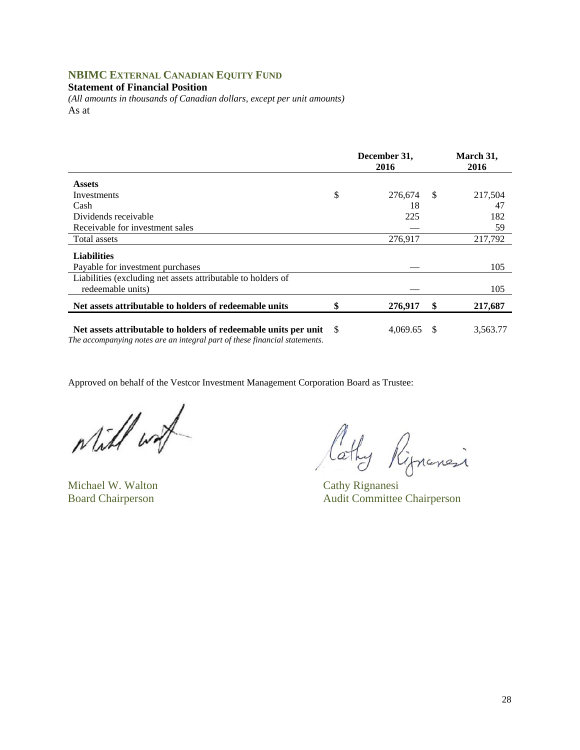## **NBIMC EXTERNAL CANADIAN EQUITY FUND**

#### **Statement of Financial Position**

*(All amounts in thousands of Canadian dollars, except per unit amounts)*  As at

|                                                                                                                                               |     | December 31,<br>2016 |               | March 31,<br>2016 |
|-----------------------------------------------------------------------------------------------------------------------------------------------|-----|----------------------|---------------|-------------------|
| <b>Assets</b>                                                                                                                                 |     |                      |               |                   |
| Investments                                                                                                                                   | \$  | 276,674              | <sup>\$</sup> | 217,504           |
| Cash                                                                                                                                          |     | 18                   |               | 47                |
| Dividends receivable                                                                                                                          |     | 225                  |               | 182               |
| Receivable for investment sales                                                                                                               |     |                      |               | 59                |
| Total assets                                                                                                                                  |     | 276,917              |               | 217,792           |
| <b>Liabilities</b>                                                                                                                            |     |                      |               |                   |
| Payable for investment purchases                                                                                                              |     |                      |               | 105               |
| Liabilities (excluding net assets attributable to holders of<br>redeemable units)                                                             |     |                      |               | 105               |
| Net assets attributable to holders of redeemable units                                                                                        |     | 276,917              | \$            | 217,687           |
| Net assets attributable to holders of redeemable units per unit<br>The accompanying notes are an integral part of these financial statements. | - S | 4,069.65             | <sup>\$</sup> | 3,563.77          |

while wat

Michael W. Walton Cathy Rignanesi

Cathy Rippensi

Board Chairperson Audit Committee Chairperson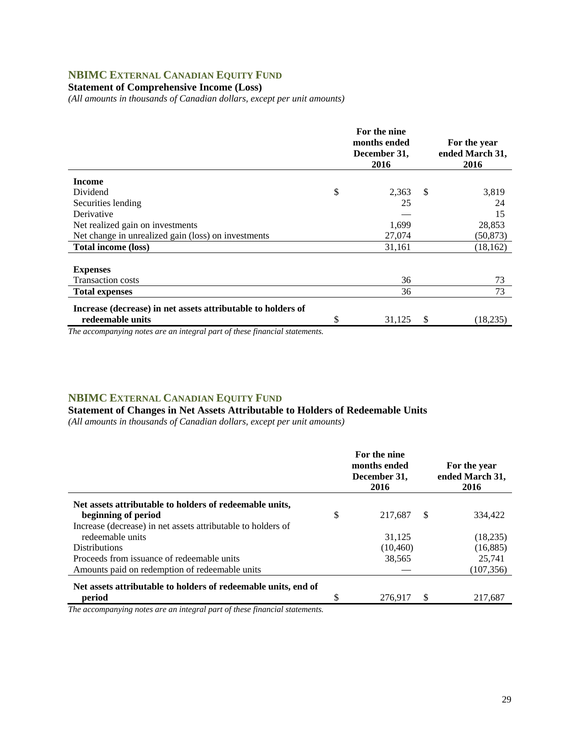## **NBIMC EXTERNAL CANADIAN EQUITY FUND**

## **Statement of Comprehensive Income (Loss)**

*(All amounts in thousands of Canadian dollars, except per unit amounts)* 

|                                                                                  | For the nine<br>months ended<br>December 31,<br>2016 |               | For the year<br>ended March 31,<br>2016 |
|----------------------------------------------------------------------------------|------------------------------------------------------|---------------|-----------------------------------------|
| <b>Income</b>                                                                    |                                                      |               |                                         |
| Dividend                                                                         | \$<br>2,363                                          | <sup>\$</sup> | 3,819                                   |
| Securities lending                                                               | 25                                                   |               | 24                                      |
| Derivative                                                                       |                                                      |               | 15                                      |
| Net realized gain on investments                                                 | 1,699                                                |               | 28,853                                  |
| Net change in unrealized gain (loss) on investments                              | 27,074                                               |               | (50, 873)                               |
| <b>Total income (loss)</b>                                                       | 31,161                                               |               | (18, 162)                               |
| <b>Expenses</b><br><b>Transaction costs</b>                                      | 36                                                   |               | 73                                      |
| <b>Total expenses</b>                                                            | 36                                                   |               | 73                                      |
| Increase (decrease) in net assets attributable to holders of<br>redeemable units | \$<br>31,125                                         | S             | (18,235)                                |

*The accompanying notes are an integral part of these financial statements.*

### **NBIMC EXTERNAL CANADIAN EQUITY FUND**

**Statement of Changes in Net Assets Attributable to Holders of Redeemable Units** 

*(All amounts in thousands of Canadian dollars, except per unit amounts)* 

|                                                                | For the nine<br>months ended<br>December 31,<br>2016 |               | For the year<br>ended March 31,<br>2016 |
|----------------------------------------------------------------|------------------------------------------------------|---------------|-----------------------------------------|
| Net assets attributable to holders of redeemable units,        |                                                      |               |                                         |
| beginning of period                                            | \$<br>217.687                                        | <sup>\$</sup> | 334.422                                 |
| Increase (decrease) in net assets attributable to holders of   |                                                      |               |                                         |
| redeemable units                                               | 31.125                                               |               | (18, 235)                               |
| <b>Distributions</b>                                           | (10, 460)                                            |               | (16, 885)                               |
| Proceeds from issuance of redeemable units                     | 38,565                                               |               | 25.741                                  |
| Amounts paid on redemption of redeemable units                 |                                                      |               | (107, 356)                              |
| Net assets attributable to holders of redeemable units, end of |                                                      |               |                                         |
| period                                                         | 276.917                                              | S             | 217.687                                 |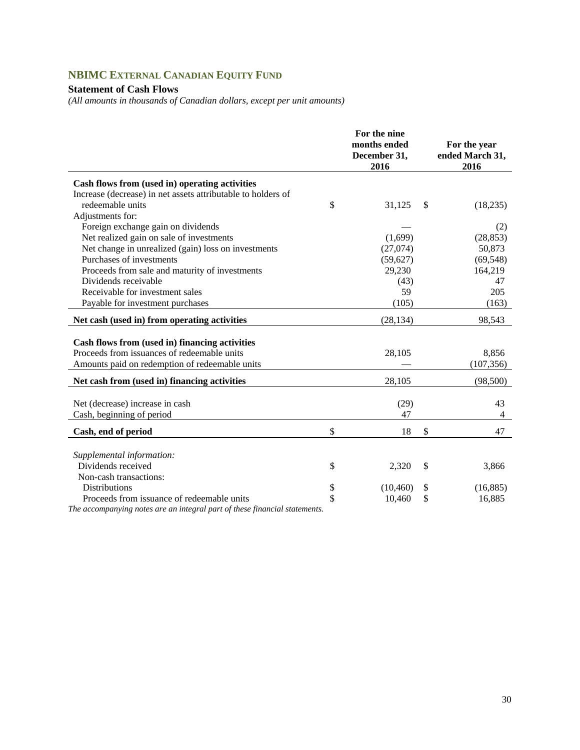# **NBIMC EXTERNAL CANADIAN EQUITY FUND**

### **Statement of Cash Flows**

*(All amounts in thousands of Canadian dollars, except per unit amounts)* 

|                                                                                                                                                 | For the nine<br>months ended<br>December 31,<br>2016 | For the year<br>ended March 31,<br>2016 |
|-------------------------------------------------------------------------------------------------------------------------------------------------|------------------------------------------------------|-----------------------------------------|
| Cash flows from (used in) operating activities                                                                                                  |                                                      |                                         |
| Increase (decrease) in net assets attributable to holders of                                                                                    |                                                      |                                         |
| redeemable units                                                                                                                                | \$<br>31,125                                         | \$<br>(18, 235)                         |
| Adjustments for:                                                                                                                                |                                                      |                                         |
| Foreign exchange gain on dividends                                                                                                              |                                                      | (2)                                     |
| Net realized gain on sale of investments                                                                                                        | (1,699)                                              | (28, 853)                               |
| Net change in unrealized (gain) loss on investments                                                                                             | (27,074)                                             | 50,873                                  |
| Purchases of investments                                                                                                                        | (59, 627)                                            | (69, 548)                               |
| Proceeds from sale and maturity of investments                                                                                                  | 29,230                                               | 164,219                                 |
| Dividends receivable                                                                                                                            | (43)                                                 | 47                                      |
| Receivable for investment sales                                                                                                                 | 59                                                   | 205                                     |
| Payable for investment purchases                                                                                                                | (105)                                                | (163)                                   |
| Net cash (used in) from operating activities                                                                                                    | (28, 134)                                            | 98,543                                  |
| Cash flows from (used in) financing activities<br>Proceeds from issuances of redeemable units<br>Amounts paid on redemption of redeemable units | 28,105                                               | 8,856<br>(107, 356)                     |
| Net cash from (used in) financing activities                                                                                                    | 28,105                                               | (98, 500)                               |
| Net (decrease) increase in cash<br>Cash, beginning of period                                                                                    | (29)<br>47                                           | 43<br>4                                 |
| Cash, end of period                                                                                                                             | \$<br>18                                             | \$<br>47                                |
|                                                                                                                                                 |                                                      |                                         |
| Supplemental information:                                                                                                                       |                                                      |                                         |
| Dividends received                                                                                                                              | \$<br>2,320                                          | \$<br>3,866                             |
| Non-cash transactions:                                                                                                                          |                                                      |                                         |
| <b>Distributions</b>                                                                                                                            | \$<br>(10, 460)                                      | \$<br>(16, 885)                         |
| Proceeds from issuance of redeemable units                                                                                                      | \$<br>10,460                                         | \$<br>16,885                            |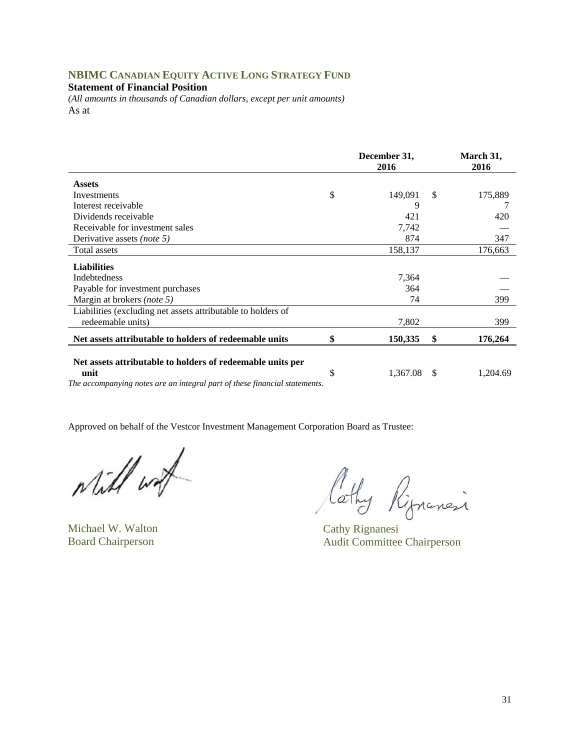## **NBIMC CANADIAN EQUITY ACTIVE LONG STRATEGY FUND**

**Statement of Financial Position** 

*(All amounts in thousands of Canadian dollars, except per unit amounts)*  As at

|                                                                                    | December 31,<br>2016 |    | March 31,<br>2016 |
|------------------------------------------------------------------------------------|----------------------|----|-------------------|
| <b>Assets</b>                                                                      |                      |    |                   |
| Investments                                                                        | \$<br>149,091        | S. | 175,889           |
| Interest receivable                                                                | 9                    |    |                   |
| Dividends receivable                                                               | 421                  |    | 420               |
| Receivable for investment sales                                                    | 7,742                |    |                   |
| Derivative assets (note 5)                                                         | 874                  |    | 347               |
| Total assets                                                                       | 158,137              |    | 176,663           |
| <b>Liabilities</b>                                                                 |                      |    |                   |
| <b>Indebtedness</b>                                                                | 7,364                |    |                   |
| Payable for investment purchases                                                   | 364                  |    |                   |
| Margin at brokers (note 5)                                                         | 74                   |    | 399               |
| Liabilities (excluding net assets attributable to holders of                       |                      |    |                   |
| redeemable units)                                                                  | 7,802                |    | 399               |
| Net assets attributable to holders of redeemable units                             | \$<br>150,335        | \$ | 176,264           |
| Net assets attributable to holders of redeemable units per                         |                      |    |                   |
| unit<br>The accompanying notes are an integral part of these financial statements. | \$<br>1,367.08       | \$ | 1,204.69          |
|                                                                                    |                      |    |                   |

while with

Michael W. Walton Cathy Rignanesi

lathy Rignancia

Board Chairperson Audit Committee Chairperson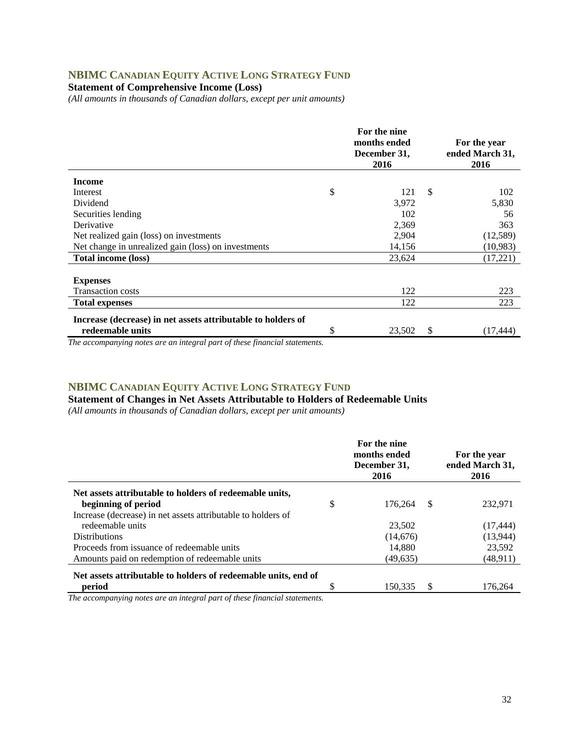## **NBIMC CANADIAN EQUITY ACTIVE LONG STRATEGY FUND**

**Statement of Comprehensive Income (Loss)** 

*(All amounts in thousands of Canadian dollars, except per unit amounts)* 

|                                                              | For the nine<br>months ended<br>December 31,<br>2016 | For the year<br>ended March 31,<br>2016 |           |
|--------------------------------------------------------------|------------------------------------------------------|-----------------------------------------|-----------|
| <b>Income</b>                                                |                                                      |                                         |           |
| Interest                                                     | \$<br>121                                            | \$                                      | 102       |
| Dividend                                                     | 3,972                                                |                                         | 5,830     |
| Securities lending                                           | 102                                                  |                                         | 56        |
| Derivative                                                   | 2,369                                                |                                         | 363       |
| Net realized gain (loss) on investments                      | 2,904                                                |                                         | (12,589)  |
| Net change in unrealized gain (loss) on investments          | 14,156                                               |                                         | (10, 983) |
| <b>Total income (loss)</b>                                   | 23,624                                               |                                         | (17,221)  |
| <b>Expenses</b><br><b>Transaction costs</b>                  | 122                                                  |                                         | 223       |
| <b>Total expenses</b>                                        | 122                                                  |                                         | 223       |
| Increase (decrease) in net assets attributable to holders of |                                                      |                                         |           |
| redeemable units                                             | \$<br>23,502                                         | \$                                      | (17,444)  |

*The accompanying notes are an integral part of these financial statements.*

#### **NBIMC CANADIAN EQUITY ACTIVE LONG STRATEGY FUND**

**Statement of Changes in Net Assets Attributable to Holders of Redeemable Units** 

*(All amounts in thousands of Canadian dollars, except per unit amounts)* 

|                                                                | For the nine<br>months ended<br>December 31,<br>2016 |    | For the year<br>ended March 31,<br>2016 |
|----------------------------------------------------------------|------------------------------------------------------|----|-----------------------------------------|
| Net assets attributable to holders of redeemable units,        |                                                      |    |                                         |
| beginning of period                                            | \$<br>176,264                                        | -S | 232,971                                 |
| Increase (decrease) in net assets attributable to holders of   |                                                      |    |                                         |
| redeemable units                                               | 23,502                                               |    | (17, 444)                               |
| <b>Distributions</b>                                           | (14,676)                                             |    | (13, 944)                               |
| Proceeds from issuance of redeemable units                     | 14.880                                               |    | 23.592                                  |
| Amounts paid on redemption of redeemable units                 | (49,635)                                             |    | (48,911)                                |
| Net assets attributable to holders of redeemable units, end of |                                                      |    |                                         |
| period                                                         | 150.335                                              | \$ | 176.264                                 |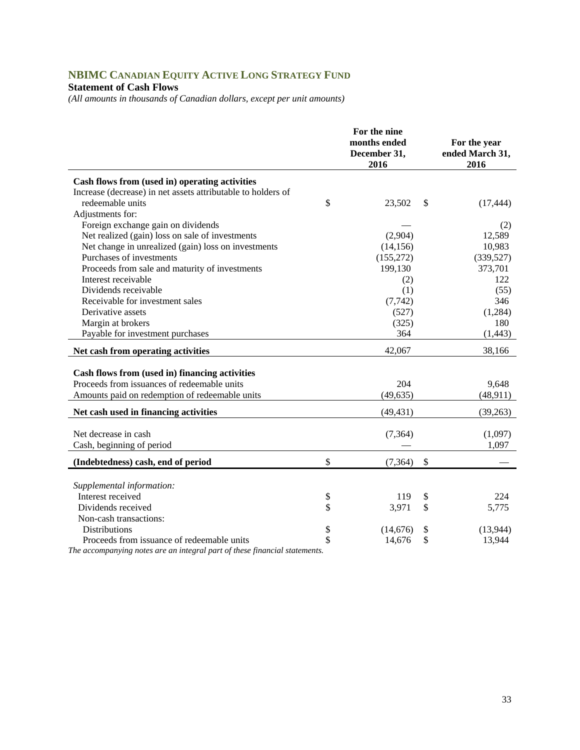# **NBIMC CANADIAN EQUITY ACTIVE LONG STRATEGY FUND**

## **Statement of Cash Flows**

*(All amounts in thousands of Canadian dollars, except per unit amounts)* 

|                                                              | For the nine<br>months ended<br>December 31,<br>2016 |               | For the year<br>ended March 31,<br>2016 |
|--------------------------------------------------------------|------------------------------------------------------|---------------|-----------------------------------------|
| Cash flows from (used in) operating activities               |                                                      |               |                                         |
| Increase (decrease) in net assets attributable to holders of |                                                      |               |                                         |
| redeemable units                                             | \$<br>23,502                                         | \$            | (17, 444)                               |
| Adjustments for:                                             |                                                      |               |                                         |
| Foreign exchange gain on dividends                           |                                                      |               | (2)                                     |
| Net realized (gain) loss on sale of investments              | (2,904)                                              |               | 12,589                                  |
| Net change in unrealized (gain) loss on investments          | (14, 156)                                            |               | 10,983                                  |
| Purchases of investments                                     | (155, 272)                                           |               | (339, 527)                              |
| Proceeds from sale and maturity of investments               | 199,130                                              |               | 373,701                                 |
| Interest receivable                                          | (2)                                                  |               | 122                                     |
| Dividends receivable                                         | (1)                                                  |               | (55)                                    |
| Receivable for investment sales                              | (7, 742)                                             |               | 346                                     |
| Derivative assets                                            | (527)                                                |               | (1,284)                                 |
| Margin at brokers                                            | (325)                                                |               | 180                                     |
| Payable for investment purchases                             | 364                                                  |               | (1, 443)                                |
| Net cash from operating activities                           | 42,067                                               |               | 38,166                                  |
|                                                              |                                                      |               |                                         |
| Cash flows from (used in) financing activities               |                                                      |               |                                         |
| Proceeds from issuances of redeemable units                  | 204                                                  |               | 9,648                                   |
| Amounts paid on redemption of redeemable units               | (49, 635)                                            |               | (48, 911)                               |
| Net cash used in financing activities                        | (49, 431)                                            |               | (39,263)                                |
|                                                              |                                                      |               |                                         |
| Net decrease in cash                                         | (7, 364)                                             |               | (1,097)                                 |
| Cash, beginning of period                                    |                                                      |               | 1,097                                   |
| (Indebtedness) cash, end of period                           | \$<br>(7, 364)                                       | $\mathcal{S}$ |                                         |
|                                                              |                                                      |               |                                         |
| Supplemental information:                                    |                                                      |               |                                         |
| Interest received                                            | \$<br>119                                            | \$            | 224                                     |
| Dividends received                                           | \$<br>3,971                                          | \$            | 5,775                                   |
| Non-cash transactions:                                       |                                                      |               |                                         |
| <b>Distributions</b>                                         | \$<br>(14, 676)                                      | \$            | (13,944)                                |
| Proceeds from issuance of redeemable units                   | \$<br>14,676                                         | \$            | 13,944                                  |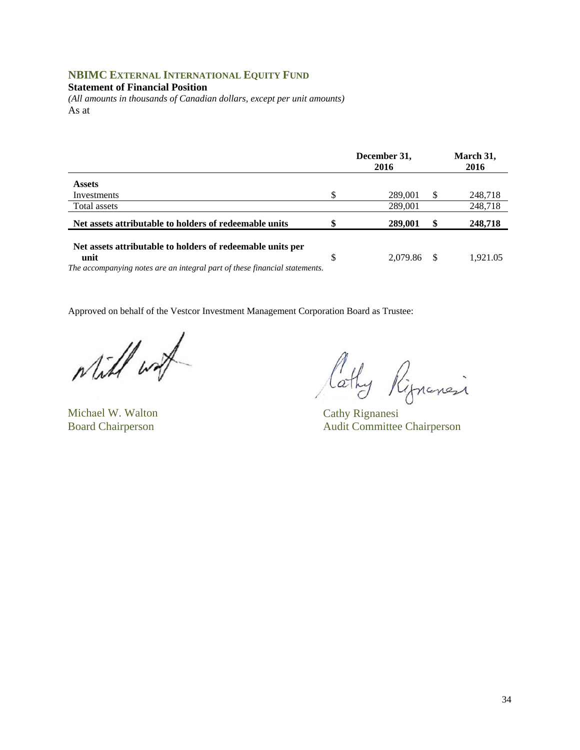#### **NBIMC EXTERNAL INTERNATIONAL EQUITY FUND**

**Statement of Financial Position** 

*(All amounts in thousands of Canadian dollars, except per unit amounts)*  As at

|                                                                            | December 31,<br>2016 |    | March 31,<br>2016 |
|----------------------------------------------------------------------------|----------------------|----|-------------------|
| <b>Assets</b>                                                              |                      |    |                   |
| Investments                                                                | 289,001              | S  | 248,718           |
| Total assets                                                               | 289,001              |    | 248,718           |
| Net assets attributable to holders of redeemable units                     | 289,001              | \$ | 248,718           |
| Net assets attributable to holders of redeemable units per                 |                      |    |                   |
| unit                                                                       | \$<br>2.079.86       | -S | 1,921.05          |
| The accompanying notes are an integral part of these financial statements. |                      |    |                   |

while with

Michael W. Walton Cathy Rignanesi

lathy Ripnansi

Board Chairperson Audit Committee Chairperson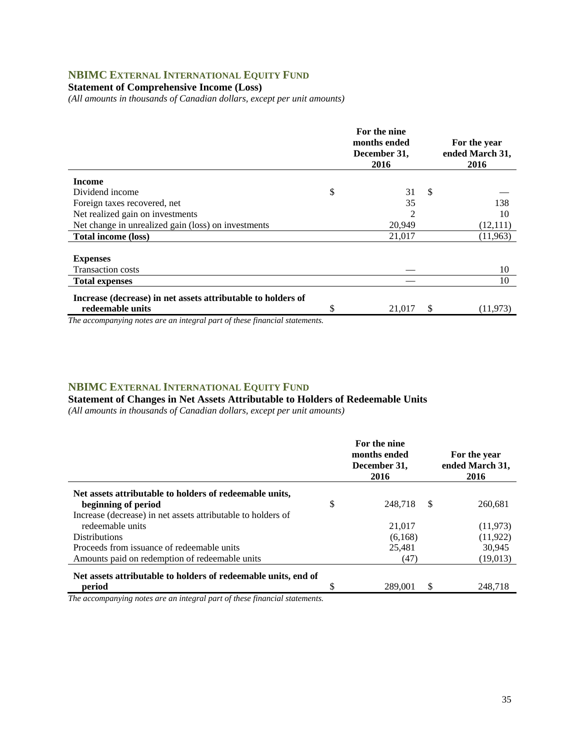## **NBIMC EXTERNAL INTERNATIONAL EQUITY FUND**

#### **Statement of Comprehensive Income (Loss)**

*(All amounts in thousands of Canadian dollars, except per unit amounts)* 

|                                                              | For the nine<br>months ended<br>December 31,<br>2016 |               | For the year<br>ended March 31,<br>2016 |
|--------------------------------------------------------------|------------------------------------------------------|---------------|-----------------------------------------|
| Income                                                       |                                                      |               |                                         |
| Dividend income                                              | \$<br>31                                             | $\mathcal{S}$ |                                         |
| Foreign taxes recovered, net                                 | 35                                                   |               | 138                                     |
| Net realized gain on investments                             | 2                                                    |               | 10                                      |
| Net change in unrealized gain (loss) on investments          | 20,949                                               |               | (12,111)                                |
| <b>Total income (loss)</b>                                   | 21,017                                               |               | (11,963)                                |
|                                                              |                                                      |               |                                         |
| <b>Expenses</b>                                              |                                                      |               |                                         |
| <b>Transaction costs</b>                                     |                                                      |               | 10                                      |
| <b>Total expenses</b>                                        |                                                      |               | 10                                      |
| Increase (decrease) in net assets attributable to holders of |                                                      |               |                                         |
| redeemable units                                             | \$<br>21,017                                         | S             | (11, 973)                               |

*The accompanying notes are an integral part of these financial statements.*

#### **NBIMC EXTERNAL INTERNATIONAL EQUITY FUND**

#### **Statement of Changes in Net Assets Attributable to Holders of Redeemable Units**

*(All amounts in thousands of Canadian dollars, except per unit amounts)* 

|                                                                | For the nine<br>months ended<br>December 31,<br>2016 |    | For the year<br>ended March 31,<br>2016 |
|----------------------------------------------------------------|------------------------------------------------------|----|-----------------------------------------|
| Net assets attributable to holders of redeemable units,        |                                                      |    |                                         |
| beginning of period                                            | \$<br>248.718                                        | -S | 260.681                                 |
| Increase (decrease) in net assets attributable to holders of   |                                                      |    |                                         |
| redeemable units                                               | 21,017                                               |    | (11, 973)                               |
| <b>Distributions</b>                                           | (6,168)                                              |    | (11, 922)                               |
| Proceeds from issuance of redeemable units                     | 25,481                                               |    | 30.945                                  |
| Amounts paid on redemption of redeemable units                 | (47)                                                 |    | (19,013)                                |
| Net assets attributable to holders of redeemable units, end of |                                                      |    |                                         |
| period                                                         | 289,001                                              | \$ | 248.718                                 |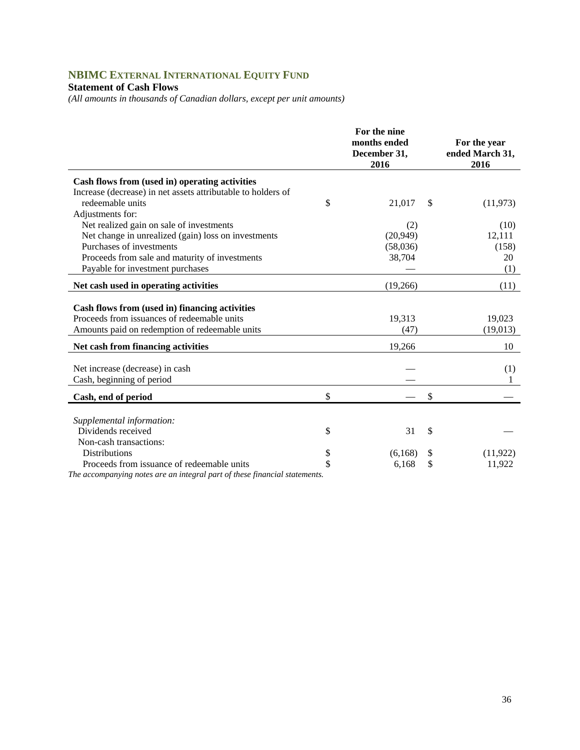# **NBIMC EXTERNAL INTERNATIONAL EQUITY FUND**

## **Statement of Cash Flows**

*(All amounts in thousands of Canadian dollars, except per unit amounts)* 

|                                                                                                                                                 | For the nine<br>months ended<br>December 31,<br>2016 | For the year<br>ended March 31,<br>2016 |
|-------------------------------------------------------------------------------------------------------------------------------------------------|------------------------------------------------------|-----------------------------------------|
| Cash flows from (used in) operating activities                                                                                                  |                                                      |                                         |
| Increase (decrease) in net assets attributable to holders of                                                                                    |                                                      |                                         |
| redeemable units                                                                                                                                | \$<br>21,017                                         | \$<br>(11, 973)                         |
| Adjustments for:                                                                                                                                |                                                      |                                         |
| Net realized gain on sale of investments                                                                                                        | (2)                                                  | (10)                                    |
| Net change in unrealized (gain) loss on investments                                                                                             | (20, 949)                                            | 12,111                                  |
| Purchases of investments                                                                                                                        | (58,036)                                             | (158)                                   |
| Proceeds from sale and maturity of investments                                                                                                  | 38,704                                               | 20                                      |
| Payable for investment purchases                                                                                                                |                                                      | (1)                                     |
| Net cash used in operating activities                                                                                                           | (19,266)                                             | (11)                                    |
| Cash flows from (used in) financing activities<br>Proceeds from issuances of redeemable units<br>Amounts paid on redemption of redeemable units | 19,313<br>(47)                                       | 19,023<br>(19,013)                      |
| Net cash from financing activities                                                                                                              | 19,266                                               | 10                                      |
| Net increase (decrease) in cash<br>Cash, beginning of period                                                                                    |                                                      | (1)                                     |
| Cash, end of period                                                                                                                             | \$                                                   | \$                                      |
| Supplemental information:<br>Dividends received                                                                                                 | \$<br>31                                             | \$                                      |
| Non-cash transactions:                                                                                                                          |                                                      |                                         |
| <b>Distributions</b>                                                                                                                            | \$<br>(6,168)                                        | \$<br>(11, 922)                         |
| Proceeds from issuance of redeemable units<br>The accompanying notes are an integral part of these financial statements.                        | \$<br>6,168                                          | \$<br>11,922                            |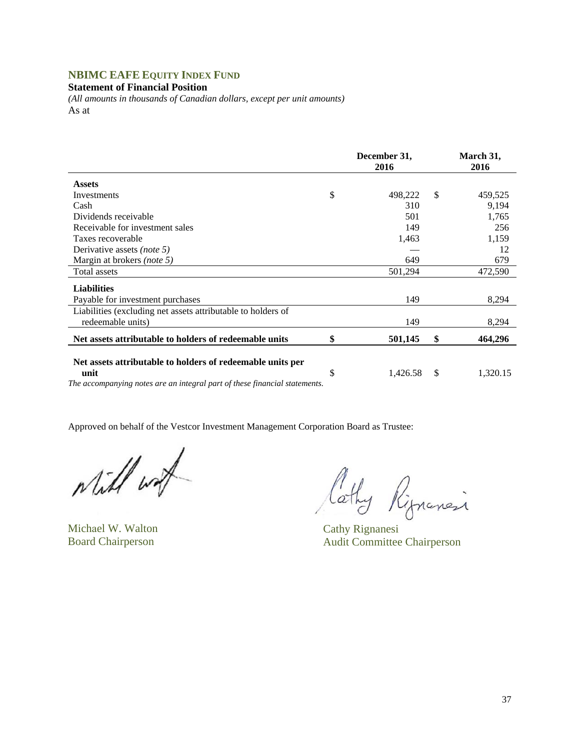## **NBIMC EAFE EQUITY INDEX FUND**

**Statement of Financial Position** 

*(All amounts in thousands of Canadian dollars, except per unit amounts)*  As at

|                                                                            | December 31,<br>2016 |    | March 31,<br>2016 |
|----------------------------------------------------------------------------|----------------------|----|-------------------|
| <b>Assets</b>                                                              |                      |    |                   |
| Investments                                                                | \$<br>498,222        | -S | 459,525           |
| Cash                                                                       | 310                  |    | 9,194             |
| Dividends receivable                                                       | 501                  |    | 1,765             |
| Receivable for investment sales                                            | 149                  |    | 256               |
| Taxes recoverable                                                          | 1,463                |    | 1,159             |
| Derivative assets <i>(note 5)</i>                                          |                      |    | 12                |
| Margin at brokers (note 5)                                                 | 649                  |    | 679               |
| Total assets                                                               | 501,294              |    | 472,590           |
| <b>Liabilities</b>                                                         |                      |    |                   |
| Payable for investment purchases                                           | 149                  |    | 8,294             |
| Liabilities (excluding net assets attributable to holders of               |                      |    |                   |
| redeemable units)                                                          | 149                  |    | 8,294             |
| Net assets attributable to holders of redeemable units                     | \$<br>501,145        | \$ | 464,296           |
| Net assets attributable to holders of redeemable units per<br>unit         | \$<br>1,426.58       | \$ | 1,320.15          |
| The accompanying notes are an integral part of these financial statements. |                      |    |                   |

while with

Will wat lathy Rignancesi

Board Chairperson Audit Committee Chairperson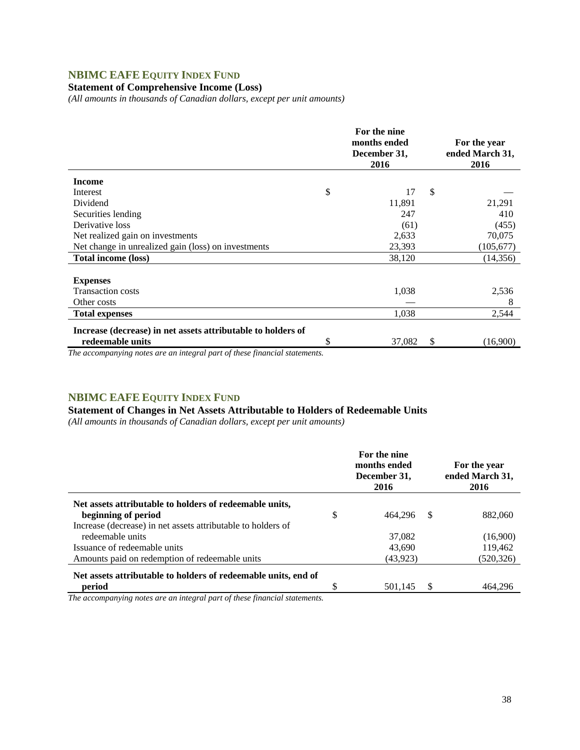### **NBIMC EAFE EQUITY INDEX FUND**

#### **Statement of Comprehensive Income (Loss)**

*(All amounts in thousands of Canadian dollars, except per unit amounts)* 

|                                                              | For the nine<br>months ended<br>December 31,<br>2016 |    | For the year<br>ended March 31,<br>2016 |
|--------------------------------------------------------------|------------------------------------------------------|----|-----------------------------------------|
| <b>Income</b>                                                |                                                      |    |                                         |
| Interest                                                     | \$<br>17                                             | \$ |                                         |
| Dividend                                                     | 11,891                                               |    | 21,291                                  |
| Securities lending                                           | 247                                                  |    | 410                                     |
| Derivative loss                                              | (61)                                                 |    | (455)                                   |
| Net realized gain on investments                             | 2,633                                                |    | 70,075                                  |
| Net change in unrealized gain (loss) on investments          | 23,393                                               |    | (105, 677)                              |
| <b>Total income (loss)</b>                                   | 38,120                                               |    | (14, 356)                               |
|                                                              |                                                      |    |                                         |
| <b>Expenses</b>                                              |                                                      |    |                                         |
| <b>Transaction costs</b>                                     | 1,038                                                |    | 2,536                                   |
| Other costs                                                  |                                                      |    | 8                                       |
| <b>Total expenses</b>                                        | 1,038                                                |    | 2,544                                   |
| Increase (decrease) in net assets attributable to holders of |                                                      |    |                                         |
| redeemable units                                             | \$<br>37,082                                         | \$ | (16,900)                                |

*The accompanying notes are an integral part of these financial statements.*

### **NBIMC EAFE EQUITY INDEX FUND**

## **Statement of Changes in Net Assets Attributable to Holders of Redeemable Units**

*(All amounts in thousands of Canadian dollars, except per unit amounts)* 

|                                                                                | For the nine<br>months ended<br>December 31,<br>2016 |          | For the year<br>ended March 31,<br>2016 |
|--------------------------------------------------------------------------------|------------------------------------------------------|----------|-----------------------------------------|
| Net assets attributable to holders of redeemable units,<br>beginning of period | \$<br>464.296                                        | <b>S</b> | 882,060                                 |
| Increase (decrease) in net assets attributable to holders of                   |                                                      |          |                                         |
| redeemable units                                                               | 37,082                                               |          | (16,900)                                |
| Issuance of redeemable units                                                   | 43,690                                               |          | 119,462                                 |
| Amounts paid on redemption of redeemable units                                 | (43,923)                                             |          | (520, 326)                              |
| Net assets attributable to holders of redeemable units, end of                 |                                                      |          |                                         |
| period                                                                         | 501.145                                              |          | 464.296                                 |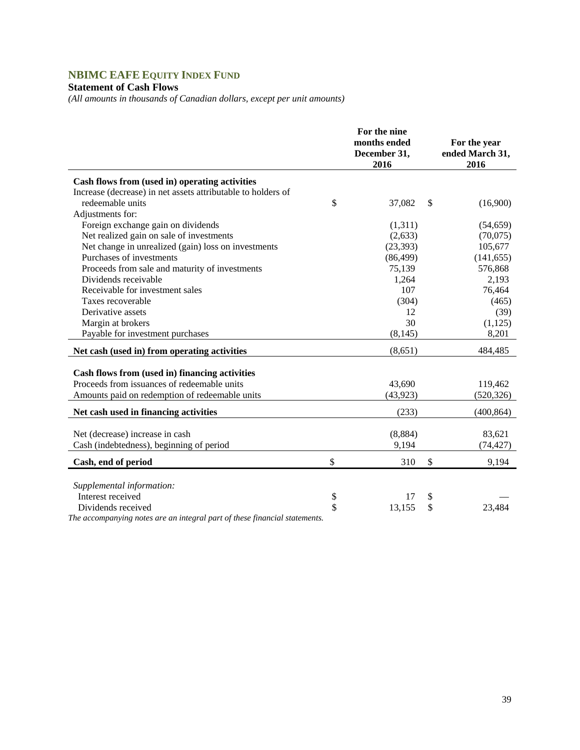# **NBIMC EAFE EQUITY INDEX FUND**

## **Statement of Cash Flows**

*(All amounts in thousands of Canadian dollars, except per unit amounts)* 

|                                                                             | For the nine<br>months ended<br>December 31,<br>2016 | For the year<br>ended March 31,<br>2016 |
|-----------------------------------------------------------------------------|------------------------------------------------------|-----------------------------------------|
| Cash flows from (used in) operating activities                              |                                                      |                                         |
| Increase (decrease) in net assets attributable to holders of                |                                                      |                                         |
| redeemable units                                                            | \$<br>37,082                                         | \$<br>(16,900)                          |
| Adjustments for:                                                            |                                                      |                                         |
| Foreign exchange gain on dividends                                          | (1,311)                                              | (54, 659)                               |
| Net realized gain on sale of investments                                    | (2,633)                                              | (70,075)                                |
| Net change in unrealized (gain) loss on investments                         | (23, 393)                                            | 105,677                                 |
| Purchases of investments                                                    | (86, 499)                                            | (141, 655)                              |
| Proceeds from sale and maturity of investments                              | 75,139                                               | 576,868                                 |
| Dividends receivable                                                        | 1,264                                                | 2,193                                   |
| Receivable for investment sales                                             | 107                                                  | 76,464                                  |
| Taxes recoverable                                                           | (304)                                                | (465)                                   |
| Derivative assets                                                           | 12                                                   | (39)                                    |
| Margin at brokers                                                           | 30                                                   | (1,125)                                 |
| Payable for investment purchases                                            | (8, 145)                                             | 8,201                                   |
| Net cash (used in) from operating activities                                | (8,651)                                              | 484,485                                 |
| Cash flows from (used in) financing activities                              |                                                      |                                         |
| Proceeds from issuances of redeemable units                                 | 43,690                                               | 119,462                                 |
| Amounts paid on redemption of redeemable units                              | (43, 923)                                            | (520, 326)                              |
| Net cash used in financing activities                                       | (233)                                                | (400, 864)                              |
| Net (decrease) increase in cash<br>Cash (indebtedness), beginning of period | (8,884)<br>9,194                                     | 83,621<br>(74, 427)                     |
| Cash, end of period                                                         | \$<br>310                                            | \$<br>9,194                             |
|                                                                             |                                                      |                                         |
| Supplemental information:                                                   |                                                      |                                         |
| Interest received                                                           | \$<br>17                                             | \$                                      |
| Dividends received                                                          | \$<br>13,155                                         | \$<br>23,484                            |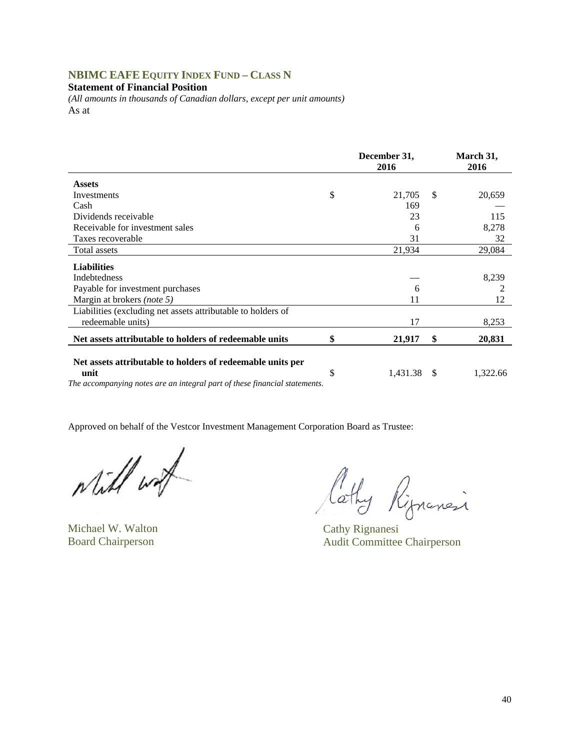## **NBIMC EAFE EQUITY INDEX FUND – CLASS N**

#### **Statement of Financial Position**

*(All amounts in thousands of Canadian dollars, except per unit amounts)*  As at

| December 31,<br>2016 |    | March 31,<br>2016 |
|----------------------|----|-------------------|
|                      |    |                   |
| \$<br>21,705         | -S | 20,659            |
| 169                  |    |                   |
| 23                   |    | 115               |
| 6                    |    | 8,278             |
| 31                   |    | 32                |
| 21,934               |    | 29,084            |
|                      |    |                   |
|                      |    | 8,239             |
| 6                    |    |                   |
| 11                   |    | 12                |
|                      |    |                   |
|                      |    | 8,253             |
| \$<br>21,917         | \$ | 20,831            |
| \$<br>1,431.38       | -S | 1,322.66          |
|                      | 17 |                   |

while with

Will wat lathy Rignancesi

Board Chairperson Audit Committee Chairperson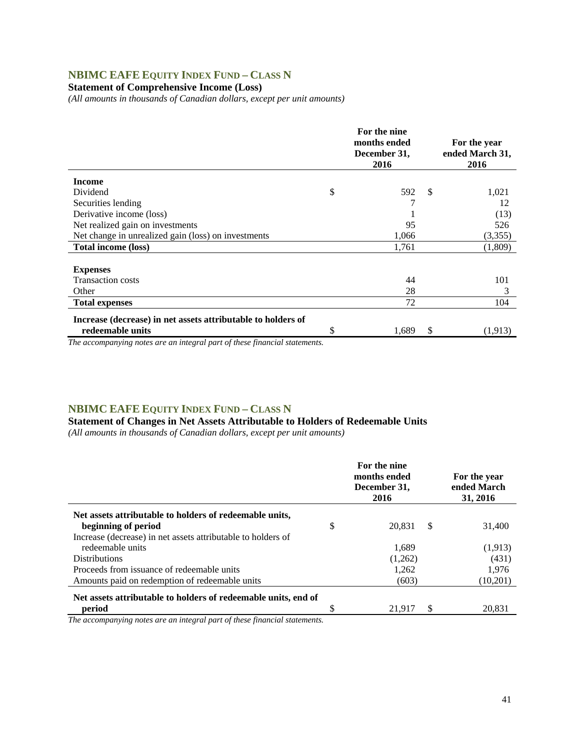## **NBIMC EAFE EQUITY INDEX FUND – CLASS N**

### **Statement of Comprehensive Income (Loss)**

*(All amounts in thousands of Canadian dollars, except per unit amounts)* 

|                                                              | For the nine<br>months ended<br>December 31,<br>2016 |               | For the year<br>ended March 31,<br>2016 |
|--------------------------------------------------------------|------------------------------------------------------|---------------|-----------------------------------------|
| <b>Income</b>                                                |                                                      |               |                                         |
| Dividend                                                     | \$<br>592                                            | <sup>\$</sup> | 1,021                                   |
| Securities lending                                           | 7                                                    |               | 12                                      |
| Derivative income (loss)                                     |                                                      |               | (13)                                    |
| Net realized gain on investments                             | 95                                                   |               | 526                                     |
| Net change in unrealized gain (loss) on investments          | 1,066                                                |               | (3,355)                                 |
| <b>Total income (loss)</b>                                   | 1,761                                                |               | (1,809)                                 |
|                                                              |                                                      |               |                                         |
| <b>Expenses</b>                                              |                                                      |               |                                         |
| <b>Transaction costs</b>                                     | 44                                                   |               | 101                                     |
| Other                                                        | 28                                                   |               | 3                                       |
| <b>Total expenses</b>                                        | 72                                                   |               | 104                                     |
| Increase (decrease) in net assets attributable to holders of |                                                      |               |                                         |
| redeemable units                                             | \$<br>1,689                                          | \$            | (1,913)                                 |

*The accompanying notes are an integral part of these financial statements.*

#### **NBIMC EAFE EQUITY INDEX FUND – CLASS N**

#### **Statement of Changes in Net Assets Attributable to Holders of Redeemable Units**  *(All amounts in thousands of Canadian dollars, except per unit amounts)*

|                                                                | For the nine<br>months ended<br>December 31,<br>2016 |    | For the year<br>ended March<br>31, 2016 |
|----------------------------------------------------------------|------------------------------------------------------|----|-----------------------------------------|
| Net assets attributable to holders of redeemable units,        |                                                      |    |                                         |
| beginning of period                                            | \$<br>20.831                                         | -S | 31,400                                  |
| Increase (decrease) in net assets attributable to holders of   |                                                      |    |                                         |
| redeemable units                                               | 1.689                                                |    | (1,913)                                 |
| <b>Distributions</b>                                           | (1,262)                                              |    | (431)                                   |
| Proceeds from issuance of redeemable units                     | 1,262                                                |    | 1,976                                   |
| Amounts paid on redemption of redeemable units                 | (603)                                                |    | (10,201)                                |
| Net assets attributable to holders of redeemable units, end of |                                                      |    |                                         |
| period                                                         | 21.917                                               | \$ | 20.831                                  |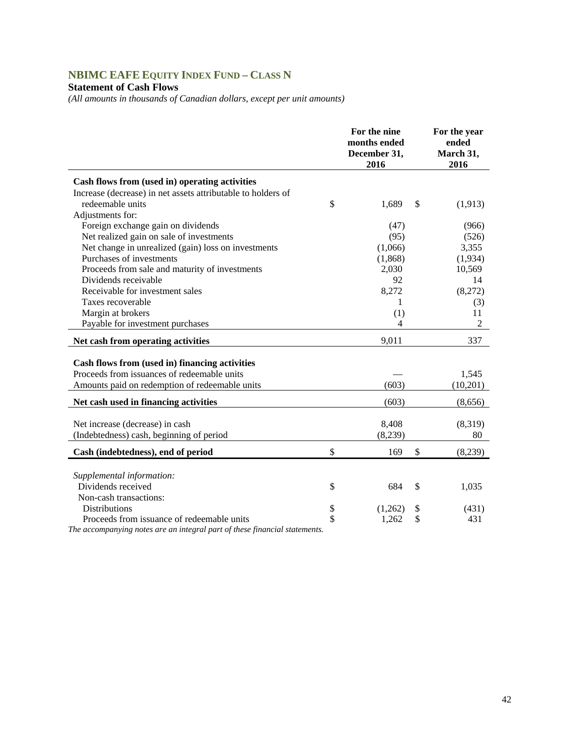# **NBIMC EAFE EQUITY INDEX FUND – CLASS N**

## **Statement of Cash Flows**

*(All amounts in thousands of Canadian dollars, except per unit amounts)* 

|                                                              | For the nine<br>months ended<br>December 31,<br>2016 | For the year<br>ended<br>March 31,<br>2016 |
|--------------------------------------------------------------|------------------------------------------------------|--------------------------------------------|
| Cash flows from (used in) operating activities               |                                                      |                                            |
| Increase (decrease) in net assets attributable to holders of |                                                      |                                            |
| redeemable units                                             | \$<br>1,689                                          | \$<br>(1,913)                              |
| Adjustments for:                                             |                                                      |                                            |
| Foreign exchange gain on dividends                           | (47)                                                 | (966)                                      |
| Net realized gain on sale of investments                     | (95)                                                 | (526)                                      |
| Net change in unrealized (gain) loss on investments          | (1,066)                                              | 3,355                                      |
| Purchases of investments                                     | (1,868)                                              | (1,934)                                    |
| Proceeds from sale and maturity of investments               | 2,030                                                | 10,569                                     |
| Dividends receivable                                         | 92                                                   | 14                                         |
| Receivable for investment sales                              | 8,272                                                | (8,272)                                    |
| Taxes recoverable                                            | 1                                                    | (3)                                        |
| Margin at brokers                                            | (1)                                                  | 11                                         |
| Payable for investment purchases                             | 4                                                    | 2                                          |
| Net cash from operating activities                           | 9,011                                                | 337                                        |
| Cash flows from (used in) financing activities               |                                                      |                                            |
| Proceeds from issuances of redeemable units                  |                                                      | 1,545                                      |
| Amounts paid on redemption of redeemable units               | (603)                                                | (10,201)                                   |
|                                                              |                                                      |                                            |
| Net cash used in financing activities                        | (603)                                                | (8,656)                                    |
|                                                              |                                                      |                                            |
| Net increase (decrease) in cash                              | 8,408                                                | (8,319)                                    |
| (Indebtedness) cash, beginning of period                     | (8,239)                                              | 80                                         |
| Cash (indebtedness), end of period                           | \$<br>169                                            | \$<br>(8,239)                              |
|                                                              |                                                      |                                            |
| Supplemental information:                                    |                                                      |                                            |
| Dividends received                                           | \$<br>684                                            | \$<br>1,035                                |
| Non-cash transactions:                                       |                                                      |                                            |
| <b>Distributions</b>                                         | \$<br>(1,262)                                        | \$<br>(431)                                |
| Proceeds from issuance of redeemable units                   | \$<br>1,262                                          | \$<br>431                                  |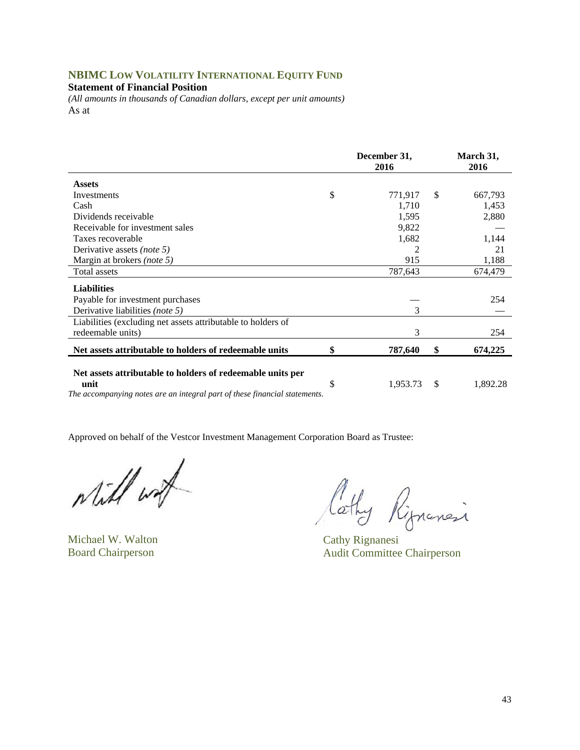## **NBIMC LOW VOLATILITY INTERNATIONAL EQUITY FUND**

**Statement of Financial Position** 

*(All amounts in thousands of Canadian dollars, except per unit amounts)*  As at

|                                                                                                                                                  | December 31,<br>2016 | March 31,<br>2016 |
|--------------------------------------------------------------------------------------------------------------------------------------------------|----------------------|-------------------|
| <b>Assets</b>                                                                                                                                    |                      |                   |
| Investments                                                                                                                                      | \$<br>771,917        | \$<br>667,793     |
| Cash                                                                                                                                             | 1,710                | 1,453             |
| Dividends receivable                                                                                                                             | 1,595                | 2,880             |
| Receivable for investment sales                                                                                                                  | 9,822                |                   |
| Taxes recoverable                                                                                                                                | 1,682                | 1,144             |
| Derivative assets <i>(note 5)</i>                                                                                                                | 2                    | 21                |
| Margin at brokers (note 5)                                                                                                                       | 915                  | 1,188             |
| Total assets                                                                                                                                     | 787,643              | 674,479           |
| <b>Liabilities</b>                                                                                                                               |                      |                   |
| Payable for investment purchases                                                                                                                 |                      | 254               |
| Derivative liabilities (note 5)                                                                                                                  | 3                    |                   |
| Liabilities (excluding net assets attributable to holders of                                                                                     |                      |                   |
| redeemable units)                                                                                                                                | 3                    | 254               |
| Net assets attributable to holders of redeemable units                                                                                           | \$<br>787,640        | \$<br>674,225     |
| Net assets attributable to holders of redeemable units per<br>unit<br>The accompanying notes are an integral part of these financial statements. | \$<br>1,953.73       | \$<br>1,892.28    |

while wat

Michael W. Walton Cathy Rignanesi

lathy Ripnanci

Board Chairperson Audit Committee Chairperson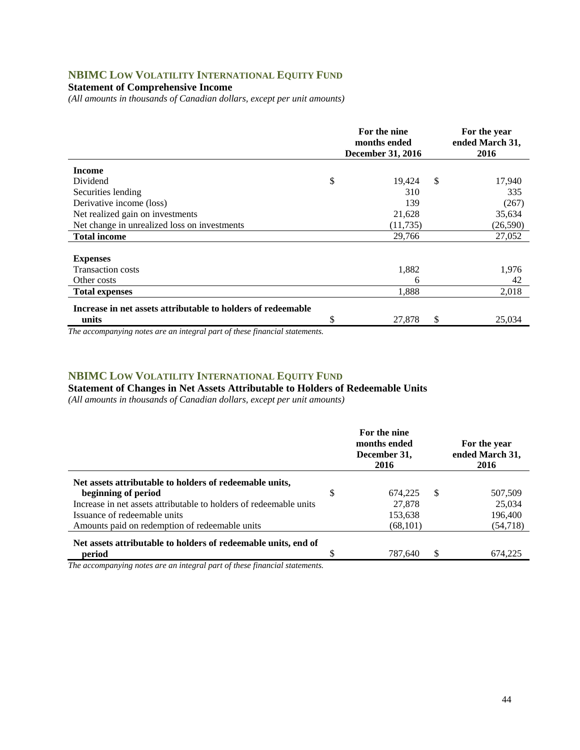# **NBIMC LOW VOLATILITY INTERNATIONAL EQUITY FUND**

### **Statement of Comprehensive Income**

*(All amounts in thousands of Canadian dollars, except per unit amounts)* 

|                                                              | For the nine<br>months ended<br><b>December 31, 2016</b> | For the year<br>ended March 31,<br>2016 |           |
|--------------------------------------------------------------|----------------------------------------------------------|-----------------------------------------|-----------|
| <b>Income</b>                                                |                                                          |                                         |           |
| Dividend                                                     | \$<br>19,424                                             | $\mathcal{S}$                           | 17,940    |
| Securities lending                                           | 310                                                      |                                         | 335       |
| Derivative income (loss)                                     | 139                                                      |                                         | (267)     |
| Net realized gain on investments                             | 21,628                                                   |                                         | 35,634    |
| Net change in unrealized loss on investments                 | (11, 735)                                                |                                         | (26, 590) |
| <b>Total income</b>                                          | 29,766                                                   |                                         | 27,052    |
|                                                              |                                                          |                                         |           |
| <b>Expenses</b>                                              |                                                          |                                         |           |
| <b>Transaction costs</b>                                     | 1,882                                                    |                                         | 1,976     |
| Other costs                                                  | 6                                                        |                                         | 42        |
| <b>Total expenses</b>                                        | 1,888                                                    |                                         | 2,018     |
| Increase in net assets attributable to holders of redeemable |                                                          |                                         |           |
| units                                                        | \$<br>27,878                                             | \$                                      | 25,034    |

*The accompanying notes are an integral part of these financial statements.*

#### **NBIMC LOW VOLATILITY INTERNATIONAL EQUITY FUND**

**Statement of Changes in Net Assets Attributable to Holders of Redeemable Units** 

*(All amounts in thousands of Canadian dollars, except per unit amounts)* 

|                                                                                |     | For the nine<br>months ended<br>December 31,<br>2016 | For the year<br>ended March 31,<br>2016 |           |  |
|--------------------------------------------------------------------------------|-----|------------------------------------------------------|-----------------------------------------|-----------|--|
| Net assets attributable to holders of redeemable units,<br>beginning of period | \$. | 674,225                                              | S                                       | 507,509   |  |
| Increase in net assets attributable to holders of redeemable units             |     | 27,878                                               |                                         | 25,034    |  |
| Issuance of redeemable units                                                   |     | 153,638                                              |                                         | 196,400   |  |
| Amounts paid on redemption of redeemable units                                 |     | (68, 101)                                            |                                         | (54, 718) |  |
| Net assets attributable to holders of redeemable units, end of                 |     |                                                      |                                         |           |  |
| period                                                                         |     | 787,640                                              | \$                                      | 674.225   |  |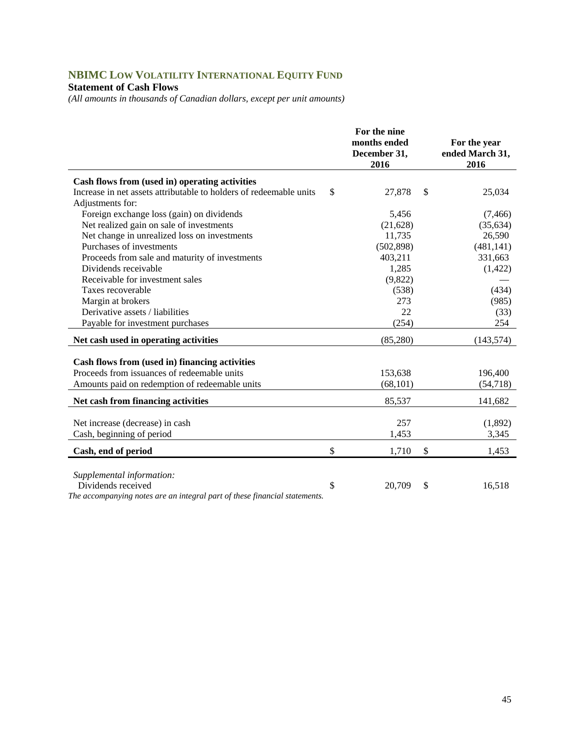# **NBIMC LOW VOLATILITY INTERNATIONAL EQUITY FUND**

## **Statement of Cash Flows**

*(All amounts in thousands of Canadian dollars, except per unit amounts)* 

|                                                                                                  | For the nine                         |                                         |
|--------------------------------------------------------------------------------------------------|--------------------------------------|-----------------------------------------|
|                                                                                                  | months ended<br>December 31,<br>2016 | For the year<br>ended March 31,<br>2016 |
|                                                                                                  |                                      |                                         |
| Cash flows from (used in) operating activities                                                   |                                      |                                         |
| Increase in net assets attributable to holders of redeemable units                               | \$<br>27,878                         | \$<br>25,034                            |
| Adjustments for:                                                                                 |                                      |                                         |
| Foreign exchange loss (gain) on dividends                                                        | 5,456                                | (7, 466)                                |
| Net realized gain on sale of investments                                                         | (21, 628)                            | (35, 634)                               |
| Net change in unrealized loss on investments                                                     | 11,735                               | 26,590                                  |
| Purchases of investments                                                                         | (502, 898)                           | (481, 141)                              |
| Proceeds from sale and maturity of investments                                                   | 403,211                              | 331,663                                 |
| Dividends receivable                                                                             | 1,285                                | (1, 422)                                |
| Receivable for investment sales                                                                  | (9,822)                              |                                         |
| Taxes recoverable                                                                                | (538)                                | (434)                                   |
| Margin at brokers                                                                                | 273                                  | (985)                                   |
| Derivative assets / liabilities                                                                  | 22                                   | (33)                                    |
| Payable for investment purchases                                                                 | (254)                                | 254                                     |
| Net cash used in operating activities                                                            | (85,280)                             | (143, 574)                              |
|                                                                                                  |                                      |                                         |
| Cash flows from (used in) financing activities                                                   |                                      |                                         |
| Proceeds from issuances of redeemable units                                                      | 153,638                              | 196,400                                 |
| Amounts paid on redemption of redeemable units                                                   | (68, 101)                            | (54, 718)                               |
| Net cash from financing activities                                                               | 85,537                               | 141,682                                 |
|                                                                                                  |                                      |                                         |
| Net increase (decrease) in cash                                                                  | 257                                  | (1,892)                                 |
| Cash, beginning of period                                                                        | 1,453                                | 3,345                                   |
| Cash, end of period                                                                              | \$<br>1,710                          | \$<br>1,453                             |
|                                                                                                  |                                      |                                         |
| Supplemental information:                                                                        |                                      |                                         |
| Dividends received<br>The accompanying notes are an integral part of these financial statements. | \$<br>20,709                         | \$<br>16,518                            |
|                                                                                                  |                                      |                                         |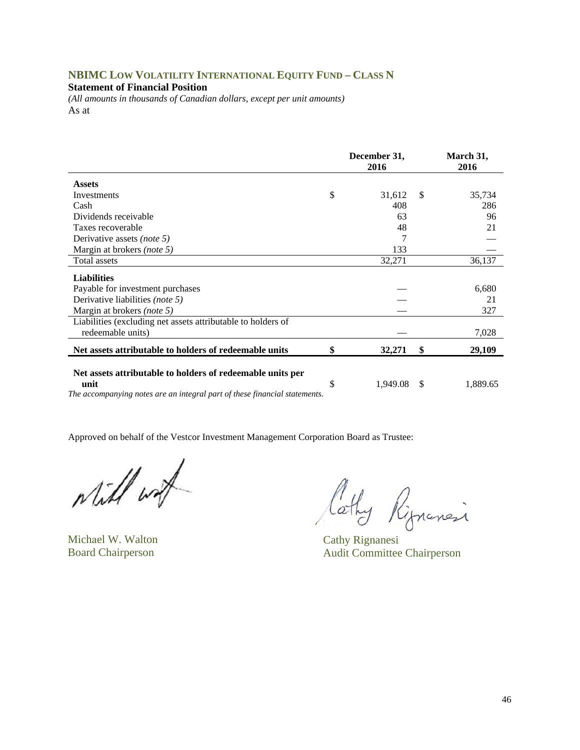### **NBIMC LOW VOLATILITY INTERNATIONAL EQUITY FUND – CLASS N**

#### **Statement of Financial Position**

*(All amounts in thousands of Canadian dollars, except per unit amounts)*  As at

| 2016   |               | March 31,<br>2016 |
|--------|---------------|-------------------|
|        |               |                   |
| 31,612 | <sup>\$</sup> | 35,734            |
| 408    |               | 286               |
| 63     |               | 96                |
| 48     |               | 21                |
|        |               |                   |
| 133    |               |                   |
| 32,271 |               | 36,137            |
|        |               |                   |
|        |               | 6,680             |
|        |               | 21                |
|        |               | 327               |
|        |               |                   |
|        |               | 7,028             |
| 32,271 | \$            | 29,109            |
|        |               | 1,889.65          |
|        | 1.949.08      | S                 |

*The accompanying notes are an integral part of these financial statements.* 

Will wat

Michael W. Walton Cathy Rignanesi

Cathy Rippensi

Board Chairperson Audit Committee Chairperson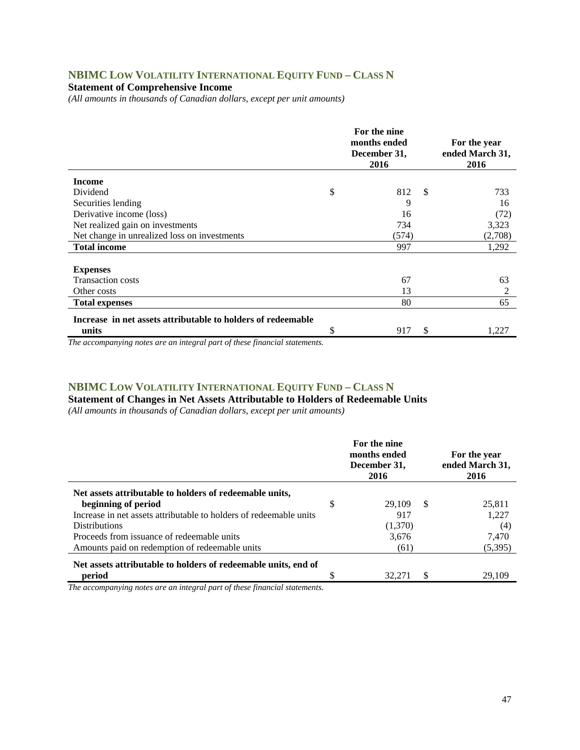## **NBIMC LOW VOLATILITY INTERNATIONAL EQUITY FUND – CLASS N**

### **Statement of Comprehensive Income**

*(All amounts in thousands of Canadian dollars, except per unit amounts)* 

|                                                              | For the nine<br>months ended<br>December 31,<br>2016 | For the year<br>ended March 31,<br>2016 |         |
|--------------------------------------------------------------|------------------------------------------------------|-----------------------------------------|---------|
| <b>Income</b>                                                |                                                      |                                         |         |
| Dividend                                                     | \$<br>812                                            | -S                                      | 733     |
| Securities lending                                           | 9                                                    |                                         | 16      |
| Derivative income (loss)                                     | 16                                                   |                                         | (72)    |
| Net realized gain on investments                             | 734                                                  |                                         | 3,323   |
| Net change in unrealized loss on investments                 | (574)                                                |                                         | (2,708) |
| <b>Total income</b>                                          | 997                                                  |                                         | 1,292   |
|                                                              |                                                      |                                         |         |
| <b>Expenses</b>                                              |                                                      |                                         |         |
| <b>Transaction costs</b>                                     | 67                                                   |                                         | 63      |
| Other costs                                                  | 13                                                   |                                         | 2       |
| <b>Total expenses</b>                                        | 80                                                   |                                         | 65      |
| Increase in net assets attributable to holders of redeemable |                                                      |                                         |         |
| units                                                        | \$<br>917                                            | \$.                                     | 1,227   |

*The accompanying notes are an integral part of these financial statements.*

### **NBIMC LOW VOLATILITY INTERNATIONAL EQUITY FUND – CLASS N**

**Statement of Changes in Net Assets Attributable to Holders of Redeemable Units** 

*(All amounts in thousands of Canadian dollars, except per unit amounts)* 

| For the nine<br>months ended<br>December 31,<br>2016 | For the year<br>ended March 31,<br>2016 |         |
|------------------------------------------------------|-----------------------------------------|---------|
|                                                      |                                         |         |
| \$<br>29.109                                         | -S                                      | 25,811  |
| 917                                                  |                                         | 1,227   |
| (1,370)                                              |                                         | (4)     |
| 3.676                                                |                                         | 7.470   |
| (61)                                                 |                                         | (5,395) |
|                                                      |                                         |         |
| 32.271                                               |                                         | 29.109  |
|                                                      |                                         |         |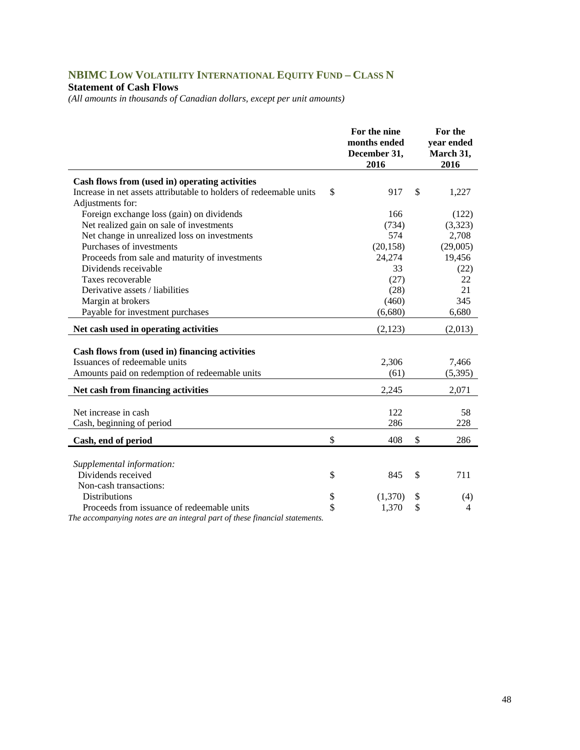# **NBIMC LOW VOLATILITY INTERNATIONAL EQUITY FUND – CLASS N**

#### **Statement of Cash Flows**

*(All amounts in thousands of Canadian dollars, except per unit amounts)* 

|                                                                                        | For the nine<br>months ended<br>December 31,<br>2016 | For the<br>year ended<br>March 31,<br>2016 |
|----------------------------------------------------------------------------------------|------------------------------------------------------|--------------------------------------------|
| Cash flows from (used in) operating activities                                         |                                                      |                                            |
| Increase in net assets attributable to holders of redeemable units<br>Adjustments for: | \$<br>917                                            | \$<br>1,227                                |
| Foreign exchange loss (gain) on dividends                                              | 166                                                  | (122)                                      |
| Net realized gain on sale of investments                                               | (734)                                                | (3,323)                                    |
| Net change in unrealized loss on investments                                           | 574                                                  | 2,708                                      |
| Purchases of investments                                                               | (20, 158)                                            | (29,005)                                   |
| Proceeds from sale and maturity of investments                                         | 24,274                                               | 19,456                                     |
| Dividends receivable                                                                   | 33                                                   | (22)                                       |
| Taxes recoverable                                                                      | (27)                                                 | 22                                         |
| Derivative assets / liabilities                                                        | (28)                                                 | 21                                         |
| Margin at brokers                                                                      | (460)                                                | 345                                        |
| Payable for investment purchases                                                       | (6,680)                                              | 6,680                                      |
| Net cash used in operating activities                                                  | (2,123)                                              | (2,013)                                    |
|                                                                                        |                                                      |                                            |
| Cash flows from (used in) financing activities                                         |                                                      |                                            |
| Issuances of redeemable units                                                          | 2,306                                                | 7,466                                      |
| Amounts paid on redemption of redeemable units                                         | (61)                                                 | (5, 395)                                   |
| Net cash from financing activities                                                     | 2,245                                                | 2,071                                      |
| Net increase in cash                                                                   | 122                                                  | 58                                         |
| Cash, beginning of period                                                              | 286                                                  | 228                                        |
|                                                                                        |                                                      |                                            |
| Cash, end of period                                                                    | \$<br>408                                            | \$<br>286                                  |
|                                                                                        |                                                      |                                            |
| Supplemental information:                                                              |                                                      |                                            |
| Dividends received                                                                     | \$<br>845                                            | \$<br>711                                  |
| Non-cash transactions:                                                                 |                                                      |                                            |
| <b>Distributions</b>                                                                   | \$<br>(1,370)                                        | \$<br>(4)                                  |
| Proceeds from issuance of redeemable units                                             | \$<br>1,370                                          | \$<br>$\overline{4}$                       |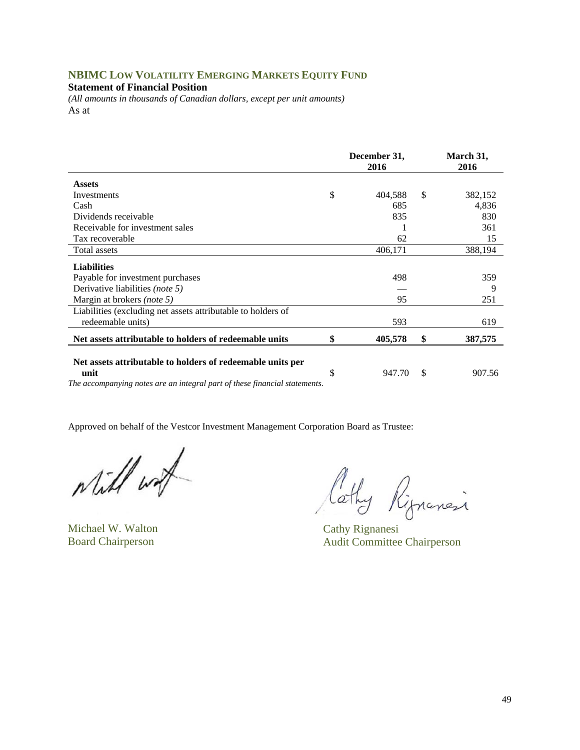## **NBIMC LOW VOLATILITY EMERGING MARKETS EQUITY FUND**

**Statement of Financial Position** 

*(All amounts in thousands of Canadian dollars, except per unit amounts)*  As at

|                                                                                                                                                  | December 31,<br>2016 |         |               | March 31,<br>2016 |  |  |
|--------------------------------------------------------------------------------------------------------------------------------------------------|----------------------|---------|---------------|-------------------|--|--|
| <b>Assets</b>                                                                                                                                    |                      |         |               |                   |  |  |
| Investments                                                                                                                                      | \$                   | 404,588 | <sup>\$</sup> | 382,152           |  |  |
| Cash                                                                                                                                             |                      | 685     |               | 4,836             |  |  |
| Dividends receivable                                                                                                                             |                      | 835     |               | 830               |  |  |
| Receivable for investment sales                                                                                                                  |                      |         |               | 361               |  |  |
| Tax recoverable                                                                                                                                  |                      | 62      |               | 15                |  |  |
| Total assets                                                                                                                                     |                      | 406,171 |               | 388,194           |  |  |
| <b>Liabilities</b>                                                                                                                               |                      |         |               |                   |  |  |
| Payable for investment purchases                                                                                                                 |                      | 498     |               | 359               |  |  |
| Derivative liabilities (note 5)                                                                                                                  |                      |         |               | 9                 |  |  |
| Margin at brokers (note 5)                                                                                                                       |                      | 95      |               | 251               |  |  |
| Liabilities (excluding net assets attributable to holders of                                                                                     |                      |         |               |                   |  |  |
| redeemable units)                                                                                                                                |                      | 593     |               | 619               |  |  |
| Net assets attributable to holders of redeemable units                                                                                           | \$                   | 405,578 | \$            | 387,575           |  |  |
| Net assets attributable to holders of redeemable units per<br>unit<br>The accompanying notes are an integral part of these financial statements. | \$                   | 947.70  | \$            | 907.56            |  |  |

while with

Michael W. Walton Cathy Rignanesi

Cathy Rippinesi

Board Chairperson Audit Committee Chairperson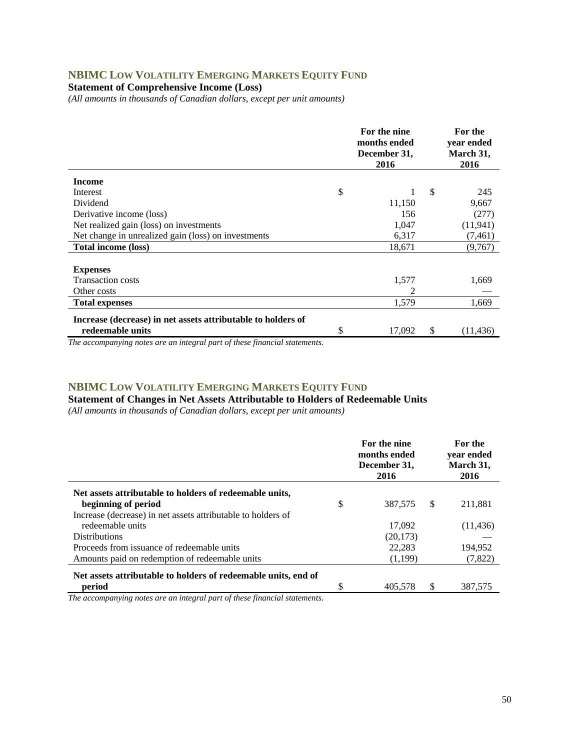## **NBIMC LOW VOLATILITY EMERGING MARKETS EQUITY FUND**

**Statement of Comprehensive Income (Loss)** 

*(All amounts in thousands of Canadian dollars, except per unit amounts)* 

|                                                                                  | For the nine<br>months ended<br>December 31,<br>2016 |    | For the<br>year ended<br>March 31,<br>2016 |
|----------------------------------------------------------------------------------|------------------------------------------------------|----|--------------------------------------------|
| <b>Income</b>                                                                    |                                                      |    |                                            |
| \$<br>Interest                                                                   |                                                      | \$ | 245                                        |
| Dividend                                                                         | 11,150                                               |    | 9,667                                      |
| Derivative income (loss)                                                         | 156                                                  |    | (277)                                      |
| Net realized gain (loss) on investments                                          | 1,047                                                |    | (11, 941)                                  |
| Net change in unrealized gain (loss) on investments                              | 6,317                                                |    | (7, 461)                                   |
| Total income (loss)                                                              | 18,671                                               |    | (9,767)                                    |
|                                                                                  |                                                      |    |                                            |
| <b>Expenses</b>                                                                  |                                                      |    |                                            |
| <b>Transaction costs</b>                                                         | 1,577                                                |    | 1,669                                      |
| Other costs                                                                      | 2                                                    |    |                                            |
| <b>Total expenses</b>                                                            | 1,579                                                |    | 1,669                                      |
| Increase (decrease) in net assets attributable to holders of<br>redeemable units | \$<br>17,092                                         | S  | (11, 436)                                  |

*The accompanying notes are an integral part of these financial statements.*

## **NBIMC LOW VOLATILITY EMERGING MARKETS EQUITY FUND**

**Statement of Changes in Net Assets Attributable to Holders of Redeemable Units** 

*(All amounts in thousands of Canadian dollars, except per unit amounts)* 

|                                                                | For the nine<br>months ended<br>December 31,<br>2016 |    | For the<br>vear ended<br>March 31,<br>2016 |
|----------------------------------------------------------------|------------------------------------------------------|----|--------------------------------------------|
| Net assets attributable to holders of redeemable units,        |                                                      |    |                                            |
| beginning of period                                            | \$<br>387.575                                        | -S | 211,881                                    |
| Increase (decrease) in net assets attributable to holders of   |                                                      |    |                                            |
| redeemable units                                               | 17.092                                               |    | (11, 436)                                  |
| <b>Distributions</b>                                           | (20, 173)                                            |    |                                            |
| Proceeds from issuance of redeemable units                     | 22.283                                               |    | 194.952                                    |
| Amounts paid on redemption of redeemable units                 | (1,199)                                              |    | (7,822)                                    |
| Net assets attributable to holders of redeemable units, end of |                                                      |    |                                            |
| period                                                         | 405,578                                              |    | 387,575                                    |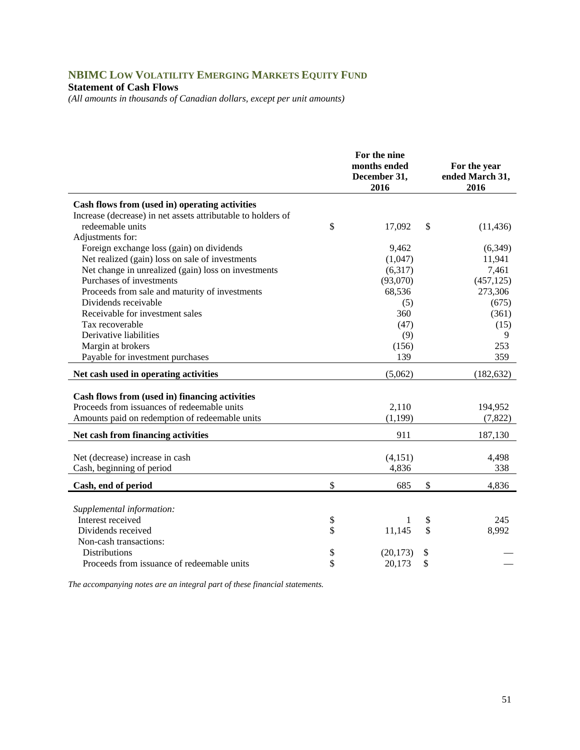# **NBIMC LOW VOLATILITY EMERGING MARKETS EQUITY FUND**

#### **Statement of Cash Flows**

*(All amounts in thousands of Canadian dollars, except per unit amounts)* 

|                                                              | For the nine<br>months ended<br>December 31,<br>2016 |               | For the year<br>ended March 31,<br>2016 |
|--------------------------------------------------------------|------------------------------------------------------|---------------|-----------------------------------------|
| Cash flows from (used in) operating activities               |                                                      |               |                                         |
| Increase (decrease) in net assets attributable to holders of |                                                      |               |                                         |
| redeemable units                                             | \$<br>17,092                                         | $\mathcal{S}$ | (11, 436)                               |
| Adjustments for:                                             |                                                      |               |                                         |
| Foreign exchange loss (gain) on dividends                    | 9,462                                                |               | (6,349)                                 |
| Net realized (gain) loss on sale of investments              | (1,047)                                              |               | 11,941                                  |
| Net change in unrealized (gain) loss on investments          | (6,317)                                              |               | 7,461                                   |
| Purchases of investments                                     | (93,070)                                             |               | (457, 125)                              |
| Proceeds from sale and maturity of investments               | 68,536                                               |               | 273,306                                 |
| Dividends receivable                                         | (5)                                                  |               | (675)                                   |
| Receivable for investment sales                              | 360                                                  |               | (361)                                   |
| Tax recoverable                                              | (47)                                                 |               | (15)                                    |
| Derivative liabilities                                       | (9)                                                  |               | 9                                       |
| Margin at brokers                                            | (156)                                                |               | 253                                     |
| Payable for investment purchases                             | 139                                                  |               | 359                                     |
| Net cash used in operating activities                        | (5,062)                                              |               | (182, 632)                              |
| Cash flows from (used in) financing activities               |                                                      |               |                                         |
| Proceeds from issuances of redeemable units                  | 2,110                                                |               | 194,952                                 |
| Amounts paid on redemption of redeemable units               | (1, 199)                                             |               | (7,822)                                 |
|                                                              |                                                      |               |                                         |
| Net cash from financing activities                           | 911                                                  |               | 187,130                                 |
| Net (decrease) increase in cash                              | (4,151)                                              |               | 4,498                                   |
| Cash, beginning of period                                    | 4,836                                                |               | 338                                     |
| Cash, end of period                                          | \$<br>685                                            | \$            | 4,836                                   |
|                                                              |                                                      |               |                                         |
| Supplemental information:                                    |                                                      |               |                                         |
| Interest received                                            | \$<br>1                                              | \$            | 245                                     |
| Dividends received                                           | \$<br>11,145                                         | \$            | 8,992                                   |
| Non-cash transactions:                                       |                                                      |               |                                         |
| <b>Distributions</b>                                         | \$<br>(20, 173)                                      | \$            |                                         |
| Proceeds from issuance of redeemable units                   | \$<br>20,173                                         | \$            |                                         |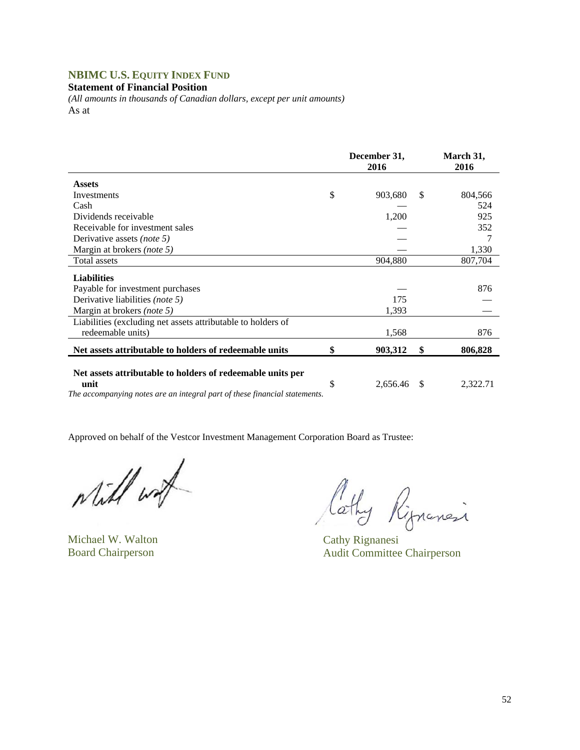## **NBIMC U.S. EQUITY INDEX FUND**

**Statement of Financial Position** 

*(All amounts in thousands of Canadian dollars, except per unit amounts)*  As at

|                                                                                                                                                  | December 31,<br>2016 |               | March 31,<br>2016 |
|--------------------------------------------------------------------------------------------------------------------------------------------------|----------------------|---------------|-------------------|
| <b>Assets</b>                                                                                                                                    |                      |               |                   |
| Investments                                                                                                                                      | \$<br>903,680        | <sup>\$</sup> | 804,566           |
| Cash                                                                                                                                             |                      |               | 524               |
| Dividends receivable                                                                                                                             | 1,200                |               | 925               |
| Receivable for investment sales                                                                                                                  |                      |               | 352               |
| Derivative assets <i>(note 5)</i>                                                                                                                |                      |               |                   |
| Margin at brokers <i>(note 5)</i>                                                                                                                |                      |               | 1,330             |
| <b>Total assets</b>                                                                                                                              | 904,880              |               | 807,704           |
| <b>Liabilities</b>                                                                                                                               |                      |               |                   |
| Payable for investment purchases                                                                                                                 |                      |               | 876               |
| Derivative liabilities (note 5)                                                                                                                  | 175                  |               |                   |
| Margin at brokers <i>(note 5)</i>                                                                                                                | 1,393                |               |                   |
| Liabilities (excluding net assets attributable to holders of                                                                                     |                      |               |                   |
| redeemable units)                                                                                                                                | 1,568                |               | 876               |
| Net assets attributable to holders of redeemable units                                                                                           | \$<br>903,312        | \$            | 806,828           |
| Net assets attributable to holders of redeemable units per<br>unit<br>The accompanying notes are an integral part of these financial statements. | \$<br>2,656.46       | <sup>\$</sup> | 2,322.71          |

Will wat

Michael W. Walton Cathy Rignanesi

Cathy Rignancia

Board Chairperson Audit Committee Chairperson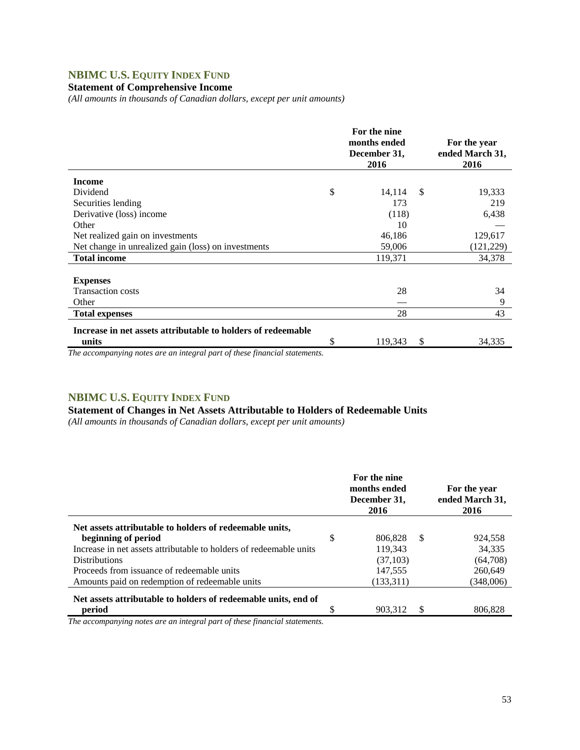# **NBIMC U.S. EQUITY INDEX FUND**

### **Statement of Comprehensive Income**

*(All amounts in thousands of Canadian dollars, except per unit amounts)* 

|                                                              | For the nine<br>months ended<br>December 31,<br>2016 |              | For the year<br>ended March 31,<br>2016 |
|--------------------------------------------------------------|------------------------------------------------------|--------------|-----------------------------------------|
| <b>Income</b>                                                |                                                      |              |                                         |
| Dividend                                                     | \$<br>14,114                                         | $\mathbb{S}$ | 19,333                                  |
| Securities lending                                           | 173                                                  |              | 219                                     |
| Derivative (loss) income                                     | (118)                                                |              | 6,438                                   |
| Other                                                        | 10                                                   |              |                                         |
| Net realized gain on investments                             | 46,186                                               |              | 129,617                                 |
| Net change in unrealized gain (loss) on investments          | 59,006                                               |              | (121, 229)                              |
| <b>Total income</b>                                          | 119,371                                              |              | 34,378                                  |
|                                                              |                                                      |              |                                         |
| <b>Expenses</b>                                              |                                                      |              |                                         |
| <b>Transaction costs</b>                                     | 28                                                   |              | 34                                      |
| Other                                                        |                                                      |              | 9                                       |
| <b>Total expenses</b>                                        | 28                                                   |              | 43                                      |
| Increase in net assets attributable to holders of redeemable |                                                      |              |                                         |
| units                                                        | \$<br>119,343                                        | S            | 34,335                                  |

*The accompanying notes are an integral part of these financial statements.*

### **NBIMC U.S. EQUITY INDEX FUND**

## **Statement of Changes in Net Assets Attributable to Holders of Redeemable Units**

*(All amounts in thousands of Canadian dollars, except per unit amounts)* 

|                                                                    | For the nine<br>months ended<br>December 31,<br>2016 |    | For the year<br>ended March 31,<br>2016 |
|--------------------------------------------------------------------|------------------------------------------------------|----|-----------------------------------------|
| Net assets attributable to holders of redeemable units,            |                                                      |    |                                         |
| beginning of period                                                | \$<br>806.828                                        | -8 | 924,558                                 |
| Increase in net assets attributable to holders of redeemable units | 119,343                                              |    | 34,335                                  |
| <b>Distributions</b>                                               | (37,103)                                             |    | (64,708)                                |
| Proceeds from issuance of redeemable units                         | 147,555                                              |    | 260,649                                 |
| Amounts paid on redemption of redeemable units                     | (133,311)                                            |    | (348,006)                               |
| Net assets attributable to holders of redeemable units, end of     |                                                      |    |                                         |
| period                                                             | 903.312                                              | S  | 806.828                                 |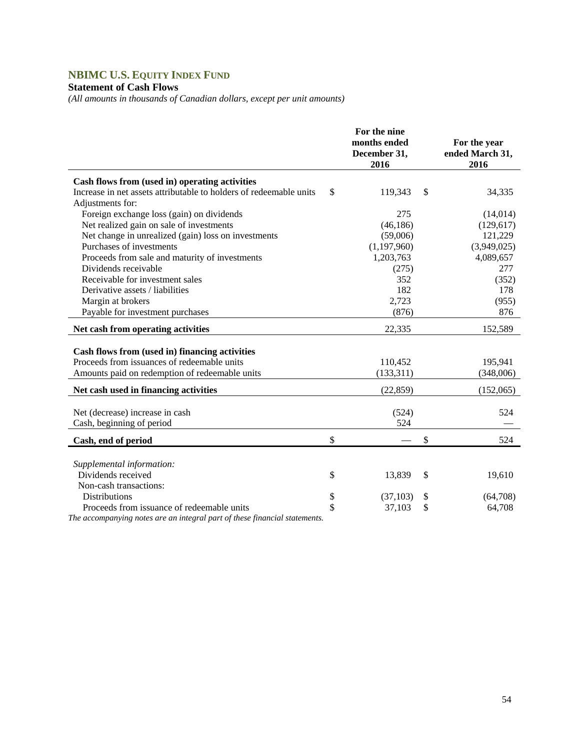# **NBIMC U.S. EQUITY INDEX FUND**

## **Statement of Cash Flows**

*(All amounts in thousands of Canadian dollars, except per unit amounts)* 

|                                                                                        | For the nine<br>months ended<br>December 31,<br>2016 | For the year<br>ended March 31,<br>2016 |
|----------------------------------------------------------------------------------------|------------------------------------------------------|-----------------------------------------|
| Cash flows from (used in) operating activities                                         |                                                      |                                         |
| Increase in net assets attributable to holders of redeemable units<br>Adjustments for: | \$<br>119,343                                        | \$<br>34,335                            |
| Foreign exchange loss (gain) on dividends                                              | 275                                                  | (14,014)                                |
| Net realized gain on sale of investments                                               | (46, 186)                                            | (129, 617)                              |
| Net change in unrealized (gain) loss on investments                                    | (59,006)                                             | 121,229                                 |
| Purchases of investments                                                               | (1, 197, 960)                                        | (3,949,025)                             |
| Proceeds from sale and maturity of investments                                         | 1,203,763                                            | 4,089,657                               |
| Dividends receivable                                                                   | (275)                                                | 277                                     |
| Receivable for investment sales                                                        | 352                                                  | (352)                                   |
| Derivative assets / liabilities                                                        | 182                                                  | 178                                     |
| Margin at brokers                                                                      | 2,723                                                | (955)                                   |
| Payable for investment purchases                                                       | (876)                                                | 876                                     |
| Net cash from operating activities                                                     | 22,335                                               | 152,589                                 |
| Cash flows from (used in) financing activities                                         |                                                      |                                         |
| Proceeds from issuances of redeemable units                                            | 110,452                                              | 195,941                                 |
| Amounts paid on redemption of redeemable units                                         | (133, 311)                                           | (348,006)                               |
|                                                                                        |                                                      |                                         |
| Net cash used in financing activities                                                  | (22, 859)                                            | (152,065)                               |
| Net (decrease) increase in cash                                                        | (524)                                                | 524                                     |
| Cash, beginning of period                                                              | 524                                                  |                                         |
| Cash, end of period                                                                    | \$                                                   | \$<br>524                               |
|                                                                                        |                                                      |                                         |
| Supplemental information:                                                              |                                                      |                                         |
| Dividends received                                                                     | \$<br>13,839                                         | \$<br>19,610                            |
| Non-cash transactions:                                                                 |                                                      |                                         |
| <b>Distributions</b>                                                                   | \$<br>(37, 103)                                      | \$<br>(64,708)                          |
| Proceeds from issuance of redeemable units                                             | \$<br>37,103                                         | \$<br>64,708                            |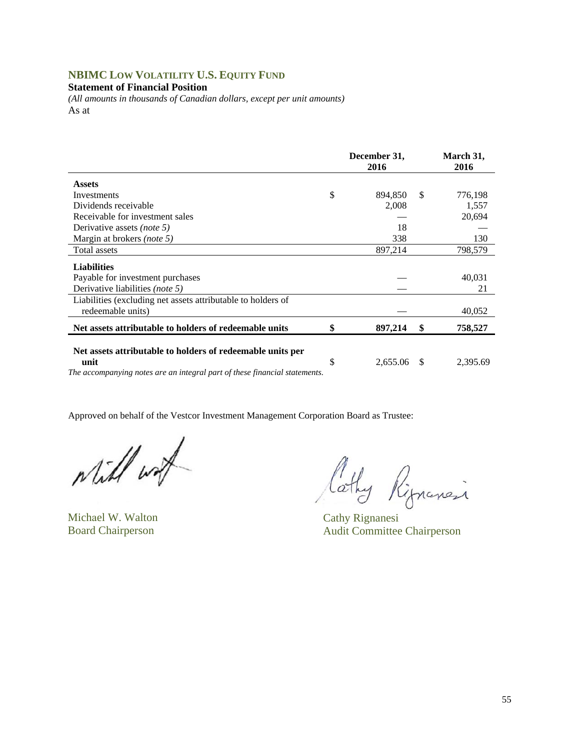## **NBIMC LOW VOLATILITY U.S. EQUITY FUND**

#### **Statement of Financial Position**

*(All amounts in thousands of Canadian dollars, except per unit amounts)*  As at

|                                                                                   | December 31,<br>2016 |      | March 31,<br>2016 |
|-----------------------------------------------------------------------------------|----------------------|------|-------------------|
| <b>Assets</b>                                                                     |                      |      |                   |
| Investments                                                                       | \$<br>894,850        | S    | 776,198           |
| Dividends receivable                                                              | 2,008                |      | 1,557             |
| Receivable for investment sales                                                   |                      |      | 20,694            |
| Derivative assets (note 5)                                                        | 18                   |      |                   |
| Margin at brokers (note 5)                                                        | 338                  |      | 130               |
| Total assets                                                                      | 897,214              |      | 798,579           |
| <b>Liabilities</b>                                                                |                      |      |                   |
| Payable for investment purchases                                                  |                      |      | 40,031            |
| Derivative liabilities <i>(note 5)</i>                                            |                      |      | 21                |
| Liabilities (excluding net assets attributable to holders of<br>redeemable units) |                      |      | 40,052            |
| Net assets attributable to holders of redeemable units                            | \$<br>897,214        | \$   | 758,527           |
| Net assets attributable to holders of redeemable units per<br>unit                | \$<br>2,655.06       | - \$ | 2,395.69          |
| The accompanying notes are an integral part of these financial statements.        |                      |      |                   |

Will wat

Michael W. Walton Cathy Rignanesi

lathy Rignensi

Board Chairperson Audit Committee Chairperson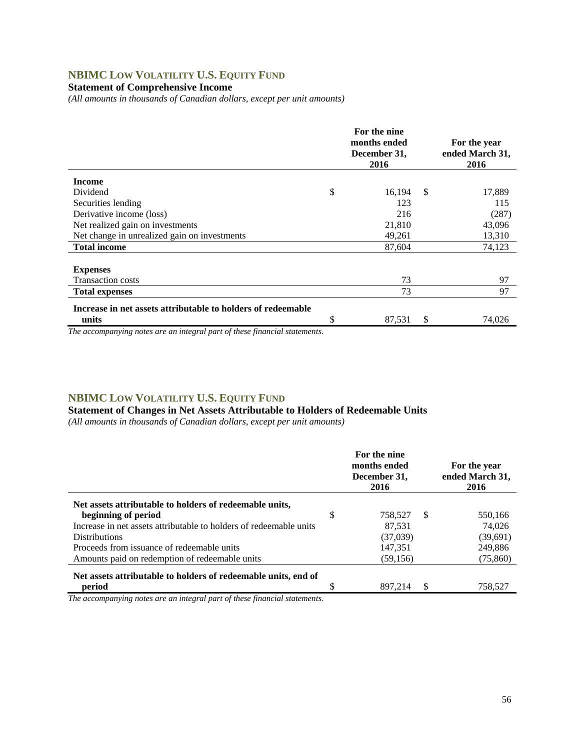# **NBIMC LOW VOLATILITY U.S. EQUITY FUND**

### **Statement of Comprehensive Income**

*(All amounts in thousands of Canadian dollars, except per unit amounts)* 

|                                                              | For the nine<br>months ended<br>December 31,<br>2016 |               | For the year<br>ended March 31,<br>2016 |
|--------------------------------------------------------------|------------------------------------------------------|---------------|-----------------------------------------|
| <b>Income</b>                                                |                                                      |               |                                         |
| Dividend                                                     | \$<br>16,194                                         | <sup>\$</sup> | 17,889                                  |
| Securities lending                                           | 123                                                  |               | 115                                     |
| Derivative income (loss)                                     | 216                                                  |               | (287)                                   |
| Net realized gain on investments                             | 21,810                                               |               | 43,096                                  |
| Net change in unrealized gain on investments                 | 49,261                                               |               | 13,310                                  |
| <b>Total income</b>                                          | 87,604                                               |               | 74,123                                  |
| <b>Expenses</b><br><b>Transaction costs</b>                  | 73                                                   |               | 97                                      |
| <b>Total expenses</b>                                        | 73                                                   |               | 97                                      |
| Increase in net assets attributable to holders of redeemable |                                                      |               |                                         |
| units                                                        | \$<br>87,531                                         | S             | 74,026                                  |

*The accompanying notes are an integral part of these financial statements.*

### **NBIMC LOW VOLATILITY U.S. EQUITY FUND**

**Statement of Changes in Net Assets Attributable to Holders of Redeemable Units** 

*(All amounts in thousands of Canadian dollars, except per unit amounts)* 

|                                                                    | For the nine<br>months ended<br>December 31,<br>2016 |    | For the year<br>ended March 31,<br>2016 |
|--------------------------------------------------------------------|------------------------------------------------------|----|-----------------------------------------|
| Net assets attributable to holders of redeemable units,            |                                                      |    |                                         |
| beginning of period                                                | \$<br>758.527                                        | -S | 550,166                                 |
| Increase in net assets attributable to holders of redeemable units | 87,531                                               |    | 74,026                                  |
| <b>Distributions</b>                                               | (37,039)                                             |    | (39,691)                                |
| Proceeds from issuance of redeemable units                         | 147,351                                              |    | 249,886                                 |
| Amounts paid on redemption of redeemable units                     | (59, 156)                                            |    | (75, 860)                               |
| Net assets attributable to holders of redeemable units, end of     |                                                      |    |                                         |
| period                                                             | 897.214                                              | S  | 758.527                                 |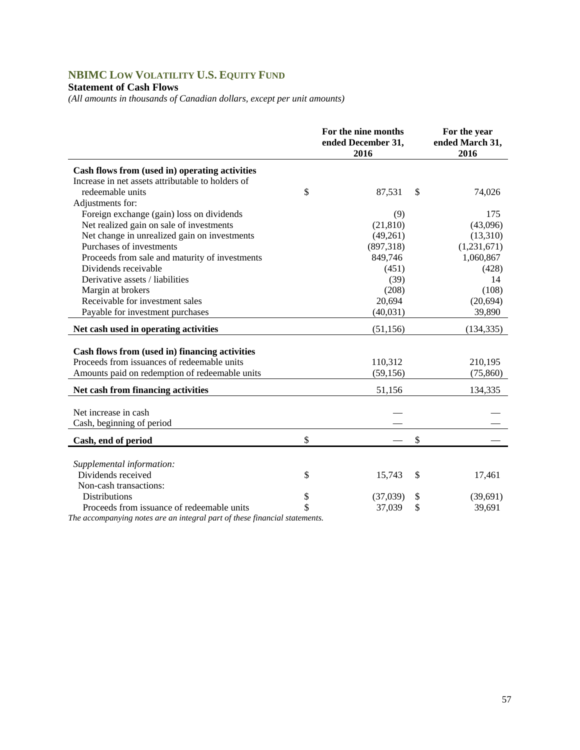# **NBIMC LOW VOLATILITY U.S. EQUITY FUND**

## **Statement of Cash Flows**

*(All amounts in thousands of Canadian dollars, except per unit amounts)* 

|                                                   | For the nine months<br>ended December 31,<br>2016 | For the year<br>ended March 31,<br>2016 |  |  |
|---------------------------------------------------|---------------------------------------------------|-----------------------------------------|--|--|
| Cash flows from (used in) operating activities    |                                                   |                                         |  |  |
| Increase in net assets attributable to holders of |                                                   |                                         |  |  |
| redeemable units                                  | \$<br>87,531                                      | \$<br>74,026                            |  |  |
| Adjustments for:                                  |                                                   |                                         |  |  |
| Foreign exchange (gain) loss on dividends         | (9)                                               | 175                                     |  |  |
| Net realized gain on sale of investments          | (21, 810)                                         | (43,096)                                |  |  |
| Net change in unrealized gain on investments      | (49,261)                                          | (13,310)                                |  |  |
| Purchases of investments                          | (897,318)                                         | (1,231,671)                             |  |  |
| Proceeds from sale and maturity of investments    | 849,746                                           | 1,060,867                               |  |  |
| Dividends receivable                              | (451)                                             | (428)                                   |  |  |
| Derivative assets / liabilities                   | (39)                                              | 14                                      |  |  |
| Margin at brokers                                 | (208)                                             | (108)                                   |  |  |
| Receivable for investment sales                   | 20,694                                            | (20, 694)                               |  |  |
| Payable for investment purchases                  | (40, 031)                                         | 39,890                                  |  |  |
| Net cash used in operating activities             | (51, 156)                                         | (134, 335)                              |  |  |
|                                                   |                                                   |                                         |  |  |
| Cash flows from (used in) financing activities    |                                                   |                                         |  |  |
| Proceeds from issuances of redeemable units       | 110,312                                           | 210,195                                 |  |  |
| Amounts paid on redemption of redeemable units    | (59, 156)                                         | (75,860)                                |  |  |
| Net cash from financing activities                | 51,156                                            | 134,335                                 |  |  |
| Net increase in cash                              |                                                   |                                         |  |  |
| Cash, beginning of period                         |                                                   |                                         |  |  |
|                                                   |                                                   |                                         |  |  |
| Cash, end of period                               | \$                                                | \$                                      |  |  |
|                                                   |                                                   |                                         |  |  |
| Supplemental information:                         |                                                   |                                         |  |  |
| Dividends received                                | \$<br>15,743                                      | \$<br>17,461                            |  |  |
| Non-cash transactions:                            |                                                   |                                         |  |  |
| <b>Distributions</b>                              | \$<br>(37,039)                                    | \$<br>(39,691)                          |  |  |
| Proceeds from issuance of redeemable units        | \$<br>37,039                                      | \$<br>39,691                            |  |  |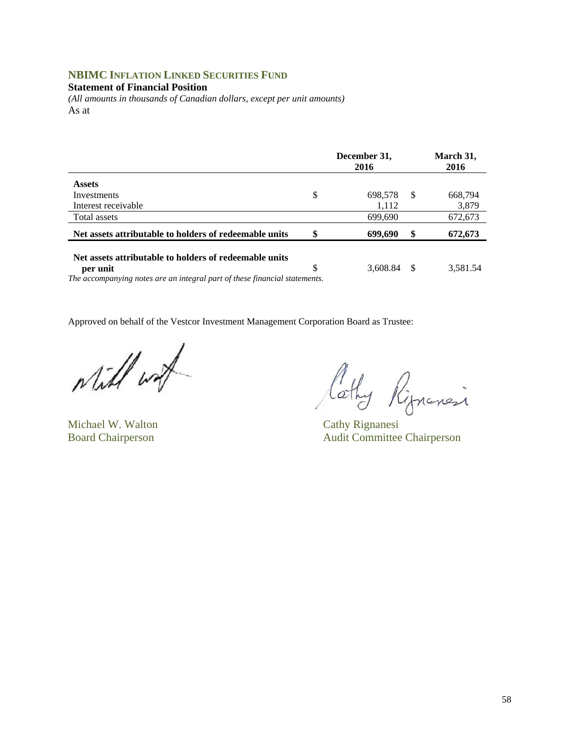## **NBIMC INFLATION LINKED SECURITIES FUND**

#### **Statement of Financial Position**

*(All amounts in thousands of Canadian dollars, except per unit amounts)*  As at

|                                                                            | December 31,<br>2016 |    | March 31,<br>2016 |
|----------------------------------------------------------------------------|----------------------|----|-------------------|
| <b>Assets</b>                                                              |                      |    |                   |
| Investments                                                                | \$<br>698.578        | -S | 668,794           |
| Interest receivable                                                        | 1,112                |    | 3,879             |
| Total assets                                                               | 699,690              |    | 672,673           |
| Net assets attributable to holders of redeemable units                     | \$<br>699,690        | \$ | 672,673           |
| Net assets attributable to holders of redeemable units                     |                      |    |                   |
| per unit                                                                   | \$<br>3,608.84       |    | 3,581.54          |
| The accompanying notes are an integral part of these financial statements. |                      |    |                   |

will work

Michael W. Walton Cathy Rignanesi

lathy Rippensi

Board Chairperson Audit Committee Chairperson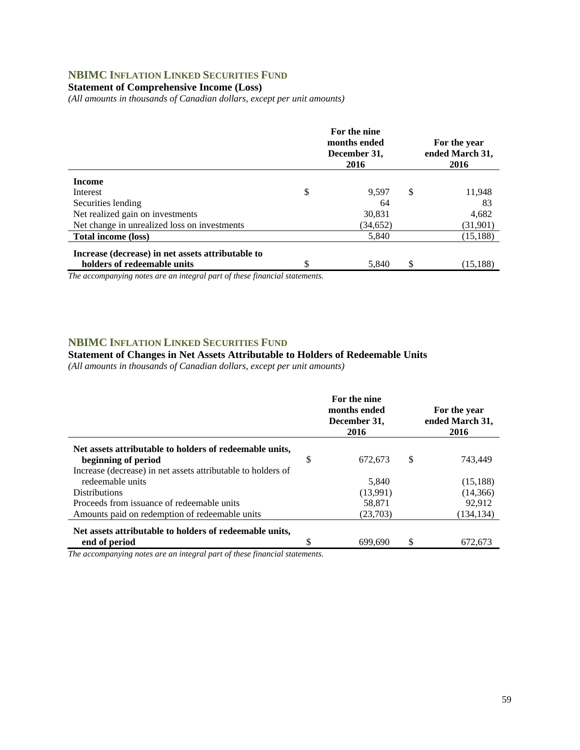## **NBIMC INFLATION LINKED SECURITIES FUND**

### **Statement of Comprehensive Income (Loss)**

*(All amounts in thousands of Canadian dollars, except per unit amounts)* 

|                                                   | For the nine<br>months ended<br>December 31,<br>2016 | For the year<br>ended March 31,<br>2016 |
|---------------------------------------------------|------------------------------------------------------|-----------------------------------------|
| <b>Income</b>                                     |                                                      |                                         |
| Interest                                          | \$<br>9.597                                          | \$<br>11,948                            |
| Securities lending                                | 64                                                   | 83                                      |
| Net realized gain on investments                  | 30,831                                               | 4,682                                   |
| Net change in unrealized loss on investments      | (34, 652)                                            | (31,901)                                |
| Total income (loss)                               | 5,840                                                | (15, 188)                               |
| Increase (decrease) in net assets attributable to |                                                      |                                         |
| holders of redeemable units                       | 5.840                                                | (15, 188)                               |

*The accompanying notes are an integral part of these financial statements.*

#### **NBIMC INFLATION LINKED SECURITIES FUND**

#### **Statement of Changes in Net Assets Attributable to Holders of Redeemable Units**

*(All amounts in thousands of Canadian dollars, except per unit amounts)* 

|                                                              |   | For the nine<br>months ended<br>December 31,<br>2016 |   | For the year<br>ended March 31,<br>2016 |
|--------------------------------------------------------------|---|------------------------------------------------------|---|-----------------------------------------|
| Net assets attributable to holders of redeemable units,      |   |                                                      |   |                                         |
| beginning of period                                          | S | 672.673                                              | S | 743.449                                 |
| Increase (decrease) in net assets attributable to holders of |   |                                                      |   |                                         |
| redeemable units                                             |   | 5.840                                                |   | (15, 188)                               |
| <b>Distributions</b>                                         |   | (13,991)                                             |   | (14,366)                                |
| Proceeds from issuance of redeemable units                   |   | 58,871                                               |   | 92.912                                  |
| Amounts paid on redemption of redeemable units               |   | (23,703)                                             |   | (134, 134)                              |
| Net assets attributable to holders of redeemable units,      |   |                                                      |   |                                         |
| end of period                                                | S | 699.690                                              | S | 672.673                                 |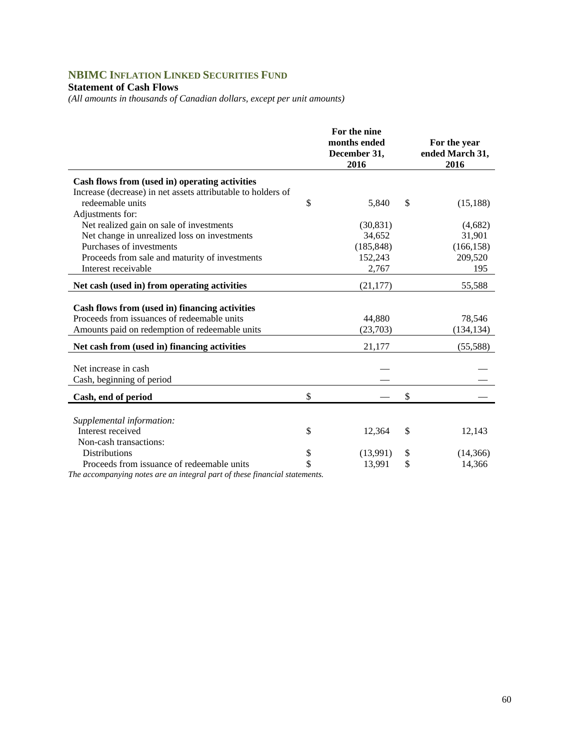# **NBIMC INFLATION LINKED SECURITIES FUND**

### **Statement of Cash Flows**

*(All amounts in thousands of Canadian dollars, except per unit amounts)* 

|                                                              | For the nine<br>months ended<br>December 31,<br>2016 | For the year<br>ended March 31,<br>2016 |
|--------------------------------------------------------------|------------------------------------------------------|-----------------------------------------|
| Cash flows from (used in) operating activities               |                                                      |                                         |
| Increase (decrease) in net assets attributable to holders of |                                                      |                                         |
| redeemable units                                             | \$<br>5,840                                          | \$<br>(15, 188)                         |
| Adjustments for:                                             |                                                      |                                         |
| Net realized gain on sale of investments                     | (30, 831)                                            | (4,682)                                 |
| Net change in unrealized loss on investments                 | 34,652                                               | 31,901                                  |
| Purchases of investments                                     | (185, 848)                                           | (166, 158)                              |
| Proceeds from sale and maturity of investments               | 152,243                                              | 209,520                                 |
| Interest receivable                                          | 2,767                                                | 195                                     |
| Net cash (used in) from operating activities                 | (21, 177)                                            | 55,588                                  |
| Cash flows from (used in) financing activities               |                                                      |                                         |
| Proceeds from issuances of redeemable units                  | 44,880                                               | 78,546                                  |
| Amounts paid on redemption of redeemable units               | (23,703)                                             | (134, 134)                              |
| Net cash from (used in) financing activities                 | 21,177                                               | (55,588)                                |
| Net increase in cash                                         |                                                      |                                         |
| Cash, beginning of period                                    |                                                      |                                         |
|                                                              |                                                      |                                         |
| Cash, end of period                                          | \$                                                   | \$                                      |
|                                                              |                                                      |                                         |
| Supplemental information:                                    |                                                      |                                         |
| Interest received                                            | \$<br>12,364                                         | \$<br>12,143                            |
| Non-cash transactions:                                       |                                                      |                                         |
| <b>Distributions</b>                                         | \$<br>(13,991)                                       | \$<br>(14, 366)                         |
| Proceeds from issuance of redeemable units                   | \$<br>13,991                                         | \$<br>14,366                            |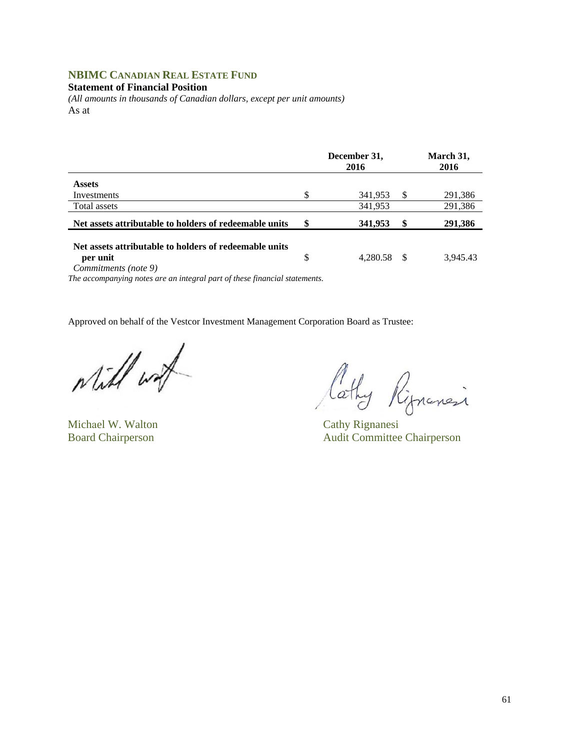## **NBIMC CANADIAN REAL ESTATE FUND**

#### **Statement of Financial Position**

*(All amounts in thousands of Canadian dollars, except per unit amounts)*  As at

|                                                        |    | December 31,<br>2016 |    | March 31,<br>2016 |
|--------------------------------------------------------|----|----------------------|----|-------------------|
| <b>Assets</b>                                          |    |                      |    |                   |
| Investments                                            |    | 341,953              | -S | 291,386           |
| Total assets                                           |    | 341,953              |    | 291,386           |
| Net assets attributable to holders of redeemable units | S  | 341,953              | \$ | 291,386           |
| Net assets attributable to holders of redeemable units |    |                      |    |                   |
| per unit                                               | \$ | 4.280.58             |    | 3.945.43          |

*Commitments (note 9)* 

*The accompanying notes are an integral part of these financial statements.* 

while work

Michael W. Walton Cathy Rignanesi

Cathy Ripnanci

Board Chairperson Audit Committee Chairperson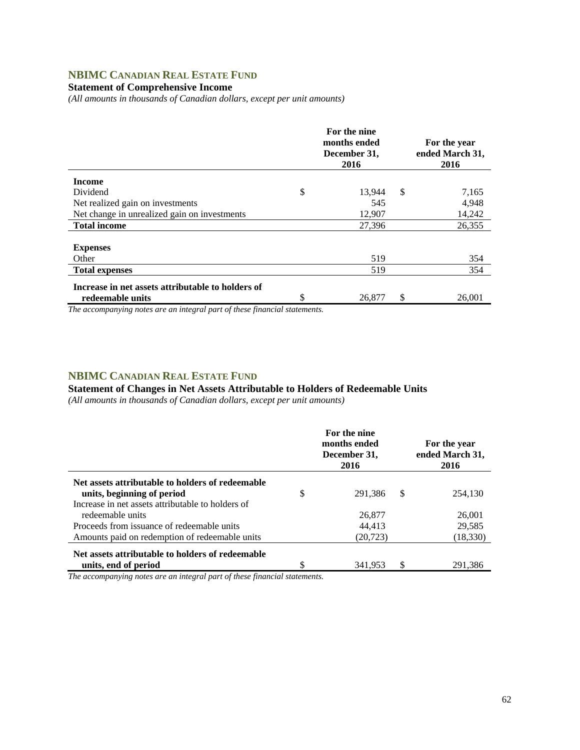## **NBIMC CANADIAN REAL ESTATE FUND**

## **Statement of Comprehensive Income**

*(All amounts in thousands of Canadian dollars, except per unit amounts)* 

|                                                   | For the nine<br>months ended<br>December 31,<br>2016 | For the year<br>ended March 31,<br>2016 |
|---------------------------------------------------|------------------------------------------------------|-----------------------------------------|
| <b>Income</b>                                     |                                                      |                                         |
| Dividend                                          | \$<br>13,944                                         | \$<br>7,165                             |
| Net realized gain on investments                  | 545                                                  | 4,948                                   |
| Net change in unrealized gain on investments      | 12,907                                               | 14,242                                  |
| <b>Total income</b>                               | 27,396                                               | 26.355                                  |
|                                                   |                                                      |                                         |
| <b>Expenses</b>                                   |                                                      |                                         |
| Other                                             | 519                                                  | 354                                     |
| <b>Total expenses</b>                             | 519                                                  | 354                                     |
| Increase in net assets attributable to holders of |                                                      |                                         |
| redeemable units                                  | \$<br>26,877                                         | \$<br>26,001                            |
|                                                   |                                                      |                                         |

*The accompanying notes are an integral part of these financial statements.*

### **NBIMC CANADIAN REAL ESTATE FUND**

#### **Statement of Changes in Net Assets Attributable to Holders of Redeemable Units**

*(All amounts in thousands of Canadian dollars, except per unit amounts)* 

|                                                                                              | For the nine<br>months ended<br>December 31,<br>2016 |   | For the year<br>ended March 31,<br>2016 |
|----------------------------------------------------------------------------------------------|------------------------------------------------------|---|-----------------------------------------|
| Net assets attributable to holders of redeemable<br>units, beginning of period               | \$<br>291.386                                        | S | 254,130                                 |
| Increase in net assets attributable to holders of<br>redeemable units                        | 26,877                                               |   | 26,001                                  |
| Proceeds from issuance of redeemable units<br>Amounts paid on redemption of redeemable units | 44.413<br>(20, 723)                                  |   | 29,585<br>(18, 330)                     |
| Net assets attributable to holders of redeemable<br>units, end of period                     | \$<br>341,953                                        |   | 291,386                                 |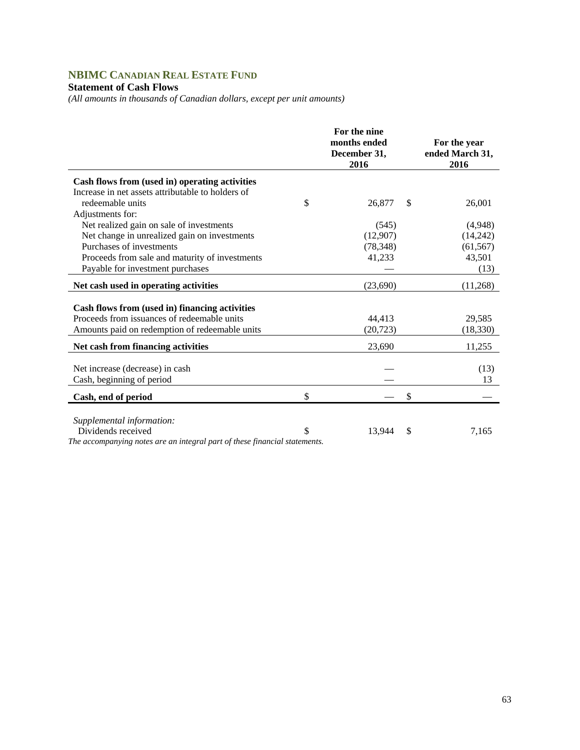# **NBIMC CANADIAN REAL ESTATE FUND**

### **Statement of Cash Flows**

*(All amounts in thousands of Canadian dollars, except per unit amounts)* 

|                                                                            | For the nine<br>months ended<br>December 31,<br>2016 | For the year<br>ended March 31,<br>2016 |
|----------------------------------------------------------------------------|------------------------------------------------------|-----------------------------------------|
| Cash flows from (used in) operating activities                             |                                                      |                                         |
| Increase in net assets attributable to holders of                          |                                                      |                                         |
| redeemable units                                                           | \$<br>26,877                                         | \$<br>26,001                            |
| Adjustments for:                                                           |                                                      |                                         |
| Net realized gain on sale of investments                                   | (545)                                                | (4,948)                                 |
| Net change in unrealized gain on investments                               | (12,907)                                             | (14,242)                                |
| Purchases of investments                                                   | (78, 348)                                            | (61, 567)                               |
| Proceeds from sale and maturity of investments                             | 41,233                                               | 43,501                                  |
| Payable for investment purchases                                           |                                                      | (13)                                    |
| Net cash used in operating activities                                      | (23,690)                                             | (11,268)                                |
| Cash flows from (used in) financing activities                             |                                                      |                                         |
| Proceeds from issuances of redeemable units                                | 44,413                                               | 29,585                                  |
| Amounts paid on redemption of redeemable units                             | (20, 723)                                            | (18, 330)                               |
| Net cash from financing activities                                         | 23,690                                               | 11,255                                  |
|                                                                            |                                                      |                                         |
| Net increase (decrease) in cash                                            |                                                      | (13)                                    |
| Cash, beginning of period                                                  |                                                      | 13                                      |
| Cash, end of period                                                        | \$                                                   | \$                                      |
| Supplemental information:                                                  |                                                      |                                         |
| Dividends received                                                         | \$<br>13,944                                         | \$<br>7,165                             |
| The accompanying notes are an integral part of these financial statements. |                                                      |                                         |

63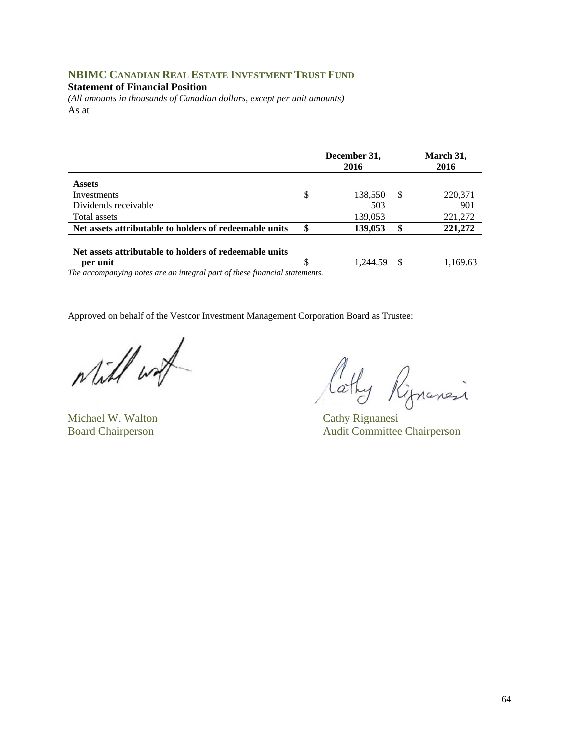## **NBIMC CANADIAN REAL ESTATE INVESTMENT TRUST FUND**

#### **Statement of Financial Position**

*(All amounts in thousands of Canadian dollars, except per unit amounts)*  As at

| December 31,<br>2016 |                                                                                       | March 31,<br>2016 |  |
|----------------------|---------------------------------------------------------------------------------------|-------------------|--|
|                      |                                                                                       |                   |  |
|                      |                                                                                       | 220,371           |  |
| 503                  |                                                                                       | 901               |  |
| 139,053              |                                                                                       | 221,272           |  |
| \$<br>139,053        | \$                                                                                    | 221,272           |  |
| \$<br>1.244.59       | - \$                                                                                  | 1,169.63          |  |
| \$                   | 138,550<br>The accompanying notes are an integral part of these financial statements. | -S                |  |

while wat

Michael W. Walton Cathy Rignanesi

Cathy Rignancia

Board Chairperson Audit Committee Chairperson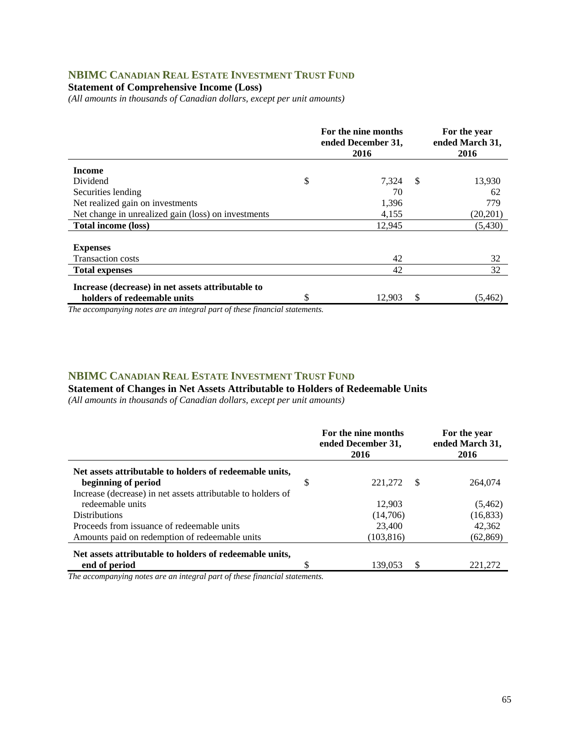### **NBIMC CANADIAN REAL ESTATE INVESTMENT TRUST FUND**

#### **Statement of Comprehensive Income (Loss)**

*(All amounts in thousands of Canadian dollars, except per unit amounts)* 

|                                                     | For the nine months<br>ended December 31,<br>2016 |               | For the year<br>ended March 31,<br>2016 |
|-----------------------------------------------------|---------------------------------------------------|---------------|-----------------------------------------|
| <b>Income</b>                                       |                                                   |               |                                         |
| Dividend                                            | \$<br>7,324                                       | <sup>\$</sup> | 13,930                                  |
| Securities lending                                  | 70                                                |               | 62                                      |
| Net realized gain on investments                    | 1,396                                             |               | 779                                     |
| Net change in unrealized gain (loss) on investments | 4,155                                             |               | (20, 201)                               |
| <b>Total income (loss)</b>                          | 12,945                                            |               | (5,430)                                 |
|                                                     |                                                   |               |                                         |
| <b>Expenses</b>                                     |                                                   |               |                                         |
| <b>Transaction costs</b>                            | 42                                                |               | 32                                      |
| <b>Total expenses</b>                               | 42                                                |               | 32                                      |
| Increase (decrease) in net assets attributable to   |                                                   |               |                                         |
| holders of redeemable units                         | \$<br>12,903                                      | \$            | (5,462)                                 |

*The accompanying notes are an integral part of these financial statements.*

#### **NBIMC CANADIAN REAL ESTATE INVESTMENT TRUST FUND**

**Statement of Changes in Net Assets Attributable to Holders of Redeemable Units** 

*(All amounts in thousands of Canadian dollars, except per unit amounts)* 

|                                                              |    | For the nine months<br>ended December 31,<br>2016 |   | For the year<br>ended March 31,<br>2016 |
|--------------------------------------------------------------|----|---------------------------------------------------|---|-----------------------------------------|
| Net assets attributable to holders of redeemable units,      |    |                                                   |   |                                         |
| beginning of period                                          | \$ | 221,272                                           | S | 264,074                                 |
| Increase (decrease) in net assets attributable to holders of |    |                                                   |   |                                         |
| redeemable units                                             |    | 12,903                                            |   | (5,462)                                 |
| <b>Distributions</b>                                         |    | (14,706)                                          |   | (16, 833)                               |
| Proceeds from issuance of redeemable units                   |    | 23,400                                            |   | 42,362                                  |
| Amounts paid on redemption of redeemable units               |    | (103, 816)                                        |   | (62, 869)                               |
| Net assets attributable to holders of redeemable units,      |    |                                                   |   |                                         |
| end of period                                                | S  | 139.053                                           | S | 221.272                                 |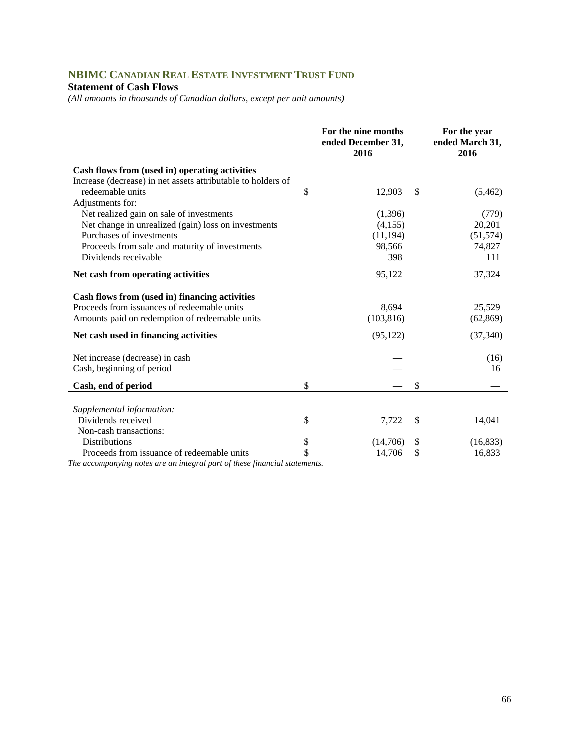# **NBIMC CANADIAN REAL ESTATE INVESTMENT TRUST FUND**

#### **Statement of Cash Flows**

*(All amounts in thousands of Canadian dollars, except per unit amounts)* 

|                                                                                                                                                 | For the nine months<br>ended December 31,<br>2016 |    | For the year<br>ended March 31,<br>2016 |
|-------------------------------------------------------------------------------------------------------------------------------------------------|---------------------------------------------------|----|-----------------------------------------|
| Cash flows from (used in) operating activities                                                                                                  |                                                   |    |                                         |
| Increase (decrease) in net assets attributable to holders of                                                                                    |                                                   |    |                                         |
| redeemable units                                                                                                                                | \$<br>12,903                                      | \$ | (5,462)                                 |
| Adjustments for:                                                                                                                                |                                                   |    |                                         |
| Net realized gain on sale of investments                                                                                                        | (1,396)                                           |    | (779)                                   |
| Net change in unrealized (gain) loss on investments                                                                                             | (4,155)                                           |    | 20,201                                  |
| Purchases of investments                                                                                                                        | (11, 194)                                         |    | (51, 574)                               |
| Proceeds from sale and maturity of investments                                                                                                  | 98,566                                            |    | 74,827                                  |
| Dividends receivable                                                                                                                            | 398                                               |    | 111                                     |
| Net cash from operating activities                                                                                                              | 95,122                                            |    | 37,324                                  |
| Cash flows from (used in) financing activities<br>Proceeds from issuances of redeemable units<br>Amounts paid on redemption of redeemable units | 8,694<br>(103, 816)                               |    | 25,529<br>(62, 869)                     |
| Net cash used in financing activities                                                                                                           | (95, 122)                                         |    | (37, 340)                               |
| Net increase (decrease) in cash<br>Cash, beginning of period                                                                                    |                                                   |    | (16)<br>16                              |
| Cash, end of period                                                                                                                             | \$                                                | \$ |                                         |
|                                                                                                                                                 |                                                   |    |                                         |
| Supplemental information:                                                                                                                       |                                                   |    |                                         |
| Dividends received                                                                                                                              | \$<br>7,722                                       | \$ | 14,041                                  |
| Non-cash transactions:                                                                                                                          |                                                   |    |                                         |
| <b>Distributions</b>                                                                                                                            | \$<br>(14,706)                                    | S  | (16, 833)                               |
| Proceeds from issuance of redeemable units                                                                                                      | \$<br>14,706                                      | \$ | 16,833                                  |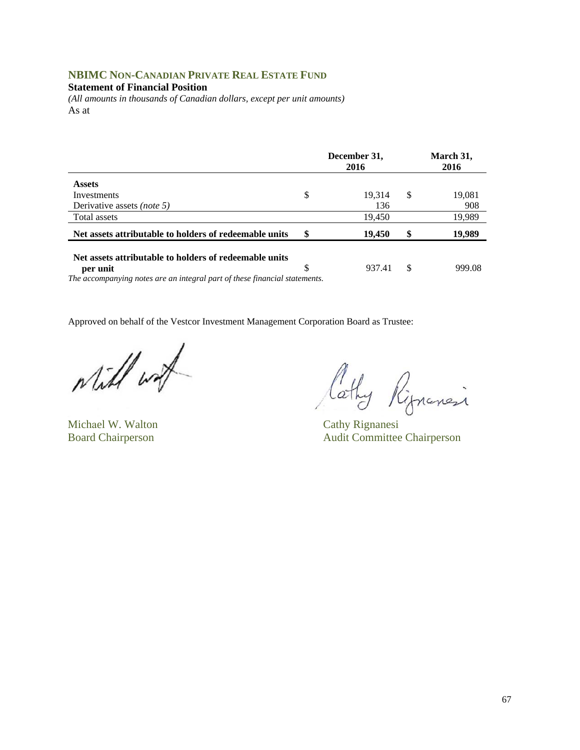## **NBIMC NON-CANADIAN PRIVATE REAL ESTATE FUND**

**Statement of Financial Position** 

*(All amounts in thousands of Canadian dollars, except per unit amounts)*  As at

|                                                                            | December 31,<br>2016 |    | March 31,<br>2016 |
|----------------------------------------------------------------------------|----------------------|----|-------------------|
| <b>Assets</b>                                                              |                      |    |                   |
| Investments                                                                | \$<br>19.314         | S  | 19,081            |
| Derivative assets <i>(note 5)</i>                                          | 136                  |    | 908               |
| Total assets                                                               | 19,450               |    | 19,989            |
| Net assets attributable to holders of redeemable units                     | \$<br>19,450         | \$ | 19,989            |
| Net assets attributable to holders of redeemable units                     |                      |    |                   |
| per unit                                                                   | \$<br>937.41         | \$ | 999.08            |
| The accompanying notes are an integral part of these financial statements. |                      |    |                   |

will work

Michael W. Walton Cathy Rignanesi

Cathy Rignancia

Board Chairperson Audit Committee Chairperson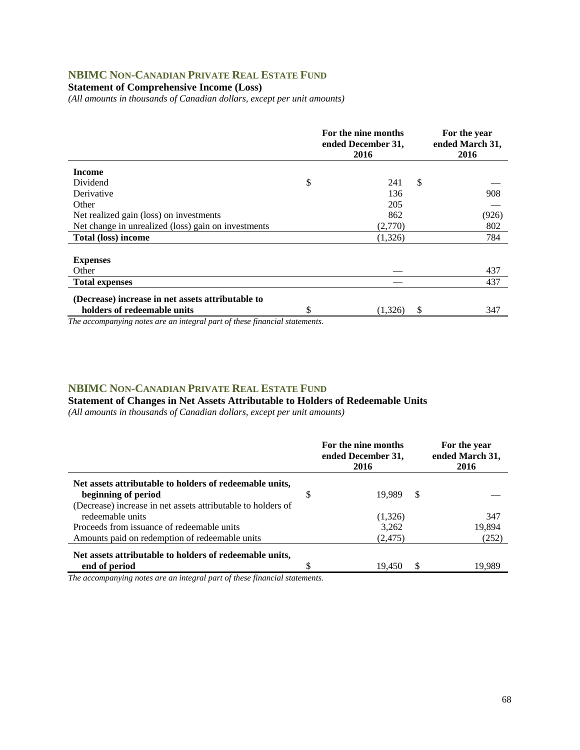## **NBIMC NON-CANADIAN PRIVATE REAL ESTATE FUND**

### **Statement of Comprehensive Income (Loss)**

*(All amounts in thousands of Canadian dollars, except per unit amounts)* 

|                                                     | For the nine months<br>ended December 31,<br>2016 |    | For the year<br>ended March 31,<br>2016 |
|-----------------------------------------------------|---------------------------------------------------|----|-----------------------------------------|
| <b>Income</b>                                       |                                                   |    |                                         |
| Dividend                                            | \$<br>241                                         | \$ |                                         |
| Derivative                                          | 136                                               |    | 908                                     |
| Other                                               | 205                                               |    |                                         |
| Net realized gain (loss) on investments             | 862                                               |    | (926)                                   |
| Net change in unrealized (loss) gain on investments | (2,770)                                           |    | 802                                     |
| <b>Total (loss) income</b>                          | (1,326)                                           |    | 784                                     |
|                                                     |                                                   |    |                                         |
| <b>Expenses</b>                                     |                                                   |    |                                         |
| Other                                               |                                                   |    | 437                                     |
| <b>Total expenses</b>                               |                                                   |    | 437                                     |
| (Decrease) increase in net assets attributable to   |                                                   |    |                                         |
| holders of redeemable units                         | \$<br>(1,326)                                     | S  | 347                                     |

*The accompanying notes are an integral part of these financial statements.*

#### **NBIMC NON-CANADIAN PRIVATE REAL ESTATE FUND**

**Statement of Changes in Net Assets Attributable to Holders of Redeemable Units** 

*(All amounts in thousands of Canadian dollars, except per unit amounts)* 

|                                                              |   | For the nine months<br>ended December 31,<br>2016 | For the year<br>ended March 31,<br>2016 |        |
|--------------------------------------------------------------|---|---------------------------------------------------|-----------------------------------------|--------|
| Net assets attributable to holders of redeemable units,      |   |                                                   |                                         |        |
| beginning of period                                          | S | 19.989                                            | S                                       |        |
| (Decrease) increase in net assets attributable to holders of |   |                                                   |                                         |        |
| redeemable units                                             |   | (1,326)                                           |                                         | 347    |
| Proceeds from issuance of redeemable units                   |   | 3,262                                             |                                         | 19,894 |
| Amounts paid on redemption of redeemable units               |   | (2, 475)                                          |                                         | (252)  |
| Net assets attributable to holders of redeemable units,      |   |                                                   |                                         |        |
| end of period                                                |   | 19.450                                            |                                         | 19.989 |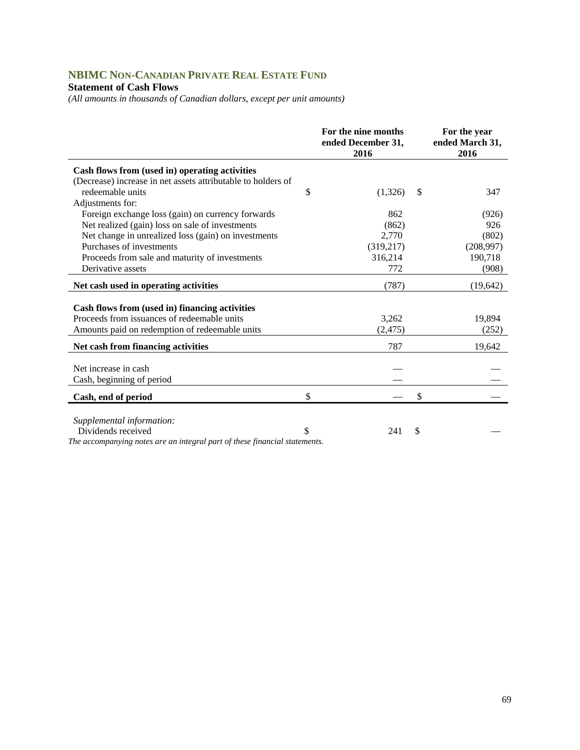# **NBIMC NON-CANADIAN PRIVATE REAL ESTATE FUND**

### **Statement of Cash Flows**

*(All amounts in thousands of Canadian dollars, except per unit amounts)* 

|                                                                             | For the nine months<br>ended December 31,<br>2016 |    | For the year<br>ended March 31,<br>2016 |
|-----------------------------------------------------------------------------|---------------------------------------------------|----|-----------------------------------------|
| Cash flows from (used in) operating activities                              |                                                   |    |                                         |
| (Decrease) increase in net assets attributable to holders of                |                                                   |    |                                         |
| redeemable units                                                            | \$<br>(1,326)                                     | \$ | 347                                     |
| Adjustments for:                                                            |                                                   |    |                                         |
| Foreign exchange loss (gain) on currency forwards                           | 862                                               |    | (926)                                   |
| Net realized (gain) loss on sale of investments                             | (862)                                             |    | 926                                     |
| Net change in unrealized loss (gain) on investments                         | 2,770                                             |    | (802)                                   |
| Purchases of investments                                                    | (319,217)                                         |    | (208,997)                               |
| Proceeds from sale and maturity of investments                              | 316,214                                           |    | 190,718                                 |
| Derivative assets                                                           | 772                                               |    | (908)                                   |
| Net cash used in operating activities                                       | (787)                                             |    | (19, 642)                               |
|                                                                             |                                                   |    |                                         |
| Cash flows from (used in) financing activities                              |                                                   |    |                                         |
| Proceeds from issuances of redeemable units                                 | 3,262                                             |    | 19,894                                  |
| Amounts paid on redemption of redeemable units                              | (2, 475)                                          |    | (252)                                   |
| Net cash from financing activities                                          | 787                                               |    | 19,642                                  |
|                                                                             |                                                   |    |                                         |
| Net increase in cash                                                        |                                                   |    |                                         |
| Cash, beginning of period                                                   |                                                   |    |                                         |
| Cash, end of period                                                         | \$                                                | \$ |                                         |
|                                                                             |                                                   |    |                                         |
| Supplemental information:                                                   |                                                   |    |                                         |
| Dividends received<br>$\cdots$ $\cdots$ $\cdots$ $\cdots$ $\cdots$ $\cdots$ | \$<br>241                                         | S  |                                         |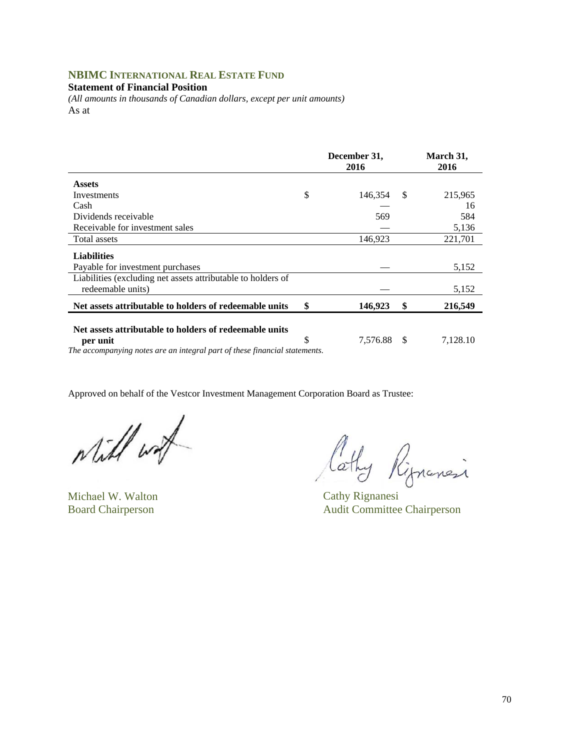## **NBIMC INTERNATIONAL REAL ESTATE FUND**

#### **Statement of Financial Position**

*(All amounts in thousands of Canadian dollars, except per unit amounts)*  As at

|                                                                                                                                                  | December 31,<br>2016 |    | March 31,<br>2016 |
|--------------------------------------------------------------------------------------------------------------------------------------------------|----------------------|----|-------------------|
| <b>Assets</b>                                                                                                                                    |                      |    |                   |
| Investments                                                                                                                                      | \$<br>146,354        | S  | 215,965           |
| Cash                                                                                                                                             |                      |    | 16                |
| Dividends receivable                                                                                                                             | 569                  |    | 584               |
| Receivable for investment sales                                                                                                                  |                      |    | 5,136             |
| Total assets                                                                                                                                     | 146,923              |    | 221,701           |
| <b>Liabilities</b>                                                                                                                               |                      |    |                   |
| Payable for investment purchases                                                                                                                 |                      |    | 5,152             |
| Liabilities (excluding net assets attributable to holders of<br>redeemable units)                                                                |                      |    | 5,152             |
| Net assets attributable to holders of redeemable units                                                                                           | \$<br>146,923        | \$ | 216,549           |
| Net assets attributable to holders of redeemable units<br>per unit<br>The governmenting using our on integral near of these formately statements | \$<br>7,576.88       | S  | 7,128.10          |

*The accompanying notes are an integral part of these financial statements.* 

Will wat

Michael W. Walton Cathy Rignanesi

lathy Rippensi

Board Chairperson Audit Committee Chairperson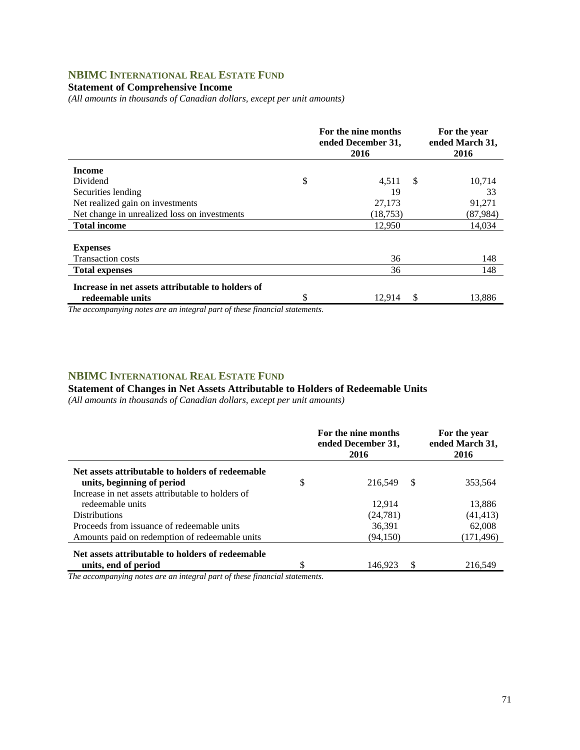## **NBIMC INTERNATIONAL REAL ESTATE FUND**

### **Statement of Comprehensive Income**

*(All amounts in thousands of Canadian dollars, except per unit amounts)* 

| 2016         |                                           | For the year<br>ended March 31,<br>2016 |
|--------------|-------------------------------------------|-----------------------------------------|
|              |                                           |                                         |
| \$<br>4,511  | -S                                        | 10,714                                  |
| 19           |                                           | 33                                      |
| 27,173       |                                           | 91,271                                  |
| (18, 753)    |                                           | (87,984)                                |
| 12,950       |                                           | 14,034                                  |
|              |                                           |                                         |
|              |                                           |                                         |
| 36           |                                           | 148                                     |
| 36           |                                           | 148                                     |
|              |                                           |                                         |
| \$<br>12.914 |                                           | 13,886                                  |
|              | For the nine months<br>ended December 31, |                                         |

*The accompanying notes are an integral part of these financial statements.*

### **NBIMC INTERNATIONAL REAL ESTATE FUND**

### **Statement of Changes in Net Assets Attributable to Holders of Redeemable Units**

*(All amounts in thousands of Canadian dollars, except per unit amounts)* 

|                                                                                | For the nine months<br>ended December 31,<br>2016 |   | For the year<br>ended March 31,<br>2016 |
|--------------------------------------------------------------------------------|---------------------------------------------------|---|-----------------------------------------|
| Net assets attributable to holders of redeemable<br>units, beginning of period | \$<br>216.549                                     | S | 353.564                                 |
| Increase in net assets attributable to holders of                              |                                                   |   |                                         |
| redeemable units                                                               | 12,914                                            |   | 13,886                                  |
| <b>Distributions</b>                                                           | (24, 781)                                         |   | (41, 413)                               |
| Proceeds from issuance of redeemable units                                     | 36,391                                            |   | 62,008                                  |
| Amounts paid on redemption of redeemable units                                 | (94, 150)                                         |   | (171, 496)                              |
| Net assets attributable to holders of redeemable                               |                                                   |   |                                         |
| units, end of period                                                           | \$<br>146.923                                     | S | 216.549                                 |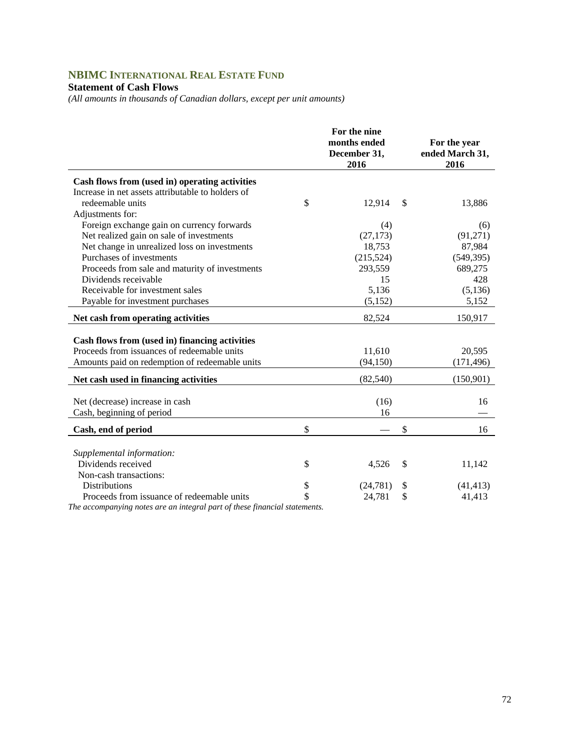# **NBIMC INTERNATIONAL REAL ESTATE FUND**

### **Statement of Cash Flows**

*(All amounts in thousands of Canadian dollars, except per unit amounts)* 

|                                                   | For the nine         |                         |
|---------------------------------------------------|----------------------|-------------------------|
|                                                   | months ended         | For the year            |
|                                                   | December 31,<br>2016 | ended March 31,<br>2016 |
| Cash flows from (used in) operating activities    |                      |                         |
| Increase in net assets attributable to holders of |                      |                         |
| redeemable units                                  | \$<br>12,914         | \$<br>13,886            |
| Adjustments for:                                  |                      |                         |
| Foreign exchange gain on currency forwards        | (4)                  | (6)                     |
| Net realized gain on sale of investments          | (27, 173)            | (91,271)                |
| Net change in unrealized loss on investments      | 18,753               | 87,984                  |
| Purchases of investments                          | (215, 524)           | (549, 395)              |
| Proceeds from sale and maturity of investments    | 293,559              | 689,275                 |
| Dividends receivable                              | 15                   | 428                     |
| Receivable for investment sales                   | 5,136                | (5, 136)                |
| Payable for investment purchases                  | (5,152)              | 5,152                   |
| Net cash from operating activities                | 82,524               | 150,917                 |
|                                                   |                      |                         |
| Cash flows from (used in) financing activities    |                      |                         |
| Proceeds from issuances of redeemable units       | 11,610               | 20,595                  |
| Amounts paid on redemption of redeemable units    | (94, 150)            | (171, 496)              |
| Net cash used in financing activities             | (82, 540)            | (150,901)               |
| Net (decrease) increase in cash                   | (16)                 | 16                      |
| Cash, beginning of period                         | 16                   |                         |
|                                                   |                      |                         |
| Cash, end of period                               | \$                   | \$<br>16                |
| Supplemental information:                         |                      |                         |
| Dividends received                                | \$<br>4,526          | \$<br>11,142            |
| Non-cash transactions:                            |                      |                         |
| <b>Distributions</b>                              | \$<br>(24, 781)      | \$<br>(41, 413)         |
| Proceeds from issuance of redeemable units        | \$<br>24,781         | \$<br>41,413            |
| $\sim$                                            |                      |                         |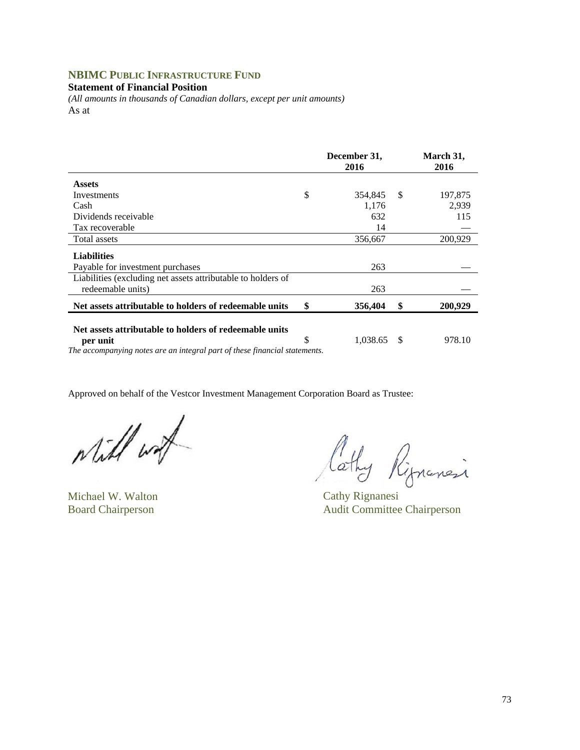## **NBIMC PUBLIC INFRASTRUCTURE FUND**

#### **Statement of Financial Position**

*(All amounts in thousands of Canadian dollars, except per unit amounts)*  As at

|                                                              | December 31,<br>2016 | March 31,<br>2016 |         |
|--------------------------------------------------------------|----------------------|-------------------|---------|
| <b>Assets</b>                                                |                      |                   |         |
| Investments                                                  | \$<br>354,845        | - \$              | 197,875 |
| Cash                                                         | 1,176                |                   | 2,939   |
| Dividends receivable                                         | 632                  |                   | 115     |
| Tax recoverable                                              | 14                   |                   |         |
| Total assets                                                 | 356,667              |                   | 200,929 |
| <b>Liabilities</b>                                           |                      |                   |         |
| Payable for investment purchases                             | 263                  |                   |         |
| Liabilities (excluding net assets attributable to holders of |                      |                   |         |
| redeemable units)                                            | 263                  |                   |         |
| Net assets attributable to holders of redeemable units       | \$<br>356,404        | \$                | 200,929 |
| Net assets attributable to holders of redeemable units       |                      |                   |         |
| per unit                                                     | \$<br>1.038.65       | S                 | 978.10  |

*The accompanying notes are an integral part of these financial statements.* 

while with

Michael W. Walton Cathy Rignanesi

Cathy Ripensi

Board Chairperson Audit Committee Chairperson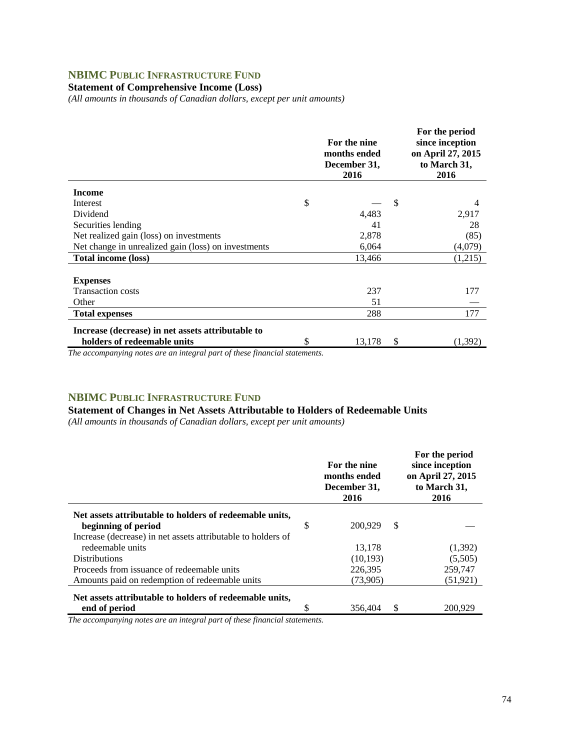## **NBIMC PUBLIC INFRASTRUCTURE FUND**

## **Statement of Comprehensive Income (Loss)**

*(All amounts in thousands of Canadian dollars, except per unit amounts)* 

|                                                     | For the nine<br>months ended<br>December 31,<br>2016 | For the period<br>since inception<br>on April 27, 2015<br>to March 31,<br>2016 |
|-----------------------------------------------------|------------------------------------------------------|--------------------------------------------------------------------------------|
| <b>Income</b>                                       |                                                      |                                                                                |
| Interest                                            | \$                                                   | \$<br>4                                                                        |
| Dividend                                            | 4,483                                                | 2,917                                                                          |
| Securities lending                                  | 41                                                   | 28                                                                             |
| Net realized gain (loss) on investments             | 2,878                                                | (85)                                                                           |
| Net change in unrealized gain (loss) on investments | 6,064                                                | (4,079)                                                                        |
| <b>Total income (loss)</b>                          | 13,466                                               | (1,215)                                                                        |
|                                                     |                                                      |                                                                                |
| <b>Expenses</b>                                     |                                                      |                                                                                |
| <b>Transaction costs</b>                            | 237                                                  | 177                                                                            |
| Other                                               | 51                                                   |                                                                                |
| <b>Total expenses</b>                               | 288                                                  | 177                                                                            |
| Increase (decrease) in net assets attributable to   |                                                      |                                                                                |
| holders of redeemable units                         | \$<br>13,178                                         | \$<br>(1,392)                                                                  |

*The accompanying notes are an integral part of these financial statements.*

### **NBIMC PUBLIC INFRASTRUCTURE FUND**

### **Statement of Changes in Net Assets Attributable to Holders of Redeemable Units**

*(All amounts in thousands of Canadian dollars, except per unit amounts)* 

|                                                              |   | For the nine<br>months ended<br>December 31,<br>2016 |   | For the period<br>since inception<br>on April 27, 2015<br>to March 31,<br>2016 |
|--------------------------------------------------------------|---|------------------------------------------------------|---|--------------------------------------------------------------------------------|
| Net assets attributable to holders of redeemable units,      |   |                                                      |   |                                                                                |
| beginning of period                                          | S | 200.929                                              | S |                                                                                |
| Increase (decrease) in net assets attributable to holders of |   |                                                      |   |                                                                                |
| redeemable units                                             |   | 13,178                                               |   | (1,392)                                                                        |
| <b>Distributions</b>                                         |   | (10, 193)                                            |   | (5,505)                                                                        |
| Proceeds from issuance of redeemable units                   |   | 226,395                                              |   | 259,747                                                                        |
| Amounts paid on redemption of redeemable units               |   | (73,905)                                             |   | (51, 921)                                                                      |
| Net assets attributable to holders of redeemable units,      |   |                                                      |   |                                                                                |
| end of period                                                |   | 356,404                                              | S | 200.929                                                                        |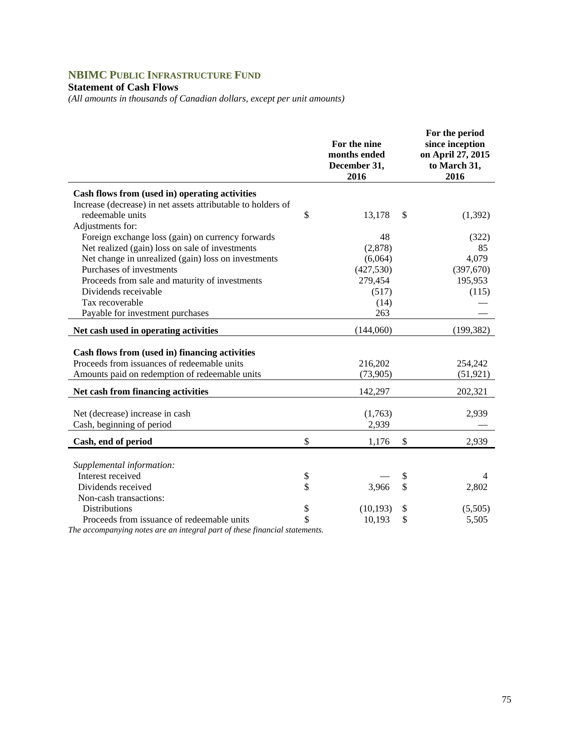# **NBIMC PUBLIC INFRASTRUCTURE FUND**

## **Statement of Cash Flows**

*(All amounts in thousands of Canadian dollars, except per unit amounts)* 

|                                                              | For the nine<br>months ended<br>December 31,<br>2016 | For the period<br>since inception<br>on April 27, 2015<br>to March 31,<br>2016 |
|--------------------------------------------------------------|------------------------------------------------------|--------------------------------------------------------------------------------|
| Cash flows from (used in) operating activities               |                                                      |                                                                                |
| Increase (decrease) in net assets attributable to holders of |                                                      |                                                                                |
| redeemable units                                             | \$<br>13,178                                         | \$<br>(1, 392)                                                                 |
| Adjustments for:                                             |                                                      |                                                                                |
| Foreign exchange loss (gain) on currency forwards            | 48                                                   | (322)                                                                          |
| Net realized (gain) loss on sale of investments              | (2,878)                                              | 85                                                                             |
| Net change in unrealized (gain) loss on investments          | (6,064)                                              | 4,079                                                                          |
| Purchases of investments                                     | (427, 530)                                           | (397, 670)                                                                     |
| Proceeds from sale and maturity of investments               | 279,454                                              | 195,953                                                                        |
| Dividends receivable                                         | (517)                                                | (115)                                                                          |
| Tax recoverable                                              | (14)                                                 |                                                                                |
| Payable for investment purchases                             | 263                                                  |                                                                                |
| Net cash used in operating activities                        | (144,060)                                            | (199, 382)                                                                     |
| Cash flows from (used in) financing activities               |                                                      |                                                                                |
| Proceeds from issuances of redeemable units                  | 216,202                                              | 254,242                                                                        |
| Amounts paid on redemption of redeemable units               | (73,905)                                             | (51, 921)                                                                      |
|                                                              |                                                      |                                                                                |
| Net cash from financing activities                           | 142,297                                              | 202,321                                                                        |
|                                                              |                                                      |                                                                                |
| Net (decrease) increase in cash                              | (1,763)                                              | 2,939                                                                          |
| Cash, beginning of period                                    | 2,939                                                |                                                                                |
| Cash, end of period                                          | \$<br>1,176                                          | \$<br>2,939                                                                    |
|                                                              |                                                      |                                                                                |
| Supplemental information:                                    |                                                      |                                                                                |
| Interest received                                            | \$                                                   | \$<br>4                                                                        |
| Dividends received                                           | \$<br>3,966                                          | \$<br>2,802                                                                    |
| Non-cash transactions:                                       |                                                      |                                                                                |
| <b>Distributions</b>                                         | \$<br>(10, 193)                                      | \$<br>(5,505)                                                                  |
| Proceeds from issuance of redeemable units                   | \$<br>10,193                                         | \$<br>5,505                                                                    |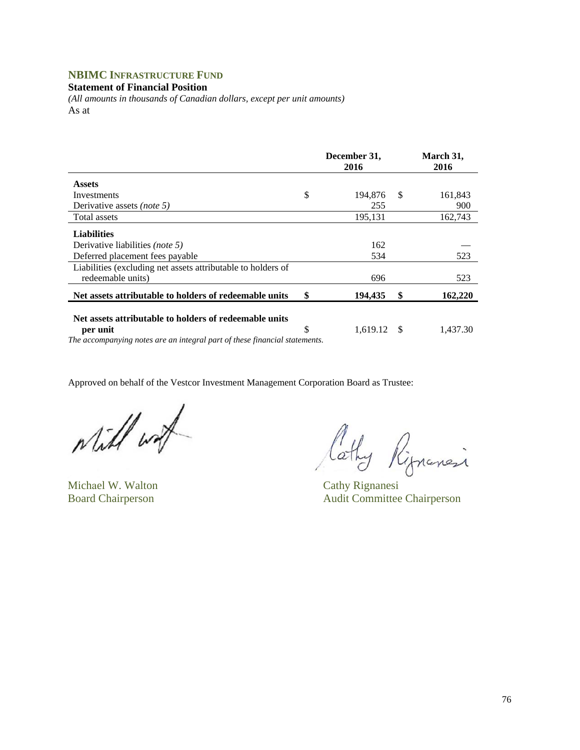## **NBIMC INFRASTRUCTURE FUND**

**Statement of Financial Position** 

*(All amounts in thousands of Canadian dollars, except per unit amounts)*  As at

|                                                                                   | December 31,<br>2016 | March 31,<br>2016 |
|-----------------------------------------------------------------------------------|----------------------|-------------------|
| <b>Assets</b>                                                                     |                      |                   |
| Investments                                                                       | \$<br>194,876        | \$<br>161,843     |
| Derivative assets <i>(note 5)</i>                                                 | 255                  | 900               |
| Total assets                                                                      | 195,131              | 162,743           |
| <b>Liabilities</b>                                                                |                      |                   |
| Derivative liabilities <i>(note 5)</i>                                            | 162                  |                   |
| Deferred placement fees payable                                                   | 534                  | 523               |
| Liabilities (excluding net assets attributable to holders of<br>redeemable units) | 696                  | 523               |
| Net assets attributable to holders of redeemable units                            | \$<br>194,435        | \$<br>162,220     |
| Net assets attributable to holders of redeemable units<br>per unit                | \$<br>$1,619.12$ \$  | 1,437.30          |
| The accompanying notes are an integral part of these financial statements.        |                      |                   |

while wat

Michael W. Walton Cathy Rignanesi

Cathy Rippinesi

Board Chairperson Audit Committee Chairperson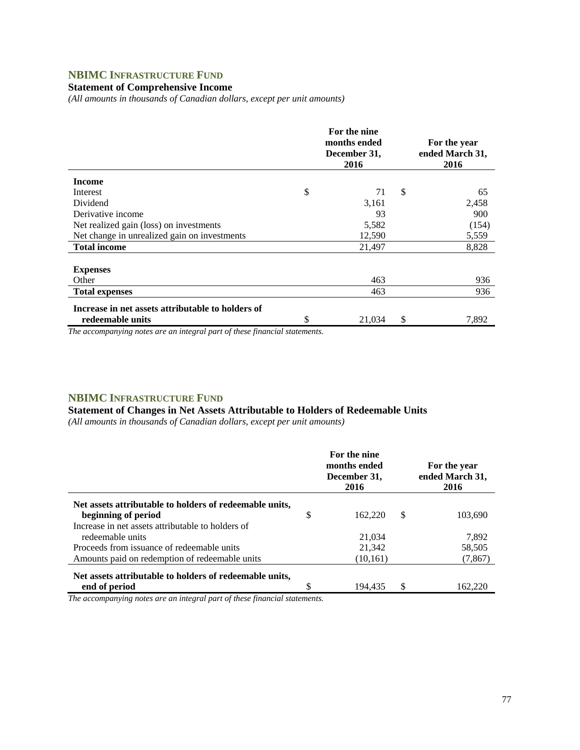## **NBIMC INFRASTRUCTURE FUND**

### **Statement of Comprehensive Income**

*(All amounts in thousands of Canadian dollars, except per unit amounts)* 

|                                                                       | For the nine<br>months ended<br>December 31,<br>2016 |    | For the year<br>ended March 31,<br>2016 |
|-----------------------------------------------------------------------|------------------------------------------------------|----|-----------------------------------------|
| <b>Income</b>                                                         |                                                      |    |                                         |
| Interest                                                              | \$<br>71                                             | \$ | 65                                      |
| Dividend                                                              | 3,161                                                |    | 2,458                                   |
| Derivative income                                                     | 93                                                   |    | 900                                     |
| Net realized gain (loss) on investments                               | 5,582                                                |    | (154)                                   |
| Net change in unrealized gain on investments                          | 12,590                                               |    | 5,559                                   |
| <b>Total income</b>                                                   | 21,497                                               |    | 8,828                                   |
| <b>Expenses</b><br>Other                                              | 463                                                  |    | 936                                     |
| <b>Total expenses</b>                                                 | 463                                                  |    | 936                                     |
| Increase in net assets attributable to holders of<br>redeemable units | \$<br>21,034                                         | S  | 7,892                                   |

*The accompanying notes are an integral part of these financial statements.*

### **NBIMC INFRASTRUCTURE FUND**

### **Statement of Changes in Net Assets Attributable to Holders of Redeemable Units**

*(All amounts in thousands of Canadian dollars, except per unit amounts)* 

|                                                                          | For the nine<br>months ended<br>December 31,<br>2016 |   | For the year<br>ended March 31,<br>2016 |
|--------------------------------------------------------------------------|------------------------------------------------------|---|-----------------------------------------|
| Net assets attributable to holders of redeemable units,                  |                                                      |   |                                         |
| beginning of period<br>Increase in net assets attributable to holders of | \$<br>162,220                                        | S | 103,690                                 |
| redeemable units                                                         | 21,034                                               |   | 7,892                                   |
| Proceeds from issuance of redeemable units                               | 21,342                                               |   | 58,505                                  |
| Amounts paid on redemption of redeemable units                           | (10,161)                                             |   | (7, 867)                                |
| Net assets attributable to holders of redeemable units,<br>end of period | 194.435                                              | S | 162.220                                 |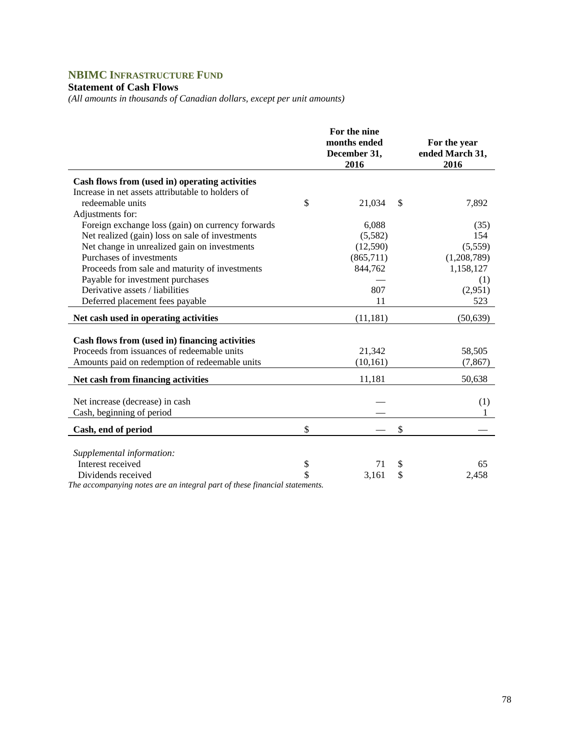# **NBIMC INFRASTRUCTURE FUND**

## **Statement of Cash Flows**

*(All amounts in thousands of Canadian dollars, except per unit amounts)* 

| Cash flows from (used in) operating activities<br>Increase in net assets attributable to holders of<br>redeemable units<br>\$<br>21,034<br>\$<br>7,892<br>Adjustments for:<br>Foreign exchange loss (gain) on currency forwards<br>6,088<br>(35)<br>Net realized (gain) loss on sale of investments<br>154<br>(5,582)<br>Net change in unrealized gain on investments<br>(5,559)<br>(12,590)<br>Purchases of investments<br>(865,711)<br>(1,208,789)<br>844,762<br>Proceeds from sale and maturity of investments<br>1,158,127<br>Payable for investment purchases<br>(1)<br>Derivative assets / liabilities<br>807<br>(2,951)<br>11<br>523<br>Deferred placement fees payable<br>Net cash used in operating activities<br>(11, 181)<br>(50, 639)<br>Cash flows from (used in) financing activities<br>Proceeds from issuances of redeemable units<br>21,342<br>58,505<br>Amounts paid on redemption of redeemable units<br>(10, 161)<br>(7, 867)<br>Net cash from financing activities<br>11,181<br>50,638<br>Net increase (decrease) in cash<br>(1)<br>Cash, beginning of period<br>\$<br>\$<br>Cash, end of period<br>Supplemental information:<br>Interest received<br>\$<br>\$<br>71<br>65<br>\$<br>\$<br>Dividends received<br>3,161<br>2,458 |  | For the nine<br>months ended<br>December 31,<br>2016 | For the year<br>ended March 31,<br>2016 |
|-----------------------------------------------------------------------------------------------------------------------------------------------------------------------------------------------------------------------------------------------------------------------------------------------------------------------------------------------------------------------------------------------------------------------------------------------------------------------------------------------------------------------------------------------------------------------------------------------------------------------------------------------------------------------------------------------------------------------------------------------------------------------------------------------------------------------------------------------------------------------------------------------------------------------------------------------------------------------------------------------------------------------------------------------------------------------------------------------------------------------------------------------------------------------------------------------------------------------------------------------------|--|------------------------------------------------------|-----------------------------------------|
|                                                                                                                                                                                                                                                                                                                                                                                                                                                                                                                                                                                                                                                                                                                                                                                                                                                                                                                                                                                                                                                                                                                                                                                                                                                     |  |                                                      |                                         |
|                                                                                                                                                                                                                                                                                                                                                                                                                                                                                                                                                                                                                                                                                                                                                                                                                                                                                                                                                                                                                                                                                                                                                                                                                                                     |  |                                                      |                                         |
|                                                                                                                                                                                                                                                                                                                                                                                                                                                                                                                                                                                                                                                                                                                                                                                                                                                                                                                                                                                                                                                                                                                                                                                                                                                     |  |                                                      |                                         |
|                                                                                                                                                                                                                                                                                                                                                                                                                                                                                                                                                                                                                                                                                                                                                                                                                                                                                                                                                                                                                                                                                                                                                                                                                                                     |  |                                                      |                                         |
|                                                                                                                                                                                                                                                                                                                                                                                                                                                                                                                                                                                                                                                                                                                                                                                                                                                                                                                                                                                                                                                                                                                                                                                                                                                     |  |                                                      |                                         |
|                                                                                                                                                                                                                                                                                                                                                                                                                                                                                                                                                                                                                                                                                                                                                                                                                                                                                                                                                                                                                                                                                                                                                                                                                                                     |  |                                                      |                                         |
|                                                                                                                                                                                                                                                                                                                                                                                                                                                                                                                                                                                                                                                                                                                                                                                                                                                                                                                                                                                                                                                                                                                                                                                                                                                     |  |                                                      |                                         |
|                                                                                                                                                                                                                                                                                                                                                                                                                                                                                                                                                                                                                                                                                                                                                                                                                                                                                                                                                                                                                                                                                                                                                                                                                                                     |  |                                                      |                                         |
|                                                                                                                                                                                                                                                                                                                                                                                                                                                                                                                                                                                                                                                                                                                                                                                                                                                                                                                                                                                                                                                                                                                                                                                                                                                     |  |                                                      |                                         |
|                                                                                                                                                                                                                                                                                                                                                                                                                                                                                                                                                                                                                                                                                                                                                                                                                                                                                                                                                                                                                                                                                                                                                                                                                                                     |  |                                                      |                                         |
|                                                                                                                                                                                                                                                                                                                                                                                                                                                                                                                                                                                                                                                                                                                                                                                                                                                                                                                                                                                                                                                                                                                                                                                                                                                     |  |                                                      |                                         |
|                                                                                                                                                                                                                                                                                                                                                                                                                                                                                                                                                                                                                                                                                                                                                                                                                                                                                                                                                                                                                                                                                                                                                                                                                                                     |  |                                                      |                                         |
|                                                                                                                                                                                                                                                                                                                                                                                                                                                                                                                                                                                                                                                                                                                                                                                                                                                                                                                                                                                                                                                                                                                                                                                                                                                     |  |                                                      |                                         |
|                                                                                                                                                                                                                                                                                                                                                                                                                                                                                                                                                                                                                                                                                                                                                                                                                                                                                                                                                                                                                                                                                                                                                                                                                                                     |  |                                                      |                                         |
|                                                                                                                                                                                                                                                                                                                                                                                                                                                                                                                                                                                                                                                                                                                                                                                                                                                                                                                                                                                                                                                                                                                                                                                                                                                     |  |                                                      |                                         |
|                                                                                                                                                                                                                                                                                                                                                                                                                                                                                                                                                                                                                                                                                                                                                                                                                                                                                                                                                                                                                                                                                                                                                                                                                                                     |  |                                                      |                                         |
|                                                                                                                                                                                                                                                                                                                                                                                                                                                                                                                                                                                                                                                                                                                                                                                                                                                                                                                                                                                                                                                                                                                                                                                                                                                     |  |                                                      |                                         |
|                                                                                                                                                                                                                                                                                                                                                                                                                                                                                                                                                                                                                                                                                                                                                                                                                                                                                                                                                                                                                                                                                                                                                                                                                                                     |  |                                                      |                                         |
|                                                                                                                                                                                                                                                                                                                                                                                                                                                                                                                                                                                                                                                                                                                                                                                                                                                                                                                                                                                                                                                                                                                                                                                                                                                     |  |                                                      |                                         |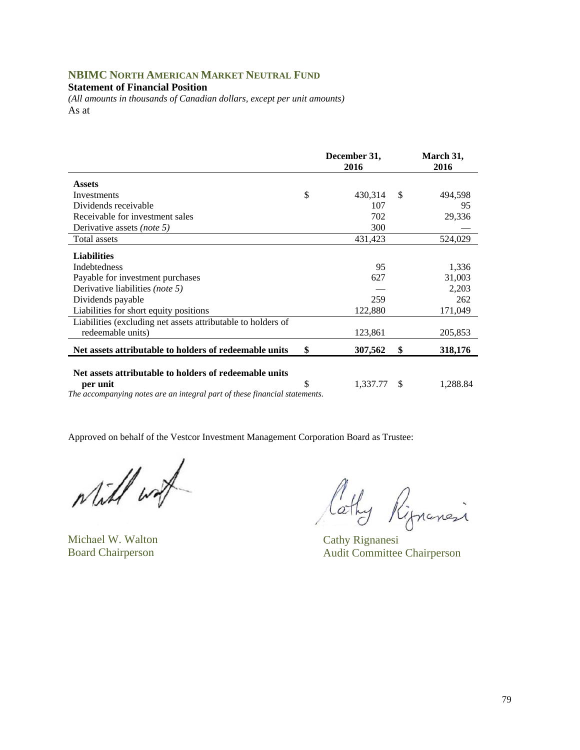## **NBIMC NORTH AMERICAN MARKET NEUTRAL FUND**

#### **Statement of Financial Position**

*(All amounts in thousands of Canadian dollars, except per unit amounts)*  As at

|                                                              | December 31,<br>2016 | March 31,<br>2016 |
|--------------------------------------------------------------|----------------------|-------------------|
| <b>Assets</b>                                                |                      |                   |
| Investments                                                  | \$<br>430,314        | \$<br>494,598     |
| Dividends receivable                                         | 107                  | 95                |
| Receivable for investment sales                              | 702                  | 29,336            |
| Derivative assets (note 5)                                   | 300                  |                   |
| Total assets                                                 | 431,423              | 524,029           |
| <b>Liabilities</b>                                           |                      |                   |
| <b>Indebtedness</b>                                          | 95                   | 1,336             |
| Payable for investment purchases                             | 627                  | 31,003            |
| Derivative liabilities <i>(note 5)</i>                       |                      | 2,203             |
| Dividends payable                                            | 259                  | 262               |
| Liabilities for short equity positions                       | 122,880              | 171,049           |
| Liabilities (excluding net assets attributable to holders of |                      |                   |
| redeemable units)                                            | 123,861              | 205,853           |
| Net assets attributable to holders of redeemable units       | \$<br>307,562        | \$<br>318,176     |
|                                                              |                      |                   |
| Net assets attributable to holders of redeemable units       |                      |                   |
| per unit                                                     | \$<br>1,337.77       | \$<br>1,288.84    |

*The accompanying notes are an integral part of these financial statements.* 

while wat

Michael W. Walton Cathy Rignanesi

lathy Rignancia

Board Chairperson Audit Committee Chairperson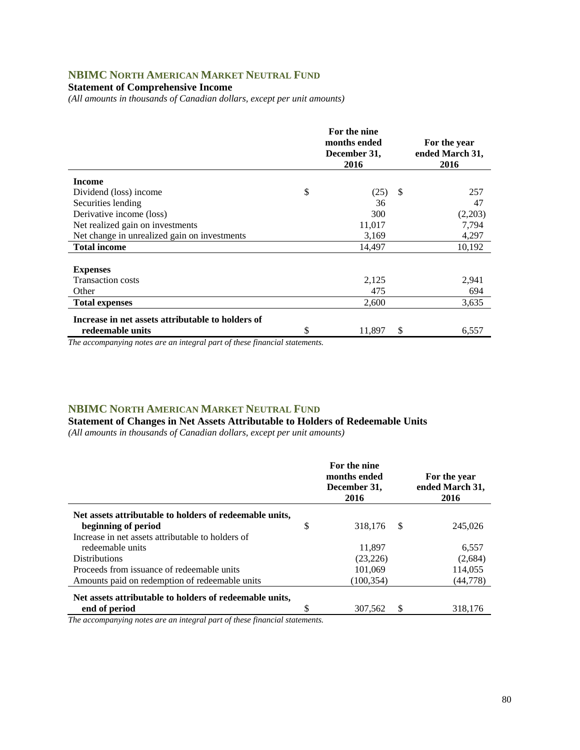# **NBIMC NORTH AMERICAN MARKET NEUTRAL FUND**

### **Statement of Comprehensive Income**

*(All amounts in thousands of Canadian dollars, except per unit amounts)* 

|                                                   | For the nine<br>months ended<br>December 31,<br>2016 |    | For the year<br>ended March 31,<br>2016 |
|---------------------------------------------------|------------------------------------------------------|----|-----------------------------------------|
| <b>Income</b>                                     |                                                      |    |                                         |
| Dividend (loss) income                            | \$<br>(25)                                           | S. | 257                                     |
| Securities lending                                | 36                                                   |    | 47                                      |
| Derivative income (loss)                          | 300                                                  |    | (2,203)                                 |
| Net realized gain on investments                  | 11,017                                               |    | 7,794                                   |
| Net change in unrealized gain on investments      | 3,169                                                |    | 4,297                                   |
| <b>Total income</b>                               | 14,497                                               |    | 10,192                                  |
|                                                   |                                                      |    |                                         |
| <b>Expenses</b>                                   |                                                      |    |                                         |
| <b>Transaction costs</b>                          | 2,125                                                |    | 2,941                                   |
| Other                                             | 475                                                  |    | 694                                     |
| <b>Total expenses</b>                             | 2,600                                                |    | 3,635                                   |
| Increase in net assets attributable to holders of |                                                      |    |                                         |
| redeemable units                                  | \$<br>11,897                                         | S  | 6,557                                   |

*The accompanying notes are an integral part of these financial statements.*

### **NBIMC NORTH AMERICAN MARKET NEUTRAL FUND**

**Statement of Changes in Net Assets Attributable to Holders of Redeemable Units**  *(All amounts in thousands of Canadian dollars, except per unit amounts)* 

|                                                         |    | For the nine<br>months ended<br>December 31,<br>2016 |    | For the year<br>ended March 31,<br>2016 |
|---------------------------------------------------------|----|------------------------------------------------------|----|-----------------------------------------|
| Net assets attributable to holders of redeemable units, |    |                                                      |    |                                         |
| beginning of period                                     | \$ | 318,176                                              | -S | 245,026                                 |
| Increase in net assets attributable to holders of       |    |                                                      |    |                                         |
| redeemable units                                        |    | 11.897                                               |    | 6,557                                   |
| <b>Distributions</b>                                    |    | (23, 226)                                            |    | (2,684)                                 |
| Proceeds from issuance of redeemable units              |    | 101.069                                              |    | 114,055                                 |
| Amounts paid on redemption of redeemable units          |    | (100, 354)                                           |    | (44,778)                                |
| Net assets attributable to holders of redeemable units, |    |                                                      |    |                                         |
| end of period                                           | ¢  | 307,562                                              |    | 318,176                                 |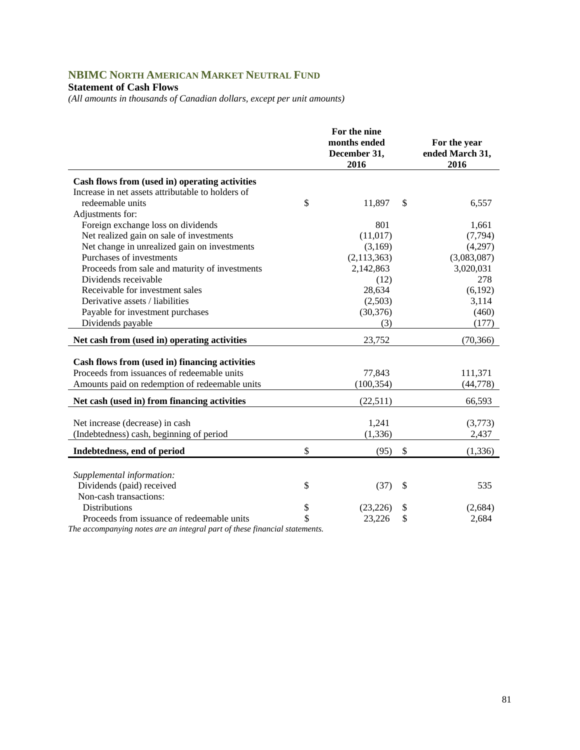# **NBIMC NORTH AMERICAN MARKET NEUTRAL FUND**

### **Statement of Cash Flows**

*(All amounts in thousands of Canadian dollars, except per unit amounts)* 

|                                                   | For the nine<br>months ended<br>December 31,<br>2016 |                           | For the year<br>ended March 31,<br>2016 |
|---------------------------------------------------|------------------------------------------------------|---------------------------|-----------------------------------------|
| Cash flows from (used in) operating activities    |                                                      |                           |                                         |
| Increase in net assets attributable to holders of |                                                      |                           |                                         |
| redeemable units                                  | \$<br>11,897                                         | \$                        | 6,557                                   |
| Adjustments for:                                  |                                                      |                           |                                         |
| Foreign exchange loss on dividends                | 801                                                  |                           | 1,661                                   |
| Net realized gain on sale of investments          | (11, 017)                                            |                           | (7, 794)                                |
| Net change in unrealized gain on investments      | (3,169)                                              |                           | (4,297)                                 |
| Purchases of investments                          | (2, 113, 363)                                        |                           | (3,083,087)                             |
| Proceeds from sale and maturity of investments    | 2,142,863                                            |                           | 3,020,031                               |
| Dividends receivable                              | (12)                                                 |                           | 278                                     |
| Receivable for investment sales                   | 28,634                                               |                           | (6,192)                                 |
| Derivative assets / liabilities                   | (2,503)                                              |                           | 3,114                                   |
| Payable for investment purchases                  | (30, 376)                                            |                           | (460)                                   |
| Dividends payable                                 | (3)                                                  |                           | (177)                                   |
| Net cash from (used in) operating activities      | 23,752                                               |                           | (70, 366)                               |
| Cash flows from (used in) financing activities    |                                                      |                           |                                         |
| Proceeds from issuances of redeemable units       | 77,843                                               |                           | 111,371                                 |
| Amounts paid on redemption of redeemable units    | (100, 354)                                           |                           | (44, 778)                               |
| Net cash (used in) from financing activities      | (22,511)                                             |                           | 66,593                                  |
|                                                   |                                                      |                           |                                         |
| Net increase (decrease) in cash                   | 1,241                                                |                           | (3,773)                                 |
| (Indebtedness) cash, beginning of period          | (1, 336)                                             |                           | 2,437                                   |
| Indebtedness, end of period                       | \$<br>(95)                                           | \$                        | (1, 336)                                |
|                                                   |                                                      |                           |                                         |
| Supplemental information:                         |                                                      |                           |                                         |
| Dividends (paid) received                         | \$<br>(37)                                           | $\boldsymbol{\mathsf{S}}$ | 535                                     |
| Non-cash transactions:                            |                                                      |                           |                                         |
| <b>Distributions</b>                              | \$<br>(23, 226)                                      | \$                        | (2,684)                                 |
| Proceeds from issuance of redeemable units        | \$<br>23,226                                         | \$                        | 2,684                                   |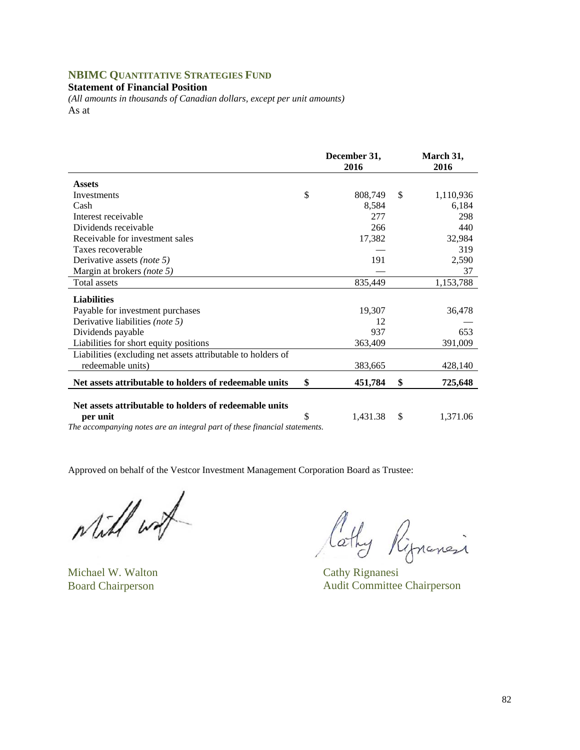# **NBIMC QUANTITATIVE STRATEGIES FUND**

## **Statement of Financial Position**

*(All amounts in thousands of Canadian dollars, except per unit amounts)*  As at

|                                                                                                                                                                                                                                                     | December 31,<br>2016 |    | March 31,<br>2016 |
|-----------------------------------------------------------------------------------------------------------------------------------------------------------------------------------------------------------------------------------------------------|----------------------|----|-------------------|
| <b>Assets</b>                                                                                                                                                                                                                                       |                      |    |                   |
| Investments                                                                                                                                                                                                                                         | \$<br>808,749        | \$ | 1,110,936         |
| Cash                                                                                                                                                                                                                                                | 8,584                |    | 6,184             |
| Interest receivable                                                                                                                                                                                                                                 | 277                  |    | 298               |
| Dividends receivable                                                                                                                                                                                                                                | 266                  |    | 440               |
| Receivable for investment sales                                                                                                                                                                                                                     | 17,382               |    | 32,984            |
| Taxes recoverable                                                                                                                                                                                                                                   |                      |    | 319               |
| Derivative assets (note 5)                                                                                                                                                                                                                          | 191                  |    | 2,590             |
| Margin at brokers (note 5)                                                                                                                                                                                                                          |                      |    | 37                |
| Total assets                                                                                                                                                                                                                                        | 835,449              |    | 1,153,788         |
| <b>Liabilities</b>                                                                                                                                                                                                                                  |                      |    |                   |
| Payable for investment purchases                                                                                                                                                                                                                    | 19,307               |    | 36,478            |
| Derivative liabilities (note 5)                                                                                                                                                                                                                     | 12                   |    |                   |
| Dividends payable                                                                                                                                                                                                                                   | 937                  |    | 653               |
| Liabilities for short equity positions                                                                                                                                                                                                              | 363,409              |    | 391,009           |
| Liabilities (excluding net assets attributable to holders of                                                                                                                                                                                        |                      |    |                   |
| redeemable units)                                                                                                                                                                                                                                   | 383,665              |    | 428,140           |
| Net assets attributable to holders of redeemable units                                                                                                                                                                                              | \$<br>451,784        | \$ | 725,648           |
|                                                                                                                                                                                                                                                     |                      |    |                   |
| Net assets attributable to holders of redeemable units                                                                                                                                                                                              |                      |    |                   |
| per unit<br>$\mathcal{L}$ and the contract of the contract of the contract of the contract of the contract of the contract of the contract of the contract of the contract of the contract of the contract of the contract of the contract of<br>T1 | \$<br>1,431.38       | \$ | 1,371.06          |

*The accompanying notes are an integral part of these financial statements.* 

while work

Michael W. Walton Cathy Rignanesi

lathy Riprinesi

Board Chairperson Audit Committee Chairperson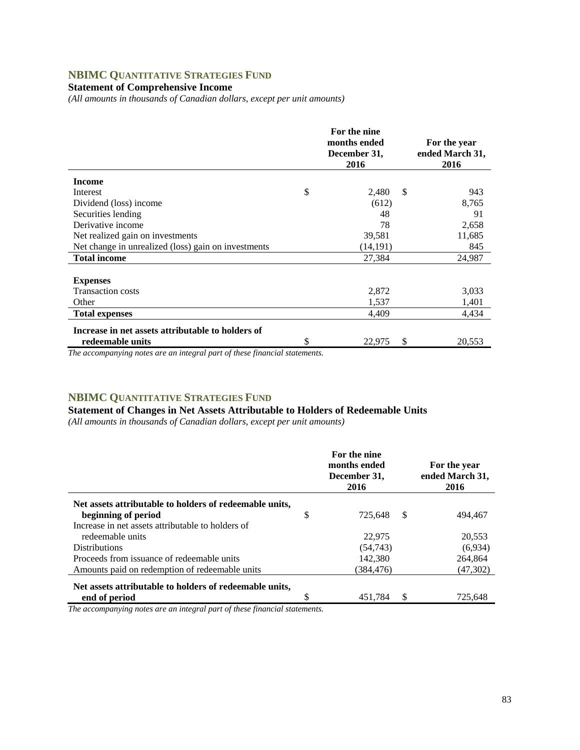# **NBIMC QUANTITATIVE STRATEGIES FUND**

# **Statement of Comprehensive Income**

*(All amounts in thousands of Canadian dollars, except per unit amounts)* 

|                                                     | For the nine<br>months ended<br>December 31,<br>2016 |    | For the year<br>ended March 31,<br>2016 |
|-----------------------------------------------------|------------------------------------------------------|----|-----------------------------------------|
| <b>Income</b>                                       |                                                      |    |                                         |
| Interest                                            | \$<br>2,480                                          | S  | 943                                     |
| Dividend (loss) income                              | (612)                                                |    | 8,765                                   |
| Securities lending                                  | 48                                                   |    | 91                                      |
| Derivative income                                   | 78                                                   |    | 2,658                                   |
| Net realized gain on investments                    | 39,581                                               |    | 11,685                                  |
| Net change in unrealized (loss) gain on investments | (14,191)                                             |    | 845                                     |
| <b>Total income</b>                                 | 27.384                                               |    | 24,987                                  |
|                                                     |                                                      |    |                                         |
| <b>Expenses</b>                                     |                                                      |    |                                         |
| <b>Transaction costs</b>                            | 2,872                                                |    | 3,033                                   |
| Other                                               | 1,537                                                |    | 1,401                                   |
| <b>Total expenses</b>                               | 4,409                                                |    | 4,434                                   |
| Increase in net assets attributable to holders of   |                                                      |    |                                         |
| redeemable units                                    | \$<br>22,975                                         | \$ | 20,553                                  |

*The accompanying notes are an integral part of these financial statements.*

# **NBIMC QUANTITATIVE STRATEGIES FUND**

## **Statement of Changes in Net Assets Attributable to Holders of Redeemable Units**

*(All amounts in thousands of Canadian dollars, except per unit amounts)* 

|                                                         |   | For the nine<br>months ended<br>December 31,<br>2016 |    | For the year<br>ended March 31,<br>2016 |
|---------------------------------------------------------|---|------------------------------------------------------|----|-----------------------------------------|
| Net assets attributable to holders of redeemable units, |   |                                                      |    |                                         |
| beginning of period                                     | S | 725.648                                              | -S | 494.467                                 |
| Increase in net assets attributable to holders of       |   |                                                      |    |                                         |
| redeemable units                                        |   | 22,975                                               |    | 20,553                                  |
| <b>Distributions</b>                                    |   | (54, 743)                                            |    | (6,934)                                 |
| Proceeds from issuance of redeemable units              |   | 142.380                                              |    | 264.864                                 |
| Amounts paid on redemption of redeemable units          |   | (384,476)                                            |    | (47,302)                                |
| Net assets attributable to holders of redeemable units, |   |                                                      |    |                                         |
| end of period                                           |   | 451.784                                              | S  | 725.648                                 |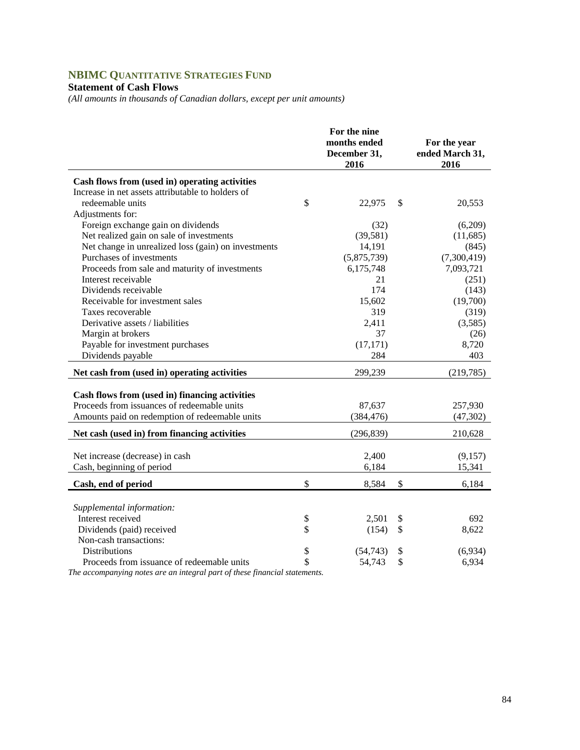# **NBIMC QUANTITATIVE STRATEGIES FUND**

# **Statement of Cash Flows**

*(All amounts in thousands of Canadian dollars, except per unit amounts)* 

|                                                     |          | For the nine<br>months ended<br>December 31,<br>2016 |          | For the year<br>ended March 31,<br>2016 |
|-----------------------------------------------------|----------|------------------------------------------------------|----------|-----------------------------------------|
| Cash flows from (used in) operating activities      |          |                                                      |          |                                         |
| Increase in net assets attributable to holders of   |          |                                                      |          |                                         |
| redeemable units                                    | \$       | 22,975                                               | \$       | 20,553                                  |
| Adjustments for:                                    |          |                                                      |          |                                         |
| Foreign exchange gain on dividends                  |          | (32)                                                 |          | (6,209)                                 |
| Net realized gain on sale of investments            |          | (39, 581)                                            |          | (11,685)                                |
| Net change in unrealized loss (gain) on investments |          | 14,191                                               |          | (845)                                   |
| Purchases of investments                            |          | (5,875,739)                                          |          | (7,300,419)                             |
| Proceeds from sale and maturity of investments      |          | 6,175,748                                            |          | 7,093,721                               |
| Interest receivable                                 |          | 21                                                   |          | (251)                                   |
| Dividends receivable                                |          | 174                                                  |          | (143)                                   |
| Receivable for investment sales                     |          | 15,602                                               |          | (19,700)                                |
| Taxes recoverable                                   |          | 319                                                  |          | (319)                                   |
| Derivative assets / liabilities                     |          | 2,411                                                |          | (3,585)                                 |
| Margin at brokers                                   |          | 37                                                   |          | (26)                                    |
| Payable for investment purchases                    |          | (17, 171)                                            |          | 8,720                                   |
| Dividends payable                                   |          | 284                                                  |          | 403                                     |
| Net cash from (used in) operating activities        |          | 299,239                                              |          | (219, 785)                              |
|                                                     |          |                                                      |          |                                         |
| Cash flows from (used in) financing activities      |          |                                                      |          |                                         |
| Proceeds from issuances of redeemable units         |          | 87.637                                               |          | 257,930                                 |
| Amounts paid on redemption of redeemable units      |          | (384, 476)                                           |          | (47, 302)                               |
| Net cash (used in) from financing activities        |          | (296, 839)                                           |          | 210,628                                 |
|                                                     |          |                                                      |          |                                         |
| Net increase (decrease) in cash                     |          | 2,400                                                |          | (9,157)                                 |
| Cash, beginning of period                           |          | 6,184                                                |          | 15,341                                  |
| Cash, end of period                                 | \$       | 8,584                                                | \$       | 6,184                                   |
|                                                     |          |                                                      |          |                                         |
| Supplemental information:<br>Interest received      |          | 2,501                                                |          | 692                                     |
|                                                     | \$<br>\$ |                                                      | \$<br>\$ |                                         |
| Dividends (paid) received<br>Non-cash transactions: |          | (154)                                                |          | 8,622                                   |
| <b>Distributions</b>                                | \$       | (54, 743)                                            |          | (6,934)                                 |
| Proceeds from issuance of redeemable units          | \$       | 54,743                                               | \$<br>\$ | 6,934                                   |
|                                                     |          |                                                      |          |                                         |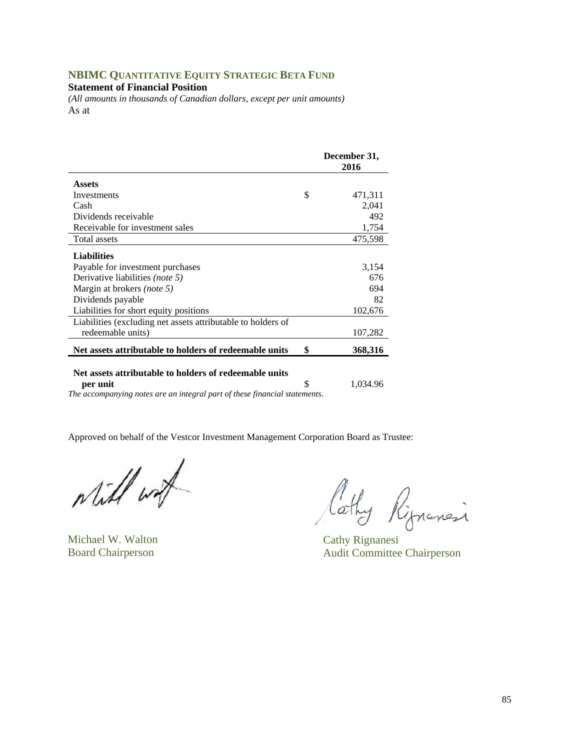## **NBIMC QUANTITATIVE EQUITY STRATEGIC BETA FUND**

**Statement of Financial Position** 

*(All amounts in thousands of Canadian dollars, except per unit amounts)*  As at

|                                                              | December 31,<br>2016 |
|--------------------------------------------------------------|----------------------|
| <b>Assets</b>                                                |                      |
| Investments                                                  | \$<br>471,311        |
| Cash                                                         | 2,041                |
| Dividends receivable                                         | 492                  |
| Receivable for investment sales                              | 1,754                |
| Total assets                                                 | 475,598              |
| <b>Liabilities</b>                                           |                      |
| Payable for investment purchases                             | 3,154                |
| Derivative liabilities <i>(note 5)</i>                       | 676                  |
| Margin at brokers <i>(note 5)</i>                            | 694                  |
| Dividends payable                                            | 82                   |
| Liabilities for short equity positions                       | 102,676              |
| Liabilities (excluding net assets attributable to holders of |                      |
| redeemable units)                                            | 107,282              |
| Net assets attributable to holders of redeemable units       | \$<br>368,316        |

#### **Net assets attributable to holders of redeemable units**

**per unit**  $\qquad$  1,034.96

*The accompanying notes are an integral part of these financial statements.* 

while with

Michael W. Walton Cathy Rignanesi

lathy Rignancia

Board Chairperson Audit Committee Chairperson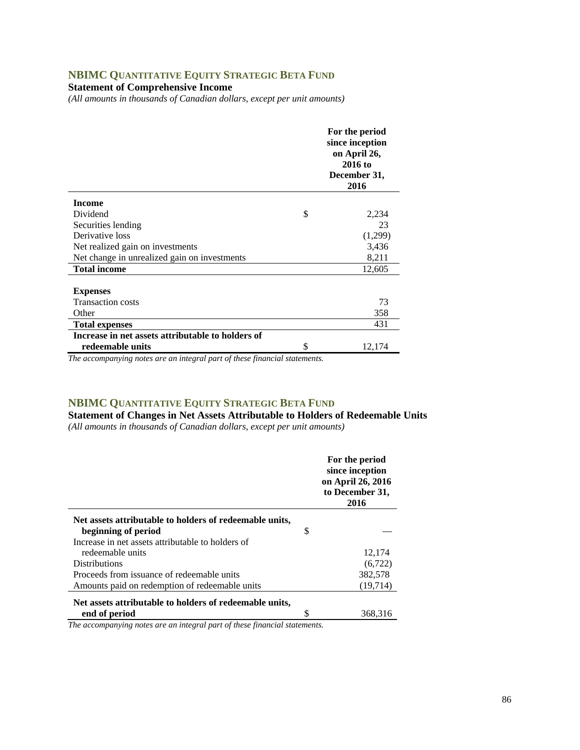# **NBIMC QUANTITATIVE EQUITY STRATEGIC BETA FUND**

**Statement of Comprehensive Income** 

*(All amounts in thousands of Canadian dollars, except per unit amounts)* 

|                                                   | For the period<br>since inception<br>on April 26,<br>2016 to<br>December 31,<br>2016 |
|---------------------------------------------------|--------------------------------------------------------------------------------------|
| <b>Income</b>                                     |                                                                                      |
| Dividend                                          | \$<br>2,234                                                                          |
| Securities lending                                | 23                                                                                   |
| Derivative loss                                   | (1,299)                                                                              |
| Net realized gain on investments                  | 3,436                                                                                |
| Net change in unrealized gain on investments      | 8,211                                                                                |
| <b>Total income</b>                               | 12,605                                                                               |
|                                                   |                                                                                      |
| <b>Expenses</b>                                   |                                                                                      |
| <b>Transaction costs</b>                          | 73                                                                                   |
| Other                                             | 358                                                                                  |
| <b>Total expenses</b>                             | 431                                                                                  |
| Increase in net assets attributable to holders of |                                                                                      |
| redeemable units                                  | \$<br>12,174                                                                         |

*The accompanying notes are an integral part of these financial statements.*

### **NBIMC QUANTITATIVE EQUITY STRATEGIC BETA FUND**

**Statement of Changes in Net Assets Attributable to Holders of Redeemable Units**  *(All amounts in thousands of Canadian dollars, except per unit amounts)* 

|                                                         |   | For the period<br>since inception<br>on April 26, 2016<br>to December 31,<br>2016 |
|---------------------------------------------------------|---|-----------------------------------------------------------------------------------|
| Net assets attributable to holders of redeemable units, |   |                                                                                   |
| beginning of period                                     | S |                                                                                   |
| Increase in net assets attributable to holders of       |   |                                                                                   |
| redeemable units                                        |   | 12,174                                                                            |
| <b>Distributions</b>                                    |   | (6, 722)                                                                          |
| Proceeds from issuance of redeemable units              |   | 382,578                                                                           |
| Amounts paid on redemption of redeemable units          |   | (19,714)                                                                          |
| Net assets attributable to holders of redeemable units, |   |                                                                                   |
| end of period                                           |   | 368,316                                                                           |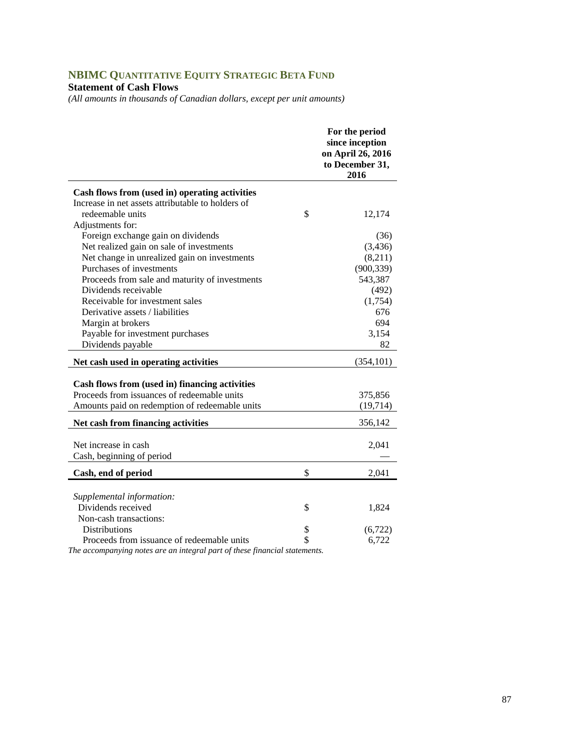# **NBIMC QUANTITATIVE EQUITY STRATEGIC BETA FUND**

# **Statement of Cash Flows**

*(All amounts in thousands of Canadian dollars, except per unit amounts)* 

|                                                                            | For the period<br>since inception<br>on April 26, 2016<br>to December 31,<br>2016 |
|----------------------------------------------------------------------------|-----------------------------------------------------------------------------------|
| Cash flows from (used in) operating activities                             |                                                                                   |
| Increase in net assets attributable to holders of                          |                                                                                   |
| redeemable units                                                           | \$<br>12,174                                                                      |
| Adjustments for:                                                           |                                                                                   |
| Foreign exchange gain on dividends                                         | (36)                                                                              |
| Net realized gain on sale of investments                                   | (3, 436)                                                                          |
| Net change in unrealized gain on investments                               | (8,211)                                                                           |
| Purchases of investments                                                   | (900, 339)                                                                        |
| Proceeds from sale and maturity of investments                             | 543,387                                                                           |
| Dividends receivable                                                       | (492)                                                                             |
| Receivable for investment sales                                            | (1,754)                                                                           |
| Derivative assets / liabilities                                            | 676                                                                               |
| Margin at brokers                                                          | 694                                                                               |
| Payable for investment purchases                                           | 3,154                                                                             |
| Dividends payable                                                          | 82                                                                                |
| Net cash used in operating activities                                      | (354, 101)                                                                        |
|                                                                            |                                                                                   |
| Cash flows from (used in) financing activities                             |                                                                                   |
| Proceeds from issuances of redeemable units                                | 375,856                                                                           |
| Amounts paid on redemption of redeemable units                             | (19, 714)                                                                         |
| Net cash from financing activities                                         | 356,142                                                                           |
| Net increase in cash                                                       | 2,041                                                                             |
| Cash, beginning of period                                                  |                                                                                   |
|                                                                            |                                                                                   |
| Cash, end of period                                                        | \$<br>2,041                                                                       |
| Supplemental information:                                                  |                                                                                   |
| Dividends received                                                         | \$<br>1,824                                                                       |
| Non-cash transactions:                                                     |                                                                                   |
| <b>Distributions</b>                                                       | \$<br>(6,722)                                                                     |
| Proceeds from issuance of redeemable units                                 | \$<br>6,722                                                                       |
| The accompanying notes are an integral part of these financial statements. |                                                                                   |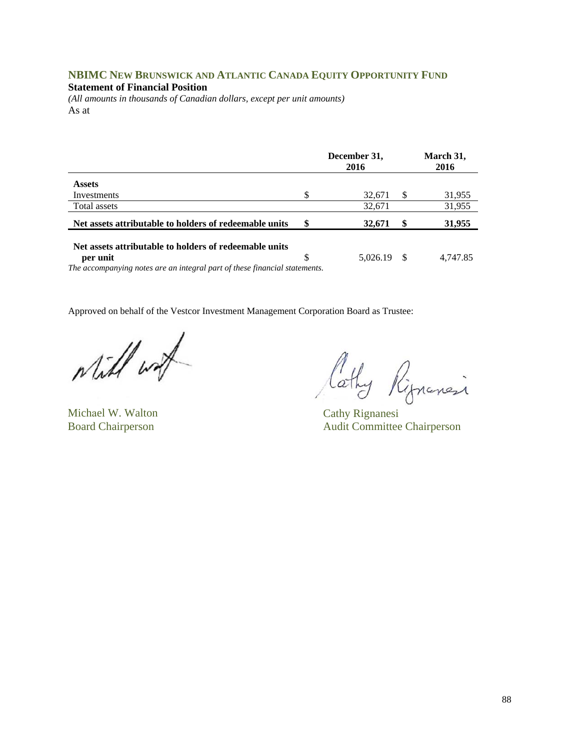# **NBIMC NEW BRUNSWICK AND ATLANTIC CANADA EQUITY OPPORTUNITY FUND**

#### **Statement of Financial Position**

*(All amounts in thousands of Canadian dollars, except per unit amounts)*  As at

|                                                                                                                           |    | December 31,<br>2016 |    | March 31,<br>2016 |
|---------------------------------------------------------------------------------------------------------------------------|----|----------------------|----|-------------------|
| <b>Assets</b>                                                                                                             |    |                      |    |                   |
| Investments                                                                                                               | \$ | 32,671               | S  | 31,955            |
| Total assets                                                                                                              |    | 32,671               |    | 31,955            |
| Net assets attributable to holders of redeemable units                                                                    | \$ | 32,671               |    | 31,955            |
| Net assets attributable to holders of redeemable units                                                                    |    |                      |    |                   |
| per unit<br>$\bm{T}$ , and account on the contract of the contract of $\bm{A}$ , and $\bm{C}$ , and $\bm{A}$ and $\bm{A}$ | S  | 5,026.19             | -S | 4,747.85          |

*The accompanying notes are an integral part of these financial statements.* 

while wat

Michael W. Walton Cathy Rignanesi

Cathy Rignancia

Board Chairperson Audit Committee Chairperson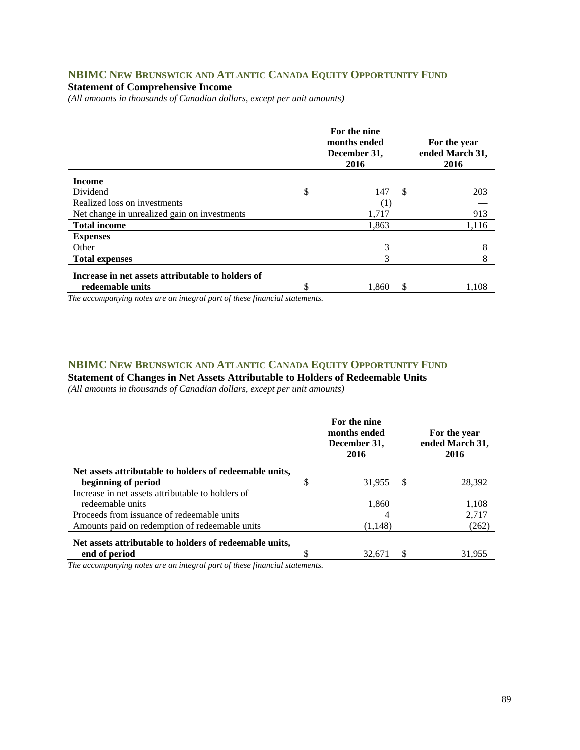### **NBIMC NEW BRUNSWICK AND ATLANTIC CANADA EQUITY OPPORTUNITY FUND**

### **Statement of Comprehensive Income**

*(All amounts in thousands of Canadian dollars, except per unit amounts)* 

|                                                   |    | For the nine<br>months ended<br>December 31,<br>2016 | For the year<br>ended March 31,<br>2016 |
|---------------------------------------------------|----|------------------------------------------------------|-----------------------------------------|
| <b>Income</b>                                     |    |                                                      |                                         |
| Dividend                                          | \$ | 147                                                  | \$<br>203                               |
| Realized loss on investments                      |    | (1)                                                  |                                         |
| Net change in unrealized gain on investments      |    | 1,717                                                | 913                                     |
| <b>Total income</b>                               |    | 1,863                                                | 1,116                                   |
| <b>Expenses</b>                                   |    |                                                      |                                         |
| Other                                             |    | 3                                                    | 8                                       |
| <b>Total expenses</b>                             |    | 3                                                    | 8                                       |
| Increase in net assets attributable to holders of |    |                                                      |                                         |
| redeemable units                                  | ¢  | 1,860                                                | \$<br>1,108                             |

*The accompanying notes are an integral part of these financial statements.*

### **NBIMC NEW BRUNSWICK AND ATLANTIC CANADA EQUITY OPPORTUNITY FUND Statement of Changes in Net Assets Attributable to Holders of Redeemable Units**

*(All amounts in thousands of Canadian dollars, except per unit amounts)* 

|                                                                                              | For the nine<br>months ended<br>December 31,<br>2016 |    | For the year<br>ended March 31,<br>2016 |
|----------------------------------------------------------------------------------------------|------------------------------------------------------|----|-----------------------------------------|
| Net assets attributable to holders of redeemable units,<br>beginning of period               | 31.955                                               | -S | 28.392                                  |
| Increase in net assets attributable to holders of<br>redeemable units                        | 1,860                                                |    | 1,108                                   |
| Proceeds from issuance of redeemable units<br>Amounts paid on redemption of redeemable units | (1,148)                                              |    | 2.717<br>(262)                          |
| Net assets attributable to holders of redeemable units,<br>end of period                     | 32.671                                               |    | 31,955                                  |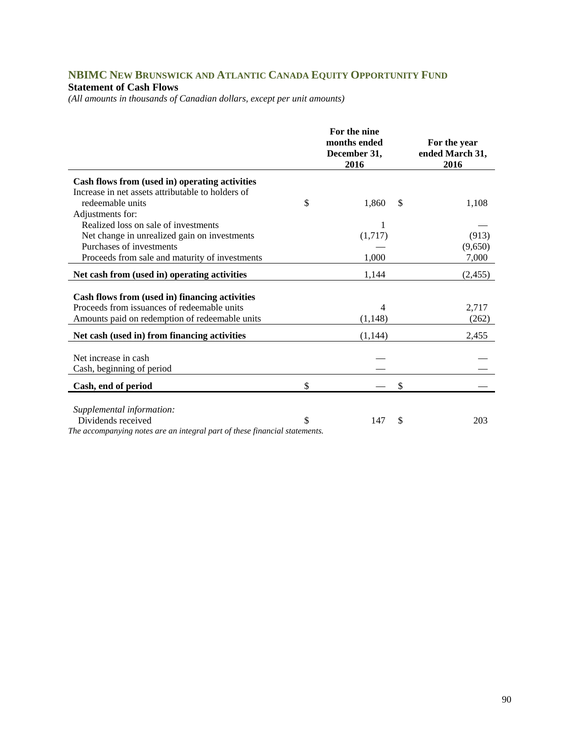### **NBIMC NEW BRUNSWICK AND ATLANTIC CANADA EQUITY OPPORTUNITY FUND Statement of Cash Flows**

*(All amounts in thousands of Canadian dollars, except per unit amounts)* 

|                                                                                                                                                 | For the nine<br>months ended<br>December 31,<br>2016 | For the year<br>ended March 31,<br>2016 |
|-------------------------------------------------------------------------------------------------------------------------------------------------|------------------------------------------------------|-----------------------------------------|
| Cash flows from (used in) operating activities                                                                                                  |                                                      |                                         |
| Increase in net assets attributable to holders of                                                                                               |                                                      |                                         |
| redeemable units                                                                                                                                | \$<br>1,860                                          | \$<br>1,108                             |
| Adjustments for:                                                                                                                                |                                                      |                                         |
| Realized loss on sale of investments                                                                                                            |                                                      |                                         |
| Net change in unrealized gain on investments                                                                                                    | (1,717)                                              | (913)                                   |
| Purchases of investments                                                                                                                        |                                                      | (9,650)                                 |
| Proceeds from sale and maturity of investments                                                                                                  | 1,000                                                | 7,000                                   |
| Net cash from (used in) operating activities                                                                                                    | 1,144                                                | (2, 455)                                |
| Cash flows from (used in) financing activities<br>Proceeds from issuances of redeemable units<br>Amounts paid on redemption of redeemable units | 4<br>(1, 148)                                        | 2,717<br>(262)                          |
| Net cash (used in) from financing activities                                                                                                    | (1,144)                                              | 2,455                                   |
| Net increase in cash<br>Cash, beginning of period                                                                                               |                                                      |                                         |
| Cash, end of period                                                                                                                             | \$                                                   | \$                                      |
| Supplemental information:<br>Dividends received<br>The accompanying notes are an integral part of these financial statements.                   | \$<br>147                                            | \$<br>203                               |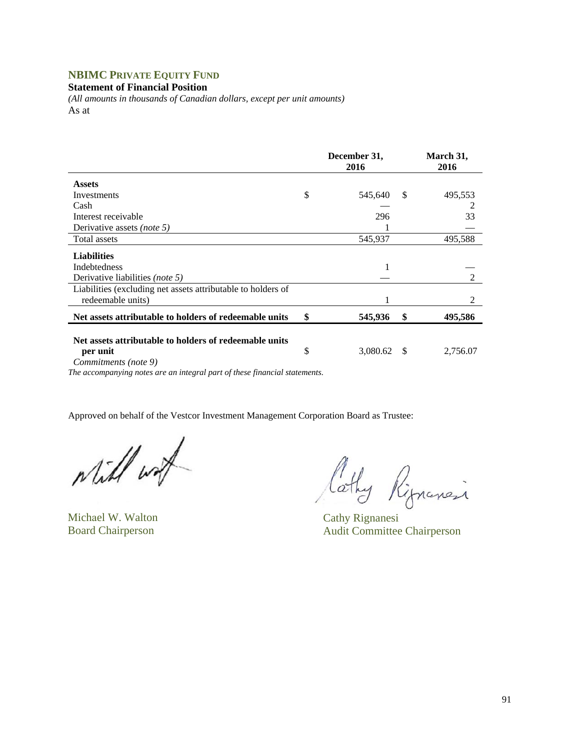# **NBIMC PRIVATE EQUITY FUND**

**Statement of Financial Position** 

*(All amounts in thousands of Canadian dollars, except per unit amounts)*  As at

|                                                                                            | December 31,<br>2016 |               | March 31,<br>2016 |  |
|--------------------------------------------------------------------------------------------|----------------------|---------------|-------------------|--|
| <b>Assets</b>                                                                              |                      |               |                   |  |
| Investments                                                                                | \$<br>545,640        | <sup>\$</sup> | 495,553           |  |
| Cash                                                                                       |                      |               |                   |  |
| Interest receivable                                                                        | 296                  |               | 33                |  |
| Derivative assets (note 5)                                                                 |                      |               |                   |  |
| Total assets                                                                               | 545,937              |               | 495,588           |  |
| <b>Liabilities</b>                                                                         |                      |               |                   |  |
| <b>Indebtedness</b>                                                                        |                      |               |                   |  |
| Derivative liabilities <i>(note 5)</i>                                                     |                      |               | 2                 |  |
| Liabilities (excluding net assets attributable to holders of                               |                      |               |                   |  |
| redeemable units)                                                                          |                      |               | 2                 |  |
| Net assets attributable to holders of redeemable units                                     | \$<br>545,936        | \$            | 495,586           |  |
| Net assets attributable to holders of redeemable units<br>per unit<br>Commitments (note 9) | \$<br>3,080.62       | - \$          | 2,756.07          |  |

*The accompanying notes are an integral part of these financial statements.* 

Will wat

Michael W. Walton Cathy Rignanesi

Cathy Rignancia

Board Chairperson Audit Committee Chairperson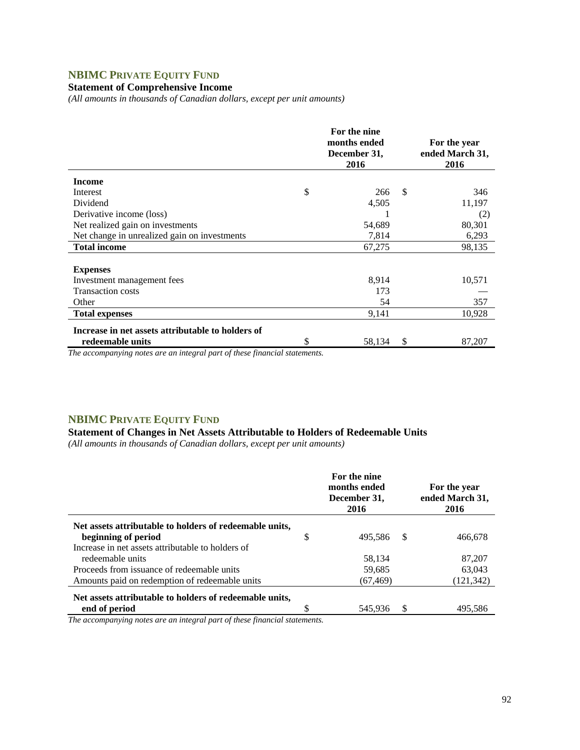# **NBIMC PRIVATE EQUITY FUND**

### **Statement of Comprehensive Income**

*(All amounts in thousands of Canadian dollars, except per unit amounts)* 

|                                                   | For the nine<br>months ended<br>December 31,<br>2016 |               | For the year<br>ended March 31,<br>2016 |
|---------------------------------------------------|------------------------------------------------------|---------------|-----------------------------------------|
| <b>Income</b>                                     |                                                      |               |                                         |
| Interest                                          | \$<br>266                                            | <sup>\$</sup> | 346                                     |
| Dividend                                          | 4,505                                                |               | 11,197                                  |
| Derivative income (loss)                          |                                                      |               | (2)                                     |
| Net realized gain on investments                  | 54,689                                               |               | 80,301                                  |
| Net change in unrealized gain on investments      | 7,814                                                |               | 6,293                                   |
| <b>Total income</b>                               | 67,275                                               |               | 98,135                                  |
|                                                   |                                                      |               |                                         |
| <b>Expenses</b>                                   |                                                      |               |                                         |
| Investment management fees                        | 8,914                                                |               | 10,571                                  |
| <b>Transaction costs</b>                          | 173                                                  |               |                                         |
| Other                                             | 54                                                   |               | 357                                     |
| <b>Total expenses</b>                             | 9,141                                                |               | 10,928                                  |
| Increase in net assets attributable to holders of |                                                      |               |                                         |
| redeemable units                                  | \$<br>58,134                                         | S             | 87,207                                  |

*The accompanying notes are an integral part of these financial statements.*

## **NBIMC PRIVATE EQUITY FUND**

## **Statement of Changes in Net Assets Attributable to Holders of Redeemable Units**

*(All amounts in thousands of Canadian dollars, except per unit amounts)* 

|                                                                                                           | For the nine<br>months ended<br>December 31,<br>2016 |    | For the year<br>ended March 31,<br>2016 |
|-----------------------------------------------------------------------------------------------------------|------------------------------------------------------|----|-----------------------------------------|
| Net assets attributable to holders of redeemable units,<br>beginning of period                            | \$<br>495.586                                        | \$ | 466.678                                 |
| Increase in net assets attributable to holders of<br>redeemable units                                     | 58.134                                               |    | 87,207                                  |
| Proceeds from issuance of redeemable units                                                                | 59,685                                               |    | 63.043                                  |
| Amounts paid on redemption of redeemable units<br>Net assets attributable to holders of redeemable units, | (67, 469)                                            |    | (121, 342)                              |
| end of period                                                                                             | 545.936                                              | S  | 495.586                                 |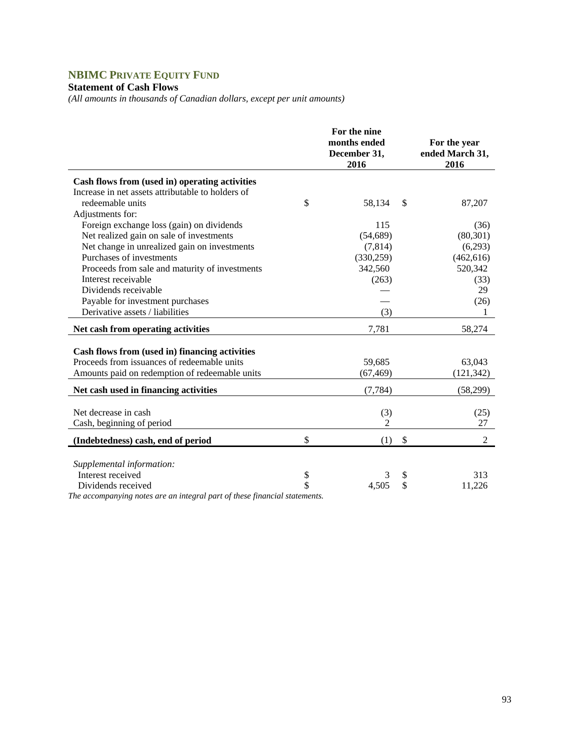# **NBIMC PRIVATE EQUITY FUND**

# **Statement of Cash Flows**

*(All amounts in thousands of Canadian dollars, except per unit amounts)* 

|                                                                           |          | For the nine<br>months ended<br>December 31,<br>2016 |          | For the year<br>ended March 31,<br>2016 |
|---------------------------------------------------------------------------|----------|------------------------------------------------------|----------|-----------------------------------------|
| Cash flows from (used in) operating activities                            |          |                                                      |          |                                         |
| Increase in net assets attributable to holders of                         |          |                                                      |          |                                         |
| redeemable units                                                          | \$       | 58,134                                               | \$       | 87,207                                  |
| Adjustments for:                                                          |          |                                                      |          |                                         |
| Foreign exchange loss (gain) on dividends                                 |          | 115                                                  |          | (36)                                    |
| Net realized gain on sale of investments                                  |          | (54, 689)                                            |          | (80, 301)                               |
| Net change in unrealized gain on investments                              |          | (7, 814)                                             |          | (6,293)                                 |
| Purchases of investments                                                  |          | (330, 259)                                           |          | (462, 616)                              |
| Proceeds from sale and maturity of investments                            |          | 342,560                                              |          | 520,342                                 |
| Interest receivable                                                       |          | (263)                                                |          | (33)                                    |
| Dividends receivable                                                      |          |                                                      |          | 29                                      |
| Payable for investment purchases                                          |          |                                                      |          | (26)                                    |
| Derivative assets / liabilities                                           |          | (3)                                                  |          |                                         |
| <b>Net cash from operating activities</b>                                 |          | 7,781                                                |          | 58,274                                  |
|                                                                           |          |                                                      |          |                                         |
| Cash flows from (used in) financing activities                            |          |                                                      |          |                                         |
| Proceeds from issuances of redeemable units                               |          | 59,685                                               |          | 63,043                                  |
| Amounts paid on redemption of redeemable units                            |          | (67, 469)                                            |          | (121, 342)                              |
| Net cash used in financing activities                                     |          | (7, 784)                                             |          | (58,299)                                |
| Net decrease in cash                                                      |          |                                                      |          |                                         |
|                                                                           |          | (3)<br>2                                             |          | (25)<br>27                              |
| Cash, beginning of period                                                 |          |                                                      |          |                                         |
| (Indebtedness) cash, end of period                                        | \$       | (1)                                                  | \$       | 2                                       |
|                                                                           |          |                                                      |          |                                         |
| Supplemental information:<br>Interest received                            |          | 3                                                    |          | 313                                     |
| Dividends received                                                        | \$<br>\$ | 4,505                                                | \$<br>\$ | 11,226                                  |
| The accompanying notes are an integral part of these financial statements |          |                                                      |          |                                         |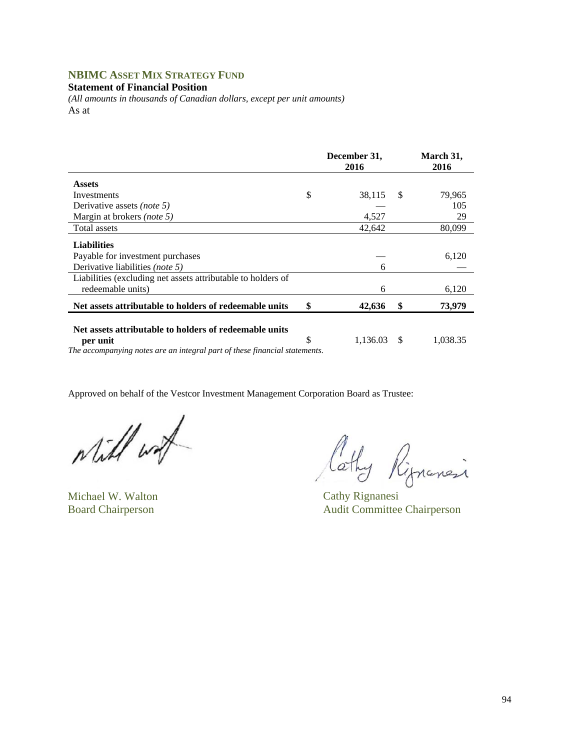## **NBIMC ASSET MIX STRATEGY FUND**

**Statement of Financial Position** 

*(All amounts in thousands of Canadian dollars, except per unit amounts)*  As at

|                                                                    | December 31,<br>2016 |    | March 31,<br>2016 |
|--------------------------------------------------------------------|----------------------|----|-------------------|
| <b>Assets</b>                                                      |                      |    |                   |
| Investments                                                        | \$<br>38,115         | -S | 79,965            |
| Derivative assets (note 5)                                         |                      |    | 105               |
| Margin at brokers (note 5)                                         | 4,527                |    | 29                |
| Total assets                                                       | 42,642               |    | 80,099            |
| <b>Liabilities</b>                                                 |                      |    |                   |
| Payable for investment purchases                                   |                      |    | 6,120             |
| Derivative liabilities (note 5)                                    | 6                    |    |                   |
| Liabilities (excluding net assets attributable to holders of       |                      |    |                   |
| redeemable units)                                                  | 6                    |    | 6,120             |
| Net assets attributable to holders of redeemable units             | \$<br>42,636         | S  | 73,979            |
| Net assets attributable to holders of redeemable units<br>per unit | \$<br>1.136.03       | -S | 1,038.35          |

*The accompanying notes are an integral part of these financial statements.* 

while with

Michael W. Walton Cathy Rignanesi

lathy Rignanci

Board Chairperson Audit Committee Chairperson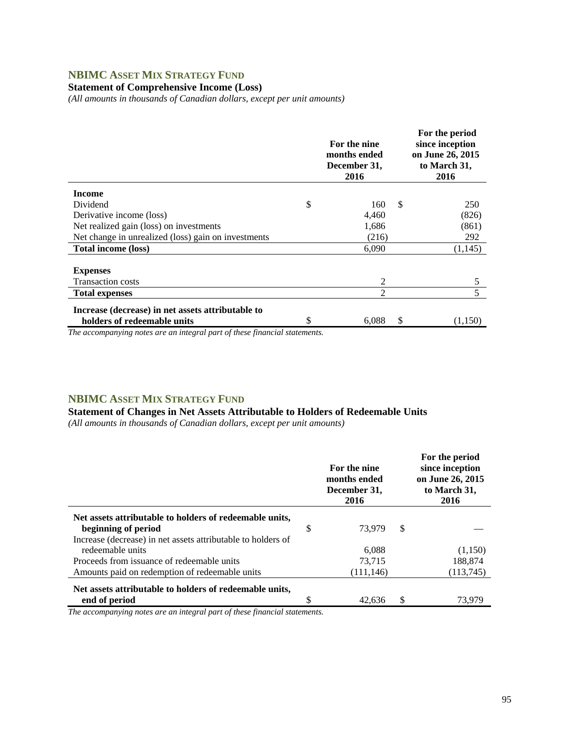## **NBIMC ASSET MIX STRATEGY FUND**

### **Statement of Comprehensive Income (Loss)**

*(All amounts in thousands of Canadian dollars, except per unit amounts)* 

|                                                     | For the nine<br>months ended<br>December 31,<br>2016 |    | For the period<br>since inception<br>on June 26, 2015<br>to March 31,<br>2016 |
|-----------------------------------------------------|------------------------------------------------------|----|-------------------------------------------------------------------------------|
| <b>Income</b>                                       |                                                      |    |                                                                               |
| Dividend                                            | \$<br>160                                            | -S | 250                                                                           |
| Derivative income (loss)                            | 4,460                                                |    | (826)                                                                         |
| Net realized gain (loss) on investments             | 1,686                                                |    | (861)                                                                         |
| Net change in unrealized (loss) gain on investments | (216)                                                |    | 292                                                                           |
| <b>Total income (loss)</b>                          | 6,090                                                |    | (1,145)                                                                       |
|                                                     |                                                      |    |                                                                               |
| <b>Expenses</b>                                     |                                                      |    |                                                                               |
| <b>Transaction costs</b>                            | 2                                                    |    | 5                                                                             |
| <b>Total expenses</b>                               | 2                                                    |    | 5                                                                             |
| Increase (decrease) in net assets attributable to   |                                                      |    |                                                                               |
| holders of redeemable units                         | \$<br>6,088                                          | S  | (1,150)                                                                       |
| $\sim$ $\sim$<br>$\sim$<br>$\cdot$ $\cdot$          |                                                      |    |                                                                               |

*The accompanying notes are an integral part of these financial statements.*

### **NBIMC ASSET MIX STRATEGY FUND**

#### **Statement of Changes in Net Assets Attributable to Holders of Redeemable Units**

*(All amounts in thousands of Canadian dollars, except per unit amounts)* 

|                                                              | For the nine<br>months ended<br>December 31,<br>2016 |               | For the period<br>since inception<br>on June 26, 2015<br>to March 31,<br>2016 |
|--------------------------------------------------------------|------------------------------------------------------|---------------|-------------------------------------------------------------------------------|
| Net assets attributable to holders of redeemable units,      |                                                      |               |                                                                               |
| beginning of period                                          | \$<br>73.979                                         | <sup>\$</sup> |                                                                               |
| Increase (decrease) in net assets attributable to holders of |                                                      |               |                                                                               |
| redeemable units                                             | 6.088                                                |               | (1,150)                                                                       |
| Proceeds from issuance of redeemable units                   | 73.715                                               |               | 188,874                                                                       |
| Amounts paid on redemption of redeemable units               | (111, 146)                                           |               | (113,745)                                                                     |
| Net assets attributable to holders of redeemable units,      |                                                      |               |                                                                               |
| end of period                                                | \$<br>42.636                                         | S             | 73.979                                                                        |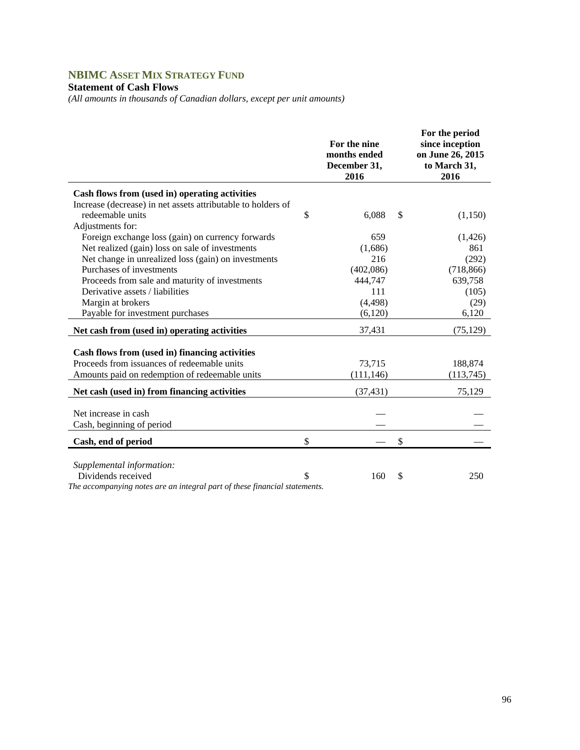# **NBIMC ASSET MIX STRATEGY FUND**

## **Statement of Cash Flows**

*(All amounts in thousands of Canadian dollars, except per unit amounts)* 

|                                                                                               | For the nine<br>months ended<br>December 31,<br>2016 | For the period<br>since inception<br>on June 26, 2015<br>to March 31,<br>2016 |
|-----------------------------------------------------------------------------------------------|------------------------------------------------------|-------------------------------------------------------------------------------|
| Cash flows from (used in) operating activities                                                |                                                      |                                                                               |
| Increase (decrease) in net assets attributable to holders of                                  |                                                      |                                                                               |
| redeemable units                                                                              | \$<br>6,088                                          | \$<br>(1,150)                                                                 |
| Adjustments for:                                                                              |                                                      |                                                                               |
| Foreign exchange loss (gain) on currency forwards                                             | 659                                                  | (1,426)                                                                       |
| Net realized (gain) loss on sale of investments                                               | (1,686)                                              | 861                                                                           |
| Net change in unrealized loss (gain) on investments                                           | 216                                                  | (292)                                                                         |
| Purchases of investments                                                                      | (402,086)                                            | (718, 866)                                                                    |
| Proceeds from sale and maturity of investments                                                | 444,747                                              | 639,758                                                                       |
| Derivative assets / liabilities                                                               | 111                                                  | (105)                                                                         |
| Margin at brokers                                                                             | (4, 498)                                             | (29)                                                                          |
| Payable for investment purchases                                                              | (6,120)                                              | 6,120                                                                         |
| Net cash from (used in) operating activities                                                  | 37,431                                               | (75, 129)                                                                     |
|                                                                                               |                                                      |                                                                               |
| Cash flows from (used in) financing activities<br>Proceeds from issuances of redeemable units |                                                      |                                                                               |
|                                                                                               | 73,715                                               | 188,874                                                                       |
| Amounts paid on redemption of redeemable units                                                | (111, 146)                                           | (113,745)                                                                     |
| Net cash (used in) from financing activities                                                  | (37, 431)                                            | 75,129                                                                        |
| Net increase in cash                                                                          |                                                      |                                                                               |
| Cash, beginning of period                                                                     |                                                      |                                                                               |
| Cash, end of period                                                                           | \$                                                   | \$                                                                            |
|                                                                                               |                                                      |                                                                               |
| Supplemental information:                                                                     |                                                      |                                                                               |
| Dividends received                                                                            | \$<br>160                                            | \$<br>250                                                                     |
| The accompanying notes are an integral part of these financial statements.                    |                                                      |                                                                               |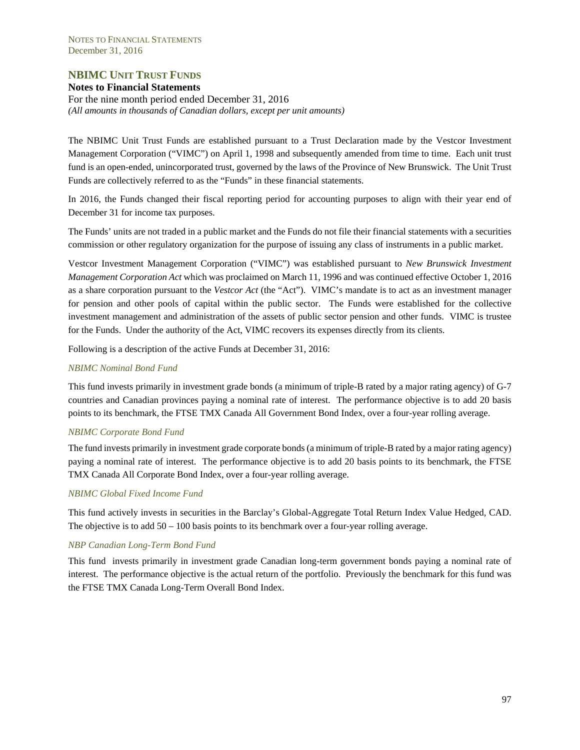## **NBIMC UNIT TRUST FUNDS**

#### **Notes to Financial Statements**

For the nine month period ended December 31, 2016 *(All amounts in thousands of Canadian dollars, except per unit amounts)* 

The NBIMC Unit Trust Funds are established pursuant to a Trust Declaration made by the Vestcor Investment Management Corporation ("VIMC") on April 1, 1998 and subsequently amended from time to time. Each unit trust fund is an open-ended, unincorporated trust, governed by the laws of the Province of New Brunswick. The Unit Trust Funds are collectively referred to as the "Funds" in these financial statements.

In 2016, the Funds changed their fiscal reporting period for accounting purposes to align with their year end of December 31 for income tax purposes.

The Funds' units are not traded in a public market and the Funds do not file their financial statements with a securities commission or other regulatory organization for the purpose of issuing any class of instruments in a public market.

Vestcor Investment Management Corporation ("VIMC") was established pursuant to *New Brunswick Investment Management Corporation Act* which was proclaimed on March 11, 1996 and was continued effective October 1, 2016 as a share corporation pursuant to the *Vestcor Act* (the "Act"). VIMC's mandate is to act as an investment manager for pension and other pools of capital within the public sector. The Funds were established for the collective investment management and administration of the assets of public sector pension and other funds. VIMC is trustee for the Funds. Under the authority of the Act, VIMC recovers its expenses directly from its clients.

Following is a description of the active Funds at December 31, 2016:

#### *NBIMC Nominal Bond Fund*

This fund invests primarily in investment grade bonds (a minimum of triple-B rated by a major rating agency) of G-7 countries and Canadian provinces paying a nominal rate of interest. The performance objective is to add 20 basis points to its benchmark, the FTSE TMX Canada All Government Bond Index, over a four-year rolling average.

#### *NBIMC Corporate Bond Fund*

The fund invests primarily in investment grade corporate bonds (a minimum of triple-B rated by a major rating agency) paying a nominal rate of interest. The performance objective is to add 20 basis points to its benchmark, the FTSE TMX Canada All Corporate Bond Index, over a four-year rolling average.

#### *NBIMC Global Fixed Income Fund*

This fund actively invests in securities in the Barclay's Global-Aggregate Total Return Index Value Hedged, CAD. The objective is to add  $50 - 100$  basis points to its benchmark over a four-year rolling average.

#### *NBP Canadian Long-Term Bond Fund*

This fund invests primarily in investment grade Canadian long-term government bonds paying a nominal rate of interest. The performance objective is the actual return of the portfolio. Previously the benchmark for this fund was the FTSE TMX Canada Long-Term Overall Bond Index.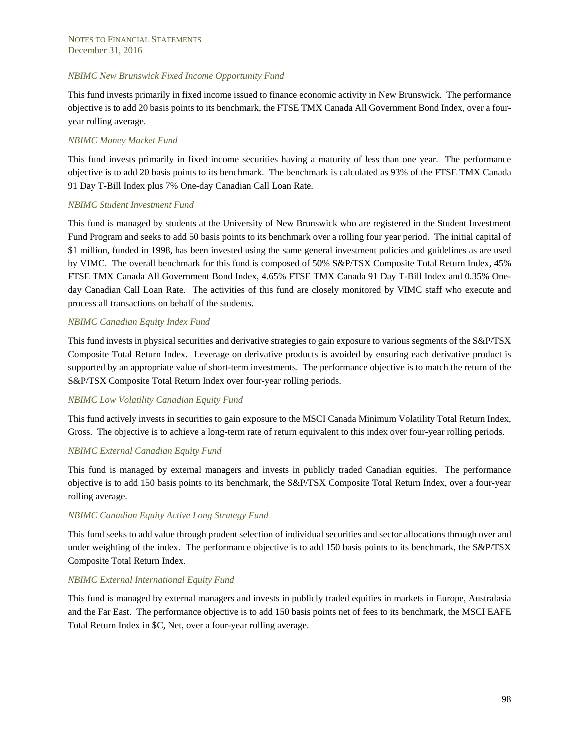#### *NBIMC New Brunswick Fixed Income Opportunity Fund*

This fund invests primarily in fixed income issued to finance economic activity in New Brunswick. The performance objective is to add 20 basis points to its benchmark, the FTSE TMX Canada All Government Bond Index, over a fouryear rolling average.

#### *NBIMC Money Market Fund*

This fund invests primarily in fixed income securities having a maturity of less than one year. The performance objective is to add 20 basis points to its benchmark. The benchmark is calculated as 93% of the FTSE TMX Canada 91 Day T-Bill Index plus 7% One-day Canadian Call Loan Rate.

#### *NBIMC Student Investment Fund*

This fund is managed by students at the University of New Brunswick who are registered in the Student Investment Fund Program and seeks to add 50 basis points to its benchmark over a rolling four year period. The initial capital of \$1 million, funded in 1998, has been invested using the same general investment policies and guidelines as are used by VIMC. The overall benchmark for this fund is composed of 50% S&P/TSX Composite Total Return Index, 45% FTSE TMX Canada All Government Bond Index, 4.65% FTSE TMX Canada 91 Day T-Bill Index and 0.35% Oneday Canadian Call Loan Rate. The activities of this fund are closely monitored by VIMC staff who execute and process all transactions on behalf of the students.

#### *NBIMC Canadian Equity Index Fund*

This fund invests in physical securities and derivative strategies to gain exposure to various segments of the S&P/TSX Composite Total Return Index. Leverage on derivative products is avoided by ensuring each derivative product is supported by an appropriate value of short-term investments. The performance objective is to match the return of the S&P/TSX Composite Total Return Index over four-year rolling periods.

#### *NBIMC Low Volatility Canadian Equity Fund*

This fund actively invests in securities to gain exposure to the MSCI Canada Minimum Volatility Total Return Index, Gross. The objective is to achieve a long-term rate of return equivalent to this index over four-year rolling periods.

#### *NBIMC External Canadian Equity Fund*

This fund is managed by external managers and invests in publicly traded Canadian equities. The performance objective is to add 150 basis points to its benchmark, the S&P/TSX Composite Total Return Index, over a four-year rolling average.

#### *NBIMC Canadian Equity Active Long Strategy Fund*

This fund seeks to add value through prudent selection of individual securities and sector allocations through over and under weighting of the index. The performance objective is to add 150 basis points to its benchmark, the S&P/TSX Composite Total Return Index.

#### *NBIMC External International Equity Fund*

This fund is managed by external managers and invests in publicly traded equities in markets in Europe, Australasia and the Far East. The performance objective is to add 150 basis points net of fees to its benchmark, the MSCI EAFE Total Return Index in \$C, Net, over a four-year rolling average.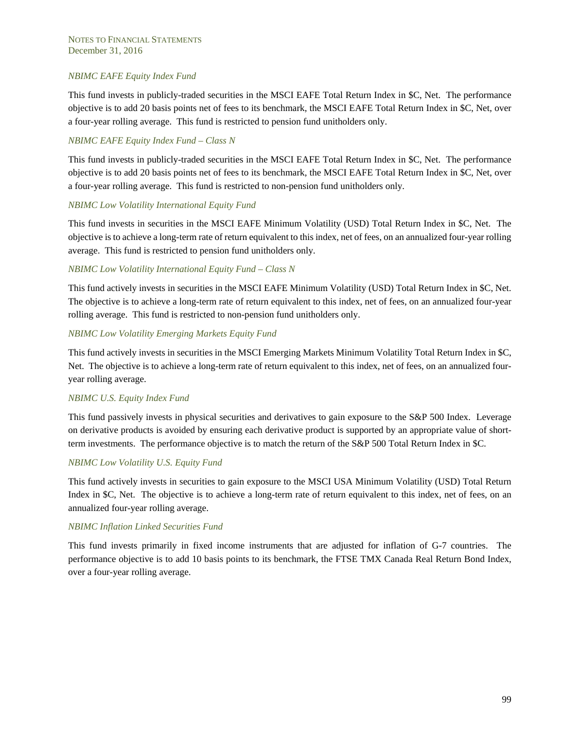#### *NBIMC EAFE Equity Index Fund*

This fund invests in publicly-traded securities in the MSCI EAFE Total Return Index in \$C, Net. The performance objective is to add 20 basis points net of fees to its benchmark, the MSCI EAFE Total Return Index in \$C, Net, over a four-year rolling average. This fund is restricted to pension fund unitholders only.

#### *NBIMC EAFE Equity Index Fund – Class N*

This fund invests in publicly-traded securities in the MSCI EAFE Total Return Index in \$C, Net. The performance objective is to add 20 basis points net of fees to its benchmark, the MSCI EAFE Total Return Index in \$C, Net, over a four-year rolling average. This fund is restricted to non-pension fund unitholders only.

#### *NBIMC Low Volatility International Equity Fund*

This fund invests in securities in the MSCI EAFE Minimum Volatility (USD) Total Return Index in \$C, Net. The objective is to achieve a long-term rate of return equivalent to this index, net of fees, on an annualized four-year rolling average. This fund is restricted to pension fund unitholders only.

#### *NBIMC Low Volatility International Equity Fund – Class N*

This fund actively invests in securities in the MSCI EAFE Minimum Volatility (USD) Total Return Index in \$C, Net. The objective is to achieve a long-term rate of return equivalent to this index, net of fees, on an annualized four-year rolling average. This fund is restricted to non-pension fund unitholders only.

#### *NBIMC Low Volatility Emerging Markets Equity Fund*

This fund actively invests in securities in the MSCI Emerging Markets Minimum Volatility Total Return Index in \$C, Net. The objective is to achieve a long-term rate of return equivalent to this index, net of fees, on an annualized fouryear rolling average.

#### *NBIMC U.S. Equity Index Fund*

This fund passively invests in physical securities and derivatives to gain exposure to the S&P 500 Index. Leverage on derivative products is avoided by ensuring each derivative product is supported by an appropriate value of shortterm investments. The performance objective is to match the return of the S&P 500 Total Return Index in \$C.

#### *NBIMC Low Volatility U.S. Equity Fund*

This fund actively invests in securities to gain exposure to the MSCI USA Minimum Volatility (USD) Total Return Index in \$C, Net. The objective is to achieve a long-term rate of return equivalent to this index, net of fees, on an annualized four-year rolling average.

#### *NBIMC Inflation Linked Securities Fund*

This fund invests primarily in fixed income instruments that are adjusted for inflation of G-7 countries. The performance objective is to add 10 basis points to its benchmark, the FTSE TMX Canada Real Return Bond Index, over a four-year rolling average.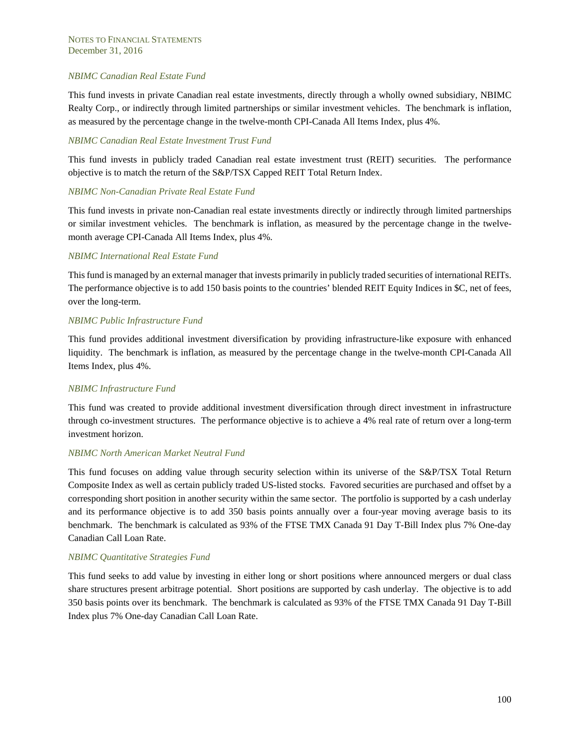#### *NBIMC Canadian Real Estate Fund*

This fund invests in private Canadian real estate investments, directly through a wholly owned subsidiary, NBIMC Realty Corp., or indirectly through limited partnerships or similar investment vehicles. The benchmark is inflation, as measured by the percentage change in the twelve-month CPI-Canada All Items Index, plus 4%.

#### *NBIMC Canadian Real Estate Investment Trust Fund*

This fund invests in publicly traded Canadian real estate investment trust (REIT) securities. The performance objective is to match the return of the S&P/TSX Capped REIT Total Return Index.

#### *NBIMC Non-Canadian Private Real Estate Fund*

This fund invests in private non-Canadian real estate investments directly or indirectly through limited partnerships or similar investment vehicles. The benchmark is inflation, as measured by the percentage change in the twelvemonth average CPI-Canada All Items Index, plus 4%.

#### *NBIMC International Real Estate Fund*

This fund is managed by an external manager that invests primarily in publicly traded securities of international REITs. The performance objective is to add 150 basis points to the countries' blended REIT Equity Indices in \$C, net of fees, over the long-term.

#### *NBIMC Public Infrastructure Fund*

This fund provides additional investment diversification by providing infrastructure-like exposure with enhanced liquidity. The benchmark is inflation, as measured by the percentage change in the twelve-month CPI-Canada All Items Index, plus 4%.

#### *NBIMC Infrastructure Fund*

This fund was created to provide additional investment diversification through direct investment in infrastructure through co-investment structures. The performance objective is to achieve a 4% real rate of return over a long-term investment horizon.

#### *NBIMC North American Market Neutral Fund*

This fund focuses on adding value through security selection within its universe of the S&P/TSX Total Return Composite Index as well as certain publicly traded US-listed stocks. Favored securities are purchased and offset by a corresponding short position in another security within the same sector. The portfolio is supported by a cash underlay and its performance objective is to add 350 basis points annually over a four-year moving average basis to its benchmark. The benchmark is calculated as 93% of the FTSE TMX Canada 91 Day T-Bill Index plus 7% One-day Canadian Call Loan Rate.

#### *NBIMC Quantitative Strategies Fund*

This fund seeks to add value by investing in either long or short positions where announced mergers or dual class share structures present arbitrage potential. Short positions are supported by cash underlay. The objective is to add 350 basis points over its benchmark. The benchmark is calculated as 93% of the FTSE TMX Canada 91 Day T-Bill Index plus 7% One-day Canadian Call Loan Rate.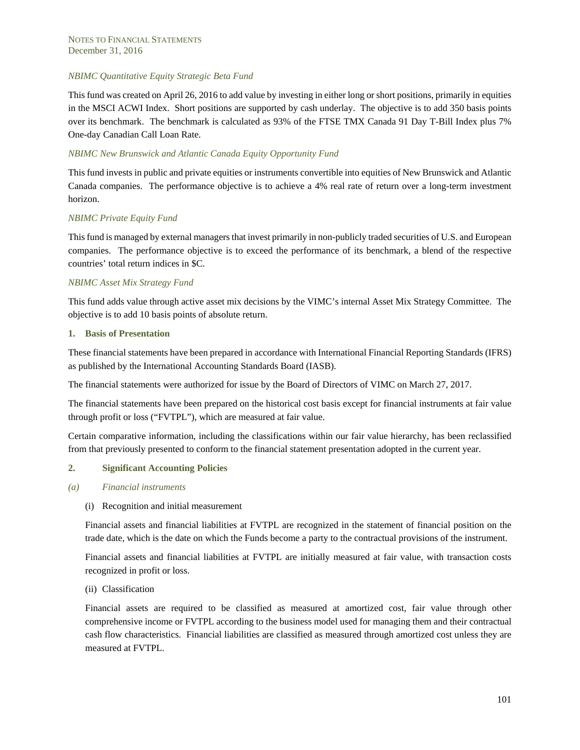#### *NBIMC Quantitative Equity Strategic Beta Fund*

This fund was created on April 26, 2016 to add value by investing in either long or short positions, primarily in equities in the MSCI ACWI Index. Short positions are supported by cash underlay. The objective is to add 350 basis points over its benchmark. The benchmark is calculated as 93% of the FTSE TMX Canada 91 Day T-Bill Index plus 7% One-day Canadian Call Loan Rate.

#### *NBIMC New Brunswick and Atlantic Canada Equity Opportunity Fund*

This fund invests in public and private equities or instruments convertible into equities of New Brunswick and Atlantic Canada companies. The performance objective is to achieve a 4% real rate of return over a long-term investment horizon.

#### *NBIMC Private Equity Fund*

This fund is managed by external managers that invest primarily in non-publicly traded securities of U.S. and European companies. The performance objective is to exceed the performance of its benchmark, a blend of the respective countries' total return indices in \$C.

#### *NBIMC Asset Mix Strategy Fund*

This fund adds value through active asset mix decisions by the VIMC's internal Asset Mix Strategy Committee. The objective is to add 10 basis points of absolute return.

#### **1. Basis of Presentation**

These financial statements have been prepared in accordance with International Financial Reporting Standards (IFRS) as published by the International Accounting Standards Board (IASB).

The financial statements were authorized for issue by the Board of Directors of VIMC on March 27, 2017.

The financial statements have been prepared on the historical cost basis except for financial instruments at fair value through profit or loss ("FVTPL"), which are measured at fair value.

Certain comparative information, including the classifications within our fair value hierarchy, has been reclassified from that previously presented to conform to the financial statement presentation adopted in the current year.

#### **2. Significant Accounting Policies**

- *(a) Financial instruments* 
	- (i) Recognition and initial measurement

Financial assets and financial liabilities at FVTPL are recognized in the statement of financial position on the trade date, which is the date on which the Funds become a party to the contractual provisions of the instrument.

Financial assets and financial liabilities at FVTPL are initially measured at fair value, with transaction costs recognized in profit or loss.

#### (ii) Classification

Financial assets are required to be classified as measured at amortized cost, fair value through other comprehensive income or FVTPL according to the business model used for managing them and their contractual cash flow characteristics. Financial liabilities are classified as measured through amortized cost unless they are measured at FVTPL.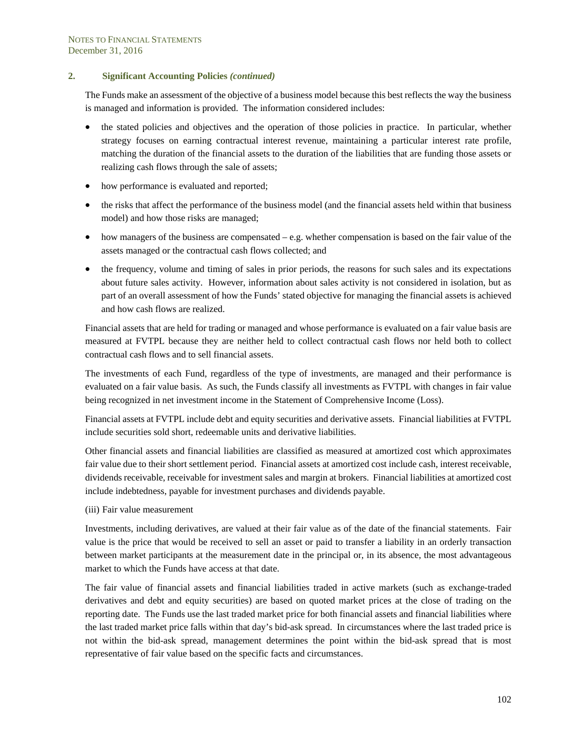The Funds make an assessment of the objective of a business model because this best reflects the way the business is managed and information is provided. The information considered includes:

- the stated policies and objectives and the operation of those policies in practice. In particular, whether strategy focuses on earning contractual interest revenue, maintaining a particular interest rate profile, matching the duration of the financial assets to the duration of the liabilities that are funding those assets or realizing cash flows through the sale of assets;
- how performance is evaluated and reported;
- the risks that affect the performance of the business model (and the financial assets held within that business model) and how those risks are managed;
- $\bullet$  how managers of the business are compensated e.g. whether compensation is based on the fair value of the assets managed or the contractual cash flows collected; and
- the frequency, volume and timing of sales in prior periods, the reasons for such sales and its expectations about future sales activity. However, information about sales activity is not considered in isolation, but as part of an overall assessment of how the Funds' stated objective for managing the financial assets is achieved and how cash flows are realized.

Financial assets that are held for trading or managed and whose performance is evaluated on a fair value basis are measured at FVTPL because they are neither held to collect contractual cash flows nor held both to collect contractual cash flows and to sell financial assets.

The investments of each Fund, regardless of the type of investments, are managed and their performance is evaluated on a fair value basis. As such, the Funds classify all investments as FVTPL with changes in fair value being recognized in net investment income in the Statement of Comprehensive Income (Loss).

Financial assets at FVTPL include debt and equity securities and derivative assets. Financial liabilities at FVTPL include securities sold short, redeemable units and derivative liabilities.

Other financial assets and financial liabilities are classified as measured at amortized cost which approximates fair value due to their short settlement period. Financial assets at amortized cost include cash, interest receivable, dividends receivable, receivable for investment sales and margin at brokers. Financial liabilities at amortized cost include indebtedness, payable for investment purchases and dividends payable.

(iii) Fair value measurement

Investments, including derivatives, are valued at their fair value as of the date of the financial statements. Fair value is the price that would be received to sell an asset or paid to transfer a liability in an orderly transaction between market participants at the measurement date in the principal or, in its absence, the most advantageous market to which the Funds have access at that date.

The fair value of financial assets and financial liabilities traded in active markets (such as exchange-traded derivatives and debt and equity securities) are based on quoted market prices at the close of trading on the reporting date. The Funds use the last traded market price for both financial assets and financial liabilities where the last traded market price falls within that day's bid-ask spread. In circumstances where the last traded price is not within the bid-ask spread, management determines the point within the bid-ask spread that is most representative of fair value based on the specific facts and circumstances.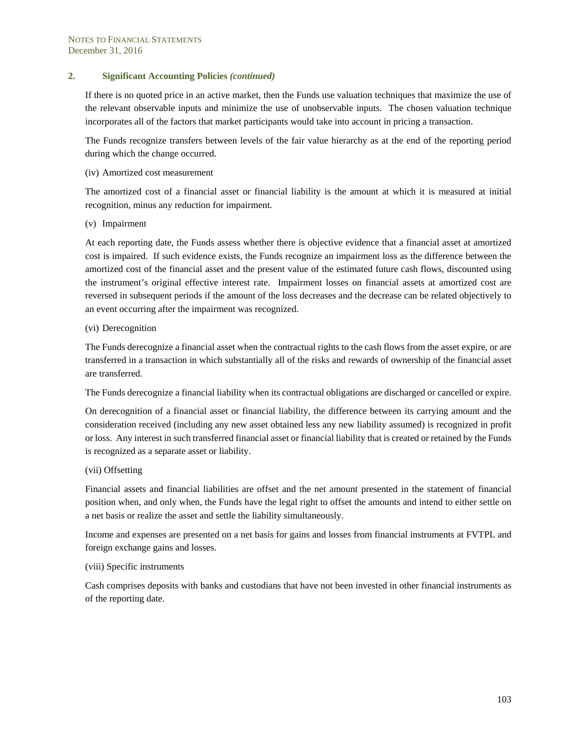If there is no quoted price in an active market, then the Funds use valuation techniques that maximize the use of the relevant observable inputs and minimize the use of unobservable inputs. The chosen valuation technique incorporates all of the factors that market participants would take into account in pricing a transaction.

The Funds recognize transfers between levels of the fair value hierarchy as at the end of the reporting period during which the change occurred.

#### (iv) Amortized cost measurement

The amortized cost of a financial asset or financial liability is the amount at which it is measured at initial recognition, minus any reduction for impairment.

(v) Impairment

At each reporting date, the Funds assess whether there is objective evidence that a financial asset at amortized cost is impaired. If such evidence exists, the Funds recognize an impairment loss as the difference between the amortized cost of the financial asset and the present value of the estimated future cash flows, discounted using the instrument's original effective interest rate. Impairment losses on financial assets at amortized cost are reversed in subsequent periods if the amount of the loss decreases and the decrease can be related objectively to an event occurring after the impairment was recognized.

#### (vi) Derecognition

The Funds derecognize a financial asset when the contractual rights to the cash flows from the asset expire, or are transferred in a transaction in which substantially all of the risks and rewards of ownership of the financial asset are transferred.

The Funds derecognize a financial liability when its contractual obligations are discharged or cancelled or expire.

On derecognition of a financial asset or financial liability, the difference between its carrying amount and the consideration received (including any new asset obtained less any new liability assumed) is recognized in profit or loss. Any interest in such transferred financial asset or financial liability that is created or retained by the Funds is recognized as a separate asset or liability.

#### (vii) Offsetting

Financial assets and financial liabilities are offset and the net amount presented in the statement of financial position when, and only when, the Funds have the legal right to offset the amounts and intend to either settle on a net basis or realize the asset and settle the liability simultaneously.

Income and expenses are presented on a net basis for gains and losses from financial instruments at FVTPL and foreign exchange gains and losses.

#### (viii) Specific instruments

Cash comprises deposits with banks and custodians that have not been invested in other financial instruments as of the reporting date.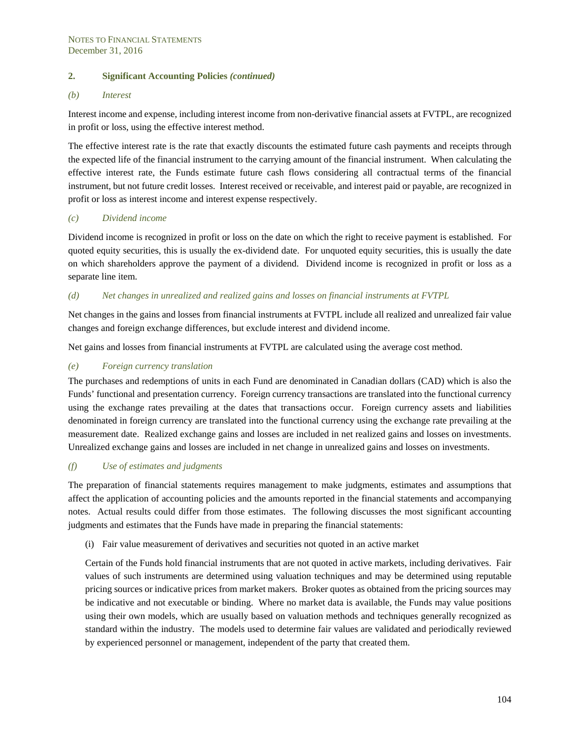#### *(b) Interest*

Interest income and expense, including interest income from non-derivative financial assets at FVTPL, are recognized in profit or loss, using the effective interest method.

The effective interest rate is the rate that exactly discounts the estimated future cash payments and receipts through the expected life of the financial instrument to the carrying amount of the financial instrument. When calculating the effective interest rate, the Funds estimate future cash flows considering all contractual terms of the financial instrument, but not future credit losses. Interest received or receivable, and interest paid or payable, are recognized in profit or loss as interest income and interest expense respectively.

#### *(c) Dividend income*

Dividend income is recognized in profit or loss on the date on which the right to receive payment is established. For quoted equity securities, this is usually the ex-dividend date. For unquoted equity securities, this is usually the date on which shareholders approve the payment of a dividend. Dividend income is recognized in profit or loss as a separate line item.

#### *(d) Net changes in unrealized and realized gains and losses on financial instruments at FVTPL*

Net changes in the gains and losses from financial instruments at FVTPL include all realized and unrealized fair value changes and foreign exchange differences, but exclude interest and dividend income.

Net gains and losses from financial instruments at FVTPL are calculated using the average cost method.

#### *(e) Foreign currency translation*

The purchases and redemptions of units in each Fund are denominated in Canadian dollars (CAD) which is also the Funds' functional and presentation currency. Foreign currency transactions are translated into the functional currency using the exchange rates prevailing at the dates that transactions occur. Foreign currency assets and liabilities denominated in foreign currency are translated into the functional currency using the exchange rate prevailing at the measurement date. Realized exchange gains and losses are included in net realized gains and losses on investments. Unrealized exchange gains and losses are included in net change in unrealized gains and losses on investments.

### *(f) Use of estimates and judgments*

The preparation of financial statements requires management to make judgments, estimates and assumptions that affect the application of accounting policies and the amounts reported in the financial statements and accompanying notes. Actual results could differ from those estimates. The following discusses the most significant accounting judgments and estimates that the Funds have made in preparing the financial statements:

#### (i) Fair value measurement of derivatives and securities not quoted in an active market

Certain of the Funds hold financial instruments that are not quoted in active markets, including derivatives. Fair values of such instruments are determined using valuation techniques and may be determined using reputable pricing sources or indicative prices from market makers. Broker quotes as obtained from the pricing sources may be indicative and not executable or binding. Where no market data is available, the Funds may value positions using their own models, which are usually based on valuation methods and techniques generally recognized as standard within the industry. The models used to determine fair values are validated and periodically reviewed by experienced personnel or management, independent of the party that created them.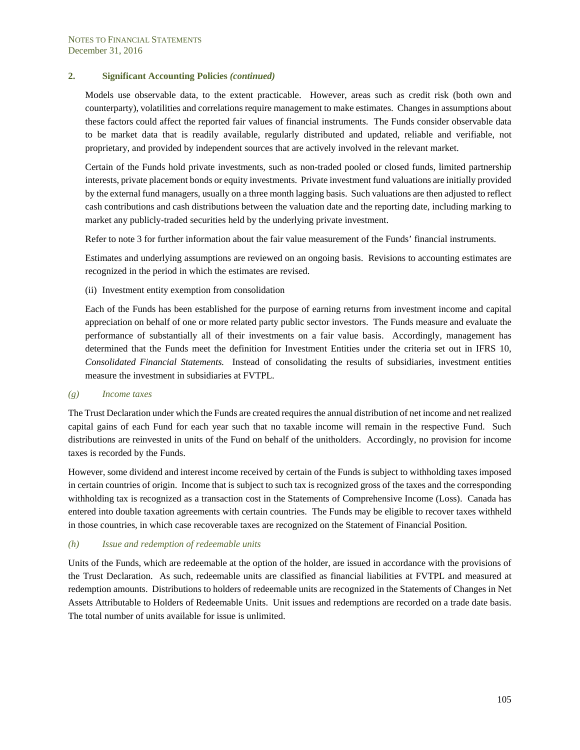Models use observable data, to the extent practicable. However, areas such as credit risk (both own and counterparty), volatilities and correlations require management to make estimates. Changes in assumptions about these factors could affect the reported fair values of financial instruments. The Funds consider observable data to be market data that is readily available, regularly distributed and updated, reliable and verifiable, not proprietary, and provided by independent sources that are actively involved in the relevant market.

Certain of the Funds hold private investments, such as non-traded pooled or closed funds, limited partnership interests, private placement bonds or equity investments. Private investment fund valuations are initially provided by the external fund managers, usually on a three month lagging basis. Such valuations are then adjusted to reflect cash contributions and cash distributions between the valuation date and the reporting date, including marking to market any publicly-traded securities held by the underlying private investment.

Refer to note 3 for further information about the fair value measurement of the Funds' financial instruments.

Estimates and underlying assumptions are reviewed on an ongoing basis. Revisions to accounting estimates are recognized in the period in which the estimates are revised.

(ii) Investment entity exemption from consolidation

Each of the Funds has been established for the purpose of earning returns from investment income and capital appreciation on behalf of one or more related party public sector investors. The Funds measure and evaluate the performance of substantially all of their investments on a fair value basis. Accordingly, management has determined that the Funds meet the definition for Investment Entities under the criteria set out in IFRS 10, *Consolidated Financial Statements.* Instead of consolidating the results of subsidiaries, investment entities measure the investment in subsidiaries at FVTPL.

#### *(g) Income taxes*

The Trust Declaration under which the Funds are created requires the annual distribution of net income and net realized capital gains of each Fund for each year such that no taxable income will remain in the respective Fund. Such distributions are reinvested in units of the Fund on behalf of the unitholders. Accordingly, no provision for income taxes is recorded by the Funds.

However, some dividend and interest income received by certain of the Funds is subject to withholding taxes imposed in certain countries of origin. Income that is subject to such tax is recognized gross of the taxes and the corresponding withholding tax is recognized as a transaction cost in the Statements of Comprehensive Income (Loss). Canada has entered into double taxation agreements with certain countries. The Funds may be eligible to recover taxes withheld in those countries, in which case recoverable taxes are recognized on the Statement of Financial Position.

#### *(h) Issue and redemption of redeemable units*

Units of the Funds, which are redeemable at the option of the holder, are issued in accordance with the provisions of the Trust Declaration. As such, redeemable units are classified as financial liabilities at FVTPL and measured at redemption amounts. Distributions to holders of redeemable units are recognized in the Statements of Changes in Net Assets Attributable to Holders of Redeemable Units. Unit issues and redemptions are recorded on a trade date basis. The total number of units available for issue is unlimited.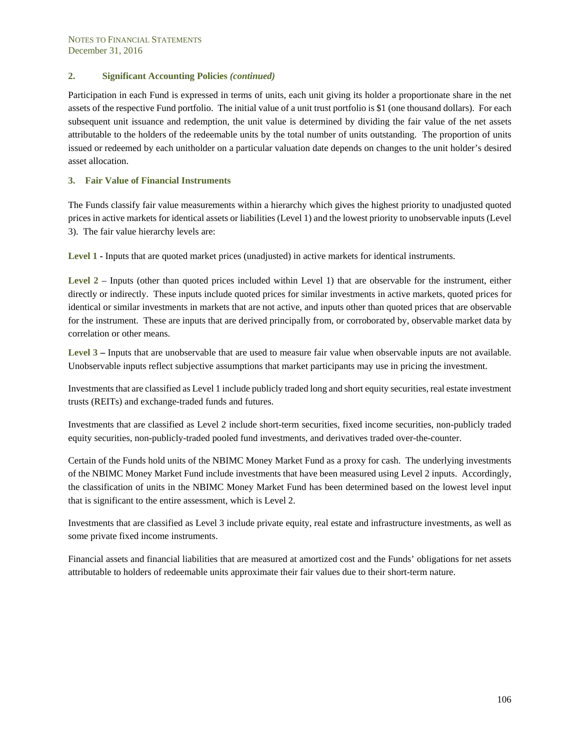Participation in each Fund is expressed in terms of units, each unit giving its holder a proportionate share in the net assets of the respective Fund portfolio. The initial value of a unit trust portfolio is \$1 (one thousand dollars). For each subsequent unit issuance and redemption, the unit value is determined by dividing the fair value of the net assets attributable to the holders of the redeemable units by the total number of units outstanding. The proportion of units issued or redeemed by each unitholder on a particular valuation date depends on changes to the unit holder's desired asset allocation.

#### **3. Fair Value of Financial Instruments**

The Funds classify fair value measurements within a hierarchy which gives the highest priority to unadjusted quoted prices in active markets for identical assets or liabilities (Level 1) and the lowest priority to unobservable inputs (Level 3). The fair value hierarchy levels are:

**Level 1 -** Inputs that are quoted market prices (unadjusted) in active markets for identical instruments.

**Level 2** – Inputs (other than quoted prices included within Level 1) that are observable for the instrument, either directly or indirectly. These inputs include quoted prices for similar investments in active markets, quoted prices for identical or similar investments in markets that are not active, and inputs other than quoted prices that are observable for the instrument. These are inputs that are derived principally from, or corroborated by, observable market data by correlation or other means.

**Level 3 –** Inputs that are unobservable that are used to measure fair value when observable inputs are not available. Unobservable inputs reflect subjective assumptions that market participants may use in pricing the investment.

Investments that are classified as Level 1 include publicly traded long and short equity securities, real estate investment trusts (REITs) and exchange-traded funds and futures.

Investments that are classified as Level 2 include short-term securities, fixed income securities, non-publicly traded equity securities, non-publicly-traded pooled fund investments, and derivatives traded over-the-counter.

Certain of the Funds hold units of the NBIMC Money Market Fund as a proxy for cash. The underlying investments of the NBIMC Money Market Fund include investments that have been measured using Level 2 inputs. Accordingly, the classification of units in the NBIMC Money Market Fund has been determined based on the lowest level input that is significant to the entire assessment, which is Level 2.

Investments that are classified as Level 3 include private equity, real estate and infrastructure investments, as well as some private fixed income instruments.

Financial assets and financial liabilities that are measured at amortized cost and the Funds' obligations for net assets attributable to holders of redeemable units approximate their fair values due to their short-term nature.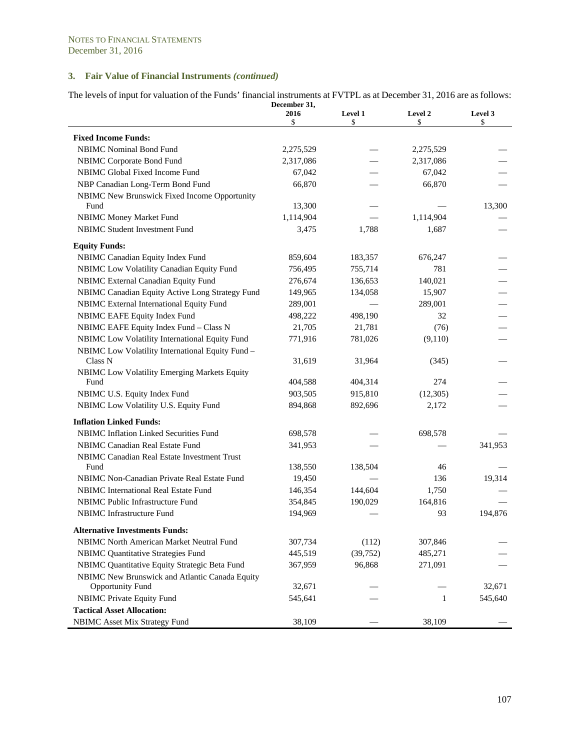The levels of input for valuation of the Funds' financial instruments at FVTPL as at December 31, 2016 are as follows: **December 31,** 

|                                                  | 2016<br>\$ | Level 1<br>\$ | Level 2<br>\$ | Level 3<br>\$ |
|--------------------------------------------------|------------|---------------|---------------|---------------|
| <b>Fixed Income Funds:</b>                       |            |               |               |               |
| <b>NBIMC</b> Nominal Bond Fund                   | 2,275,529  |               | 2,275,529     |               |
| NBIMC Corporate Bond Fund                        | 2,317,086  |               | 2,317,086     |               |
| NBIMC Global Fixed Income Fund                   | 67,042     |               | 67,042        |               |
| NBP Canadian Long-Term Bond Fund                 | 66,870     |               | 66,870        |               |
| NBIMC New Brunswick Fixed Income Opportunity     |            |               |               |               |
| Fund                                             | 13,300     |               |               | 13,300        |
| <b>NBIMC Money Market Fund</b>                   | 1,114,904  |               | 1,114,904     |               |
| <b>NBIMC Student Investment Fund</b>             | 3,475      | 1,788         | 1,687         |               |
| <b>Equity Funds:</b>                             |            |               |               |               |
| NBIMC Canadian Equity Index Fund                 | 859,604    | 183,357       | 676,247       |               |
| NBIMC Low Volatility Canadian Equity Fund        | 756,495    | 755,714       | 781           |               |
| NBIMC External Canadian Equity Fund              | 276,674    | 136,653       | 140,021       |               |
| NBIMC Canadian Equity Active Long Strategy Fund  | 149,965    | 134,058       | 15,907        |               |
| NBIMC External International Equity Fund         | 289,001    |               | 289,001       |               |
| NBIMC EAFE Equity Index Fund                     | 498,222    | 498,190       | 32            |               |
| NBIMC EAFE Equity Index Fund - Class N           | 21,705     | 21,781        | (76)          |               |
| NBIMC Low Volatility International Equity Fund   | 771,916    | 781,026       | (9,110)       |               |
| NBIMC Low Volatility International Equity Fund - |            |               |               |               |
| Class <sub>N</sub>                               | 31,619     | 31,964        | (345)         |               |
| NBIMC Low Volatility Emerging Markets Equity     |            |               |               |               |
| Fund                                             | 404,588    | 404,314       | 274           |               |
| NBIMC U.S. Equity Index Fund                     | 903,505    | 915,810       | (12, 305)     |               |
| NBIMC Low Volatility U.S. Equity Fund            | 894,868    | 892,696       | 2,172         |               |
| <b>Inflation Linked Funds:</b>                   |            |               |               |               |
| NBIMC Inflation Linked Securities Fund           | 698,578    |               | 698,578       |               |
| NBIMC Canadian Real Estate Fund                  | 341,953    |               |               | 341,953       |
| NBIMC Canadian Real Estate Investment Trust      |            |               |               |               |
| Fund                                             | 138,550    | 138,504       | 46            |               |
| NBIMC Non-Canadian Private Real Estate Fund      | 19,450     |               | 136           | 19,314        |
| NBIMC International Real Estate Fund             | 146,354    | 144,604       | 1,750         |               |
| NBIMC Public Infrastructure Fund                 | 354,845    | 190,029       | 164,816       |               |
| NBIMC Infrastructure Fund                        | 194,969    |               | 93            | 194,876       |
| Alternative Investments Funds:                   |            |               |               |               |
| NBIMC North American Market Neutral Fund         | 307,734    | (112)         | 307,846       |               |
| <b>NBIMC Quantitative Strategies Fund</b>        | 445,519    | (39, 752)     | 485,271       |               |
| NBIMC Quantitative Equity Strategic Beta Fund    | 367,959    | 96,868        | 271,091       |               |
| NBIMC New Brunswick and Atlantic Canada Equity   |            |               |               |               |
| <b>Opportunity Fund</b>                          | 32,671     |               |               | 32,671        |
| <b>NBIMC Private Equity Fund</b>                 | 545,641    |               | $\mathbf{1}$  | 545,640       |
| <b>Tactical Asset Allocation:</b>                |            |               |               |               |
| NBIMC Asset Mix Strategy Fund                    | 38,109     |               | 38,109        |               |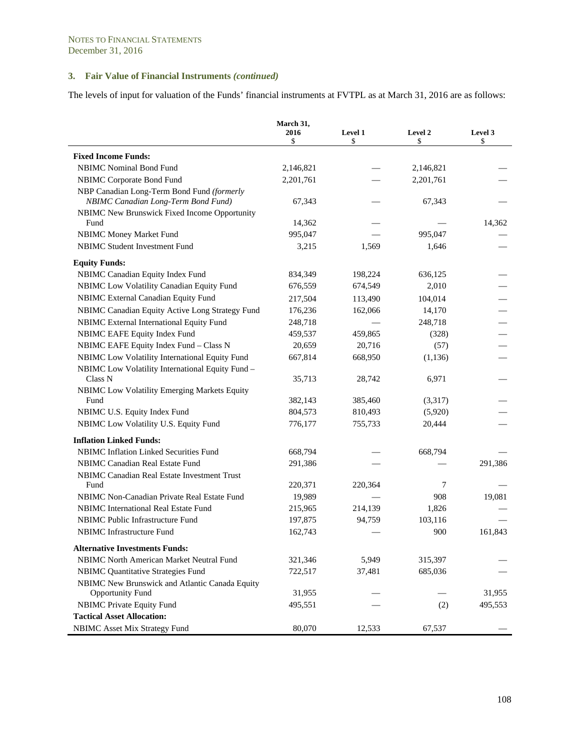The levels of input for valuation of the Funds' financial instruments at FVTPL as at March 31, 2016 are as follows:

|                                                                                   | March 31,<br>2016<br>\$ | Level 1<br>\$ | Level 2<br>\$ | Level 3<br>\$ |
|-----------------------------------------------------------------------------------|-------------------------|---------------|---------------|---------------|
| <b>Fixed Income Funds:</b>                                                        |                         |               |               |               |
| <b>NBIMC</b> Nominal Bond Fund                                                    | 2,146,821               |               | 2,146,821     |               |
| NBIMC Corporate Bond Fund                                                         | 2,201,761               |               | 2,201,761     |               |
| NBP Canadian Long-Term Bond Fund (formerly<br>NBIMC Canadian Long-Term Bond Fund) | 67,343                  |               | 67,343        |               |
| NBIMC New Brunswick Fixed Income Opportunity<br>Fund                              | 14,362                  |               |               | 14,362        |
| <b>NBIMC Money Market Fund</b>                                                    | 995,047                 |               | 995,047       |               |
| <b>NBIMC Student Investment Fund</b>                                              | 3,215                   | 1,569         | 1,646         |               |
| <b>Equity Funds:</b>                                                              |                         |               |               |               |
| NBIMC Canadian Equity Index Fund                                                  | 834, 349                | 198,224       | 636,125       |               |
| NBIMC Low Volatility Canadian Equity Fund                                         | 676,559                 | 674,549       | 2,010         |               |
| NBIMC External Canadian Equity Fund                                               | 217,504                 | 113,490       | 104,014       |               |
| NBIMC Canadian Equity Active Long Strategy Fund                                   | 176,236                 | 162,066       | 14,170        |               |
| NBIMC External International Equity Fund                                          | 248,718                 |               | 248,718       |               |
| NBIMC EAFE Equity Index Fund                                                      | 459,537                 | 459,865       | (328)         |               |
| NBIMC EAFE Equity Index Fund - Class N                                            | 20,659                  | 20,716        | (57)          |               |
| NBIMC Low Volatility International Equity Fund                                    | 667,814                 | 668,950       | (1, 136)      |               |
| NBIMC Low Volatility International Equity Fund -<br>Class N                       | 35,713                  | 28,742        | 6,971         |               |
| NBIMC Low Volatility Emerging Markets Equity                                      |                         |               |               |               |
| Fund                                                                              | 382,143                 | 385,460       | (3,317)       |               |
| NBIMC U.S. Equity Index Fund                                                      | 804,573                 | 810,493       | (5,920)       |               |
| NBIMC Low Volatility U.S. Equity Fund                                             | 776,177                 | 755,733       | 20,444        |               |
| <b>Inflation Linked Funds:</b>                                                    |                         |               |               |               |
| NBIMC Inflation Linked Securities Fund                                            | 668,794                 |               | 668,794       |               |
| NBIMC Canadian Real Estate Fund                                                   | 291,386                 |               |               | 291,386       |
| NBIMC Canadian Real Estate Investment Trust<br>Fund                               | 220,371                 | 220,364       | 7             |               |
| NBIMC Non-Canadian Private Real Estate Fund                                       | 19,989                  |               | 908           | 19,081        |
| <b>NBIMC</b> International Real Estate Fund                                       | 215,965                 | 214,139       | 1,826         |               |
| NBIMC Public Infrastructure Fund                                                  | 197,875                 | 94,759        | 103,116       |               |
| <b>NBIMC</b> Infrastructure Fund                                                  | 162,743                 |               | 900           | 161,843       |
| <b>Alternative Investments Funds:</b>                                             |                         |               |               |               |
| NBIMC North American Market Neutral Fund                                          | 321,346                 | 5,949         | 315,397       |               |
| <b>NBIMC Quantitative Strategies Fund</b>                                         | 722,517                 | 37,481        | 685,036       |               |
| NBIMC New Brunswick and Atlantic Canada Equity                                    |                         |               |               |               |
| <b>Opportunity Fund</b>                                                           | 31,955                  |               |               | 31,955        |
| <b>NBIMC Private Equity Fund</b>                                                  | 495,551                 |               | (2)           | 495,553       |
| <b>Tactical Asset Allocation:</b>                                                 |                         |               |               |               |
| <b>NBIMC</b> Asset Mix Strategy Fund                                              | 80,070                  | 12,533        | 67,537        |               |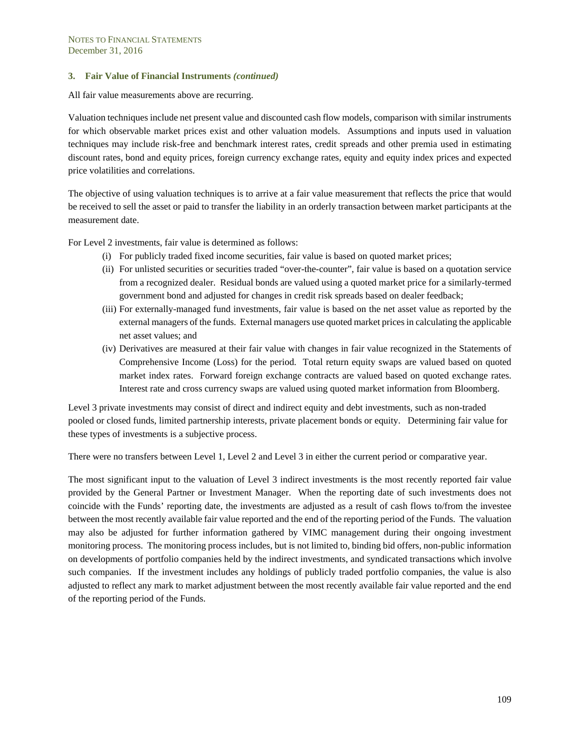All fair value measurements above are recurring.

Valuation techniques include net present value and discounted cash flow models, comparison with similar instruments for which observable market prices exist and other valuation models. Assumptions and inputs used in valuation techniques may include risk-free and benchmark interest rates, credit spreads and other premia used in estimating discount rates, bond and equity prices, foreign currency exchange rates, equity and equity index prices and expected price volatilities and correlations.

The objective of using valuation techniques is to arrive at a fair value measurement that reflects the price that would be received to sell the asset or paid to transfer the liability in an orderly transaction between market participants at the measurement date.

For Level 2 investments, fair value is determined as follows:

- (i) For publicly traded fixed income securities, fair value is based on quoted market prices;
- (ii) For unlisted securities or securities traded "over-the-counter", fair value is based on a quotation service from a recognized dealer. Residual bonds are valued using a quoted market price for a similarly-termed government bond and adjusted for changes in credit risk spreads based on dealer feedback;
- (iii) For externally-managed fund investments, fair value is based on the net asset value as reported by the external managers of the funds. External managers use quoted market prices in calculating the applicable net asset values; and
- (iv) Derivatives are measured at their fair value with changes in fair value recognized in the Statements of Comprehensive Income (Loss) for the period. Total return equity swaps are valued based on quoted market index rates. Forward foreign exchange contracts are valued based on quoted exchange rates. Interest rate and cross currency swaps are valued using quoted market information from Bloomberg.

Level 3 private investments may consist of direct and indirect equity and debt investments, such as non-traded pooled or closed funds, limited partnership interests, private placement bonds or equity. Determining fair value for these types of investments is a subjective process.

There were no transfers between Level 1, Level 2 and Level 3 in either the current period or comparative year.

The most significant input to the valuation of Level 3 indirect investments is the most recently reported fair value provided by the General Partner or Investment Manager. When the reporting date of such investments does not coincide with the Funds' reporting date, the investments are adjusted as a result of cash flows to/from the investee between the most recently available fair value reported and the end of the reporting period of the Funds. The valuation may also be adjusted for further information gathered by VIMC management during their ongoing investment monitoring process. The monitoring process includes, but is not limited to, binding bid offers, non-public information on developments of portfolio companies held by the indirect investments, and syndicated transactions which involve such companies. If the investment includes any holdings of publicly traded portfolio companies, the value is also adjusted to reflect any mark to market adjustment between the most recently available fair value reported and the end of the reporting period of the Funds.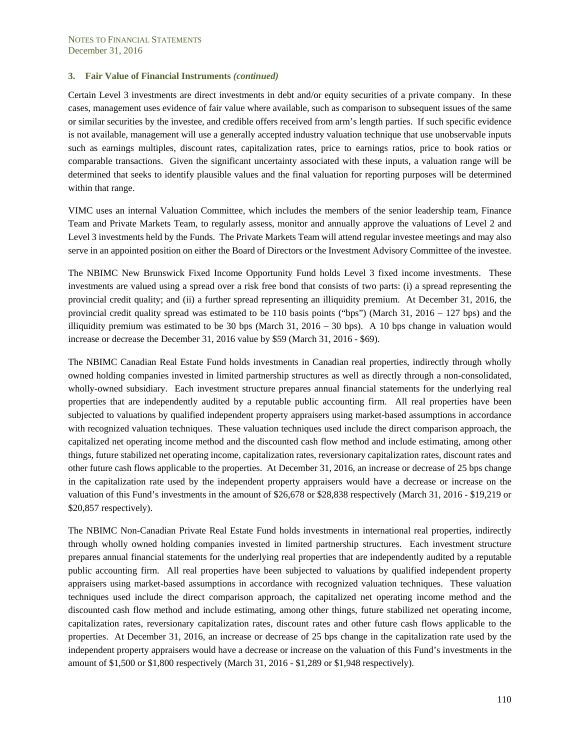Certain Level 3 investments are direct investments in debt and/or equity securities of a private company. In these cases, management uses evidence of fair value where available, such as comparison to subsequent issues of the same or similar securities by the investee, and credible offers received from arm's length parties. If such specific evidence is not available, management will use a generally accepted industry valuation technique that use unobservable inputs such as earnings multiples, discount rates, capitalization rates, price to earnings ratios, price to book ratios or comparable transactions. Given the significant uncertainty associated with these inputs, a valuation range will be determined that seeks to identify plausible values and the final valuation for reporting purposes will be determined within that range.

VIMC uses an internal Valuation Committee, which includes the members of the senior leadership team, Finance Team and Private Markets Team, to regularly assess, monitor and annually approve the valuations of Level 2 and Level 3 investments held by the Funds. The Private Markets Team will attend regular investee meetings and may also serve in an appointed position on either the Board of Directors or the Investment Advisory Committee of the investee.

The NBIMC New Brunswick Fixed Income Opportunity Fund holds Level 3 fixed income investments. These investments are valued using a spread over a risk free bond that consists of two parts: (i) a spread representing the provincial credit quality; and (ii) a further spread representing an illiquidity premium. At December 31, 2016, the provincial credit quality spread was estimated to be 110 basis points ("bps") (March 31, 2016 – 127 bps) and the illiquidity premium was estimated to be 30 bps (March 31, 2016 – 30 bps). A 10 bps change in valuation would increase or decrease the December 31, 2016 value by \$59 (March 31, 2016 - \$69).

The NBIMC Canadian Real Estate Fund holds investments in Canadian real properties, indirectly through wholly owned holding companies invested in limited partnership structures as well as directly through a non-consolidated, wholly-owned subsidiary. Each investment structure prepares annual financial statements for the underlying real properties that are independently audited by a reputable public accounting firm. All real properties have been subjected to valuations by qualified independent property appraisers using market-based assumptions in accordance with recognized valuation techniques. These valuation techniques used include the direct comparison approach, the capitalized net operating income method and the discounted cash flow method and include estimating, among other things, future stabilized net operating income, capitalization rates, reversionary capitalization rates, discount rates and other future cash flows applicable to the properties. At December 31, 2016, an increase or decrease of 25 bps change in the capitalization rate used by the independent property appraisers would have a decrease or increase on the valuation of this Fund's investments in the amount of \$26,678 or \$28,838 respectively (March 31, 2016 - \$19,219 or \$20,857 respectively).

The NBIMC Non-Canadian Private Real Estate Fund holds investments in international real properties, indirectly through wholly owned holding companies invested in limited partnership structures. Each investment structure prepares annual financial statements for the underlying real properties that are independently audited by a reputable public accounting firm. All real properties have been subjected to valuations by qualified independent property appraisers using market-based assumptions in accordance with recognized valuation techniques. These valuation techniques used include the direct comparison approach, the capitalized net operating income method and the discounted cash flow method and include estimating, among other things, future stabilized net operating income, capitalization rates, reversionary capitalization rates, discount rates and other future cash flows applicable to the properties. At December 31, 2016, an increase or decrease of 25 bps change in the capitalization rate used by the independent property appraisers would have a decrease or increase on the valuation of this Fund's investments in the amount of \$1,500 or \$1,800 respectively (March 31, 2016 - \$1,289 or \$1,948 respectively).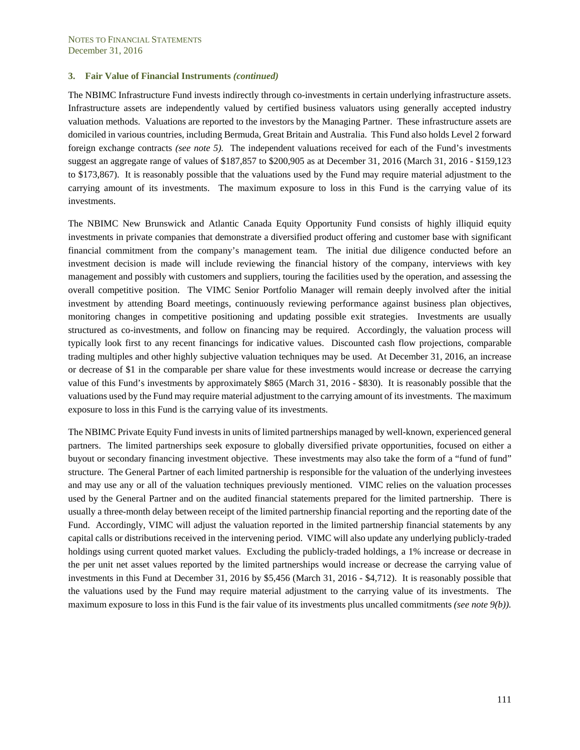The NBIMC Infrastructure Fund invests indirectly through co-investments in certain underlying infrastructure assets. Infrastructure assets are independently valued by certified business valuators using generally accepted industry valuation methods. Valuations are reported to the investors by the Managing Partner. These infrastructure assets are domiciled in various countries, including Bermuda, Great Britain and Australia. This Fund also holds Level 2 forward foreign exchange contracts *(see note 5).* The independent valuations received for each of the Fund's investments suggest an aggregate range of values of \$187,857 to \$200,905 as at December 31, 2016 (March 31, 2016 - \$159,123 to \$173,867). It is reasonably possible that the valuations used by the Fund may require material adjustment to the carrying amount of its investments. The maximum exposure to loss in this Fund is the carrying value of its investments.

The NBIMC New Brunswick and Atlantic Canada Equity Opportunity Fund consists of highly illiquid equity investments in private companies that demonstrate a diversified product offering and customer base with significant financial commitment from the company's management team. The initial due diligence conducted before an investment decision is made will include reviewing the financial history of the company, interviews with key management and possibly with customers and suppliers, touring the facilities used by the operation, and assessing the overall competitive position. The VIMC Senior Portfolio Manager will remain deeply involved after the initial investment by attending Board meetings, continuously reviewing performance against business plan objectives, monitoring changes in competitive positioning and updating possible exit strategies. Investments are usually structured as co-investments, and follow on financing may be required. Accordingly, the valuation process will typically look first to any recent financings for indicative values. Discounted cash flow projections, comparable trading multiples and other highly subjective valuation techniques may be used. At December 31, 2016, an increase or decrease of \$1 in the comparable per share value for these investments would increase or decrease the carrying value of this Fund's investments by approximately \$865 (March 31, 2016 - \$830). It is reasonably possible that the valuations used by the Fund may require material adjustment to the carrying amount of its investments. The maximum exposure to loss in this Fund is the carrying value of its investments.

The NBIMC Private Equity Fund invests in units of limited partnerships managed by well-known, experienced general partners. The limited partnerships seek exposure to globally diversified private opportunities, focused on either a buyout or secondary financing investment objective. These investments may also take the form of a "fund of fund" structure. The General Partner of each limited partnership is responsible for the valuation of the underlying investees and may use any or all of the valuation techniques previously mentioned. VIMC relies on the valuation processes used by the General Partner and on the audited financial statements prepared for the limited partnership. There is usually a three-month delay between receipt of the limited partnership financial reporting and the reporting date of the Fund. Accordingly, VIMC will adjust the valuation reported in the limited partnership financial statements by any capital calls or distributions received in the intervening period. VIMC will also update any underlying publicly-traded holdings using current quoted market values. Excluding the publicly-traded holdings, a 1% increase or decrease in the per unit net asset values reported by the limited partnerships would increase or decrease the carrying value of investments in this Fund at December 31, 2016 by \$5,456 (March 31, 2016 - \$4,712). It is reasonably possible that the valuations used by the Fund may require material adjustment to the carrying value of its investments. The maximum exposure to loss in this Fund is the fair value of its investments plus uncalled commitments *(see note 9(b)).*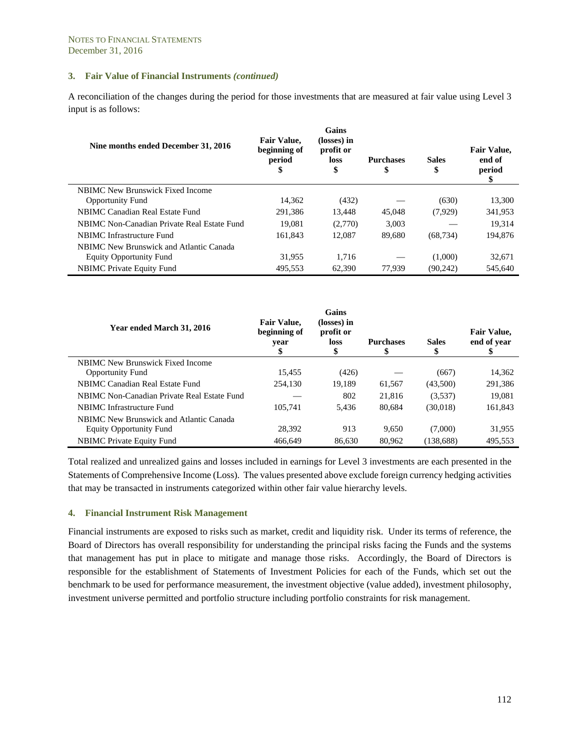A reconciliation of the changes during the period for those investments that are measured at fair value using Level 3 input is as follows:

| Nine months ended December 31, 2016         | <b>Fair Value,</b><br>beginning of<br>period<br>\$ | Gains<br>(losses) in<br>profit or<br>loss<br>\$ | <b>Purchases</b><br>\$ | <b>Sales</b><br>\$ | <b>Fair Value,</b><br>end of<br>period<br>\$ |
|---------------------------------------------|----------------------------------------------------|-------------------------------------------------|------------------------|--------------------|----------------------------------------------|
| NBIMC New Brunswick Fixed Income            |                                                    |                                                 |                        |                    |                                              |
| <b>Opportunity Fund</b>                     | 14,362                                             | (432)                                           |                        | (630)              | 13,300                                       |
| NBIMC Canadian Real Estate Fund             | 291.386                                            | 13.448                                          | 45,048                 | (7,929)            | 341,953                                      |
| NBIMC Non-Canadian Private Real Estate Fund | 19.081                                             | (2,770)                                         | 3.003                  |                    | 19.314                                       |
| NBIMC Infrastructure Fund                   | 161.843                                            | 12.087                                          | 89,680                 | (68, 734)          | 194.876                                      |
| NBIMC New Brunswick and Atlantic Canada     |                                                    |                                                 |                        |                    |                                              |
| <b>Equity Opportunity Fund</b>              | 31,955                                             | 1,716                                           |                        | (1,000)            | 32,671                                       |
| <b>NBIMC</b> Private Equity Fund            | 495.553                                            | 62,390                                          | 77.939                 | (90, 242)          | 545,640                                      |

| Year ended March 31, 2016                   | <b>Fair Value.</b><br>beginning of<br>year<br>S | <b>Gains</b><br>(losses) in<br>profit or<br>loss<br>\$ | <b>Purchases</b> | <b>Sales</b><br>\$ | <b>Fair Value,</b><br>end of year<br>\$ |
|---------------------------------------------|-------------------------------------------------|--------------------------------------------------------|------------------|--------------------|-----------------------------------------|
| NBIMC New Brunswick Fixed Income            |                                                 |                                                        |                  |                    |                                         |
| <b>Opportunity Fund</b>                     | 15.455                                          | (426)                                                  |                  | (667)              | 14,362                                  |
| NBIMC Canadian Real Estate Fund             | 254,130                                         | 19.189                                                 | 61,567           | (43,500)           | 291.386                                 |
| NBIMC Non-Canadian Private Real Estate Fund |                                                 | 802                                                    | 21,816           | (3,537)            | 19,081                                  |
| NBIMC Infrastructure Fund                   | 105.741                                         | 5.436                                                  | 80.684           | (30,018)           | 161,843                                 |
| NBIMC New Brunswick and Atlantic Canada     |                                                 |                                                        |                  |                    |                                         |
| <b>Equity Opportunity Fund</b>              | 28.392                                          | 913                                                    | 9,650            | (7,000)            | 31,955                                  |
| <b>NBIMC</b> Private Equity Fund            | 466,649                                         | 86,630                                                 | 80.962           | (138, 688)         | 495.553                                 |

Total realized and unrealized gains and losses included in earnings for Level 3 investments are each presented in the Statements of Comprehensive Income (Loss). The values presented above exclude foreign currency hedging activities that may be transacted in instruments categorized within other fair value hierarchy levels.

# **4. Financial Instrument Risk Management**

Financial instruments are exposed to risks such as market, credit and liquidity risk. Under its terms of reference, the Board of Directors has overall responsibility for understanding the principal risks facing the Funds and the systems that management has put in place to mitigate and manage those risks. Accordingly, the Board of Directors is responsible for the establishment of Statements of Investment Policies for each of the Funds, which set out the benchmark to be used for performance measurement, the investment objective (value added), investment philosophy, investment universe permitted and portfolio structure including portfolio constraints for risk management.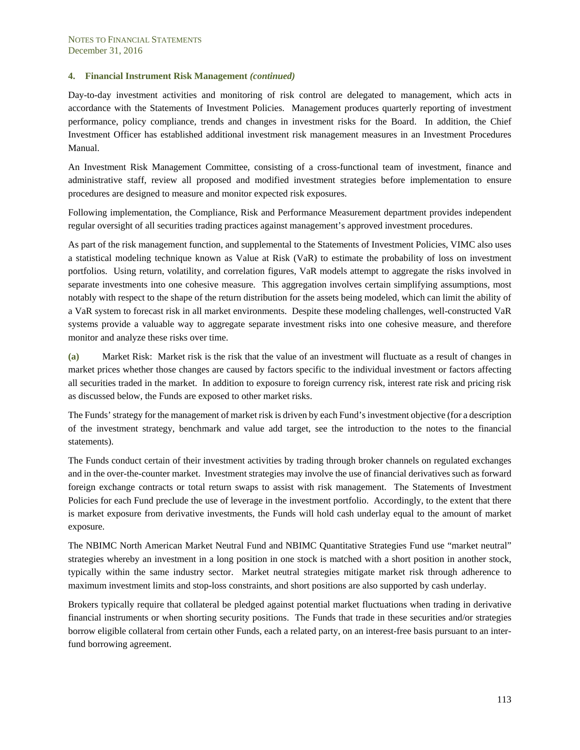Day-to-day investment activities and monitoring of risk control are delegated to management, which acts in accordance with the Statements of Investment Policies. Management produces quarterly reporting of investment performance, policy compliance, trends and changes in investment risks for the Board. In addition, the Chief Investment Officer has established additional investment risk management measures in an Investment Procedures Manual.

An Investment Risk Management Committee, consisting of a cross-functional team of investment, finance and administrative staff, review all proposed and modified investment strategies before implementation to ensure procedures are designed to measure and monitor expected risk exposures.

Following implementation, the Compliance, Risk and Performance Measurement department provides independent regular oversight of all securities trading practices against management's approved investment procedures.

As part of the risk management function, and supplemental to the Statements of Investment Policies, VIMC also uses a statistical modeling technique known as Value at Risk (VaR) to estimate the probability of loss on investment portfolios. Using return, volatility, and correlation figures, VaR models attempt to aggregate the risks involved in separate investments into one cohesive measure. This aggregation involves certain simplifying assumptions, most notably with respect to the shape of the return distribution for the assets being modeled, which can limit the ability of a VaR system to forecast risk in all market environments. Despite these modeling challenges, well-constructed VaR systems provide a valuable way to aggregate separate investment risks into one cohesive measure, and therefore monitor and analyze these risks over time.

**(a)** Market Risk: Market risk is the risk that the value of an investment will fluctuate as a result of changes in market prices whether those changes are caused by factors specific to the individual investment or factors affecting all securities traded in the market. In addition to exposure to foreign currency risk, interest rate risk and pricing risk as discussed below, the Funds are exposed to other market risks.

The Funds' strategy for the management of market risk is driven by each Fund's investment objective (for a description of the investment strategy, benchmark and value add target, see the introduction to the notes to the financial statements).

The Funds conduct certain of their investment activities by trading through broker channels on regulated exchanges and in the over-the-counter market. Investment strategies may involve the use of financial derivatives such as forward foreign exchange contracts or total return swaps to assist with risk management. The Statements of Investment Policies for each Fund preclude the use of leverage in the investment portfolio. Accordingly, to the extent that there is market exposure from derivative investments, the Funds will hold cash underlay equal to the amount of market exposure.

The NBIMC North American Market Neutral Fund and NBIMC Quantitative Strategies Fund use "market neutral" strategies whereby an investment in a long position in one stock is matched with a short position in another stock, typically within the same industry sector. Market neutral strategies mitigate market risk through adherence to maximum investment limits and stop-loss constraints, and short positions are also supported by cash underlay.

Brokers typically require that collateral be pledged against potential market fluctuations when trading in derivative financial instruments or when shorting security positions. The Funds that trade in these securities and/or strategies borrow eligible collateral from certain other Funds, each a related party, on an interest-free basis pursuant to an interfund borrowing agreement.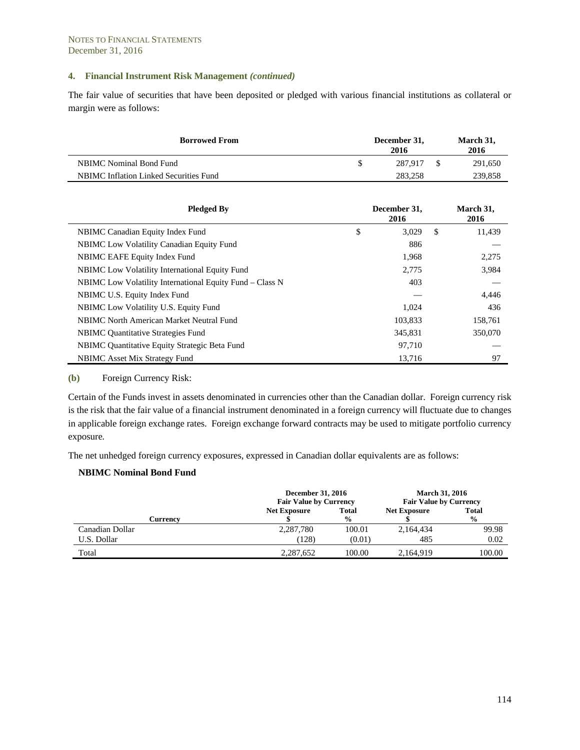The fair value of securities that have been deposited or pledged with various financial institutions as collateral or margin were as follows:

| <b>Borrowed From</b>                          | December 31,<br>2016 | March 31,<br>2016 |
|-----------------------------------------------|----------------------|-------------------|
| NBIMC Nominal Bond Fund                       | 287.917              | 291.650           |
| <b>NBIMC</b> Inflation Linked Securities Fund | 283.258              | 239,858           |

| <b>Pledged By</b>                                        | December 31,<br>2016 |     | March 31,<br>2016 |
|----------------------------------------------------------|----------------------|-----|-------------------|
| NBIMC Canadian Equity Index Fund                         | \$<br>3,029          | \$. | 11,439            |
| <b>NBIMC</b> Low Volatility Canadian Equity Fund         | 886                  |     |                   |
| NBIMC EAFE Equity Index Fund                             | 1,968                |     | 2,275             |
| <b>NBIMC</b> Low Volatility International Equity Fund    | 2,775                |     | 3,984             |
| NBIMC Low Volatility International Equity Fund – Class N | 403                  |     |                   |
| NBIMC U.S. Equity Index Fund                             |                      |     | 4,446             |
| NBIMC Low Volatility U.S. Equity Fund                    | 1.024                |     | 436               |
| NBIMC North American Market Neutral Fund                 | 103,833              |     | 158,761           |
| <b>NBIMC</b> Quantitative Strategies Fund                | 345,831              |     | 350,070           |
| NBIMC Quantitative Equity Strategic Beta Fund            | 97,710               |     |                   |
| NBIMC Asset Mix Strategy Fund                            | 13,716               |     | 97                |

**(b)** Foreign Currency Risk:

Certain of the Funds invest in assets denominated in currencies other than the Canadian dollar. Foreign currency risk is the risk that the fair value of a financial instrument denominated in a foreign currency will fluctuate due to changes in applicable foreign exchange rates. Foreign exchange forward contracts may be used to mitigate portfolio currency exposure*.* 

The net unhedged foreign currency exposures, expressed in Canadian dollar equivalents are as follows:

#### **NBIMC Nominal Bond Fund**

|                 | <b>December 31, 2016</b><br><b>Fair Value by Currency</b> |                               | <b>March 31, 2016</b><br><b>Fair Value by Currency</b> |                               |
|-----------------|-----------------------------------------------------------|-------------------------------|--------------------------------------------------------|-------------------------------|
| <b>Currency</b> | <b>Net Exposure</b>                                       | <b>Total</b><br>$\frac{0}{0}$ | <b>Net Exposure</b>                                    | <b>Total</b><br>$\frac{6}{9}$ |
| Canadian Dollar | 2,287,780                                                 | 100.01                        | 2,164,434                                              | 99.98                         |
| U.S. Dollar     | (128)                                                     | (0.01)                        | 485                                                    | 0.02                          |
| Total           | 2,287,652                                                 | 100.00                        | 2,164,919                                              | 100.00                        |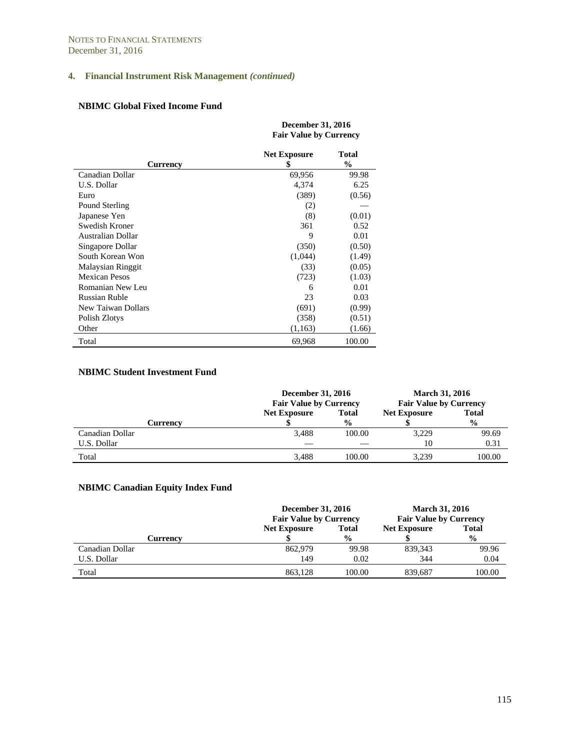#### **NBIMC Global Fixed Income Fund**

|                      | <b>December 31, 2016</b><br><b>Fair Value by Currency</b> |                        |  |  |
|----------------------|-----------------------------------------------------------|------------------------|--|--|
| Currency             | <b>Net Exposure</b><br>\$                                 | Total<br>$\frac{0}{0}$ |  |  |
| Canadian Dollar      | 69,956                                                    | 99.98                  |  |  |
| U.S. Dollar          | 4,374                                                     | 6.25                   |  |  |
| Euro                 | (389)                                                     | (0.56)                 |  |  |
| Pound Sterling       | (2)                                                       |                        |  |  |
| Japanese Yen         | (8)                                                       | (0.01)                 |  |  |
| Swedish Kroner       | 361                                                       | 0.52                   |  |  |
| Australian Dollar    | 9                                                         | 0.01                   |  |  |
| Singapore Dollar     | (350)                                                     | (0.50)                 |  |  |
| South Korean Won     | (1,044)                                                   | (1.49)                 |  |  |
| Malaysian Ringgit    | (33)                                                      | (0.05)                 |  |  |
| <b>Mexican Pesos</b> | (723)                                                     | (1.03)                 |  |  |
| Romanian New Leu     | 6                                                         | 0.01                   |  |  |
| <b>Russian Ruble</b> | 23                                                        | 0.03                   |  |  |
| New Taiwan Dollars   | (691)                                                     | (0.99)                 |  |  |
| Polish Zlotys        | (358)                                                     | (0.51)                 |  |  |
| Other                | (1,163)                                                   | (1.66)                 |  |  |
| Total                | 69,968                                                    | 100.00                 |  |  |

#### **NBIMC Student Investment Fund**

|                 | <b>December 31, 2016</b><br><b>Fair Value by Currency</b> |               | <b>March 31, 2016</b><br><b>Fair Value by Currency</b> |               |
|-----------------|-----------------------------------------------------------|---------------|--------------------------------------------------------|---------------|
|                 | <b>Net Exposure</b><br><b>Total</b>                       |               | <b>Net Exposure</b>                                    | <b>Total</b>  |
| Currency        |                                                           | $\frac{6}{9}$ |                                                        | $\frac{0}{0}$ |
| Canadian Dollar | 3.488                                                     | 100.00        | 3,229                                                  | 99.69         |
| U.S. Dollar     |                                                           |               | 10                                                     | 0.31          |
| Total           | 3.488                                                     | 100.00        | 3.239                                                  | 100.00        |

# **NBIMC Canadian Equity Index Fund**

|                 | December 31, 2016<br><b>Fair Value by Currency</b> |               | <b>March 31, 2016</b><br><b>Fair Value by Currency</b> |               |
|-----------------|----------------------------------------------------|---------------|--------------------------------------------------------|---------------|
|                 | <b>Total</b><br><b>Net Exposure</b>                |               | <b>Net Exposure</b>                                    | <b>Total</b>  |
| Currency        |                                                    | $\frac{0}{0}$ |                                                        | $\frac{6}{6}$ |
| Canadian Dollar | 862,979                                            | 99.98         | 839, 343                                               | 99.96         |
| U.S. Dollar     | 149                                                | 0.02          | 344                                                    | 0.04          |
| Total           | 863.128                                            | 100.00        | 839,687                                                | 100.00        |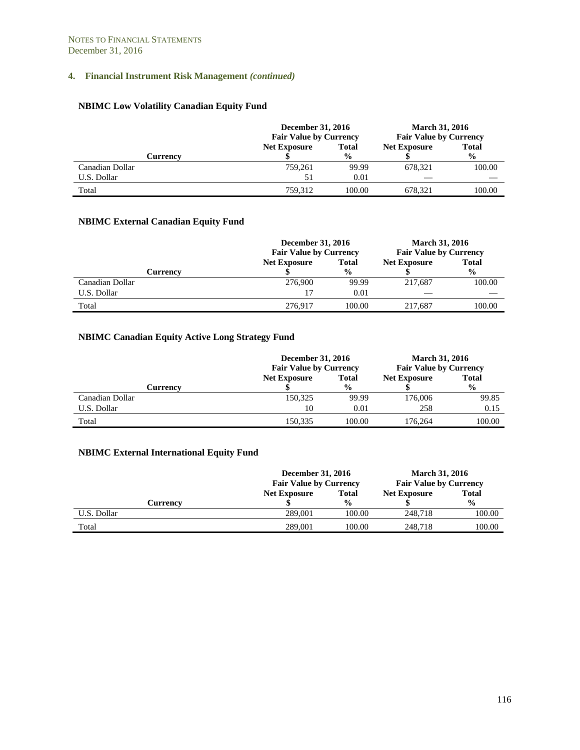# **NBIMC Low Volatility Canadian Equity Fund**

|                 | December 31, 2016<br><b>Fair Value by Currency</b> |               | <b>March 31, 2016</b><br><b>Fair Value by Currency</b> |               |
|-----------------|----------------------------------------------------|---------------|--------------------------------------------------------|---------------|
|                 | <b>Net Exposure</b><br><b>Total</b>                |               | <b>Net Exposure</b>                                    | <b>Total</b>  |
| Currencv        |                                                    | $\frac{6}{9}$ |                                                        | $\frac{0}{0}$ |
| Canadian Dollar | 759.261                                            | 99.99         | 678.321                                                | 100.00        |
| U.S. Dollar     | 51                                                 | 0.01          |                                                        |               |
| Total           | 759.312                                            | 100.00        | 678.321                                                | 100.00        |

# **NBIMC External Canadian Equity Fund**

|                 | <b>December 31, 2016</b><br><b>Fair Value by Currency</b> |               | <b>March 31, 2016</b><br><b>Fair Value by Currency</b> |               |
|-----------------|-----------------------------------------------------------|---------------|--------------------------------------------------------|---------------|
|                 | <b>Net Exposure</b>                                       | <b>Total</b>  | <b>Net Exposure</b>                                    | <b>Total</b>  |
| Currencv        |                                                           | $\frac{0}{0}$ |                                                        | $\frac{6}{9}$ |
| Canadian Dollar | 276,900                                                   | 99.99         | 217.687                                                | 100.00        |
| U.S. Dollar     |                                                           | 0.01          |                                                        |               |
| Total           | 276.917                                                   | 100.00        | 217.687                                                | 100.00        |

# **NBIMC Canadian Equity Active Long Strategy Fund**

|                 | December 31, 2016<br><b>Fair Value by Currency</b> |               | <b>March 31, 2016</b><br><b>Fair Value by Currency</b> |               |
|-----------------|----------------------------------------------------|---------------|--------------------------------------------------------|---------------|
|                 | <b>Net Exposure</b>                                | <b>Total</b>  | <b>Net Exposure</b>                                    | <b>Total</b>  |
| Currency        |                                                    | $\frac{6}{9}$ |                                                        | $\frac{6}{6}$ |
| Canadian Dollar | 150,325                                            | 99.99         | 176,006                                                | 99.85         |
| U.S. Dollar     | 10                                                 | 0.01          | 258                                                    | 0.15          |
| Total           | 150.335                                            | 100.00        | 176,264                                                | 100.00        |

# **NBIMC External International Equity Fund**

|             | December 31, 2016<br><b>Fair Value by Currency</b> |               | <b>March 31, 2016</b><br><b>Fair Value by Currency</b> |               |
|-------------|----------------------------------------------------|---------------|--------------------------------------------------------|---------------|
|             | <b>Net Exposure</b>                                | <b>Total</b>  | <b>Net Exposure</b>                                    | <b>Total</b>  |
| Currencv    |                                                    | $\frac{0}{0}$ |                                                        | $\frac{0}{0}$ |
| U.S. Dollar | 289,001                                            | 100.00        | 248.718                                                | 100.00        |
| Total       | 289,001                                            | 100.00        | 248,718                                                | 100.00        |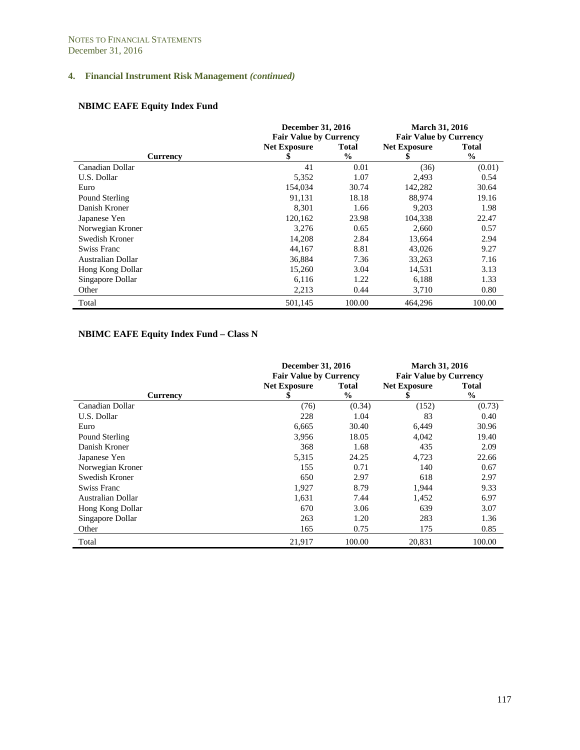# **NBIMC EAFE Equity Index Fund**

|                    | <b>December 31, 2016</b>      |               | March 31, 2016                |               |
|--------------------|-------------------------------|---------------|-------------------------------|---------------|
|                    | <b>Fair Value by Currency</b> |               | <b>Fair Value by Currency</b> |               |
|                    | <b>Net Exposure</b>           | Total         | <b>Net Exposure</b>           | <b>Total</b>  |
| <b>Currency</b>    | ъ                             | $\frac{0}{0}$ |                               | $\frac{0}{0}$ |
| Canadian Dollar    | 41                            | 0.01          | (36)                          | (0.01)        |
| U.S. Dollar        | 5,352                         | 1.07          | 2,493                         | 0.54          |
| Euro               | 154,034                       | 30.74         | 142,282                       | 30.64         |
| Pound Sterling     | 91,131                        | 18.18         | 88,974                        | 19.16         |
| Danish Kroner      | 8.301                         | 1.66          | 9,203                         | 1.98          |
| Japanese Yen       | 120,162                       | 23.98         | 104,338                       | 22.47         |
| Norwegian Kroner   | 3,276                         | 0.65          | 2,660                         | 0.57          |
| Swedish Kroner     | 14,208                        | 2.84          | 13,664                        | 2.94          |
| <b>Swiss Franc</b> | 44,167                        | 8.81          | 43,026                        | 9.27          |
| Australian Dollar  | 36,884                        | 7.36          | 33,263                        | 7.16          |
| Hong Kong Dollar   | 15,260                        | 3.04          | 14,531                        | 3.13          |
| Singapore Dollar   | 6,116                         | 1.22          | 6,188                         | 1.33          |
| Other              | 2,213                         | 0.44          | 3,710                         | 0.80          |
| Total              | 501.145                       | 100.00        | 464.296                       | 100.00        |

# **NBIMC EAFE Equity Index Fund – Class N**

|                    | <b>December 31, 2016</b><br><b>Fair Value by Currency</b> |               | <b>March 31, 2016</b><br><b>Fair Value by Currency</b> |               |
|--------------------|-----------------------------------------------------------|---------------|--------------------------------------------------------|---------------|
|                    | <b>Net Exposure</b>                                       | Total         | <b>Net Exposure</b>                                    | <b>Total</b>  |
| <b>Currency</b>    | S                                                         | $\frac{0}{0}$ | S                                                      | $\frac{0}{0}$ |
| Canadian Dollar    | (76)                                                      | (0.34)        | (152)                                                  | (0.73)        |
| U.S. Dollar        | 228                                                       | 1.04          | 83                                                     | 0.40          |
| Euro               | 6,665                                                     | 30.40         | 6,449                                                  | 30.96         |
| Pound Sterling     | 3,956                                                     | 18.05         | 4,042                                                  | 19.40         |
| Danish Kroner      | 368                                                       | 1.68          | 435                                                    | 2.09          |
| Japanese Yen       | 5,315                                                     | 24.25         | 4,723                                                  | 22.66         |
| Norwegian Kroner   | 155                                                       | 0.71          | 140                                                    | 0.67          |
| Swedish Kroner     | 650                                                       | 2.97          | 618                                                    | 2.97          |
| <b>Swiss Franc</b> | 1,927                                                     | 8.79          | 1,944                                                  | 9.33          |
| Australian Dollar  | 1,631                                                     | 7.44          | 1,452                                                  | 6.97          |
| Hong Kong Dollar   | 670                                                       | 3.06          | 639                                                    | 3.07          |
| Singapore Dollar   | 263                                                       | 1.20          | 283                                                    | 1.36          |
| Other              | 165                                                       | 0.75          | 175                                                    | 0.85          |
| Total              | 21,917                                                    | 100.00        | 20,831                                                 | 100.00        |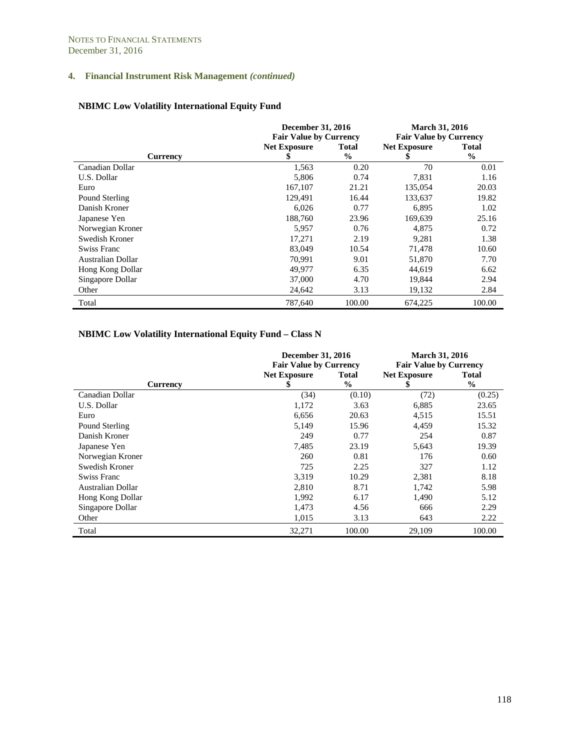# **NBIMC Low Volatility International Equity Fund**

|                    | <b>December 31, 2016</b>      |               | <b>March 31, 2016</b>         |              |
|--------------------|-------------------------------|---------------|-------------------------------|--------------|
|                    | <b>Fair Value by Currency</b> |               | <b>Fair Value by Currency</b> |              |
|                    | <b>Net Exposure</b>           | <b>Total</b>  | <b>Net Exposure</b>           | <b>Total</b> |
| <b>Currency</b>    | S                             | $\frac{6}{9}$ | S                             | $\%$         |
| Canadian Dollar    | 1,563                         | 0.20          | 70                            | 0.01         |
| U.S. Dollar        | 5,806                         | 0.74          | 7,831                         | 1.16         |
| Euro               | 167,107                       | 21.21         | 135,054                       | 20.03        |
| Pound Sterling     | 129,491                       | 16.44         | 133,637                       | 19.82        |
| Danish Kroner      | 6,026                         | 0.77          | 6,895                         | 1.02         |
| Japanese Yen       | 188,760                       | 23.96         | 169,639                       | 25.16        |
| Norwegian Kroner   | 5,957                         | 0.76          | 4,875                         | 0.72         |
| Swedish Kroner     | 17,271                        | 2.19          | 9,281                         | 1.38         |
| <b>Swiss Franc</b> | 83,049                        | 10.54         | 71,478                        | 10.60        |
| Australian Dollar  | 70,991                        | 9.01          | 51,870                        | 7.70         |
| Hong Kong Dollar   | 49,977                        | 6.35          | 44,619                        | 6.62         |
| Singapore Dollar   | 37,000                        | 4.70          | 19,844                        | 2.94         |
| Other              | 24,642                        | 3.13          | 19,132                        | 2.84         |
| Total              | 787,640                       | 100.00        | 674,225                       | 100.00       |

# **NBIMC Low Volatility International Equity Fund – Class N**

|                   | <b>December 31, 2016</b><br><b>Fair Value by Currency</b> |               | <b>March 31, 2016</b><br><b>Fair Value by Currency</b> |               |
|-------------------|-----------------------------------------------------------|---------------|--------------------------------------------------------|---------------|
|                   | <b>Net Exposure</b>                                       | Total         | <b>Net Exposure</b>                                    | <b>Total</b>  |
| <b>Currency</b>   | 5                                                         | $\frac{0}{0}$ | S                                                      | $\frac{0}{0}$ |
| Canadian Dollar   | (34)                                                      | (0.10)        | (72)                                                   | (0.25)        |
| U.S. Dollar       | 1,172                                                     | 3.63          | 6,885                                                  | 23.65         |
| Euro              | 6,656                                                     | 20.63         | 4,515                                                  | 15.51         |
| Pound Sterling    | 5,149                                                     | 15.96         | 4,459                                                  | 15.32         |
| Danish Kroner     | 249                                                       | 0.77          | 254                                                    | 0.87          |
| Japanese Yen      | 7,485                                                     | 23.19         | 5,643                                                  | 19.39         |
| Norwegian Kroner  | 260                                                       | 0.81          | 176                                                    | 0.60          |
| Swedish Kroner    | 725                                                       | 2.25          | 327                                                    | 1.12          |
| Swiss Franc       | 3,319                                                     | 10.29         | 2,381                                                  | 8.18          |
| Australian Dollar | 2,810                                                     | 8.71          | 1,742                                                  | 5.98          |
| Hong Kong Dollar  | 1,992                                                     | 6.17          | 1,490                                                  | 5.12          |
| Singapore Dollar  | 1,473                                                     | 4.56          | 666                                                    | 2.29          |
| Other             | 1,015                                                     | 3.13          | 643                                                    | 2.22          |
| Total             | 32,271                                                    | 100.00        | 29,109                                                 | 100.00        |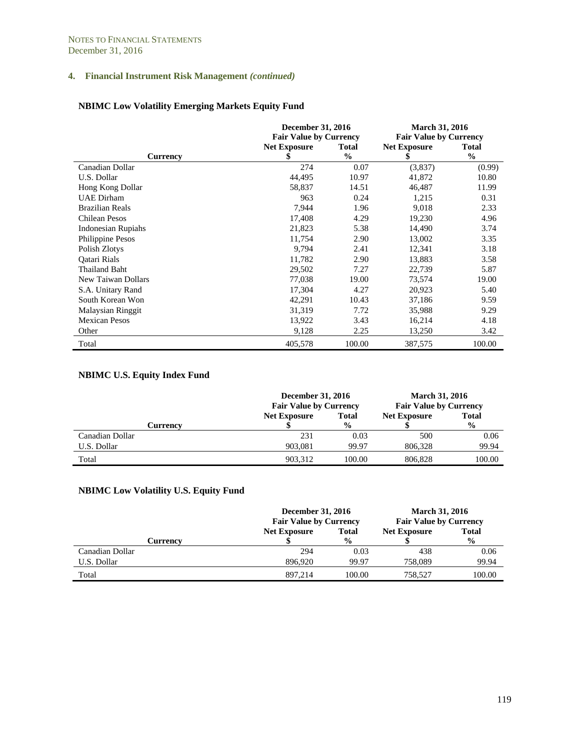# **NBIMC Low Volatility Emerging Markets Equity Fund**

|                           | <b>December 31, 2016</b>      |               | <b>March 31, 2016</b>         |               |  |
|---------------------------|-------------------------------|---------------|-------------------------------|---------------|--|
|                           | <b>Fair Value by Currency</b> |               | <b>Fair Value by Currency</b> |               |  |
|                           | <b>Net Exposure</b>           | <b>Total</b>  | <b>Net Exposure</b>           | <b>Total</b>  |  |
| <b>Currency</b>           | \$                            | $\frac{0}{0}$ | \$                            | $\frac{6}{9}$ |  |
| Canadian Dollar           | 274                           | 0.07          | (3,837)                       | (0.99)        |  |
| U.S. Dollar               | 44,495                        | 10.97         | 41,872                        | 10.80         |  |
| Hong Kong Dollar          | 58,837                        | 14.51         | 46,487                        | 11.99         |  |
| <b>UAE</b> Dirham         | 963                           | 0.24          | 1,215                         | 0.31          |  |
| <b>Brazilian Reals</b>    | 7,944                         | 1.96          | 9,018                         | 2.33          |  |
| <b>Chilean Pesos</b>      | 17,408                        | 4.29          | 19,230                        | 4.96          |  |
| <b>Indonesian Rupiahs</b> | 21,823                        | 5.38          | 14,490                        | 3.74          |  |
| Philippine Pesos          | 11,754                        | 2.90          | 13,002                        | 3.35          |  |
| Polish Zlotys             | 9,794                         | 2.41          | 12,341                        | 3.18          |  |
| Oatari Rials              | 11,782                        | 2.90          | 13,883                        | 3.58          |  |
| Thailand Baht             | 29,502                        | 7.27          | 22,739                        | 5.87          |  |
| New Taiwan Dollars        | 77,038                        | 19.00         | 73,574                        | 19.00         |  |
| S.A. Unitary Rand         | 17,304                        | 4.27          | 20,923                        | 5.40          |  |
| South Korean Won          | 42,291                        | 10.43         | 37,186                        | 9.59          |  |
| <b>Malaysian Ringgit</b>  | 31,319                        | 7.72          | 35,988                        | 9.29          |  |
| <b>Mexican Pesos</b>      | 13,922                        | 3.43          | 16,214                        | 4.18          |  |
| Other                     | 9,128                         | 2.25          | 13,250                        | 3.42          |  |
| Total                     | 405,578                       | 100.00        | 387,575                       | 100.00        |  |

# **NBIMC U.S. Equity Index Fund**

|                 | <b>December 31, 2016</b><br><b>Fair Value by Currency</b> |               | <b>March 31, 2016</b><br><b>Fair Value by Currency</b> |               |
|-----------------|-----------------------------------------------------------|---------------|--------------------------------------------------------|---------------|
|                 | <b>Net Exposure</b>                                       | <b>Total</b>  | <b>Net Exposure</b>                                    | <b>Total</b>  |
| Currency        |                                                           | $\frac{6}{9}$ |                                                        | $\frac{6}{9}$ |
| Canadian Dollar | 231                                                       | 0.03          | 500                                                    | 0.06          |
| U.S. Dollar     | 903.081                                                   | 99.97         | 806.328                                                | 99.94         |
| Total           | 903.312                                                   | 100.00        | 806.828                                                | 100.00        |

# **NBIMC Low Volatility U.S. Equity Fund**

|                 | <b>December 31, 2016</b><br><b>Fair Value by Currency</b> |               | <b>March 31, 2016</b><br><b>Fair Value by Currency</b> |               |
|-----------------|-----------------------------------------------------------|---------------|--------------------------------------------------------|---------------|
|                 | <b>Net Exposure</b>                                       | <b>Total</b>  | <b>Net Exposure</b>                                    | <b>Total</b>  |
| Currency        |                                                           | $\frac{6}{9}$ |                                                        | $\frac{6}{9}$ |
| Canadian Dollar | 294                                                       | 0.03          | 438                                                    | 0.06          |
| U.S. Dollar     | 896.920                                                   | 99.97         | 758,089                                                | 99.94         |
| Total           | 897.214                                                   | 100.00        | 758.527                                                | 100.00        |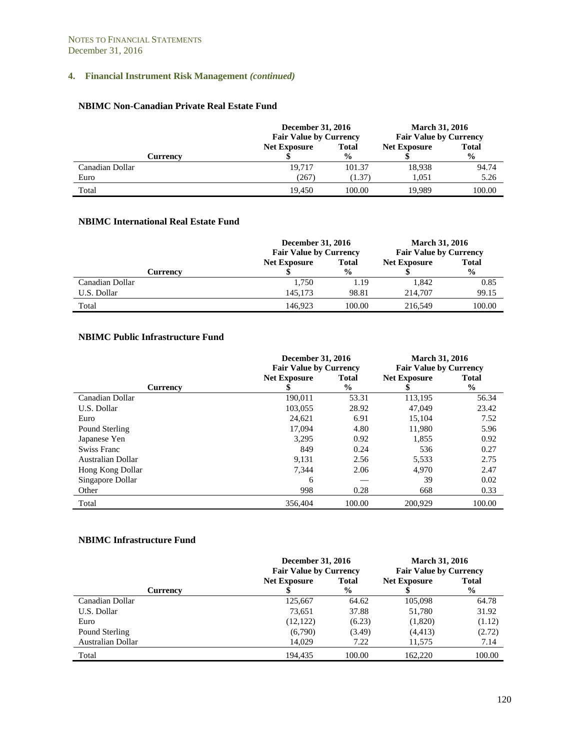#### **NBIMC Non-Canadian Private Real Estate Fund**

|                 | <b>December 31, 2016</b><br><b>Fair Value by Currency</b> |               | <b>March 31, 2016</b><br><b>Fair Value by Currency</b> |               |
|-----------------|-----------------------------------------------------------|---------------|--------------------------------------------------------|---------------|
|                 | <b>Net Exposure</b>                                       | <b>Total</b>  | <b>Net Exposure</b>                                    | <b>Total</b>  |
| Currency        |                                                           | $\frac{6}{9}$ |                                                        | $\frac{0}{0}$ |
| Canadian Dollar | 19.717                                                    | 101.37        | 18,938                                                 | 94.74         |
| Euro            | (267)                                                     | (1.37)        | 1.051                                                  | 5.26          |
| Total           | 19.450                                                    | 100.00        | 19.989                                                 | 100.00        |

## **NBIMC International Real Estate Fund**

|                 | <b>December 31, 2016</b><br><b>Fair Value by Currency</b> |               | <b>March 31, 2016</b><br><b>Fair Value by Currency</b> |               |
|-----------------|-----------------------------------------------------------|---------------|--------------------------------------------------------|---------------|
|                 | <b>Net Exposure</b>                                       | <b>Total</b>  | <b>Net Exposure</b>                                    | <b>Total</b>  |
| Currency        |                                                           | $\frac{6}{9}$ |                                                        | $\frac{6}{9}$ |
| Canadian Dollar | 1.750                                                     | 1.19          | 1.842                                                  | 0.85          |
| U.S. Dollar     | 145,173                                                   | 98.81         | 214,707                                                | 99.15         |
| Total           | 146.923                                                   | 100.00        | 216.549                                                | 100.00        |

#### **NBIMC Public Infrastructure Fund**

|                   | December 31, 2016<br><b>Fair Value by Currency</b> |                               | <b>March 31, 2016</b><br><b>Fair Value by Currency</b> |                               |
|-------------------|----------------------------------------------------|-------------------------------|--------------------------------------------------------|-------------------------------|
| <b>Currency</b>   | <b>Net Exposure</b>                                | <b>Total</b><br>$\frac{0}{0}$ | <b>Net Exposure</b>                                    | <b>Total</b><br>$\frac{6}{9}$ |
| Canadian Dollar   | 190,011                                            | 53.31                         | 113,195                                                | 56.34                         |
| U.S. Dollar       | 103,055                                            | 28.92                         | 47,049                                                 | 23.42                         |
| Euro              | 24,621                                             | 6.91                          | 15,104                                                 | 7.52                          |
| Pound Sterling    | 17.094                                             | 4.80                          | 11.980                                                 | 5.96                          |
| Japanese Yen      | 3.295                                              | 0.92                          | 1,855                                                  | 0.92                          |
| Swiss Franc       | 849                                                | 0.24                          | 536                                                    | 0.27                          |
| Australian Dollar | 9.131                                              | 2.56                          | 5,533                                                  | 2.75                          |
| Hong Kong Dollar  | 7.344                                              | 2.06                          | 4,970                                                  | 2.47                          |
| Singapore Dollar  | 6                                                  |                               | 39                                                     | 0.02                          |
| Other             | 998                                                | 0.28                          | 668                                                    | 0.33                          |
| Total             | 356,404                                            | 100.00                        | 200,929                                                | 100.00                        |

#### **NBIMC Infrastructure Fund**

|                   |                     | <b>December 31, 2016</b><br><b>March 31, 2016</b><br><b>Fair Value by Currency</b><br><b>Fair Value by Currency</b> |                     |                |
|-------------------|---------------------|---------------------------------------------------------------------------------------------------------------------|---------------------|----------------|
|                   | <b>Net Exposure</b> | <b>Total</b>                                                                                                        | <b>Net Exposure</b> | <b>Total</b>   |
| <b>Currency</b>   |                     | $\frac{6}{9}$                                                                                                       |                     | $\frac{6}{10}$ |
| Canadian Dollar   | 125,667             | 64.62                                                                                                               | 105,098             | 64.78          |
| U.S. Dollar       | 73,651              | 37.88                                                                                                               | 51,780              | 31.92          |
| Euro              | (12, 122)           | (6.23)                                                                                                              | (1,820)             | (1.12)         |
| Pound Sterling    | (6,790)             | (3.49)                                                                                                              | (4, 413)            | (2.72)         |
| Australian Dollar | 14,029              | 7.22                                                                                                                | 11,575              | 7.14           |
| Total             | 194.435             | 100.00                                                                                                              | 162,220             | 100.00         |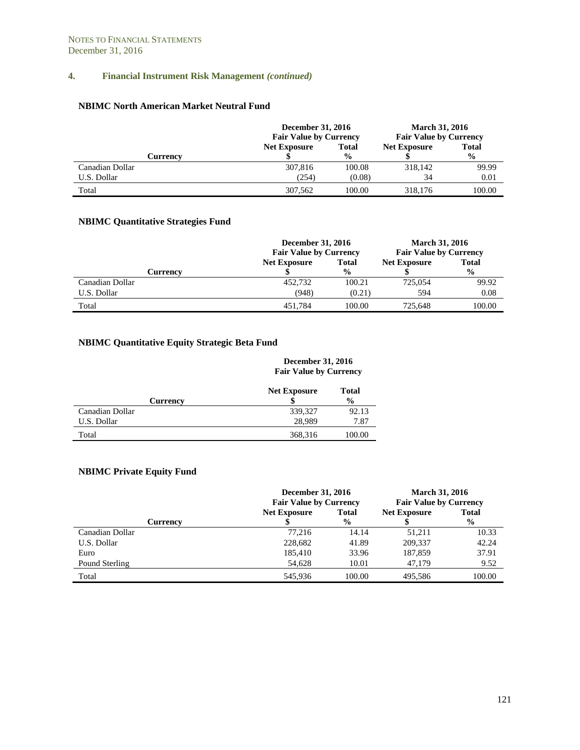#### **NBIMC North American Market Neutral Fund**

|                 | <b>December 31, 2016</b><br><b>Fair Value by Currency</b> |               | <b>March 31, 2016</b><br><b>Fair Value by Currency</b> |               |  |
|-----------------|-----------------------------------------------------------|---------------|--------------------------------------------------------|---------------|--|
|                 | <b>Net Exposure</b>                                       | <b>Total</b>  | <b>Net Exposure</b>                                    | <b>Total</b>  |  |
| Currency        |                                                           | $\frac{6}{9}$ |                                                        | $\frac{6}{9}$ |  |
| Canadian Dollar | 307.816                                                   | 100.08        | 318,142                                                | 99.99         |  |
| U.S. Dollar     | (254)                                                     | (0.08)        | 34                                                     | 0.01          |  |
| Total           | 307.562                                                   | 100.00        | 318,176                                                | 100.00        |  |

# **NBIMC Quantitative Strategies Fund**

|                 | <b>December 31, 2016</b><br><b>Fair Value by Currency</b> | <b>March 31, 2016</b><br><b>Fair Value by Currency</b> |              |               |
|-----------------|-----------------------------------------------------------|--------------------------------------------------------|--------------|---------------|
|                 | <b>Net Exposure</b>                                       | <b>Net Exposure</b>                                    | <b>Total</b> |               |
| <b>Currency</b> |                                                           | $\frac{6}{9}$                                          |              | $\frac{6}{9}$ |
| Canadian Dollar | 452,732                                                   | 100.21                                                 | 725,054      | 99.92         |
| U.S. Dollar     | (948)                                                     | (0.21)                                                 | 594          | 0.08          |
| Total           | 451.784                                                   | 100.00                                                 | 725.648      | 100.00        |

# **NBIMC Quantitative Equity Strategic Beta Fund**

#### **December 31, 2016 Fair Value by Currency**

|                 | <b>Net Exposure</b> | <b>Total</b>  |
|-----------------|---------------------|---------------|
| <b>Currency</b> |                     | $\frac{0}{0}$ |
| Canadian Dollar | 339,327             | 92.13         |
| U.S. Dollar     | 28,989              | 7.87          |
| Total           | 368,316             | 100.00        |

# **NBIMC Private Equity Fund**

|                 |                     | <b>December 31, 2016</b><br><b>March 31, 2016</b><br><b>Fair Value by Currency</b><br><b>Fair Value by Currency</b> |                     |                |
|-----------------|---------------------|---------------------------------------------------------------------------------------------------------------------|---------------------|----------------|
|                 | <b>Net Exposure</b> | <b>Total</b>                                                                                                        | <b>Net Exposure</b> | <b>Total</b>   |
| Currency        |                     | $\frac{6}{9}$                                                                                                       |                     | $\frac{6}{10}$ |
| Canadian Dollar | 77.216              | 14.14                                                                                                               | 51.211              | 10.33          |
| U.S. Dollar     | 228,682             | 41.89                                                                                                               | 209,337             | 42.24          |
| Euro            | 185,410             | 33.96                                                                                                               | 187,859             | 37.91          |
| Pound Sterling  | 54,628              | 10.01                                                                                                               | 47.179              | 9.52           |
| Total           | 545.936             | 100.00                                                                                                              | 495.586             | 100.00         |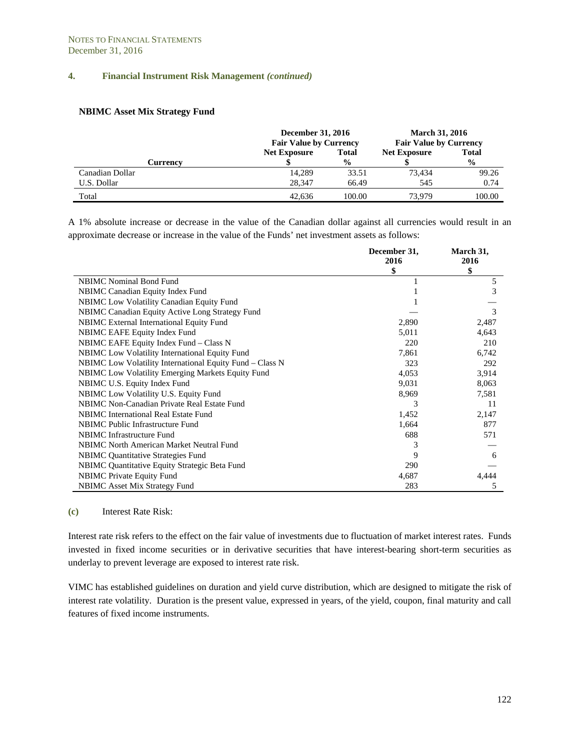#### **NBIMC Asset Mix Strategy Fund**

|                 | <b>December 31, 2016</b><br><b>Fair Value by Currency</b> |               | <b>March 31, 2016</b><br><b>Fair Value by Currency</b> |               |  |
|-----------------|-----------------------------------------------------------|---------------|--------------------------------------------------------|---------------|--|
|                 | <b>Net Exposure</b>                                       | <b>Total</b>  | <b>Net Exposure</b>                                    | <b>Total</b>  |  |
| <b>Currency</b> |                                                           | $\frac{0}{0}$ |                                                        | $\frac{0}{0}$ |  |
| Canadian Dollar | 14,289                                                    | 33.51         | 73.434                                                 | 99.26         |  |
| U.S. Dollar     | 28,347                                                    | 66.49         | 545                                                    | 0.74          |  |
| Total           | 42.636                                                    | 100.00        | 73.979                                                 | 100.00        |  |

A 1% absolute increase or decrease in the value of the Canadian dollar against all currencies would result in an approximate decrease or increase in the value of the Funds' net investment assets as follows:

|                                                          | December 31, | March 31, |
|----------------------------------------------------------|--------------|-----------|
|                                                          | 2016         | 2016      |
|                                                          | \$           | \$        |
| <b>NBIMC</b> Nominal Bond Fund                           |              | 5         |
| NBIMC Canadian Equity Index Fund                         |              | 3         |
| <b>NBIMC</b> Low Volatility Canadian Equity Fund         |              |           |
| NBIMC Canadian Equity Active Long Strategy Fund          |              | 3         |
| NBIMC External International Equity Fund                 | 2,890        | 2,487     |
| NBIMC EAFE Equity Index Fund                             | 5,011        | 4,643     |
| NBIMC EAFE Equity Index Fund – Class N                   | 220          | 210       |
| <b>NBIMC</b> Low Volatility International Equity Fund    | 7,861        | 6,742     |
| NBIMC Low Volatility International Equity Fund - Class N | 323          | 292       |
| <b>NBIMC</b> Low Volatility Emerging Markets Equity Fund | 4,053        | 3,914     |
| NBIMC U.S. Equity Index Fund                             | 9,031        | 8,063     |
| NBIMC Low Volatility U.S. Equity Fund                    | 8,969        | 7,581     |
| NBIMC Non-Canadian Private Real Estate Fund              | 3            | 11        |
| NBIMC International Real Estate Fund                     | 1,452        | 2,147     |
| NBIMC Public Infrastructure Fund                         | 1,664        | 877       |
| <b>NBIMC</b> Infrastructure Fund                         | 688          | 571       |
| NBIMC North American Market Neutral Fund                 |              |           |
| <b>NBIMC</b> Quantitative Strategies Fund                | 9            | 6         |
| NBIMC Quantitative Equity Strategic Beta Fund            | 290          |           |
| <b>NBIMC</b> Private Equity Fund                         | 4,687        | 4,444     |
| <b>NBIMC</b> Asset Mix Strategy Fund                     | 283          | 5         |

#### **(c)** Interest Rate Risk:

Interest rate risk refers to the effect on the fair value of investments due to fluctuation of market interest rates. Funds invested in fixed income securities or in derivative securities that have interest-bearing short-term securities as underlay to prevent leverage are exposed to interest rate risk.

VIMC has established guidelines on duration and yield curve distribution, which are designed to mitigate the risk of interest rate volatility. Duration is the present value, expressed in years, of the yield, coupon, final maturity and call features of fixed income instruments.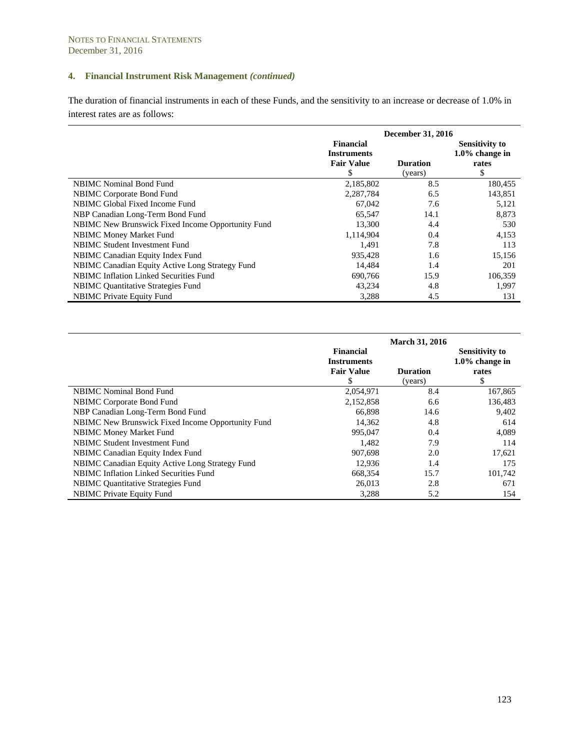The duration of financial instruments in each of these Funds, and the sensitivity to an increase or decrease of 1.0% in interest rates are as follows:

|                                                   | December 31, 2016                                                |                            |                                                           |  |  |
|---------------------------------------------------|------------------------------------------------------------------|----------------------------|-----------------------------------------------------------|--|--|
|                                                   | <b>Financial</b><br><b>Instruments</b><br><b>Fair Value</b><br>S | <b>Duration</b><br>(years) | <b>Sensitivity to</b><br>$1.0\%$ change in<br>rates<br>\$ |  |  |
| <b>NBIMC</b> Nominal Bond Fund                    | 2,185,802                                                        | 8.5                        | 180,455                                                   |  |  |
| <b>NBIMC</b> Corporate Bond Fund                  | 2,287,784                                                        | 6.5                        | 143,851                                                   |  |  |
| NBIMC Global Fixed Income Fund                    | 67,042                                                           | 7.6                        | 5,121                                                     |  |  |
| NBP Canadian Long-Term Bond Fund                  | 65,547                                                           | 14.1                       | 8,873                                                     |  |  |
| NBIMC New Brunswick Fixed Income Opportunity Fund | 13,300                                                           | 4.4                        | 530                                                       |  |  |
| <b>NBIMC Money Market Fund</b>                    | 1,114,904                                                        | 0.4                        | 4,153                                                     |  |  |
| NBIMC Student Investment Fund                     | 1.491                                                            | 7.8                        | 113                                                       |  |  |
| NBIMC Canadian Equity Index Fund                  | 935.428                                                          | 1.6                        | 15,156                                                    |  |  |
| NBIMC Canadian Equity Active Long Strategy Fund   | 14.484                                                           | 1.4                        | 201                                                       |  |  |
| <b>NBIMC Inflation Linked Securities Fund</b>     | 690,766                                                          | 15.9                       | 106,359                                                   |  |  |
| NBIMC Quantitative Strategies Fund                | 43,234                                                           | 4.8                        | 1,997                                                     |  |  |
| <b>NBIMC</b> Private Equity Fund                  | 3,288                                                            | 4.5                        | 131                                                       |  |  |

|                                                   | Financial                                     | <b>March 31, 2016</b>      | <b>Sensitivity to</b>            |
|---------------------------------------------------|-----------------------------------------------|----------------------------|----------------------------------|
|                                                   | <b>Instruments</b><br><b>Fair Value</b><br>\$ | <b>Duration</b><br>(years) | $1.0\%$ change in<br>rates<br>\$ |
| <b>NBIMC</b> Nominal Bond Fund                    | 2,054,971                                     | 8.4                        | 167,865                          |
| NBIMC Corporate Bond Fund                         | 2,152,858                                     | 6.6                        | 136,483                          |
| NBP Canadian Long-Term Bond Fund                  | 66,898                                        | 14.6                       | 9,402                            |
| NBIMC New Brunswick Fixed Income Opportunity Fund | 14,362                                        | 4.8                        | 614                              |
| <b>NBIMC Money Market Fund</b>                    | 995.047                                       | 0.4                        | 4,089                            |
| <b>NBIMC Student Investment Fund</b>              | 1,482                                         | 7.9                        | 114                              |
| NBIMC Canadian Equity Index Fund                  | 907,698                                       | 2.0                        | 17,621                           |
| NBIMC Canadian Equity Active Long Strategy Fund   | 12,936                                        | 1.4                        | 175                              |
| <b>NBIMC</b> Inflation Linked Securities Fund     | 668.354                                       | 15.7                       | 101,742                          |
| <b>NBIMC</b> Quantitative Strategies Fund         | 26,013                                        | 2.8                        | 671                              |
| <b>NBIMC</b> Private Equity Fund                  | 3.288                                         | 5.2                        | 154                              |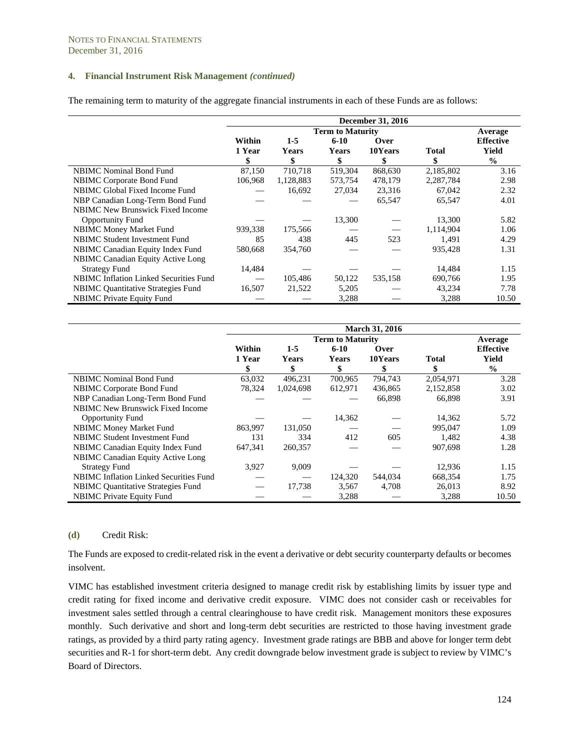The remaining term to maturity of the aggregate financial instruments in each of these Funds are as follows:

|                                               |         |              |                         | <b>December 31, 2016</b> |              |                  |
|-----------------------------------------------|---------|--------------|-------------------------|--------------------------|--------------|------------------|
|                                               |         |              | <b>Term to Maturity</b> |                          |              | Average          |
|                                               | Within  | $1-5$        | $6 - 10$                | Over                     |              | <b>Effective</b> |
|                                               | 1 Year  | <b>Years</b> | <b>Years</b>            | 10Years                  | <b>Total</b> | Yield            |
|                                               | \$      | \$           | \$                      | \$                       | \$           | $\frac{0}{0}$    |
| <b>NBIMC</b> Nominal Bond Fund                | 87,150  | 710,718      | 519,304                 | 868,630                  | 2,185,802    | 3.16             |
| NBIMC Corporate Bond Fund                     | 106,968 | 1,128,883    | 573,754                 | 478,179                  | 2,287,784    | 2.98             |
| NBIMC Global Fixed Income Fund                |         | 16,692       | 27,034                  | 23,316                   | 67,042       | 2.32             |
| NBP Canadian Long-Term Bond Fund              |         |              |                         | 65,547                   | 65,547       | 4.01             |
| NBIMC New Brunswick Fixed Income              |         |              |                         |                          |              |                  |
| <b>Opportunity Fund</b>                       |         |              | 13,300                  |                          | 13,300       | 5.82             |
| <b>NBIMC Money Market Fund</b>                | 939,338 | 175,566      |                         |                          | 1,114,904    | 1.06             |
| NBIMC Student Investment Fund                 | 85      | 438          | 445                     | 523                      | 1,491        | 4.29             |
| NBIMC Canadian Equity Index Fund              | 580,668 | 354,760      |                         |                          | 935,428      | 1.31             |
| NBIMC Canadian Equity Active Long             |         |              |                         |                          |              |                  |
| <b>Strategy Fund</b>                          | 14,484  |              |                         |                          | 14.484       | 1.15             |
| <b>NBIMC Inflation Linked Securities Fund</b> |         | 105,486      | 50,122                  | 535,158                  | 690,766      | 1.95             |
| <b>NBIMC</b> Quantitative Strategies Fund     | 16,507  | 21,522       | 5,205                   |                          | 43,234       | 7.78             |
| <b>NBIMC</b> Private Equity Fund              |         |              | 3,288                   |                          | 3,288        | 10.50            |

|                                           | <b>March 31, 2016</b> |              |                         |         |              |                  |  |  |  |
|-------------------------------------------|-----------------------|--------------|-------------------------|---------|--------------|------------------|--|--|--|
|                                           |                       |              | <b>Term to Maturity</b> |         |              | Average          |  |  |  |
|                                           | Within                | $1-5$        | $6 - 10$                | Over    |              | <b>Effective</b> |  |  |  |
|                                           | 1 Year                | <b>Years</b> | <b>Years</b>            | 10Years | <b>Total</b> | <b>Yield</b>     |  |  |  |
|                                           |                       |              | \$                      | \$      |              | $\frac{0}{0}$    |  |  |  |
| <b>NBIMC</b> Nominal Bond Fund            | 63,032                | 496,231      | 700,965                 | 794,743 | 2,054,971    | 3.28             |  |  |  |
| <b>NBIMC</b> Corporate Bond Fund          | 78,324                | 1,024,698    | 612,971                 | 436,865 | 2,152,858    | 3.02             |  |  |  |
| NBP Canadian Long-Term Bond Fund          |                       |              |                         | 66,898  | 66,898       | 3.91             |  |  |  |
| <b>NBIMC New Brunswick Fixed Income</b>   |                       |              |                         |         |              |                  |  |  |  |
| <b>Opportunity Fund</b>                   |                       |              | 14,362                  |         | 14,362       | 5.72             |  |  |  |
| <b>NBIMC Money Market Fund</b>            | 863,997               | 131,050      |                         |         | 995,047      | 1.09             |  |  |  |
| <b>NBIMC Student Investment Fund</b>      | 131                   | 334          | 412                     | 605     | 1,482        | 4.38             |  |  |  |
| NBIMC Canadian Equity Index Fund          | 647,341               | 260,357      |                         |         | 907,698      | 1.28             |  |  |  |
| NBIMC Canadian Equity Active Long         |                       |              |                         |         |              |                  |  |  |  |
| <b>Strategy Fund</b>                      | 3,927                 | 9,009        |                         |         | 12,936       | 1.15             |  |  |  |
| NBIMC Inflation Linked Securities Fund    |                       |              | 124,320                 | 544,034 | 668,354      | 1.75             |  |  |  |
| <b>NBIMC</b> Quantitative Strategies Fund |                       | 17,738       | 3,567                   | 4,708   | 26,013       | 8.92             |  |  |  |
| <b>NBIMC</b> Private Equity Fund          |                       |              | 3,288                   |         | 3,288        | 10.50            |  |  |  |

#### **(d)** Credit Risk:

The Funds are exposed to credit-related risk in the event a derivative or debt security counterparty defaults or becomes insolvent.

VIMC has established investment criteria designed to manage credit risk by establishing limits by issuer type and credit rating for fixed income and derivative credit exposure. VIMC does not consider cash or receivables for investment sales settled through a central clearinghouse to have credit risk. Management monitors these exposures monthly. Such derivative and short and long-term debt securities are restricted to those having investment grade ratings, as provided by a third party rating agency. Investment grade ratings are BBB and above for longer term debt securities and R-1 for short-term debt. Any credit downgrade below investment grade is subject to review by VIMC's Board of Directors.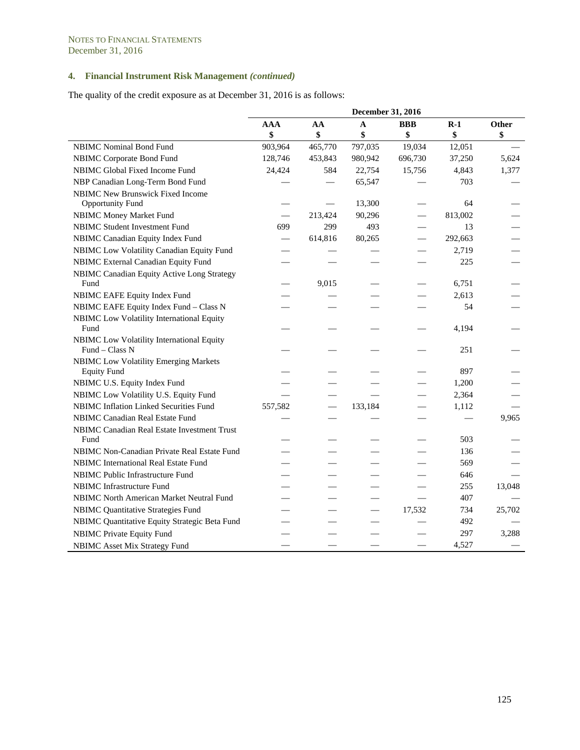The quality of the credit exposure as at December 31, 2016 is as follows:

|                                                             | December 31, 2016        |         |         |                          |         |        |
|-------------------------------------------------------------|--------------------------|---------|---------|--------------------------|---------|--------|
|                                                             | <b>AAA</b>               | AA      | A       | <b>BBB</b>               | $R-1$   | Other  |
|                                                             | \$                       | \$      | \$      | \$                       | \$      | \$     |
| <b>NBIMC</b> Nominal Bond Fund                              | 903,964                  | 465,770 | 797,035 | 19,034                   | 12,051  |        |
| NBIMC Corporate Bond Fund                                   | 128,746                  | 453,843 | 980,942 | 696,730                  | 37,250  | 5,624  |
| NBIMC Global Fixed Income Fund                              | 24,424                   | 584     | 22,754  | 15,756                   | 4,843   | 1,377  |
| NBP Canadian Long-Term Bond Fund                            |                          |         | 65,547  |                          | 703     |        |
| NBIMC New Brunswick Fixed Income                            |                          |         |         |                          |         |        |
| <b>Opportunity Fund</b>                                     |                          |         | 13,300  |                          | 64      |        |
| NBIMC Money Market Fund                                     | $\overline{\phantom{0}}$ | 213,424 | 90,296  | $\overline{\phantom{0}}$ | 813,002 |        |
| <b>NBIMC Student Investment Fund</b>                        | 699                      | 299     | 493     |                          | 13      |        |
| NBIMC Canadian Equity Index Fund                            | $\overline{\phantom{0}}$ | 614,816 | 80,265  |                          | 292,663 |        |
| NBIMC Low Volatility Canadian Equity Fund                   |                          |         |         |                          | 2,719   |        |
| NBIMC External Canadian Equity Fund                         |                          |         |         |                          | 225     |        |
| NBIMC Canadian Equity Active Long Strategy                  |                          |         |         |                          |         |        |
| Fund                                                        |                          | 9,015   |         |                          | 6,751   |        |
| NBIMC EAFE Equity Index Fund                                |                          |         |         |                          | 2,613   |        |
| NBIMC EAFE Equity Index Fund - Class N                      |                          |         |         |                          | 54      |        |
| NBIMC Low Volatility International Equity                   |                          |         |         |                          |         |        |
| Fund                                                        |                          |         |         |                          | 4,194   |        |
| NBIMC Low Volatility International Equity<br>Fund - Class N |                          |         |         |                          | 251     |        |
| <b>NBIMC Low Volatility Emerging Markets</b>                |                          |         |         |                          |         |        |
| <b>Equity Fund</b>                                          |                          |         |         |                          | 897     |        |
| NBIMC U.S. Equity Index Fund                                |                          |         |         |                          | 1,200   |        |
| NBIMC Low Volatility U.S. Equity Fund                       |                          |         |         |                          | 2,364   |        |
| NBIMC Inflation Linked Securities Fund                      | 557,582                  |         | 133,184 |                          | 1,112   |        |
| NBIMC Canadian Real Estate Fund                             |                          |         |         |                          |         | 9,965  |
| NBIMC Canadian Real Estate Investment Trust                 |                          |         |         |                          |         |        |
| Fund                                                        |                          |         |         |                          | 503     |        |
| NBIMC Non-Canadian Private Real Estate Fund                 |                          |         |         |                          | 136     |        |
| NBIMC International Real Estate Fund                        |                          |         |         |                          | 569     |        |
| NBIMC Public Infrastructure Fund                            |                          |         |         |                          | 646     |        |
| NBIMC Infrastructure Fund                                   |                          |         |         |                          | 255     | 13,048 |
| NBIMC North American Market Neutral Fund                    |                          |         |         |                          | 407     |        |
| <b>NBIMC Quantitative Strategies Fund</b>                   |                          |         |         | 17,532                   | 734     | 25,702 |
| NBIMC Quantitative Equity Strategic Beta Fund               |                          |         |         |                          | 492     |        |
| <b>NBIMC Private Equity Fund</b>                            |                          |         |         |                          | 297     | 3,288  |
| <b>NBIMC</b> Asset Mix Strategy Fund                        |                          |         |         |                          | 4,527   |        |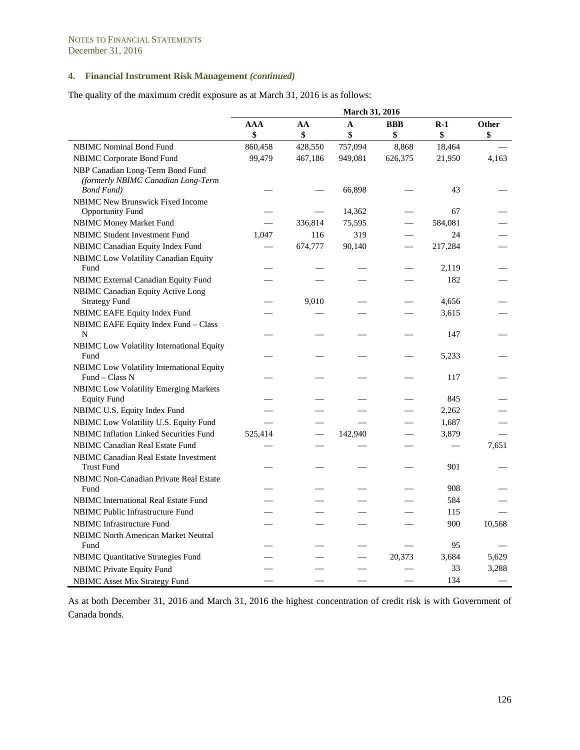The quality of the maximum credit exposure as at March 31, 2016 is as follows:

|                                                                                              | March 31, 2016 |         |         |                          |         |        |
|----------------------------------------------------------------------------------------------|----------------|---------|---------|--------------------------|---------|--------|
|                                                                                              | AAA            | AA      | A       | <b>BBB</b>               | $R-1$   | Other  |
|                                                                                              | \$             | \$      | \$      | \$                       | \$      | \$     |
| <b>NBIMC</b> Nominal Bond Fund                                                               | 860,458        | 428,550 | 757,094 | 8,868                    | 18,464  |        |
| NBIMC Corporate Bond Fund                                                                    | 99,479         | 467,186 | 949,081 | 626,375                  | 21,950  | 4,163  |
| NBP Canadian Long-Term Bond Fund<br>(formerly NBIMC Canadian Long-Term<br><b>Bond Fund</b> ) |                |         | 66,898  |                          | 43      |        |
| <b>NBIMC New Brunswick Fixed Income</b>                                                      |                |         |         |                          |         |        |
| <b>Opportunity Fund</b>                                                                      |                |         | 14,362  |                          | 67      |        |
| <b>NBIMC Money Market Fund</b>                                                               |                | 336,814 | 75,595  |                          | 584,081 |        |
| <b>NBIMC Student Investment Fund</b>                                                         | 1,047          | 116     | 319     |                          | 24      |        |
| NBIMC Canadian Equity Index Fund                                                             |                | 674,777 | 90,140  |                          | 217,284 |        |
| <b>NBIMC</b> Low Volatility Canadian Equity<br>Fund                                          |                |         |         |                          | 2,119   |        |
| NBIMC External Canadian Equity Fund                                                          |                |         |         |                          | 182     |        |
| <b>NBIMC Canadian Equity Active Long</b><br><b>Strategy Fund</b>                             |                | 9,010   |         |                          | 4,656   |        |
| NBIMC EAFE Equity Index Fund                                                                 |                |         |         |                          | 3,615   |        |
| NBIMC EAFE Equity Index Fund - Class                                                         |                |         |         |                          |         |        |
| N                                                                                            |                |         |         |                          | 147     |        |
| NBIMC Low Volatility International Equity<br>Fund                                            |                |         |         |                          | 5,233   |        |
| NBIMC Low Volatility International Equity<br>Fund - Class N                                  |                |         |         |                          | 117     |        |
| NBIMC Low Volatility Emerging Markets<br><b>Equity Fund</b>                                  |                |         |         |                          | 845     |        |
| NBIMC U.S. Equity Index Fund                                                                 |                |         |         | $\overline{\phantom{0}}$ | 2,262   |        |
| NBIMC Low Volatility U.S. Equity Fund                                                        |                |         |         |                          | 1,687   |        |
| <b>NBIMC Inflation Linked Securities Fund</b>                                                | 525,414        |         | 142,940 |                          | 3,879   |        |
| <b>NBIMC Canadian Real Estate Fund</b>                                                       |                |         |         |                          |         | 7,651  |
| NBIMC Canadian Real Estate Investment<br><b>Trust Fund</b>                                   |                |         |         |                          | 901     |        |
| NBIMC Non-Canadian Private Real Estate                                                       |                |         |         |                          |         |        |
| Fund                                                                                         |                |         |         |                          | 908     |        |
| <b>NBIMC</b> International Real Estate Fund                                                  |                |         |         |                          | 584     |        |
| <b>NBIMC</b> Public Infrastructure Fund                                                      |                |         |         |                          | 115     |        |
| <b>NBIMC</b> Infrastructure Fund                                                             |                |         |         |                          | 900     | 10,568 |
| <b>NBIMC North American Market Neutral</b><br>Fund                                           |                |         |         |                          | 95      |        |
| <b>NBIMC</b> Quantitative Strategies Fund                                                    |                |         |         | 20,373                   | 3,684   | 5,629  |
| <b>NBIMC Private Equity Fund</b>                                                             |                |         |         |                          | 33      | 3,288  |
| <b>NBIMC</b> Asset Mix Strategy Fund                                                         |                |         |         |                          | 134     |        |

As at both December 31, 2016 and March 31, 2016 the highest concentration of credit risk is with Government of Canada bonds.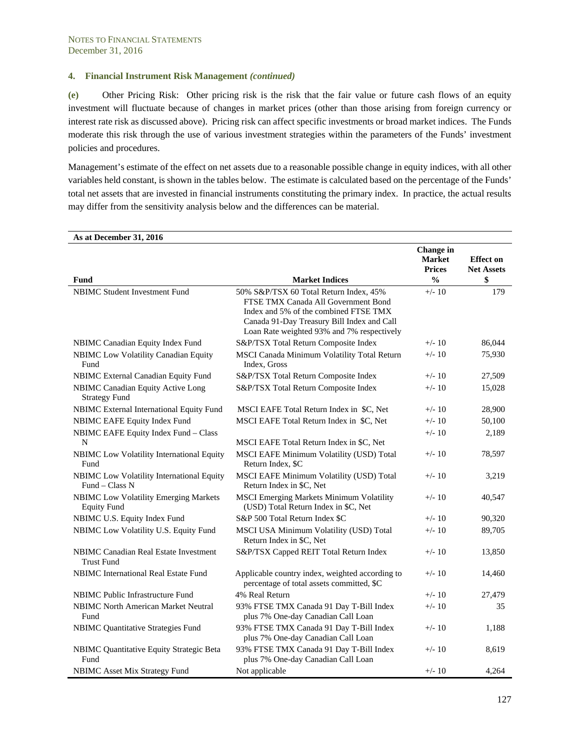**(e)** Other Pricing Risk: Other pricing risk is the risk that the fair value or future cash flows of an equity investment will fluctuate because of changes in market prices (other than those arising from foreign currency or interest rate risk as discussed above). Pricing risk can affect specific investments or broad market indices. The Funds moderate this risk through the use of various investment strategies within the parameters of the Funds' investment policies and procedures.

Management's estimate of the effect on net assets due to a reasonable possible change in equity indices, with all other variables held constant, is shown in the tables below. The estimate is calculated based on the percentage of the Funds' total net assets that are invested in financial instruments constituting the primary index. In practice, the actual results may differ from the sensitivity analysis below and the differences can be material.

| As at December 31, 2016                                            |                                                                                                                                                                                                                    |                                                    |                                       |
|--------------------------------------------------------------------|--------------------------------------------------------------------------------------------------------------------------------------------------------------------------------------------------------------------|----------------------------------------------------|---------------------------------------|
|                                                                    |                                                                                                                                                                                                                    | <b>Change</b> in<br><b>Market</b><br><b>Prices</b> | <b>Effect on</b><br><b>Net Assets</b> |
| Fund                                                               | <b>Market Indices</b>                                                                                                                                                                                              | $\frac{0}{0}$                                      | \$                                    |
| <b>NBIMC Student Investment Fund</b>                               | 50% S&P/TSX 60 Total Return Index, 45%<br>FTSE TMX Canada All Government Bond<br>Index and 5% of the combined FTSE TMX<br>Canada 91-Day Treasury Bill Index and Call<br>Loan Rate weighted 93% and 7% respectively | $+/- 10$                                           | 179                                   |
| NBIMC Canadian Equity Index Fund                                   | S&P/TSX Total Return Composite Index                                                                                                                                                                               | $+/- 10$                                           | 86,044                                |
| NBIMC Low Volatility Canadian Equity<br>Fund                       | MSCI Canada Minimum Volatility Total Return<br>Index, Gross                                                                                                                                                        | $+/- 10$                                           | 75,930                                |
| NBIMC External Canadian Equity Fund                                | S&P/TSX Total Return Composite Index                                                                                                                                                                               | $+/- 10$                                           | 27,509                                |
| NBIMC Canadian Equity Active Long<br><b>Strategy Fund</b>          | S&P/TSX Total Return Composite Index                                                                                                                                                                               | $+/- 10$                                           | 15,028                                |
| NBIMC External International Equity Fund                           | MSCI EAFE Total Return Index in \$C, Net                                                                                                                                                                           | $+/- 10$                                           | 28,900                                |
| NBIMC EAFE Equity Index Fund                                       | MSCI EAFE Total Return Index in \$C, Net                                                                                                                                                                           | $+/- 10$                                           | 50,100                                |
| NBIMC EAFE Equity Index Fund - Class                               |                                                                                                                                                                                                                    | $+/- 10$                                           | 2,189                                 |
| N                                                                  | MSCI EAFE Total Return Index in \$C, Net                                                                                                                                                                           |                                                    |                                       |
| NBIMC Low Volatility International Equity<br>Fund                  | MSCI EAFE Minimum Volatility (USD) Total<br>Return Index, \$C                                                                                                                                                      | $+/- 10$                                           | 78,597                                |
| NBIMC Low Volatility International Equity<br>$Fund-Class N$        | MSCI EAFE Minimum Volatility (USD) Total<br>Return Index in \$C, Net                                                                                                                                               | $+/- 10$                                           | 3,219                                 |
| <b>NBIMC Low Volatility Emerging Markets</b><br><b>Equity Fund</b> | <b>MSCI Emerging Markets Minimum Volatility</b><br>(USD) Total Return Index in \$C, Net                                                                                                                            | $+/- 10$                                           | 40,547                                |
| NBIMC U.S. Equity Index Fund                                       | S&P 500 Total Return Index \$C                                                                                                                                                                                     | $+/- 10$                                           | 90,320                                |
| NBIMC Low Volatility U.S. Equity Fund                              | MSCI USA Minimum Volatility (USD) Total<br>Return Index in \$C, Net                                                                                                                                                | $+/- 10$                                           | 89,705                                |
| <b>NBIMC Canadian Real Estate Investment</b><br><b>Trust Fund</b>  | S&P/TSX Capped REIT Total Return Index                                                                                                                                                                             | $+/- 10$                                           | 13,850                                |
| <b>NBIMC</b> International Real Estate Fund                        | Applicable country index, weighted according to<br>percentage of total assets committed, \$C                                                                                                                       | $+/- 10$                                           | 14,460                                |
| <b>NBIMC</b> Public Infrastructure Fund                            | 4% Real Return                                                                                                                                                                                                     | $+/- 10$                                           | 27,479                                |
| <b>NBIMC North American Market Neutral</b><br>Fund                 | 93% FTSE TMX Canada 91 Day T-Bill Index<br>plus 7% One-day Canadian Call Loan                                                                                                                                      | $+/- 10$                                           | 35                                    |
| <b>NBIMC Quantitative Strategies Fund</b>                          | 93% FTSE TMX Canada 91 Day T-Bill Index<br>plus 7% One-day Canadian Call Loan                                                                                                                                      | $+/- 10$                                           | 1,188                                 |
| NBIMC Quantitative Equity Strategic Beta<br>Fund                   | 93% FTSE TMX Canada 91 Day T-Bill Index<br>plus 7% One-day Canadian Call Loan                                                                                                                                      | $+/- 10$                                           | 8,619                                 |
| <b>NBIMC</b> Asset Mix Strategy Fund                               | Not applicable                                                                                                                                                                                                     | $+/- 10$                                           | 4,264                                 |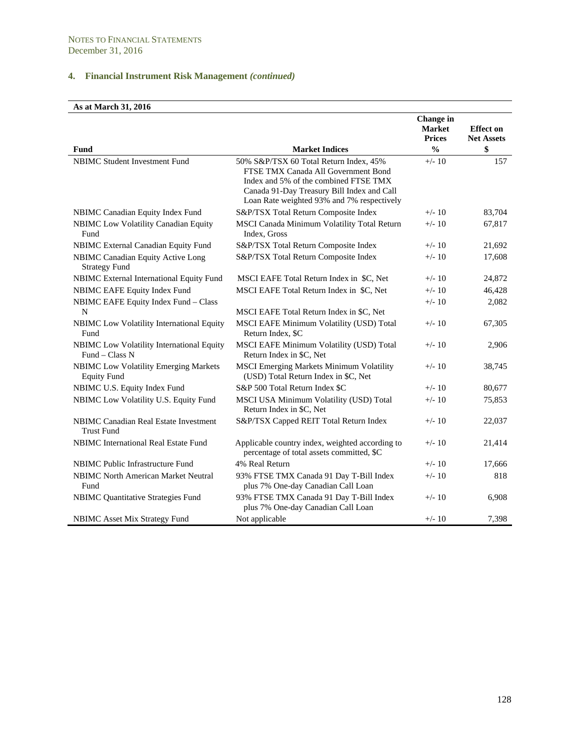# **As at March 31, 2016**

| Fund                                                        | <b>Market Indices</b>                                                                                                                                                    | <b>Change</b> in<br><b>Market</b><br><b>Prices</b><br>$\frac{0}{0}$ | <b>Effect on</b><br><b>Net Assets</b><br>\$ |
|-------------------------------------------------------------|--------------------------------------------------------------------------------------------------------------------------------------------------------------------------|---------------------------------------------------------------------|---------------------------------------------|
| <b>NBIMC Student Investment Fund</b>                        | 50% S&P/TSX 60 Total Return Index, 45%                                                                                                                                   | $+/- 10$                                                            | 157                                         |
|                                                             | FTSE TMX Canada All Government Bond<br>Index and 5% of the combined FTSE TMX<br>Canada 91-Day Treasury Bill Index and Call<br>Loan Rate weighted 93% and 7% respectively |                                                                     |                                             |
| NBIMC Canadian Equity Index Fund                            | S&P/TSX Total Return Composite Index                                                                                                                                     | $+/- 10$                                                            | 83,704                                      |
| <b>NBIMC</b> Low Volatility Canadian Equity<br>Fund         | MSCI Canada Minimum Volatility Total Return<br>Index, Gross                                                                                                              | $+/- 10$                                                            | 67,817                                      |
| NBIMC External Canadian Equity Fund                         | S&P/TSX Total Return Composite Index                                                                                                                                     | $+/- 10$                                                            | 21,692                                      |
| NBIMC Canadian Equity Active Long<br><b>Strategy Fund</b>   | S&P/TSX Total Return Composite Index                                                                                                                                     | $+/- 10$                                                            | 17,608                                      |
| NBIMC External International Equity Fund                    | MSCI EAFE Total Return Index in \$C, Net                                                                                                                                 | $+/- 10$                                                            | 24,872                                      |
| NBIMC EAFE Equity Index Fund                                | MSCI EAFE Total Return Index in \$C, Net                                                                                                                                 | $+/- 10$                                                            | 46,428                                      |
| NBIMC EAFE Equity Index Fund - Class                        |                                                                                                                                                                          | $+/- 10$                                                            | 2,082                                       |
| N                                                           | MSCI EAFE Total Return Index in \$C, Net                                                                                                                                 |                                                                     |                                             |
| NBIMC Low Volatility International Equity<br>Fund           | MSCI EAFE Minimum Volatility (USD) Total<br>Return Index, \$C                                                                                                            | $+/- 10$                                                            | 67,305                                      |
| NBIMC Low Volatility International Equity<br>Fund - Class N | MSCI EAFE Minimum Volatility (USD) Total<br>Return Index in \$C, Net                                                                                                     | $+/- 10$                                                            | 2,906                                       |
| NBIMC Low Volatility Emerging Markets<br><b>Equity Fund</b> | <b>MSCI Emerging Markets Minimum Volatility</b><br>(USD) Total Return Index in \$C, Net                                                                                  | $+/- 10$                                                            | 38,745                                      |
| NBIMC U.S. Equity Index Fund                                | S&P 500 Total Return Index \$C                                                                                                                                           | $+/- 10$                                                            | 80,677                                      |
| NBIMC Low Volatility U.S. Equity Fund                       | MSCI USA Minimum Volatility (USD) Total<br>Return Index in \$C, Net                                                                                                      | $+/- 10$                                                            | 75,853                                      |
| NBIMC Canadian Real Estate Investment<br><b>Trust Fund</b>  | S&P/TSX Capped REIT Total Return Index                                                                                                                                   | $+/- 10$                                                            | 22,037                                      |
| <b>NBIMC</b> International Real Estate Fund                 | Applicable country index, weighted according to<br>percentage of total assets committed, \$C                                                                             | $+/- 10$                                                            | 21,414                                      |
| NBIMC Public Infrastructure Fund                            | 4% Real Return                                                                                                                                                           | $+/- 10$                                                            | 17,666                                      |
| <b>NBIMC North American Market Neutral</b><br>Fund          | 93% FTSE TMX Canada 91 Day T-Bill Index<br>plus 7% One-day Canadian Call Loan                                                                                            | $+/- 10$                                                            | 818                                         |
| <b>NBIMC Quantitative Strategies Fund</b>                   | 93% FTSE TMX Canada 91 Day T-Bill Index<br>plus 7% One-day Canadian Call Loan                                                                                            | $+/- 10$                                                            | 6,908                                       |
| <b>NBIMC</b> Asset Mix Strategy Fund                        | Not applicable                                                                                                                                                           | $+/- 10$                                                            | 7,398                                       |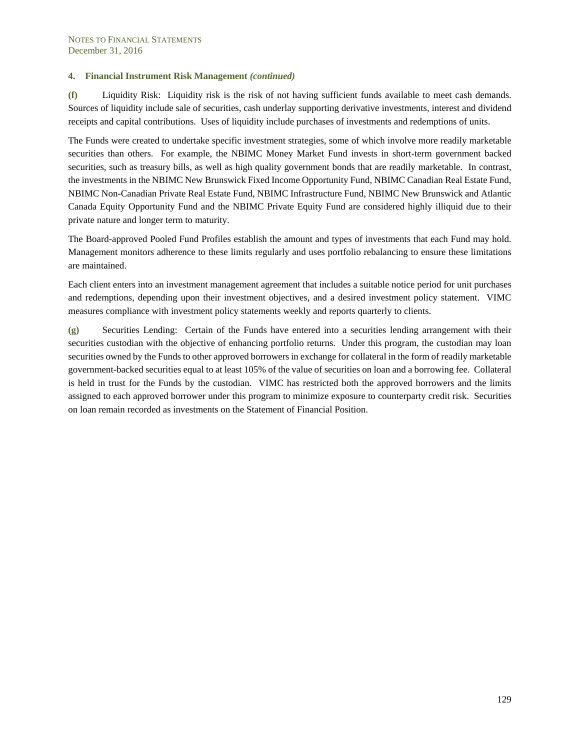**(f)** Liquidity Risk: Liquidity risk is the risk of not having sufficient funds available to meet cash demands. Sources of liquidity include sale of securities, cash underlay supporting derivative investments, interest and dividend receipts and capital contributions. Uses of liquidity include purchases of investments and redemptions of units.

The Funds were created to undertake specific investment strategies, some of which involve more readily marketable securities than others. For example, the NBIMC Money Market Fund invests in short-term government backed securities, such as treasury bills, as well as high quality government bonds that are readily marketable. In contrast, the investments in the NBIMC New Brunswick Fixed Income Opportunity Fund, NBIMC Canadian Real Estate Fund, NBIMC Non-Canadian Private Real Estate Fund, NBIMC Infrastructure Fund, NBIMC New Brunswick and Atlantic Canada Equity Opportunity Fund and the NBIMC Private Equity Fund are considered highly illiquid due to their private nature and longer term to maturity.

The Board-approved Pooled Fund Profiles establish the amount and types of investments that each Fund may hold. Management monitors adherence to these limits regularly and uses portfolio rebalancing to ensure these limitations are maintained.

Each client enters into an investment management agreement that includes a suitable notice period for unit purchases and redemptions, depending upon their investment objectives, and a desired investment policy statement. VIMC measures compliance with investment policy statements weekly and reports quarterly to clients.

**(g)** Securities Lending: Certain of the Funds have entered into a securities lending arrangement with their securities custodian with the objective of enhancing portfolio returns. Under this program, the custodian may loan securities owned by the Funds to other approved borrowers in exchange for collateral in the form of readily marketable government-backed securities equal to at least 105% of the value of securities on loan and a borrowing fee. Collateral is held in trust for the Funds by the custodian. VIMC has restricted both the approved borrowers and the limits assigned to each approved borrower under this program to minimize exposure to counterparty credit risk. Securities on loan remain recorded as investments on the Statement of Financial Position.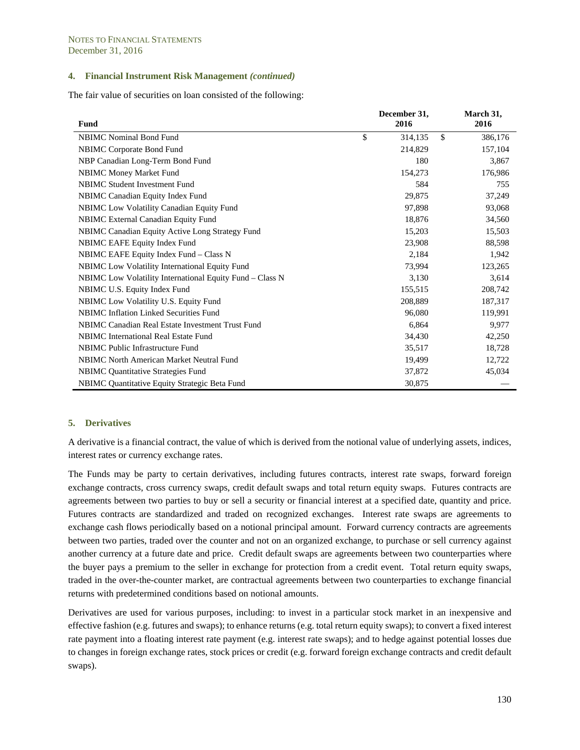The fair value of securities on loan consisted of the following:

| Fund                                                     | December 31,<br>2016 | March 31,<br>2016 |
|----------------------------------------------------------|----------------------|-------------------|
| <b>NBIMC</b> Nominal Bond Fund                           | \$<br>314,135        | \$<br>386,176     |
| NBIMC Corporate Bond Fund                                | 214,829              | 157,104           |
| NBP Canadian Long-Term Bond Fund                         | 180                  | 3,867             |
| <b>NBIMC Money Market Fund</b>                           | 154,273              | 176,986           |
| <b>NBIMC Student Investment Fund</b>                     | 584                  | 755               |
| <b>NBIMC</b> Canadian Equity Index Fund                  | 29,875               | 37,249            |
| <b>NBIMC</b> Low Volatility Canadian Equity Fund         | 97,898               | 93,068            |
| NBIMC External Canadian Equity Fund                      | 18,876               | 34,560            |
| NBIMC Canadian Equity Active Long Strategy Fund          | 15,203               | 15,503            |
| NBIMC EAFE Equity Index Fund                             | 23,908               | 88,598            |
| NBIMC EAFE Equity Index Fund – Class N                   | 2,184                | 1,942             |
| NBIMC Low Volatility International Equity Fund           | 73,994               | 123,265           |
| NBIMC Low Volatility International Equity Fund - Class N | 3,130                | 3,614             |
| NBIMC U.S. Equity Index Fund                             | 155,515              | 208,742           |
| NBIMC Low Volatility U.S. Equity Fund                    | 208,889              | 187,317           |
| <b>NBIMC Inflation Linked Securities Fund</b>            | 96,080               | 119,991           |
| NBIMC Canadian Real Estate Investment Trust Fund         | 6,864                | 9,977             |
| NBIMC International Real Estate Fund                     | 34,430               | 42,250            |
| <b>NBIMC</b> Public Infrastructure Fund                  | 35,517               | 18,728            |
| <b>NBIMC North American Market Neutral Fund</b>          | 19,499               | 12,722            |
| <b>NBIMC</b> Quantitative Strategies Fund                | 37,872               | 45,034            |
| NBIMC Quantitative Equity Strategic Beta Fund            | 30,875               |                   |

#### **5. Derivatives**

A derivative is a financial contract, the value of which is derived from the notional value of underlying assets, indices, interest rates or currency exchange rates.

The Funds may be party to certain derivatives, including futures contracts, interest rate swaps, forward foreign exchange contracts, cross currency swaps, credit default swaps and total return equity swaps. Futures contracts are agreements between two parties to buy or sell a security or financial interest at a specified date, quantity and price. Futures contracts are standardized and traded on recognized exchanges. Interest rate swaps are agreements to exchange cash flows periodically based on a notional principal amount. Forward currency contracts are agreements between two parties, traded over the counter and not on an organized exchange, to purchase or sell currency against another currency at a future date and price. Credit default swaps are agreements between two counterparties where the buyer pays a premium to the seller in exchange for protection from a credit event. Total return equity swaps, traded in the over-the-counter market, are contractual agreements between two counterparties to exchange financial returns with predetermined conditions based on notional amounts.

Derivatives are used for various purposes, including: to invest in a particular stock market in an inexpensive and effective fashion (e.g. futures and swaps); to enhance returns (e.g. total return equity swaps); to convert a fixed interest rate payment into a floating interest rate payment (e.g. interest rate swaps); and to hedge against potential losses due to changes in foreign exchange rates, stock prices or credit (e.g. forward foreign exchange contracts and credit default swaps).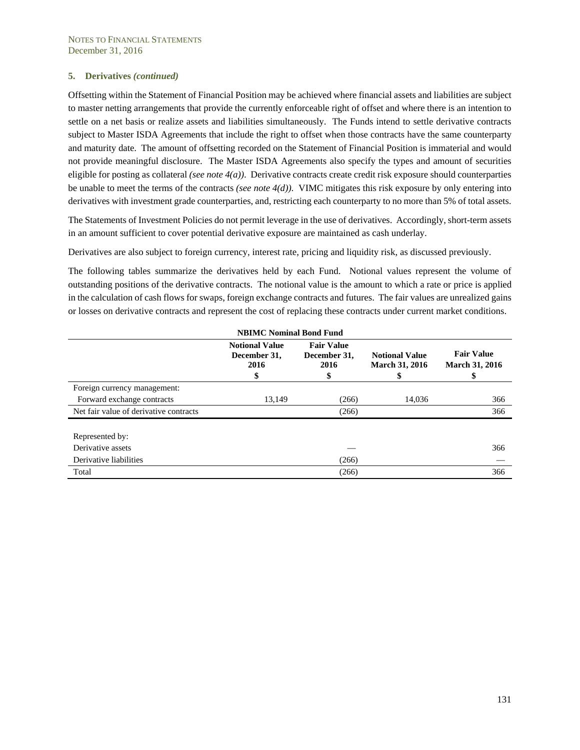Offsetting within the Statement of Financial Position may be achieved where financial assets and liabilities are subject to master netting arrangements that provide the currently enforceable right of offset and where there is an intention to settle on a net basis or realize assets and liabilities simultaneously. The Funds intend to settle derivative contracts subject to Master ISDA Agreements that include the right to offset when those contracts have the same counterparty and maturity date. The amount of offsetting recorded on the Statement of Financial Position is immaterial and would not provide meaningful disclosure. The Master ISDA Agreements also specify the types and amount of securities eligible for posting as collateral *(see note 4(a))*. Derivative contracts create credit risk exposure should counterparties be unable to meet the terms of the contracts *(see note 4(d))*. VIMC mitigates this risk exposure by only entering into derivatives with investment grade counterparties, and, restricting each counterparty to no more than 5% of total assets.

The Statements of Investment Policies do not permit leverage in the use of derivatives. Accordingly, short-term assets in an amount sufficient to cover potential derivative exposure are maintained as cash underlay.

Derivatives are also subject to foreign currency, interest rate, pricing and liquidity risk, as discussed previously.

The following tables summarize the derivatives held by each Fund. Notional values represent the volume of outstanding positions of the derivative contracts. The notional value is the amount to which a rate or price is applied in the calculation of cash flows for swaps, foreign exchange contracts and futures. The fair values are unrealized gains or losses on derivative contracts and represent the cost of replacing these contracts under current market conditions.

| <b>NBIMC Nominal Bond Fund</b>         |                                                     |                                                 |                                                      |                                                  |
|----------------------------------------|-----------------------------------------------------|-------------------------------------------------|------------------------------------------------------|--------------------------------------------------|
|                                        | <b>Notional Value</b><br>December 31,<br>2016<br>\$ | <b>Fair Value</b><br>December 31,<br>2016<br>\$ | <b>Notional Value</b><br><b>March 31, 2016</b><br>\$ | <b>Fair Value</b><br><b>March 31, 2016</b><br>\$ |
| Foreign currency management:           |                                                     |                                                 |                                                      |                                                  |
| Forward exchange contracts             | 13,149                                              | (266)                                           | 14,036                                               | 366                                              |
| Net fair value of derivative contracts |                                                     | (266)                                           |                                                      | 366                                              |
| Represented by:                        |                                                     |                                                 |                                                      |                                                  |
| Derivative assets                      |                                                     |                                                 |                                                      | 366                                              |
| Derivative liabilities                 |                                                     | (266)                                           |                                                      |                                                  |
| Total                                  |                                                     | (266)                                           |                                                      | 366                                              |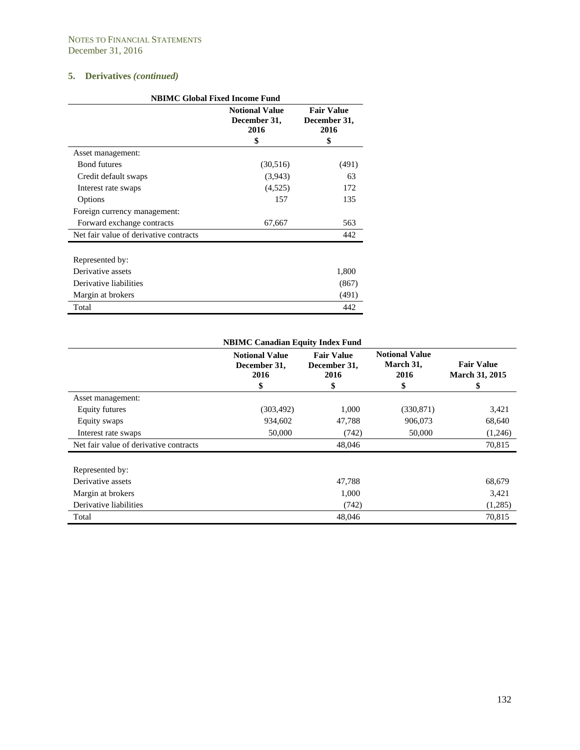| <b>NBIMC Global Fixed Income Fund</b>  |                                                     |                                                 |  |  |
|----------------------------------------|-----------------------------------------------------|-------------------------------------------------|--|--|
|                                        | <b>Notional Value</b><br>December 31,<br>2016<br>\$ | <b>Fair Value</b><br>December 31,<br>2016<br>\$ |  |  |
| Asset management:                      |                                                     |                                                 |  |  |
| <b>Bond futures</b>                    | (30,516)                                            | (491)                                           |  |  |
| Credit default swaps                   | (3,943)                                             | 63                                              |  |  |
| Interest rate swaps                    | (4,525)                                             | 172                                             |  |  |
| Options                                | 157                                                 | 135                                             |  |  |
| Foreign currency management:           |                                                     |                                                 |  |  |
| Forward exchange contracts             | 67,667                                              | 563                                             |  |  |
| Net fair value of derivative contracts |                                                     | 442                                             |  |  |
| Represented by:                        |                                                     |                                                 |  |  |
| Derivative assets                      |                                                     | 1,800                                           |  |  |
| Derivative liabilities                 |                                                     | (867)                                           |  |  |
| Margin at brokers                      |                                                     | (491)                                           |  |  |
| Total                                  |                                                     | 442                                             |  |  |

| <b>NBIMC Canadian Equity Index Fund</b> |                                                     |                                                 |                                                  |                                                  |
|-----------------------------------------|-----------------------------------------------------|-------------------------------------------------|--------------------------------------------------|--------------------------------------------------|
|                                         | <b>Notional Value</b><br>December 31,<br>2016<br>\$ | <b>Fair Value</b><br>December 31,<br>2016<br>\$ | <b>Notional Value</b><br>March 31,<br>2016<br>\$ | <b>Fair Value</b><br><b>March 31, 2015</b><br>\$ |
| Asset management:                       |                                                     |                                                 |                                                  |                                                  |
| Equity futures                          | (303, 492)                                          | 1,000                                           | (330, 871)                                       | 3,421                                            |
| Equity swaps                            | 934,602                                             | 47,788                                          | 906,073                                          | 68,640                                           |
| Interest rate swaps                     | 50,000                                              | (742)                                           | 50,000                                           | (1,246)                                          |
| Net fair value of derivative contracts  |                                                     | 48,046                                          |                                                  | 70,815                                           |
| Represented by:                         |                                                     |                                                 |                                                  |                                                  |
| Derivative assets                       |                                                     | 47,788                                          |                                                  | 68,679                                           |
| Margin at brokers                       |                                                     | 1,000                                           |                                                  | 3,421                                            |
| Derivative liabilities                  |                                                     | (742)                                           |                                                  | (1,285)                                          |
| Total                                   |                                                     | 48,046                                          |                                                  | 70.815                                           |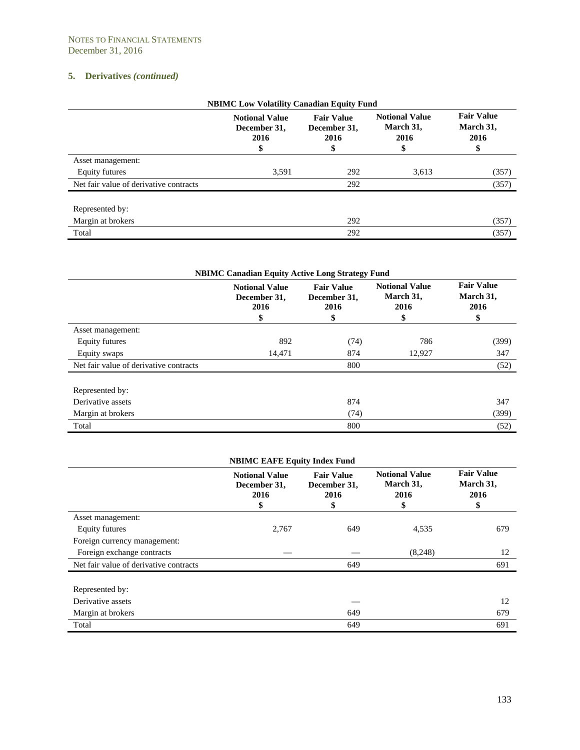| <b>NBIMC Low Volatility Canadian Equity Fund</b> |                                                     |                                                 |                                                  |                                              |
|--------------------------------------------------|-----------------------------------------------------|-------------------------------------------------|--------------------------------------------------|----------------------------------------------|
|                                                  | <b>Notional Value</b><br>December 31,<br>2016<br>\$ | <b>Fair Value</b><br>December 31,<br>2016<br>\$ | <b>Notional Value</b><br>March 31,<br>2016<br>\$ | <b>Fair Value</b><br>March 31,<br>2016<br>\$ |
| Asset management:                                |                                                     |                                                 |                                                  |                                              |
| Equity futures                                   | 3,591                                               | 292                                             | 3,613                                            | (357)                                        |
| Net fair value of derivative contracts           |                                                     | 292                                             |                                                  | (357)                                        |
| Represented by:                                  |                                                     |                                                 |                                                  |                                              |
| Margin at brokers                                |                                                     | 292                                             |                                                  | (357)                                        |
| Total                                            |                                                     | 292                                             |                                                  | (357)                                        |

| <b>NBIMC Canadian Equity Active Long Strategy Fund</b> |                                                     |                                                 |                                                  |                                              |
|--------------------------------------------------------|-----------------------------------------------------|-------------------------------------------------|--------------------------------------------------|----------------------------------------------|
|                                                        | <b>Notional Value</b><br>December 31,<br>2016<br>\$ | <b>Fair Value</b><br>December 31,<br>2016<br>\$ | <b>Notional Value</b><br>March 31,<br>2016<br>\$ | <b>Fair Value</b><br>March 31,<br>2016<br>\$ |
| Asset management:                                      |                                                     |                                                 |                                                  |                                              |
| Equity futures                                         | 892                                                 | (74)                                            | 786                                              | (399)                                        |
| Equity swaps                                           | 14,471                                              | 874                                             | 12,927                                           | 347                                          |
| Net fair value of derivative contracts                 |                                                     | 800                                             |                                                  | (52)                                         |
| Represented by:                                        |                                                     |                                                 |                                                  |                                              |
| Derivative assets                                      |                                                     | 874                                             |                                                  | 347                                          |
| Margin at brokers                                      |                                                     | (74)                                            |                                                  | (399)                                        |
| Total                                                  |                                                     | 800                                             |                                                  | (52)                                         |

|                                        | <b>NBIMC EAFE Equity Index Fund</b>                 |                                                 |                                                  |                                              |
|----------------------------------------|-----------------------------------------------------|-------------------------------------------------|--------------------------------------------------|----------------------------------------------|
|                                        | <b>Notional Value</b><br>December 31,<br>2016<br>\$ | <b>Fair Value</b><br>December 31,<br>2016<br>\$ | <b>Notional Value</b><br>March 31,<br>2016<br>\$ | <b>Fair Value</b><br>March 31,<br>2016<br>\$ |
| Asset management:                      |                                                     |                                                 |                                                  |                                              |
| Equity futures                         | 2,767                                               | 649                                             | 4,535                                            | 679                                          |
| Foreign currency management:           |                                                     |                                                 |                                                  |                                              |
| Foreign exchange contracts             |                                                     |                                                 | (8,248)                                          | 12                                           |
| Net fair value of derivative contracts |                                                     | 649                                             |                                                  | 691                                          |
| Represented by:                        |                                                     |                                                 |                                                  |                                              |
| Derivative assets                      |                                                     |                                                 |                                                  | 12                                           |
| Margin at brokers                      |                                                     | 649                                             |                                                  | 679                                          |
| Total                                  |                                                     | 649                                             |                                                  | 691                                          |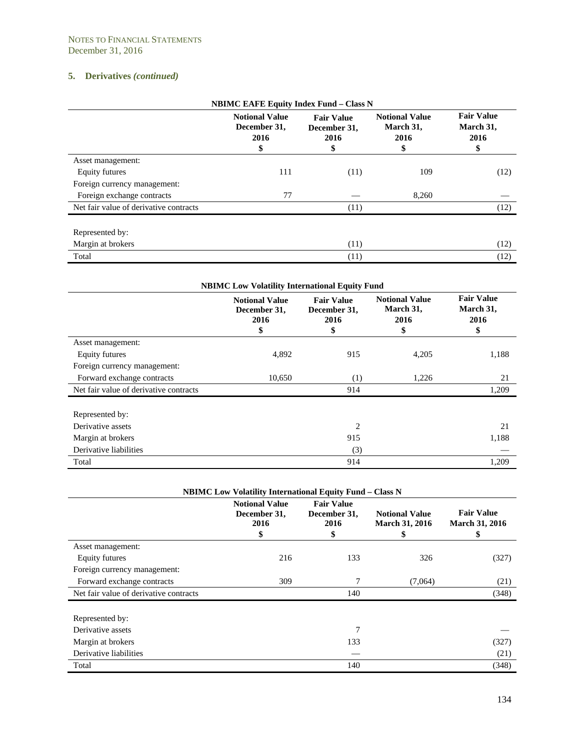| <b>NBIMC EAFE Equity Index Fund - Class N</b> |                                                     |                                                 |                                                  |                                              |
|-----------------------------------------------|-----------------------------------------------------|-------------------------------------------------|--------------------------------------------------|----------------------------------------------|
|                                               | <b>Notional Value</b><br>December 31,<br>2016<br>\$ | <b>Fair Value</b><br>December 31,<br>2016<br>\$ | <b>Notional Value</b><br>March 31,<br>2016<br>\$ | <b>Fair Value</b><br>March 31,<br>2016<br>\$ |
| Asset management:                             |                                                     |                                                 |                                                  |                                              |
| Equity futures                                | 111                                                 | (11)                                            | 109                                              | (12)                                         |
| Foreign currency management:                  |                                                     |                                                 |                                                  |                                              |
| Foreign exchange contracts                    | 77                                                  |                                                 | 8,260                                            |                                              |
| Net fair value of derivative contracts        |                                                     | (11)                                            |                                                  | (12)                                         |
| Represented by:                               |                                                     |                                                 |                                                  |                                              |
| Margin at brokers                             |                                                     | (11)                                            |                                                  | (12)                                         |
| Total                                         |                                                     | (11)                                            |                                                  | (12)                                         |

| <b>NBIMC Low Volatility International Equity Fund</b> |                                                     |                                                 |                                                  |                                              |
|-------------------------------------------------------|-----------------------------------------------------|-------------------------------------------------|--------------------------------------------------|----------------------------------------------|
|                                                       | <b>Notional Value</b><br>December 31,<br>2016<br>\$ | <b>Fair Value</b><br>December 31,<br>2016<br>\$ | <b>Notional Value</b><br>March 31,<br>2016<br>\$ | <b>Fair Value</b><br>March 31,<br>2016<br>\$ |
| Asset management:                                     |                                                     |                                                 |                                                  |                                              |
| Equity futures                                        | 4,892                                               | 915                                             | 4,205                                            | 1,188                                        |
| Foreign currency management:                          |                                                     |                                                 |                                                  |                                              |
| Forward exchange contracts                            | 10,650                                              | (1)                                             | 1,226                                            | 21                                           |
| Net fair value of derivative contracts                |                                                     | 914                                             |                                                  | 1,209                                        |
| Represented by:                                       |                                                     |                                                 |                                                  |                                              |
| Derivative assets                                     |                                                     | $\overline{2}$                                  |                                                  | 21                                           |
| Margin at brokers                                     |                                                     | 915                                             |                                                  | 1,188                                        |
| Derivative liabilities                                |                                                     | (3)                                             |                                                  |                                              |
| Total                                                 |                                                     | 914                                             |                                                  | 1,209                                        |

| <b>NBIMC Low Volatility International Equity Fund - Class N</b> |                                                     |                                                 |                                                      |                                                  |  |
|-----------------------------------------------------------------|-----------------------------------------------------|-------------------------------------------------|------------------------------------------------------|--------------------------------------------------|--|
|                                                                 | <b>Notional Value</b><br>December 31,<br>2016<br>\$ | <b>Fair Value</b><br>December 31,<br>2016<br>\$ | <b>Notional Value</b><br><b>March 31, 2016</b><br>S, | <b>Fair Value</b><br><b>March 31, 2016</b><br>\$ |  |
| Asset management:                                               |                                                     |                                                 |                                                      |                                                  |  |
| <b>Equity futures</b>                                           | 216                                                 | 133                                             | 326                                                  | (327)                                            |  |
| Foreign currency management:                                    |                                                     |                                                 |                                                      |                                                  |  |
| Forward exchange contracts                                      | 309                                                 | 7                                               | (7,064)                                              | (21)                                             |  |
| Net fair value of derivative contracts                          |                                                     | 140                                             |                                                      | (348)                                            |  |
| Represented by:                                                 |                                                     |                                                 |                                                      |                                                  |  |
| Derivative assets                                               |                                                     | 7                                               |                                                      |                                                  |  |
| Margin at brokers                                               |                                                     | 133                                             |                                                      | (327)                                            |  |
| Derivative liabilities                                          |                                                     |                                                 |                                                      | (21)                                             |  |
| Total                                                           |                                                     | 140                                             |                                                      | (348)                                            |  |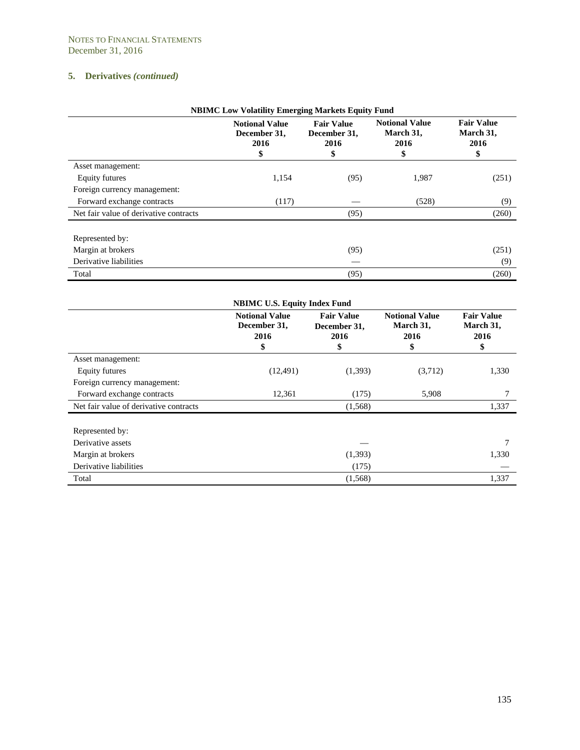| <b>NBIMC Low Volatility Emerging Markets Equity Fund</b> |                                                    |                                                |                                                  |                                              |
|----------------------------------------------------------|----------------------------------------------------|------------------------------------------------|--------------------------------------------------|----------------------------------------------|
|                                                          | <b>Notional Value</b><br>December 31,<br>2016<br>Φ | <b>Fair Value</b><br>December 31,<br>2016<br>P | <b>Notional Value</b><br>March 31,<br>2016<br>\$ | <b>Fair Value</b><br>March 31,<br>2016<br>\$ |
| Asset management:                                        |                                                    |                                                |                                                  |                                              |
| Equity futures                                           | 1,154                                              | (95)                                           | 1,987                                            | (251)                                        |
| Foreign currency management:                             |                                                    |                                                |                                                  |                                              |
| Forward exchange contracts                               | (117)                                              |                                                | (528)                                            | (9)                                          |
| Net fair value of derivative contracts                   |                                                    | (95)                                           |                                                  | (260)                                        |
| Represented by:                                          |                                                    |                                                |                                                  |                                              |
| Margin at brokers                                        |                                                    | (95)                                           |                                                  | (251)                                        |
| Derivative liabilities                                   |                                                    |                                                |                                                  | (9)                                          |
| Total                                                    |                                                    | (95)                                           |                                                  | (260)                                        |

| <b>NBIMC U.S. Equity Index Fund</b>    |                                                     |                                                 |                                                  |                                              |
|----------------------------------------|-----------------------------------------------------|-------------------------------------------------|--------------------------------------------------|----------------------------------------------|
|                                        | <b>Notional Value</b><br>December 31,<br>2016<br>\$ | <b>Fair Value</b><br>December 31,<br>2016<br>\$ | <b>Notional Value</b><br>March 31,<br>2016<br>\$ | <b>Fair Value</b><br>March 31,<br>2016<br>\$ |
| Asset management:                      |                                                     |                                                 |                                                  |                                              |
| Equity futures                         | (12, 491)                                           | (1,393)                                         | (3,712)                                          | 1,330                                        |
| Foreign currency management:           |                                                     |                                                 |                                                  |                                              |
| Forward exchange contracts             | 12,361                                              | (175)                                           | 5,908                                            |                                              |
| Net fair value of derivative contracts |                                                     | (1,568)                                         |                                                  | 1,337                                        |
| Represented by:                        |                                                     |                                                 |                                                  |                                              |
| Derivative assets                      |                                                     |                                                 |                                                  | 7                                            |
| Margin at brokers                      |                                                     | (1,393)                                         |                                                  | 1,330                                        |
| Derivative liabilities                 |                                                     | (175)                                           |                                                  |                                              |
| Total                                  |                                                     | (1,568)                                         |                                                  | 1,337                                        |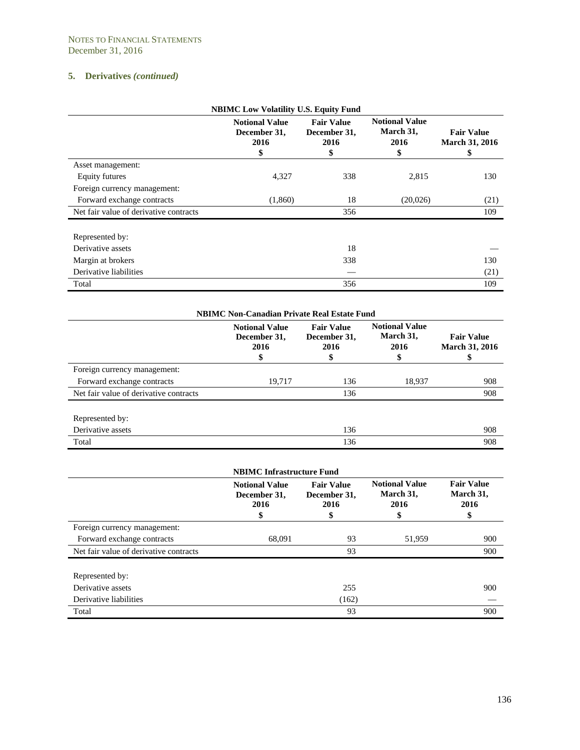| <b>NBIMC Low Volatility U.S. Equity Fund</b> |                                                     |                                                 |                                                  |                                                  |
|----------------------------------------------|-----------------------------------------------------|-------------------------------------------------|--------------------------------------------------|--------------------------------------------------|
|                                              | <b>Notional Value</b><br>December 31.<br>2016<br>\$ | <b>Fair Value</b><br>December 31,<br>2016<br>\$ | <b>Notional Value</b><br>March 31,<br>2016<br>\$ | <b>Fair Value</b><br><b>March 31, 2016</b><br>\$ |
| Asset management:                            |                                                     |                                                 |                                                  |                                                  |
| Equity futures                               | 4,327                                               | 338                                             | 2,815                                            | 130                                              |
| Foreign currency management:                 |                                                     |                                                 |                                                  |                                                  |
| Forward exchange contracts                   | (1,860)                                             | 18                                              | (20,026)                                         | (21)                                             |
| Net fair value of derivative contracts       |                                                     | 356                                             |                                                  | 109                                              |
| Represented by:                              |                                                     |                                                 |                                                  |                                                  |
| Derivative assets                            |                                                     | 18                                              |                                                  |                                                  |
| Margin at brokers                            |                                                     | 338                                             |                                                  | 130                                              |
| Derivative liabilities                       |                                                     |                                                 |                                                  | (21)                                             |
| Total                                        |                                                     | 356                                             |                                                  | 109                                              |

| <b>NBIMC Non-Canadian Private Real Estate Fund</b> |                                                     |                                           |                                                  |                                            |
|----------------------------------------------------|-----------------------------------------------------|-------------------------------------------|--------------------------------------------------|--------------------------------------------|
|                                                    | <b>Notional Value</b><br>December 31,<br>2016<br>\$ | <b>Fair Value</b><br>December 31,<br>2016 | <b>Notional Value</b><br>March 31,<br>2016<br>\$ | <b>Fair Value</b><br><b>March 31, 2016</b> |
| Foreign currency management:                       |                                                     |                                           |                                                  |                                            |
| Forward exchange contracts                         | 19,717                                              | 136                                       | 18,937                                           | 908                                        |
| Net fair value of derivative contracts             |                                                     | 136                                       |                                                  | 908                                        |
| Represented by:                                    |                                                     |                                           |                                                  |                                            |
| Derivative assets                                  |                                                     | 136                                       |                                                  | 908                                        |
| Total                                              |                                                     | 136                                       |                                                  | 908                                        |

| <b>NBIMC Infrastructure Fund</b>       |                                                     |                                                 |                                                  |                                              |
|----------------------------------------|-----------------------------------------------------|-------------------------------------------------|--------------------------------------------------|----------------------------------------------|
|                                        | <b>Notional Value</b><br>December 31,<br>2016<br>\$ | <b>Fair Value</b><br>December 31,<br>2016<br>\$ | <b>Notional Value</b><br>March 31,<br>2016<br>\$ | <b>Fair Value</b><br>March 31,<br>2016<br>\$ |
| Foreign currency management:           |                                                     |                                                 |                                                  |                                              |
| Forward exchange contracts             | 68,091                                              | 93                                              | 51,959                                           | 900                                          |
| Net fair value of derivative contracts |                                                     | 93                                              |                                                  | 900                                          |
| Represented by:                        |                                                     |                                                 |                                                  |                                              |
| Derivative assets                      |                                                     | 255                                             |                                                  | 900                                          |
| Derivative liabilities                 |                                                     | (162)                                           |                                                  |                                              |
| Total                                  |                                                     | 93                                              |                                                  | 900                                          |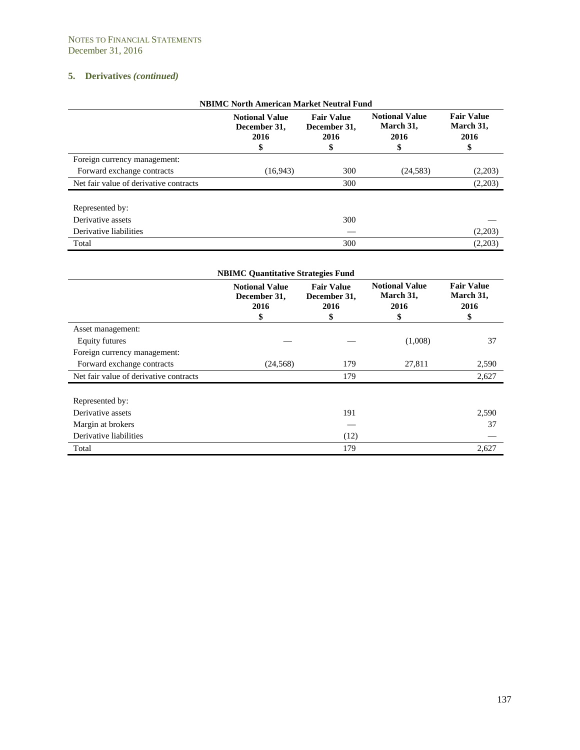| <b>NBIMC North American Market Neutral Fund</b> |                                                     |                                                |                                                  |                                              |
|-------------------------------------------------|-----------------------------------------------------|------------------------------------------------|--------------------------------------------------|----------------------------------------------|
|                                                 | <b>Notional Value</b><br>December 31,<br>2016<br>\$ | <b>Fair Value</b><br>December 31,<br>2016<br>ъ | <b>Notional Value</b><br>March 31,<br>2016<br>\$ | <b>Fair Value</b><br>March 31,<br>2016<br>\$ |
| Foreign currency management:                    |                                                     |                                                |                                                  |                                              |
| Forward exchange contracts                      | (16, 943)                                           | 300                                            | (24, 583)                                        | (2,203)                                      |
| Net fair value of derivative contracts          |                                                     | 300                                            |                                                  | (2,203)                                      |
| Represented by:<br>Derivative assets            |                                                     | 300                                            |                                                  |                                              |
| Derivative liabilities                          |                                                     |                                                |                                                  | (2,203)                                      |
| Total                                           |                                                     | 300                                            |                                                  | (2,203)                                      |

| <b>NBIMC Quantitative Strategies Fund</b> |                                                     |                                                 |                                                  |                                              |  |
|-------------------------------------------|-----------------------------------------------------|-------------------------------------------------|--------------------------------------------------|----------------------------------------------|--|
|                                           | <b>Notional Value</b><br>December 31.<br>2016<br>\$ | <b>Fair Value</b><br>December 31,<br>2016<br>\$ | <b>Notional Value</b><br>March 31,<br>2016<br>\$ | <b>Fair Value</b><br>March 31,<br>2016<br>\$ |  |
| Asset management:                         |                                                     |                                                 |                                                  |                                              |  |
| Equity futures                            |                                                     |                                                 | (1,008)                                          | 37                                           |  |
| Foreign currency management:              |                                                     |                                                 |                                                  |                                              |  |
| Forward exchange contracts                | (24, 568)                                           | 179                                             | 27,811                                           | 2,590                                        |  |
| Net fair value of derivative contracts    |                                                     | 179                                             |                                                  | 2,627                                        |  |
| Represented by:                           |                                                     |                                                 |                                                  |                                              |  |
| Derivative assets                         |                                                     | 191                                             |                                                  | 2,590                                        |  |
| Margin at brokers                         |                                                     |                                                 |                                                  | 37                                           |  |
| Derivative liabilities                    |                                                     | (12)                                            |                                                  |                                              |  |
| Total                                     |                                                     | 179                                             |                                                  | 2,627                                        |  |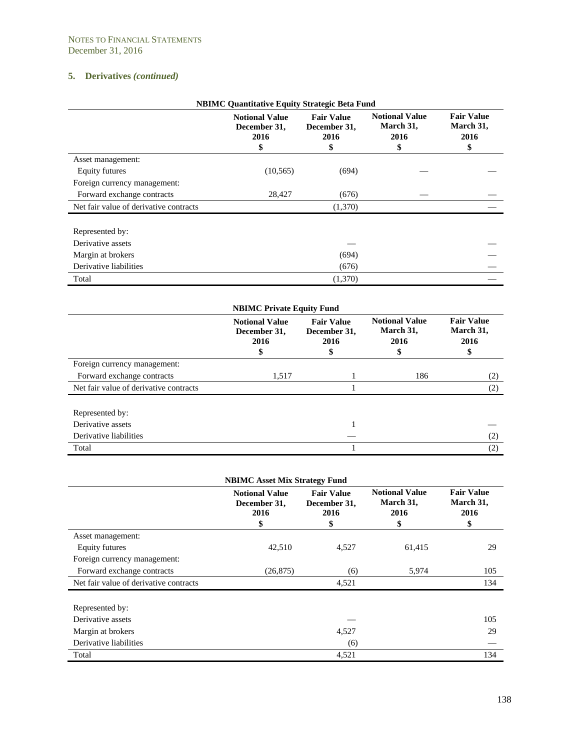| <b>NBIMC Quantitative Equity Strategic Beta Fund</b> |                                                     |                                                 |                                                  |                                              |
|------------------------------------------------------|-----------------------------------------------------|-------------------------------------------------|--------------------------------------------------|----------------------------------------------|
|                                                      | <b>Notional Value</b><br>December 31,<br>2016<br>\$ | <b>Fair Value</b><br>December 31,<br>2016<br>\$ | <b>Notional Value</b><br>March 31,<br>2016<br>\$ | <b>Fair Value</b><br>March 31,<br>2016<br>\$ |
| Asset management:                                    |                                                     |                                                 |                                                  |                                              |
| Equity futures                                       | (10, 565)                                           | (694)                                           |                                                  |                                              |
| Foreign currency management:                         |                                                     |                                                 |                                                  |                                              |
| Forward exchange contracts                           | 28,427                                              | (676)                                           |                                                  |                                              |
| Net fair value of derivative contracts               |                                                     | (1,370)                                         |                                                  |                                              |
| Represented by:                                      |                                                     |                                                 |                                                  |                                              |
| Derivative assets                                    |                                                     |                                                 |                                                  |                                              |
| Margin at brokers                                    |                                                     | (694)                                           |                                                  |                                              |
| Derivative liabilities                               |                                                     | (676)                                           |                                                  |                                              |
| Total                                                |                                                     | (1,370)                                         |                                                  |                                              |

| <b>NBIMC Private Equity Fund</b>       |                                               |                                           |                                                 |                                              |
|----------------------------------------|-----------------------------------------------|-------------------------------------------|-------------------------------------------------|----------------------------------------------|
|                                        | <b>Notional Value</b><br>December 31,<br>2016 | <b>Fair Value</b><br>December 31,<br>2016 | <b>Notional Value</b><br>March 31,<br>2016<br>Φ | <b>Fair Value</b><br>March 31,<br>2016<br>\$ |
| Foreign currency management:           |                                               |                                           |                                                 |                                              |
| Forward exchange contracts             | 1,517                                         |                                           | 186                                             | (2)                                          |
| Net fair value of derivative contracts |                                               |                                           |                                                 | (2)                                          |
| Represented by:                        |                                               |                                           |                                                 |                                              |
| Derivative assets                      |                                               |                                           |                                                 |                                              |
| Derivative liabilities                 |                                               |                                           |                                                 | (2)                                          |
| Total                                  |                                               |                                           |                                                 | (2)                                          |

|                                        | <b>NBIMC Asset Mix Strategy Fund</b>                |                                                 |                                                  |                                              |
|----------------------------------------|-----------------------------------------------------|-------------------------------------------------|--------------------------------------------------|----------------------------------------------|
|                                        | <b>Notional Value</b><br>December 31,<br>2016<br>\$ | <b>Fair Value</b><br>December 31,<br>2016<br>\$ | <b>Notional Value</b><br>March 31,<br>2016<br>\$ | <b>Fair Value</b><br>March 31,<br>2016<br>\$ |
| Asset management:                      |                                                     |                                                 |                                                  |                                              |
| Equity futures                         | 42,510                                              | 4,527                                           | 61,415                                           | 29                                           |
| Foreign currency management:           |                                                     |                                                 |                                                  |                                              |
| Forward exchange contracts             | (26, 875)                                           | (6)                                             | 5,974                                            | 105                                          |
| Net fair value of derivative contracts |                                                     | 4,521                                           |                                                  | 134                                          |
| Represented by:                        |                                                     |                                                 |                                                  |                                              |
| Derivative assets                      |                                                     |                                                 |                                                  | 105                                          |
| Margin at brokers                      |                                                     | 4,527                                           |                                                  | 29                                           |
| Derivative liabilities                 |                                                     | (6)                                             |                                                  |                                              |
| Total                                  |                                                     | 4,521                                           |                                                  | 134                                          |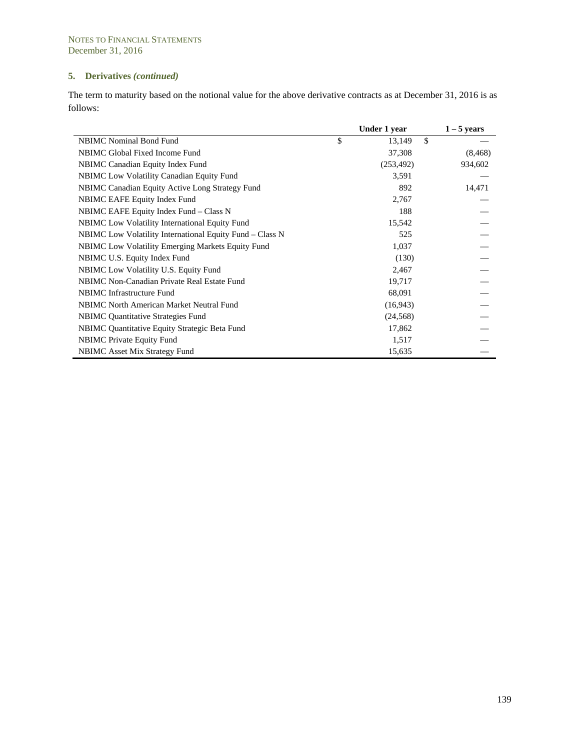The term to maturity based on the notional value for the above derivative contracts as at December 31, 2016 is as follows:

|                                                          | Under 1 year       | $1 - 5$ years |
|----------------------------------------------------------|--------------------|---------------|
| <b>NBIMC</b> Nominal Bond Fund                           | \$<br>\$<br>13,149 |               |
| NBIMC Global Fixed Income Fund                           | 37,308             | (8, 468)      |
| NBIMC Canadian Equity Index Fund                         | (253, 492)         | 934,602       |
| <b>NBIMC</b> Low Volatility Canadian Equity Fund         | 3,591              |               |
| NBIMC Canadian Equity Active Long Strategy Fund          | 892                | 14,471        |
| NBIMC EAFE Equity Index Fund                             | 2,767              |               |
| NBIMC EAFE Equity Index Fund – Class N                   | 188                |               |
| <b>NBIMC</b> Low Volatility International Equity Fund    | 15,542             |               |
| NBIMC Low Volatility International Equity Fund – Class N | 525                |               |
| <b>NBIMC</b> Low Volatility Emerging Markets Equity Fund | 1,037              |               |
| NBIMC U.S. Equity Index Fund                             | (130)              |               |
| NBIMC Low Volatility U.S. Equity Fund                    | 2,467              |               |
| NBIMC Non-Canadian Private Real Estate Fund              | 19,717             |               |
| <b>NBIMC</b> Infrastructure Fund                         | 68,091             |               |
| NBIMC North American Market Neutral Fund                 | (16, 943)          |               |
| <b>NBIMC</b> Quantitative Strategies Fund                | (24, 568)          |               |
| NBIMC Quantitative Equity Strategic Beta Fund            | 17,862             |               |
| <b>NBIMC</b> Private Equity Fund                         | 1,517              |               |
| <b>NBIMC</b> Asset Mix Strategy Fund                     | 15,635             |               |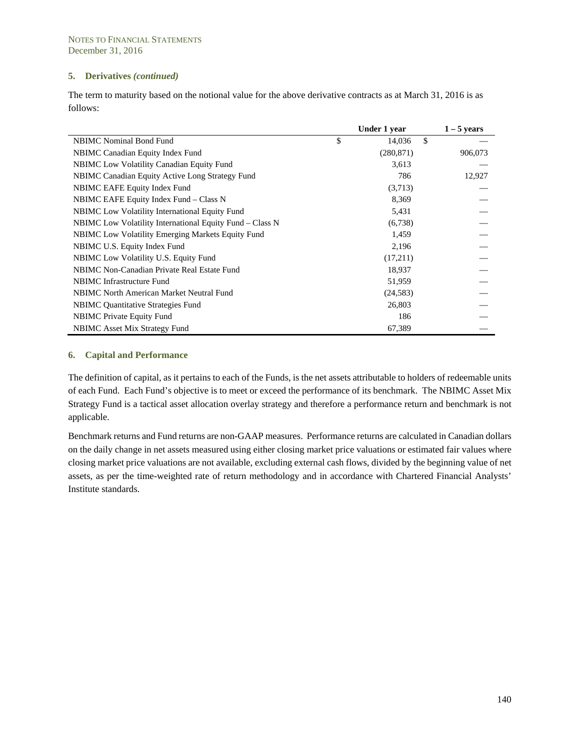The term to maturity based on the notional value for the above derivative contracts as at March 31, 2016 is as follows:

|                                                          | Under 1 year | $1 - 5$ years |
|----------------------------------------------------------|--------------|---------------|
| <b>NBIMC</b> Nominal Bond Fund                           | \$<br>14,036 | \$            |
| NBIMC Canadian Equity Index Fund                         | (280, 871)   | 906,073       |
| NBIMC Low Volatility Canadian Equity Fund                | 3,613        |               |
| NBIMC Canadian Equity Active Long Strategy Fund          | 786          | 12,927        |
| NBIMC EAFE Equity Index Fund                             | (3,713)      |               |
| NBIMC EAFE Equity Index Fund – Class N                   | 8,369        |               |
| <b>NBIMC</b> Low Volatility International Equity Fund    | 5,431        |               |
| NBIMC Low Volatility International Equity Fund – Class N | (6,738)      |               |
| <b>NBIMC</b> Low Volatility Emerging Markets Equity Fund | 1,459        |               |
| NBIMC U.S. Equity Index Fund                             | 2,196        |               |
| NBIMC Low Volatility U.S. Equity Fund                    | (17,211)     |               |
| NBIMC Non-Canadian Private Real Estate Fund              | 18,937       |               |
| <b>NBIMC</b> Infrastructure Fund                         | 51,959       |               |
| <b>NBIMC</b> North American Market Neutral Fund          | (24, 583)    |               |
| <b>NBIMC</b> Quantitative Strategies Fund                | 26,803       |               |
| <b>NBIMC</b> Private Equity Fund                         | 186          |               |
| <b>NBIMC</b> Asset Mix Strategy Fund                     | 67,389       |               |

#### **6. Capital and Performance**

l,

The definition of capital, as it pertains to each of the Funds, is the net assets attributable to holders of redeemable units of each Fund. Each Fund's objective is to meet or exceed the performance of its benchmark. The NBIMC Asset Mix Strategy Fund is a tactical asset allocation overlay strategy and therefore a performance return and benchmark is not applicable.

Benchmark returns and Fund returns are non-GAAP measures. Performance returns are calculated in Canadian dollars on the daily change in net assets measured using either closing market price valuations or estimated fair values where closing market price valuations are not available, excluding external cash flows, divided by the beginning value of net assets, as per the time-weighted rate of return methodology and in accordance with Chartered Financial Analysts' Institute standards.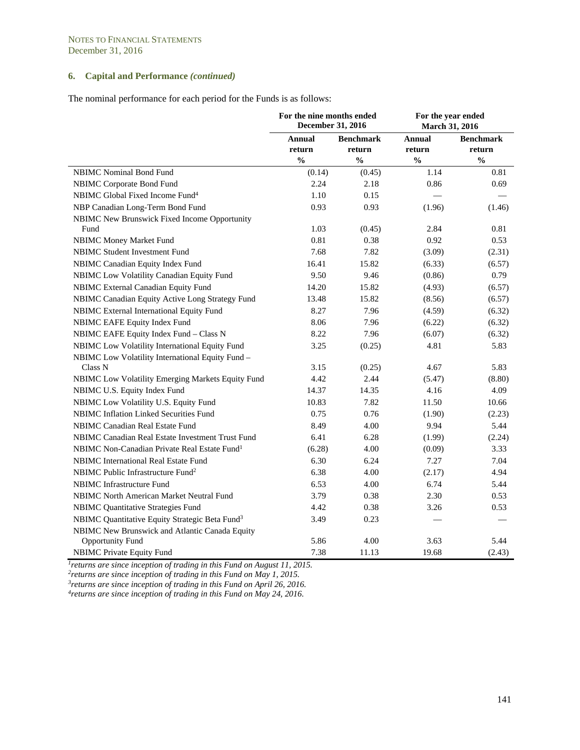# **6. Capital and Performance** *(continued)*

The nominal performance for each period for the Funds is as follows:

|                                                                           | For the nine months ended<br>December 31, 2016 |                                             | For the year ended<br>March 31, 2016 |                                             |  |
|---------------------------------------------------------------------------|------------------------------------------------|---------------------------------------------|--------------------------------------|---------------------------------------------|--|
|                                                                           | Annual<br>return<br>$\frac{0}{0}$              | <b>Benchmark</b><br>return<br>$\frac{0}{0}$ | Annual<br>return<br>$\frac{0}{0}$    | <b>Benchmark</b><br>return<br>$\frac{0}{0}$ |  |
| <b>NBIMC</b> Nominal Bond Fund                                            | (0.14)                                         | (0.45)                                      | 1.14                                 | 0.81                                        |  |
| NBIMC Corporate Bond Fund                                                 | 2.24                                           | 2.18                                        | 0.86                                 | 0.69                                        |  |
| NBIMC Global Fixed Income Fund <sup>4</sup>                               | 1.10                                           | 0.15                                        |                                      |                                             |  |
| NBP Canadian Long-Term Bond Fund                                          | 0.93                                           | 0.93                                        | (1.96)                               | (1.46)                                      |  |
| NBIMC New Brunswick Fixed Income Opportunity<br>Fund                      | 1.03                                           | (0.45)                                      | 2.84                                 | 0.81                                        |  |
| NBIMC Money Market Fund                                                   | 0.81                                           | 0.38                                        | 0.92                                 | 0.53                                        |  |
| <b>NBIMC Student Investment Fund</b>                                      | 7.68                                           | 7.82                                        | (3.09)                               | (2.31)                                      |  |
| NBIMC Canadian Equity Index Fund                                          | 16.41                                          | 15.82                                       | (6.33)                               | (6.57)                                      |  |
| NBIMC Low Volatility Canadian Equity Fund                                 | 9.50                                           | 9.46                                        | (0.86)                               | 0.79                                        |  |
| NBIMC External Canadian Equity Fund                                       | 14.20                                          | 15.82                                       | (4.93)                               | (6.57)                                      |  |
| NBIMC Canadian Equity Active Long Strategy Fund                           | 13.48                                          | 15.82                                       | (8.56)                               | (6.57)                                      |  |
| NBIMC External International Equity Fund                                  | 8.27                                           | 7.96                                        | (4.59)                               | (6.32)                                      |  |
| <b>NBIMC EAFE Equity Index Fund</b>                                       | 8.06                                           | 7.96                                        | (6.22)                               | (6.32)                                      |  |
| NBIMC EAFE Equity Index Fund - Class N                                    | 8.22                                           | 7.96                                        | (6.07)                               | (6.32)                                      |  |
| NBIMC Low Volatility International Equity Fund                            | 3.25                                           | (0.25)                                      | 4.81                                 | 5.83                                        |  |
| NBIMC Low Volatility International Equity Fund -<br>Class N               | 3.15                                           | (0.25)                                      | 4.67                                 | 5.83                                        |  |
| NBIMC Low Volatility Emerging Markets Equity Fund                         | 4.42                                           | 2.44                                        | (5.47)                               | (8.80)                                      |  |
| NBIMC U.S. Equity Index Fund                                              | 14.37                                          | 14.35                                       | 4.16                                 | 4.09                                        |  |
| NBIMC Low Volatility U.S. Equity Fund                                     | 10.83                                          | 7.82                                        | 11.50                                | 10.66                                       |  |
| NBIMC Inflation Linked Securities Fund                                    | 0.75                                           | 0.76                                        | (1.90)                               | (2.23)                                      |  |
| <b>NBIMC Canadian Real Estate Fund</b>                                    | 8.49                                           | 4.00                                        | 9.94                                 | 5.44                                        |  |
| NBIMC Canadian Real Estate Investment Trust Fund                          | 6.41                                           | 6.28                                        | (1.99)                               | (2.24)                                      |  |
| NBIMC Non-Canadian Private Real Estate Fund <sup>1</sup>                  | (6.28)                                         | 4.00                                        | (0.09)                               | 3.33                                        |  |
| <b>NBIMC</b> International Real Estate Fund                               | 6.30                                           | 6.24                                        | 7.27                                 | 7.04                                        |  |
| NBIMC Public Infrastructure Fund <sup>2</sup>                             | 6.38                                           | 4.00                                        | (2.17)                               | 4.94                                        |  |
| <b>NBIMC</b> Infrastructure Fund                                          | 6.53                                           | 4.00                                        | 6.74                                 | 5.44                                        |  |
| NBIMC North American Market Neutral Fund                                  | 3.79                                           | 0.38                                        | 2.30                                 | 0.53                                        |  |
| <b>NBIMC Quantitative Strategies Fund</b>                                 | 4.42                                           | 0.38                                        | 3.26                                 | 0.53                                        |  |
| NBIMC Quantitative Equity Strategic Beta Fund <sup>3</sup>                | 3.49                                           | 0.23                                        |                                      |                                             |  |
| NBIMC New Brunswick and Atlantic Canada Equity<br><b>Opportunity Fund</b> | 5.86                                           | 4.00                                        | 3.63                                 | 5.44                                        |  |
| <b>NBIMC Private Equity Fund</b>                                          | 7.38                                           | 11.13                                       | 19.68                                | (2.43)                                      |  |

*1returns are since inception of trading in this Fund on August 11, 2015.* 

*2returns are since inception of trading in this Fund on May 1, 2015.* 

*3returns are since inception of trading in this Fund on April 26, 2016. 4returns are since inception of trading in this Fund on May 24, 2016.*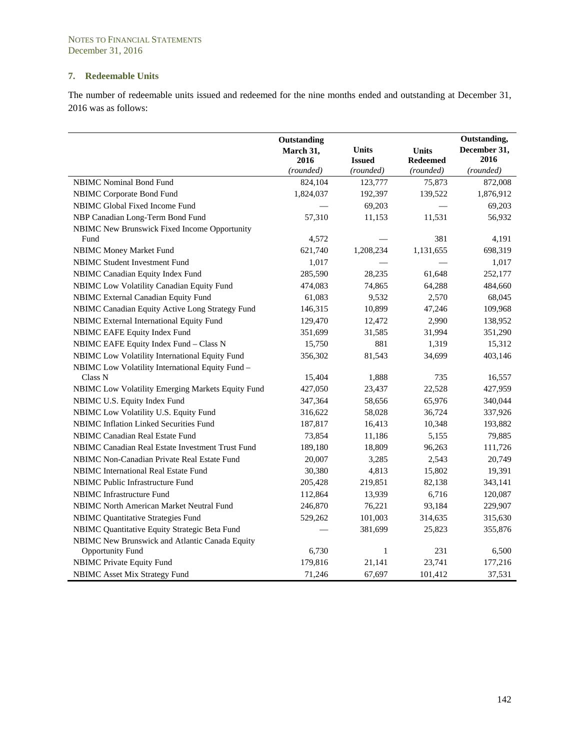# **7. Redeemable Units**

The number of redeemable units issued and redeemed for the nine months ended and outstanding at December 31, 2016 was as follows:

|                                                      | Outstanding<br>March 31,<br>2016<br>(rounded) | <b>Units</b><br><b>Issued</b><br>(rounded) | Units<br><b>Redeemed</b><br>(rounded) | Outstanding,<br>December 31,<br>2016<br>(rounded) |  |
|------------------------------------------------------|-----------------------------------------------|--------------------------------------------|---------------------------------------|---------------------------------------------------|--|
| NBIMC Nominal Bond Fund                              | 824,104                                       | 123,777                                    | 75,873                                | 872,008                                           |  |
| NBIMC Corporate Bond Fund                            | 1,824,037                                     | 192,397                                    | 139,522                               | 1,876,912                                         |  |
| NBIMC Global Fixed Income Fund                       |                                               | 69,203                                     |                                       | 69,203                                            |  |
| NBP Canadian Long-Term Bond Fund                     | 57,310                                        | 11,153                                     | 11,531                                | 56,932                                            |  |
| NBIMC New Brunswick Fixed Income Opportunity<br>Fund | 4,572                                         |                                            | 381                                   | 4,191                                             |  |
| NBIMC Money Market Fund                              | 621,740                                       | 1,208,234                                  | 1,131,655                             | 698,319                                           |  |
| <b>NBIMC Student Investment Fund</b>                 | 1,017                                         |                                            |                                       | 1,017                                             |  |
| NBIMC Canadian Equity Index Fund                     | 285,590                                       | 28,235                                     | 61,648                                | 252,177                                           |  |
| NBIMC Low Volatility Canadian Equity Fund            | 474,083                                       | 74,865                                     | 64,288                                | 484,660                                           |  |
| NBIMC External Canadian Equity Fund                  | 61,083                                        | 9,532                                      | 2,570                                 | 68,045                                            |  |
| NBIMC Canadian Equity Active Long Strategy Fund      | 146,315                                       | 10,899                                     | 47,246                                | 109,968                                           |  |
| NBIMC External International Equity Fund             | 129,470                                       | 12,472                                     | 2,990                                 | 138,952                                           |  |
| NBIMC EAFE Equity Index Fund                         | 351,699                                       | 31,585                                     | 31,994                                | 351,290                                           |  |
| NBIMC EAFE Equity Index Fund - Class N               | 15,750                                        | 881                                        | 1,319                                 | 15,312                                            |  |
| NBIMC Low Volatility International Equity Fund       | 356,302                                       | 81,543                                     | 34,699                                | 403,146                                           |  |
| NBIMC Low Volatility International Equity Fund -     |                                               |                                            |                                       |                                                   |  |
| Class N                                              | 15,404                                        | 1,888                                      | 735                                   | 16,557                                            |  |
| NBIMC Low Volatility Emerging Markets Equity Fund    | 427,050                                       | 23,437                                     | 22,528                                | 427,959                                           |  |
| NBIMC U.S. Equity Index Fund                         | 347,364                                       | 58,656                                     | 65,976                                | 340,044                                           |  |
| NBIMC Low Volatility U.S. Equity Fund                | 316,622                                       | 58,028                                     | 36,724                                | 337,926                                           |  |
| NBIMC Inflation Linked Securities Fund               | 187,817                                       | 16,413                                     | 10,348                                | 193,882                                           |  |
| NBIMC Canadian Real Estate Fund                      | 73,854                                        | 11,186                                     | 5,155                                 | 79,885                                            |  |
| NBIMC Canadian Real Estate Investment Trust Fund     | 189,180                                       | 18,809                                     | 96,263                                | 111,726                                           |  |
| NBIMC Non-Canadian Private Real Estate Fund          | 20,007                                        | 3,285                                      | 2,543                                 | 20,749                                            |  |
| NBIMC International Real Estate Fund                 | 30,380                                        | 4,813                                      | 15,802                                | 19,391                                            |  |
| NBIMC Public Infrastructure Fund                     | 205,428                                       | 219,851                                    | 82,138                                | 343,141                                           |  |
| NBIMC Infrastructure Fund                            | 112,864                                       | 13,939                                     | 6,716                                 | 120,087                                           |  |
| NBIMC North American Market Neutral Fund             | 246,870                                       | 76,221                                     | 93,184                                | 229,907                                           |  |
| <b>NBIMC Quantitative Strategies Fund</b>            | 529,262                                       | 101,003                                    | 314,635                               | 315,630                                           |  |
| NBIMC Quantitative Equity Strategic Beta Fund        |                                               | 381,699                                    | 25,823                                | 355,876                                           |  |
| NBIMC New Brunswick and Atlantic Canada Equity       |                                               |                                            |                                       |                                                   |  |
| <b>Opportunity Fund</b>                              | 6,730                                         | $\mathbf{1}$                               | 231                                   | 6,500                                             |  |
| <b>NBIMC Private Equity Fund</b>                     | 179,816                                       | 21,141                                     | 23,741                                | 177,216                                           |  |
| NBIMC Asset Mix Strategy Fund                        | 71,246                                        | 67,697                                     | 101,412                               | 37,531                                            |  |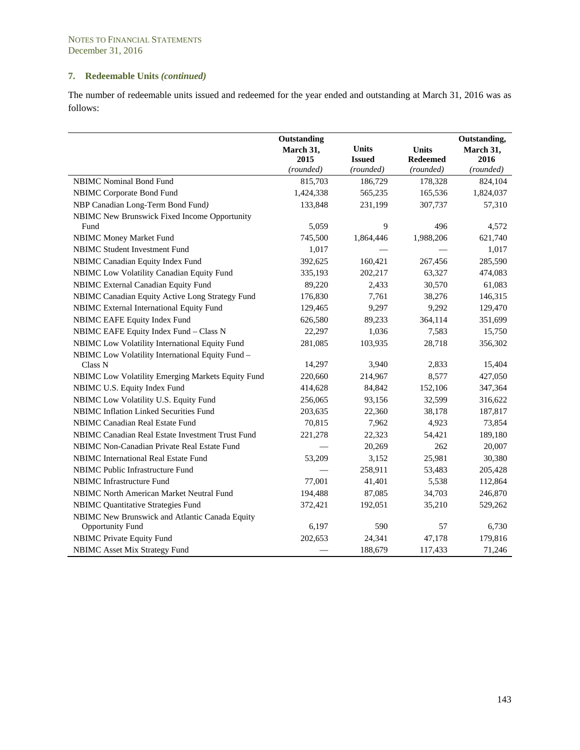# **7. Redeemable Units** *(continued)*

The number of redeemable units issued and redeemed for the year ended and outstanding at March 31, 2016 was as follows:

|                                                   | Outstanding<br>March 31,<br>2015<br>(rounded) | <b>Units</b><br><b>Issued</b><br>(rounded) | <b>Units</b><br><b>Redeemed</b><br>(rounded) | Outstanding,<br>March 31,<br>2016<br>(rounded) |
|---------------------------------------------------|-----------------------------------------------|--------------------------------------------|----------------------------------------------|------------------------------------------------|
| NBIMC Nominal Bond Fund                           | 815,703                                       | 186,729                                    | 178,328                                      | 824,104                                        |
| NBIMC Corporate Bond Fund                         | 1,424,338                                     | 565,235                                    | 165,536                                      | 1,824,037                                      |
| NBP Canadian Long-Term Bond Fund)                 | 133,848                                       | 231,199                                    | 307,737                                      | 57,310                                         |
| NBIMC New Brunswick Fixed Income Opportunity      |                                               |                                            |                                              |                                                |
| Fund                                              | 5,059                                         | 9                                          | 496                                          | 4,572                                          |
| <b>NBIMC Money Market Fund</b>                    | 745,500                                       | 1,864,446                                  | 1,988,206                                    | 621,740                                        |
| <b>NBIMC Student Investment Fund</b>              | 1,017                                         |                                            |                                              | 1,017                                          |
| NBIMC Canadian Equity Index Fund                  | 392,625                                       | 160,421                                    | 267,456                                      | 285,590                                        |
| NBIMC Low Volatility Canadian Equity Fund         | 335,193                                       | 202,217                                    | 63,327                                       | 474,083                                        |
| NBIMC External Canadian Equity Fund               | 89,220                                        | 2,433                                      | 30,570                                       | 61,083                                         |
| NBIMC Canadian Equity Active Long Strategy Fund   | 176,830                                       | 7,761                                      | 38,276                                       | 146,315                                        |
| NBIMC External International Equity Fund          | 129,465                                       | 9,297                                      | 9,292                                        | 129,470                                        |
| NBIMC EAFE Equity Index Fund                      | 626,580                                       | 89,233                                     | 364,114                                      | 351,699                                        |
| NBIMC EAFE Equity Index Fund - Class N            | 22,297                                        | 1,036                                      | 7,583                                        | 15,750                                         |
| NBIMC Low Volatility International Equity Fund    | 281,085                                       | 103,935                                    | 28,718                                       | 356,302                                        |
| NBIMC Low Volatility International Equity Fund -  |                                               |                                            |                                              |                                                |
| Class N                                           | 14,297                                        | 3,940                                      | 2,833                                        | 15,404                                         |
| NBIMC Low Volatility Emerging Markets Equity Fund | 220,660                                       | 214,967                                    | 8,577                                        | 427,050                                        |
| NBIMC U.S. Equity Index Fund                      | 414,628                                       | 84,842                                     | 152,106                                      | 347,364                                        |
| NBIMC Low Volatility U.S. Equity Fund             | 256,065                                       | 93,156                                     | 32,599                                       | 316,622                                        |
| NBIMC Inflation Linked Securities Fund            | 203,635                                       | 22,360                                     | 38,178                                       | 187,817                                        |
| NBIMC Canadian Real Estate Fund                   | 70,815                                        | 7,962                                      | 4,923                                        | 73,854                                         |
| NBIMC Canadian Real Estate Investment Trust Fund  | 221,278                                       | 22,323                                     | 54,421                                       | 189,180                                        |
| NBIMC Non-Canadian Private Real Estate Fund       |                                               | 20,269                                     | 262                                          | 20,007                                         |
| NBIMC International Real Estate Fund              | 53,209                                        | 3,152                                      | 25,981                                       | 30,380                                         |
| NBIMC Public Infrastructure Fund                  |                                               | 258,911                                    | 53,483                                       | 205,428                                        |
| NBIMC Infrastructure Fund                         | 77,001                                        | 41,401                                     | 5,538                                        | 112,864                                        |
| NBIMC North American Market Neutral Fund          | 194,488                                       | 87,085                                     | 34,703                                       | 246,870                                        |
| <b>NBIMC Quantitative Strategies Fund</b>         | 372,421                                       | 192,051                                    | 35,210                                       | 529,262                                        |
| NBIMC New Brunswick and Atlantic Canada Equity    |                                               |                                            |                                              |                                                |
| <b>Opportunity Fund</b>                           | 6,197                                         | 590                                        | 57                                           | 6,730                                          |
| <b>NBIMC Private Equity Fund</b>                  | 202,653                                       | 24,341                                     | 47,178                                       | 179,816                                        |
| <b>NBIMC</b> Asset Mix Strategy Fund              |                                               | 188,679                                    | 117,433                                      | 71,246                                         |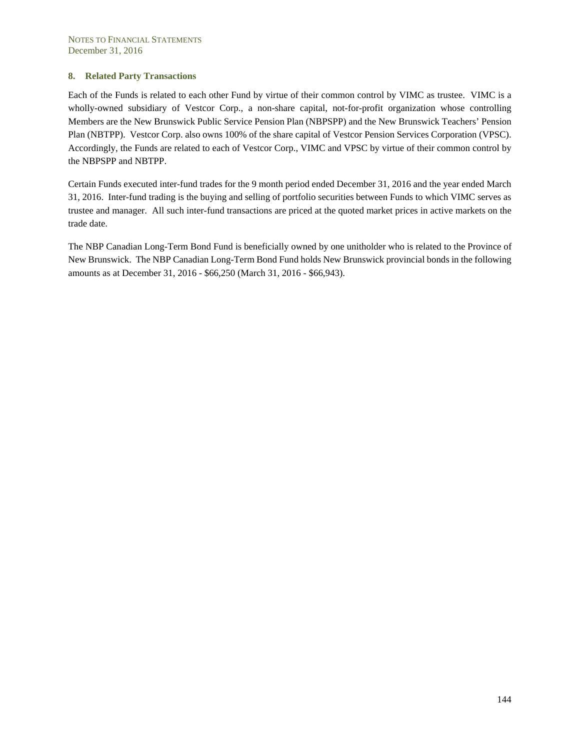### **8. Related Party Transactions**

Each of the Funds is related to each other Fund by virtue of their common control by VIMC as trustee. VIMC is a wholly-owned subsidiary of Vestcor Corp., a non-share capital, not-for-profit organization whose controlling Members are the New Brunswick Public Service Pension Plan (NBPSPP) and the New Brunswick Teachers' Pension Plan (NBTPP). Vestcor Corp. also owns 100% of the share capital of Vestcor Pension Services Corporation (VPSC). Accordingly, the Funds are related to each of Vestcor Corp., VIMC and VPSC by virtue of their common control by the NBPSPP and NBTPP.

Certain Funds executed inter-fund trades for the 9 month period ended December 31, 2016 and the year ended March 31, 2016. Inter-fund trading is the buying and selling of portfolio securities between Funds to which VIMC serves as trustee and manager. All such inter-fund transactions are priced at the quoted market prices in active markets on the trade date.

The NBP Canadian Long-Term Bond Fund is beneficially owned by one unitholder who is related to the Province of New Brunswick. The NBP Canadian Long-Term Bond Fund holds New Brunswick provincial bonds in the following amounts as at December 31, 2016 - \$66,250 (March 31, 2016 - \$66,943).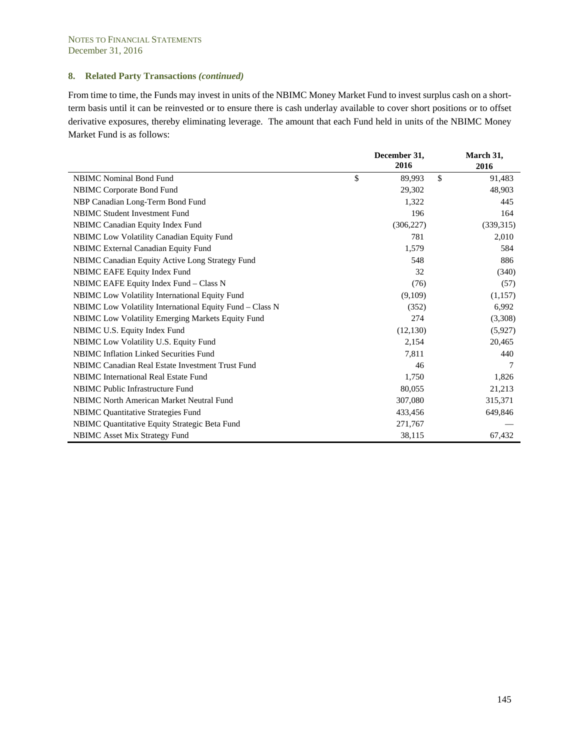From time to time, the Funds may invest in units of the NBIMC Money Market Fund to invest surplus cash on a shortterm basis until it can be reinvested or to ensure there is cash underlay available to cover short positions or to offset derivative exposures, thereby eliminating leverage. The amount that each Fund held in units of the NBIMC Money Market Fund is as follows:

|                                                          | December 31,<br>2016 | March 31,<br>2016 |
|----------------------------------------------------------|----------------------|-------------------|
| <b>NBIMC</b> Nominal Bond Fund                           | \$<br>\$<br>89,993   | 91,483            |
| <b>NBIMC</b> Corporate Bond Fund                         | 29,302               | 48,903            |
| NBP Canadian Long-Term Bond Fund                         | 1,322                | 445               |
| <b>NBIMC Student Investment Fund</b>                     | 196                  | 164               |
| NBIMC Canadian Equity Index Fund                         | (306, 227)           | (339,315)         |
| <b>NBIMC</b> Low Volatility Canadian Equity Fund         | 781                  | 2,010             |
| <b>NBIMC</b> External Canadian Equity Fund               | 1,579                | 584               |
| NBIMC Canadian Equity Active Long Strategy Fund          | 548                  | 886               |
| <b>NBIMC EAFE Equity Index Fund</b>                      | 32                   | (340)             |
| NBIMC EAFE Equity Index Fund - Class N                   | (76)                 | (57)              |
| <b>NBIMC</b> Low Volatility International Equity Fund    | (9,109)              | (1,157)           |
| NBIMC Low Volatility International Equity Fund - Class N | (352)                | 6,992             |
| NBIMC Low Volatility Emerging Markets Equity Fund        | 274                  | (3,308)           |
| NBIMC U.S. Equity Index Fund                             | (12, 130)            | (5,927)           |
| NBIMC Low Volatility U.S. Equity Fund                    | 2,154                | 20,465            |
| <b>NBIMC</b> Inflation Linked Securities Fund            | 7,811                | 440               |
| NBIMC Canadian Real Estate Investment Trust Fund         | 46                   | 7                 |
| <b>NBIMC</b> International Real Estate Fund              | 1,750                | 1,826             |
| NBIMC Public Infrastructure Fund                         | 80,055               | 21,213            |
| <b>NBIMC North American Market Neutral Fund</b>          | 307,080              | 315,371           |
| <b>NBIMC</b> Quantitative Strategies Fund                | 433,456              | 649,846           |
| NBIMC Quantitative Equity Strategic Beta Fund            | 271,767              |                   |
| <b>NBIMC</b> Asset Mix Strategy Fund                     | 38,115               | 67,432            |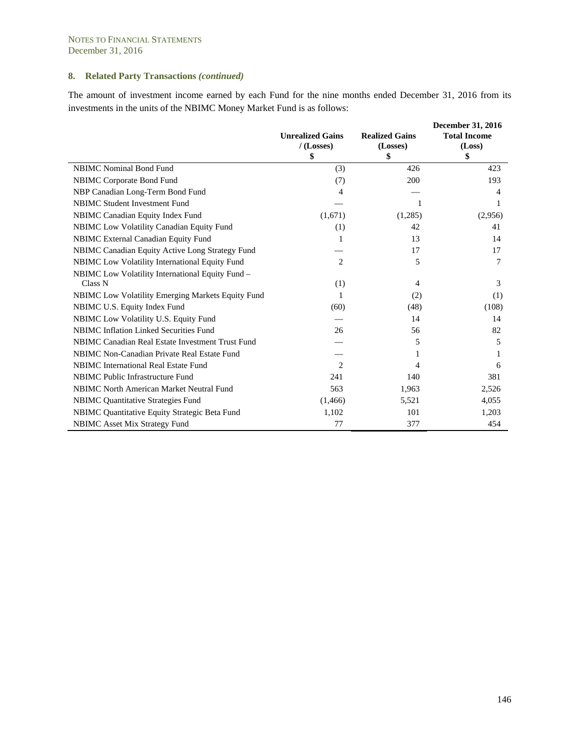The amount of investment income earned by each Fund for the nine months ended December 31, 2016 from its investments in the units of the NBIMC Money Market Fund is as follows:

|                                                   |                         |                       | <b>December 31, 2016</b> |
|---------------------------------------------------|-------------------------|-----------------------|--------------------------|
|                                                   | <b>Unrealized Gains</b> | <b>Realized Gains</b> | <b>Total Income</b>      |
|                                                   | $/$ (Losses)            | (Losses)              | (Loss)                   |
|                                                   | \$                      | \$                    | \$                       |
| <b>NBIMC</b> Nominal Bond Fund                    | (3)                     | 426                   | 423                      |
| NBIMC Corporate Bond Fund                         | (7)                     | 200                   | 193                      |
| NBP Canadian Long-Term Bond Fund                  | 4                       |                       | 4                        |
| NBIMC Student Investment Fund                     |                         | $\mathbf{1}$          | 1                        |
| NBIMC Canadian Equity Index Fund                  | (1,671)                 | (1,285)               | (2,956)                  |
| NBIMC Low Volatility Canadian Equity Fund         | (1)                     | 42                    | 41                       |
| NBIMC External Canadian Equity Fund               | 1                       | 13                    | 14                       |
| NBIMC Canadian Equity Active Long Strategy Fund   |                         | 17                    | 17                       |
| NBIMC Low Volatility International Equity Fund    | 2                       | 5                     | 7                        |
| NBIMC Low Volatility International Equity Fund -  |                         |                       |                          |
| Class N                                           | (1)                     | 4                     | 3                        |
| NBIMC Low Volatility Emerging Markets Equity Fund | 1                       | (2)                   | (1)                      |
| NBIMC U.S. Equity Index Fund                      | (60)                    | (48)                  | (108)                    |
| NBIMC Low Volatility U.S. Equity Fund             |                         | 14                    | 14                       |
| NBIMC Inflation Linked Securities Fund            | 26                      | 56                    | 82                       |
| NBIMC Canadian Real Estate Investment Trust Fund  |                         | 5                     | 5                        |
| NBIMC Non-Canadian Private Real Estate Fund       |                         |                       |                          |
| NBIMC International Real Estate Fund              | 2                       | 4                     | 6                        |
| NBIMC Public Infrastructure Fund                  | 241                     | 140                   | 381                      |
| NBIMC North American Market Neutral Fund          | 563                     | 1,963                 | 2,526                    |
| <b>NBIMC Quantitative Strategies Fund</b>         | (1, 466)                | 5,521                 | 4,055                    |
| NBIMC Quantitative Equity Strategic Beta Fund     | 1,102                   | 101                   | 1,203                    |
| NBIMC Asset Mix Strategy Fund                     | 77                      | 377                   | 454                      |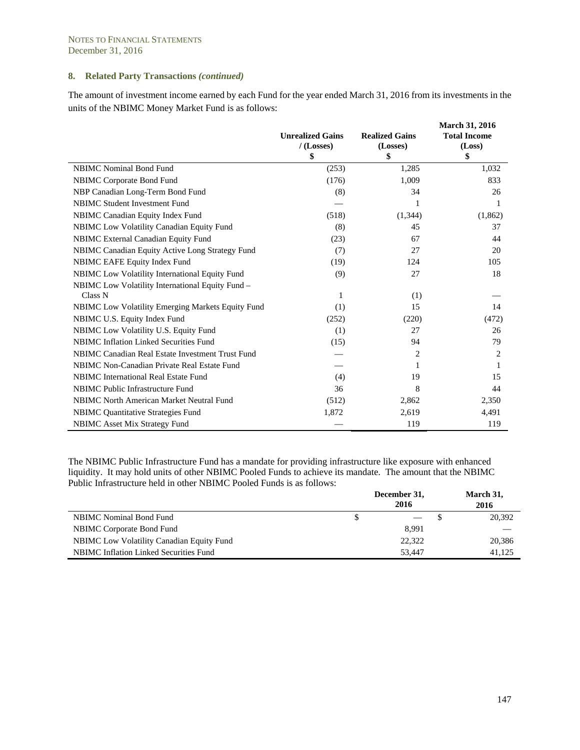The amount of investment income earned by each Fund for the year ended March 31, 2016 from its investments in the units of the NBIMC Money Market Fund is as follows:

|                                                   | <b>Unrealized Gains</b> | <b>Realized Gains</b> | <b>March 31, 2016</b><br><b>Total Income</b> |
|---------------------------------------------------|-------------------------|-----------------------|----------------------------------------------|
|                                                   | $/$ (Losses)            | (Losses)              | (Loss)                                       |
|                                                   | \$                      | \$                    | \$                                           |
| <b>NBIMC</b> Nominal Bond Fund                    | (253)                   | 1,285                 | 1,032                                        |
| NBIMC Corporate Bond Fund                         | (176)                   | 1,009                 | 833                                          |
| NBP Canadian Long-Term Bond Fund                  | (8)                     | 34                    | 26                                           |
| NBIMC Student Investment Fund                     |                         | 1                     | 1                                            |
| NBIMC Canadian Equity Index Fund                  | (518)                   | (1, 344)              | (1,862)                                      |
| NBIMC Low Volatility Canadian Equity Fund         | (8)                     | 45                    | 37                                           |
| NBIMC External Canadian Equity Fund               | (23)                    | 67                    | 44                                           |
| NBIMC Canadian Equity Active Long Strategy Fund   | (7)                     | 27                    | 20                                           |
| NBIMC EAFE Equity Index Fund                      | (19)                    | 124                   | 105                                          |
| NBIMC Low Volatility International Equity Fund    | (9)                     | 27                    | 18                                           |
| NBIMC Low Volatility International Equity Fund -  |                         |                       |                                              |
| Class N                                           | 1                       | (1)                   |                                              |
| NBIMC Low Volatility Emerging Markets Equity Fund | (1)                     | 15                    | 14                                           |
| NBIMC U.S. Equity Index Fund                      | (252)                   | (220)                 | (472)                                        |
| NBIMC Low Volatility U.S. Equity Fund             | (1)                     | 27                    | 26                                           |
| NBIMC Inflation Linked Securities Fund            | (15)                    | 94                    | 79                                           |
| NBIMC Canadian Real Estate Investment Trust Fund  |                         | 2                     | 2                                            |
| NBIMC Non-Canadian Private Real Estate Fund       |                         |                       |                                              |
| <b>NBIMC</b> International Real Estate Fund       | (4)                     | 19                    | 15                                           |
| NBIMC Public Infrastructure Fund                  | 36                      | 8                     | 44                                           |
| NBIMC North American Market Neutral Fund          | (512)                   | 2,862                 | 2,350                                        |
| <b>NBIMC</b> Quantitative Strategies Fund         | 1,872                   | 2,619                 | 4,491                                        |
| NBIMC Asset Mix Strategy Fund                     |                         | 119                   | 119                                          |

The NBIMC Public Infrastructure Fund has a mandate for providing infrastructure like exposure with enhanced liquidity. It may hold units of other NBIMC Pooled Funds to achieve its mandate. The amount that the NBIMC Public Infrastructure held in other NBIMC Pooled Funds is as follows:

|                                                  | December 31,<br>2016 | March 31,<br>2016 |
|--------------------------------------------------|----------------------|-------------------|
| <b>NBIMC</b> Nominal Bond Fund                   |                      | 20,392            |
| NBIMC Corporate Bond Fund                        | 8.991                |                   |
| <b>NBIMC</b> Low Volatility Canadian Equity Fund | 22,322               | 20,386            |
| <b>NBIMC</b> Inflation Linked Securities Fund    | 53.447               | 41.125            |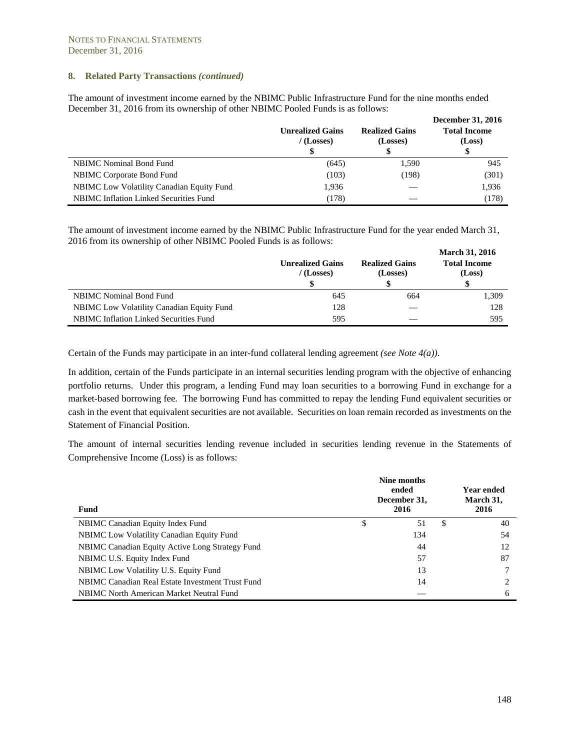The amount of investment income earned by the NBIMC Public Infrastructure Fund for the nine months ended December 31, 2016 from its ownership of other NBIMC Pooled Funds is as follows:

|                                                  | <b>Unrealized Gains</b><br>$/$ (Losses)<br>\$ | <b>Realized Gains</b><br>(Losses) | <b>December 31, 2016</b><br><b>Total Income</b><br>(Loss)<br>\$ |
|--------------------------------------------------|-----------------------------------------------|-----------------------------------|-----------------------------------------------------------------|
| <b>NBIMC</b> Nominal Bond Fund                   | (645)                                         | 1,590                             | 945                                                             |
| NBIMC Corporate Bond Fund                        | (103)                                         | (198)                             | (301)                                                           |
| <b>NBIMC</b> Low Volatility Canadian Equity Fund | 1,936                                         |                                   | 1,936                                                           |
| <b>NBIMC</b> Inflation Linked Securities Fund    | (178)                                         |                                   | (178)                                                           |

The amount of investment income earned by the NBIMC Public Infrastructure Fund for the year ended March 31, 2016 from its ownership of other NBIMC Pooled Funds is as follows:

|                                                  |                                         |                                   | <b>March 31, 2016</b>         |
|--------------------------------------------------|-----------------------------------------|-----------------------------------|-------------------------------|
|                                                  | <b>Unrealized Gains</b><br>$/$ (Losses) | <b>Realized Gains</b><br>(Losses) | <b>Total Income</b><br>(Loss) |
|                                                  |                                         | \$                                | <sup>\$</sup>                 |
| NBIMC Nominal Bond Fund                          | 645                                     | 664                               | 1,309                         |
| <b>NBIMC</b> Low Volatility Canadian Equity Fund | 128                                     |                                   | 128                           |
| <b>NBIMC</b> Inflation Linked Securities Fund    | 595                                     | __                                | 595                           |

Certain of the Funds may participate in an inter-fund collateral lending agreement *(see Note 4(a))*.

In addition, certain of the Funds participate in an internal securities lending program with the objective of enhancing portfolio returns. Under this program, a lending Fund may loan securities to a borrowing Fund in exchange for a market-based borrowing fee. The borrowing Fund has committed to repay the lending Fund equivalent securities or cash in the event that equivalent securities are not available. Securities on loan remain recorded as investments on the Statement of Financial Position.

The amount of internal securities lending revenue included in securities lending revenue in the Statements of Comprehensive Income (Loss) is as follows:

| <b>Fund</b>                                      |   | Nine months<br>ended<br>December 31,<br>2016 |   | Year ended<br>March 31,<br>2016 |
|--------------------------------------------------|---|----------------------------------------------|---|---------------------------------|
| NBIMC Canadian Equity Index Fund                 | S | 51                                           | S | 40                              |
| <b>NBIMC</b> Low Volatility Canadian Equity Fund |   | 134                                          |   | 54                              |
| NBIMC Canadian Equity Active Long Strategy Fund  |   | 44                                           |   | 12                              |
| NBIMC U.S. Equity Index Fund                     |   | 57                                           |   | 87                              |
| NBIMC Low Volatility U.S. Equity Fund            |   | 13                                           |   |                                 |
| NBIMC Canadian Real Estate Investment Trust Fund |   | 14                                           |   |                                 |
| NBIMC North American Market Neutral Fund         |   |                                              |   | 6                               |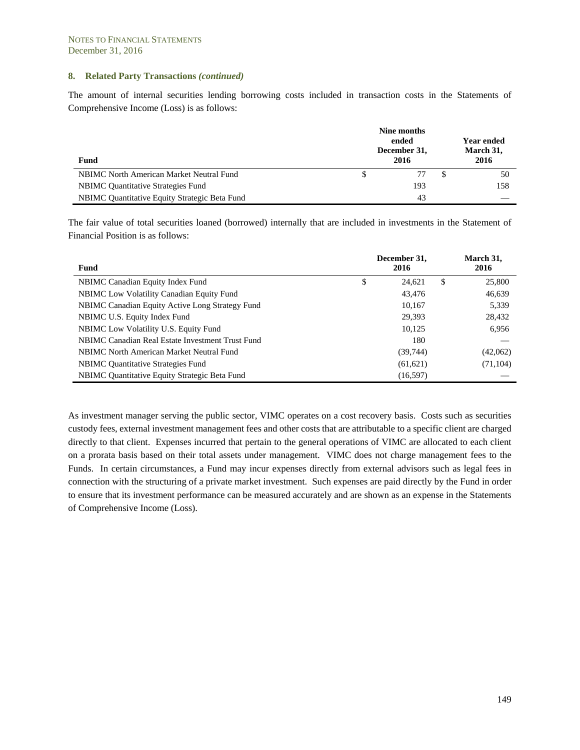The amount of internal securities lending borrowing costs included in transaction costs in the Statements of Comprehensive Income (Loss) is as follows:

| Fund                                          | Nine months<br>ended<br>December 31,<br>2016 | Year ended<br>March 31,<br>2016 |
|-----------------------------------------------|----------------------------------------------|---------------------------------|
| NBIMC North American Market Neutral Fund      |                                              | 50                              |
| <b>NBIMC</b> Quantitative Strategies Fund     | 193                                          | 158                             |
| NBIMC Quantitative Equity Strategic Beta Fund | 43                                           |                                 |

The fair value of total securities loaned (borrowed) internally that are included in investments in the Statement of Financial Position is as follows:

| Fund                                             |   | December 31,<br>2016 |   | March 31,<br>2016 |
|--------------------------------------------------|---|----------------------|---|-------------------|
| NBIMC Canadian Equity Index Fund                 | S | 24,621               | S | 25,800            |
| NBIMC Low Volatility Canadian Equity Fund        |   | 43,476               |   | 46,639            |
| NBIMC Canadian Equity Active Long Strategy Fund  |   | 10,167               |   | 5,339             |
| NBIMC U.S. Equity Index Fund                     |   | 29,393               |   | 28,432            |
| NBIMC Low Volatility U.S. Equity Fund            |   | 10,125               |   | 6,956             |
| NBIMC Canadian Real Estate Investment Trust Fund |   | 180                  |   |                   |
| NBIMC North American Market Neutral Fund         |   | (39, 744)            |   | (42,062)          |
| <b>NBIMC</b> Quantitative Strategies Fund        |   | (61, 621)            |   | (71, 104)         |
| NBIMC Quantitative Equity Strategic Beta Fund    |   | (16, 597)            |   |                   |

As investment manager serving the public sector, VIMC operates on a cost recovery basis. Costs such as securities custody fees, external investment management fees and other costs that are attributable to a specific client are charged directly to that client. Expenses incurred that pertain to the general operations of VIMC are allocated to each client on a prorata basis based on their total assets under management. VIMC does not charge management fees to the Funds. In certain circumstances, a Fund may incur expenses directly from external advisors such as legal fees in connection with the structuring of a private market investment. Such expenses are paid directly by the Fund in order to ensure that its investment performance can be measured accurately and are shown as an expense in the Statements of Comprehensive Income (Loss).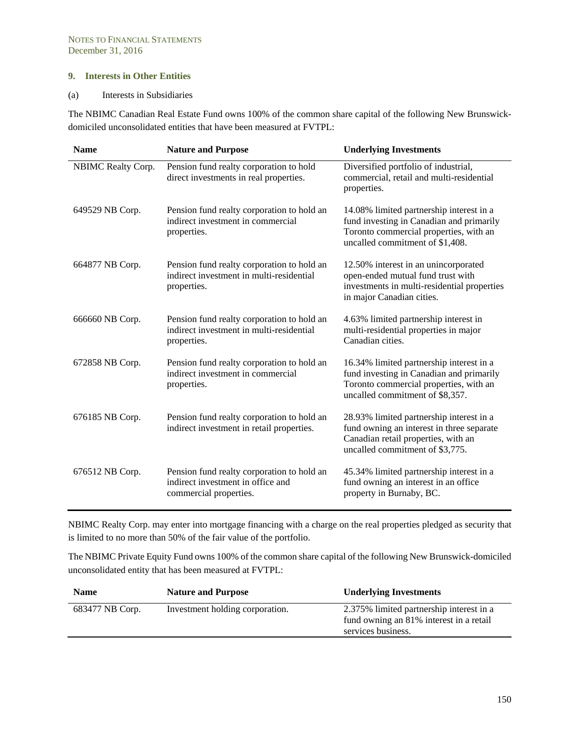#### **9. Interests in Other Entities**

#### (a) Interests in Subsidiaries

The NBIMC Canadian Real Estate Fund owns 100% of the common share capital of the following New Brunswickdomiciled unconsolidated entities that have been measured at FVTPL:

| <b>Name</b>        | <b>Nature and Purpose</b>                                                                                 | <b>Underlying Investments</b>                                                                                                                                     |
|--------------------|-----------------------------------------------------------------------------------------------------------|-------------------------------------------------------------------------------------------------------------------------------------------------------------------|
| NBIMC Realty Corp. | Pension fund realty corporation to hold<br>direct investments in real properties.                         | Diversified portfolio of industrial,<br>commercial, retail and multi-residential<br>properties.                                                                   |
| 649529 NB Corp.    | Pension fund realty corporation to hold an<br>indirect investment in commercial<br>properties.            | 14.08% limited partnership interest in a<br>fund investing in Canadian and primarily<br>Toronto commercial properties, with an<br>uncalled commitment of \$1,408. |
| 664877 NB Corp.    | Pension fund realty corporation to hold an<br>indirect investment in multi-residential<br>properties.     | 12.50% interest in an unincorporated<br>open-ended mutual fund trust with<br>investments in multi-residential properties<br>in major Canadian cities.             |
| 666660 NB Corp.    | Pension fund realty corporation to hold an<br>indirect investment in multi-residential<br>properties.     | 4.63% limited partnership interest in<br>multi-residential properties in major<br>Canadian cities.                                                                |
| 672858 NB Corp.    | Pension fund realty corporation to hold an<br>indirect investment in commercial<br>properties.            | 16.34% limited partnership interest in a<br>fund investing in Canadian and primarily<br>Toronto commercial properties, with an<br>uncalled commitment of \$8,357. |
| 676185 NB Corp.    | Pension fund realty corporation to hold an<br>indirect investment in retail properties.                   | 28.93% limited partnership interest in a<br>fund owning an interest in three separate<br>Canadian retail properties, with an<br>uncalled commitment of \$3,775.   |
| 676512 NB Corp.    | Pension fund realty corporation to hold an<br>indirect investment in office and<br>commercial properties. | 45.34% limited partnership interest in a<br>fund owning an interest in an office<br>property in Burnaby, BC.                                                      |

NBIMC Realty Corp. may enter into mortgage financing with a charge on the real properties pledged as security that is limited to no more than 50% of the fair value of the portfolio.

The NBIMC Private Equity Fund owns 100% of the common share capital of the following New Brunswick-domiciled unconsolidated entity that has been measured at FVTPL:

| <b>Name</b>     | <b>Nature and Purpose</b>       | <b>Underlying Investments</b>                                                                             |
|-----------------|---------------------------------|-----------------------------------------------------------------------------------------------------------|
| 683477 NB Corp. | Investment holding corporation. | 2.375% limited partnership interest in a<br>fund owning an 81% interest in a retail<br>services business. |